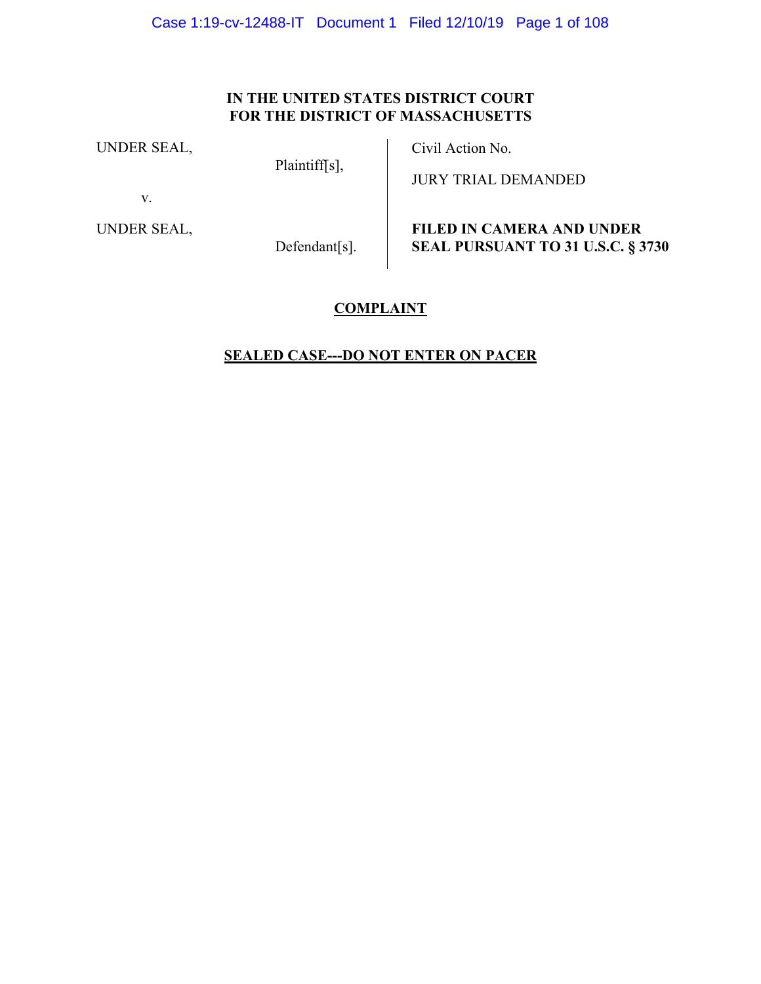## **IN THE UNITED STATES DISTRICT COURT FOR THE DISTRICT OF MASSACHUSETTS**

UNDER SEAL,

Plaintiff[s],

Civil Action No.

v.

UNDER SEAL,

Defendant[s].

JURY TRIAL DEMANDED

**FILED IN CAMERA AND UNDER SEAL PURSUANT TO 31 U.S.C. § 3730**

## **COMPLAINT**

## **SEALED CASE---DO NOT ENTER ON PACER**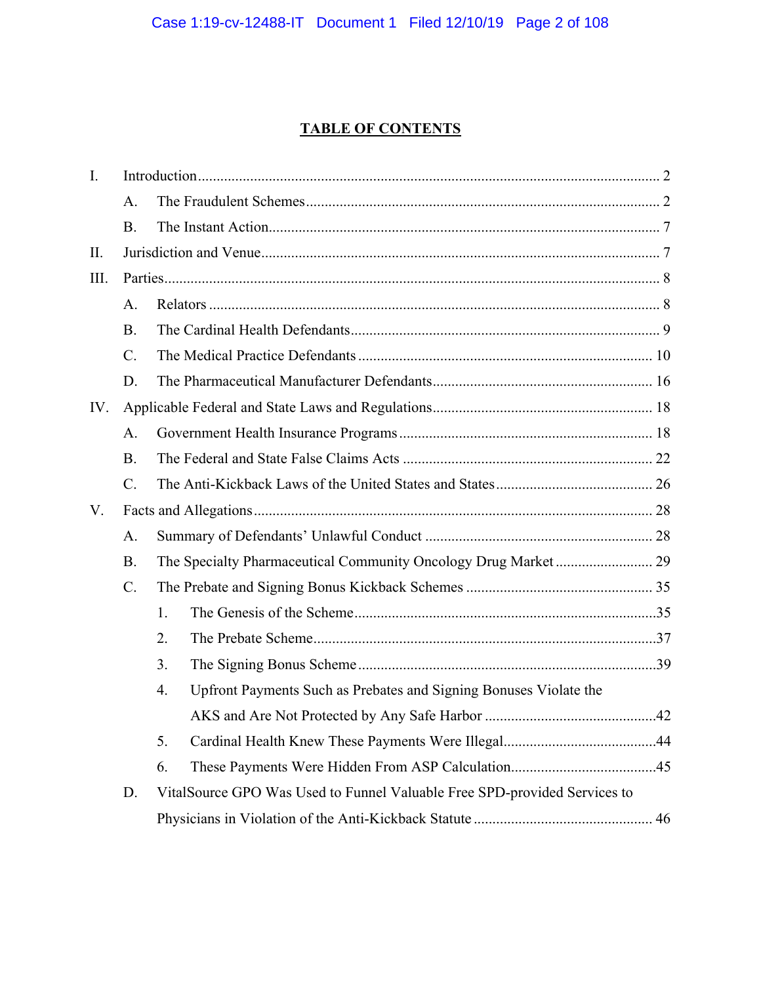## **TABLE OF CONTENTS**

| I.   |           |                                                                           |  |  |
|------|-----------|---------------------------------------------------------------------------|--|--|
|      | A.        |                                                                           |  |  |
|      | <b>B.</b> |                                                                           |  |  |
| II.  |           |                                                                           |  |  |
| III. |           |                                                                           |  |  |
|      | A.        |                                                                           |  |  |
|      | <b>B.</b> |                                                                           |  |  |
|      | $C$ .     |                                                                           |  |  |
|      | D.        |                                                                           |  |  |
| IV.  |           |                                                                           |  |  |
|      | A.        |                                                                           |  |  |
|      | <b>B.</b> |                                                                           |  |  |
|      | $C$ .     |                                                                           |  |  |
| V.   |           |                                                                           |  |  |
|      | A.        |                                                                           |  |  |
|      | <b>B.</b> |                                                                           |  |  |
|      | $C$ .     |                                                                           |  |  |
|      |           | 1.                                                                        |  |  |
|      |           | 2.                                                                        |  |  |
|      |           | 3.                                                                        |  |  |
|      |           | Upfront Payments Such as Prebates and Signing Bonuses Violate the<br>4.   |  |  |
|      |           |                                                                           |  |  |
|      |           | 5.                                                                        |  |  |
|      |           | 6.                                                                        |  |  |
|      | D.        | VitalSource GPO Was Used to Funnel Valuable Free SPD-provided Services to |  |  |
|      |           |                                                                           |  |  |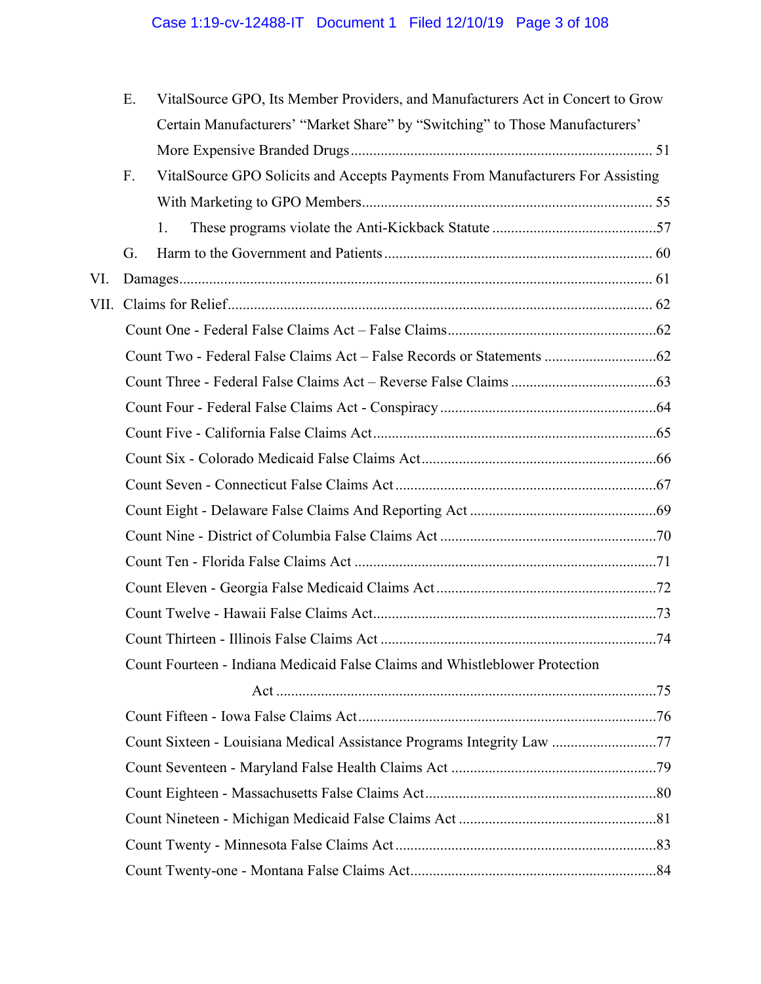|      | Ε. | VitalSource GPO, Its Member Providers, and Manufacturers Act in Concert to Grow |  |  |
|------|----|---------------------------------------------------------------------------------|--|--|
|      |    | Certain Manufacturers' "Market Share" by "Switching" to Those Manufacturers'    |  |  |
|      |    |                                                                                 |  |  |
|      | F. | VitalSource GPO Solicits and Accepts Payments From Manufacturers For Assisting  |  |  |
|      |    |                                                                                 |  |  |
|      |    | 1.                                                                              |  |  |
|      | G. |                                                                                 |  |  |
| VI.  |    |                                                                                 |  |  |
| VII. |    |                                                                                 |  |  |
|      |    |                                                                                 |  |  |
|      |    |                                                                                 |  |  |
|      |    |                                                                                 |  |  |
|      |    |                                                                                 |  |  |
|      |    |                                                                                 |  |  |
|      |    |                                                                                 |  |  |
|      |    |                                                                                 |  |  |
|      |    |                                                                                 |  |  |
|      |    |                                                                                 |  |  |
|      |    |                                                                                 |  |  |
|      |    |                                                                                 |  |  |
|      |    |                                                                                 |  |  |
|      |    |                                                                                 |  |  |
|      |    | Count Fourteen - Indiana Medicaid False Claims and Whistleblower Protection     |  |  |
|      |    |                                                                                 |  |  |
|      |    |                                                                                 |  |  |
|      |    | Count Sixteen - Louisiana Medical Assistance Programs Integrity Law 77          |  |  |
|      |    |                                                                                 |  |  |
|      |    |                                                                                 |  |  |
|      |    |                                                                                 |  |  |
|      |    |                                                                                 |  |  |
|      |    |                                                                                 |  |  |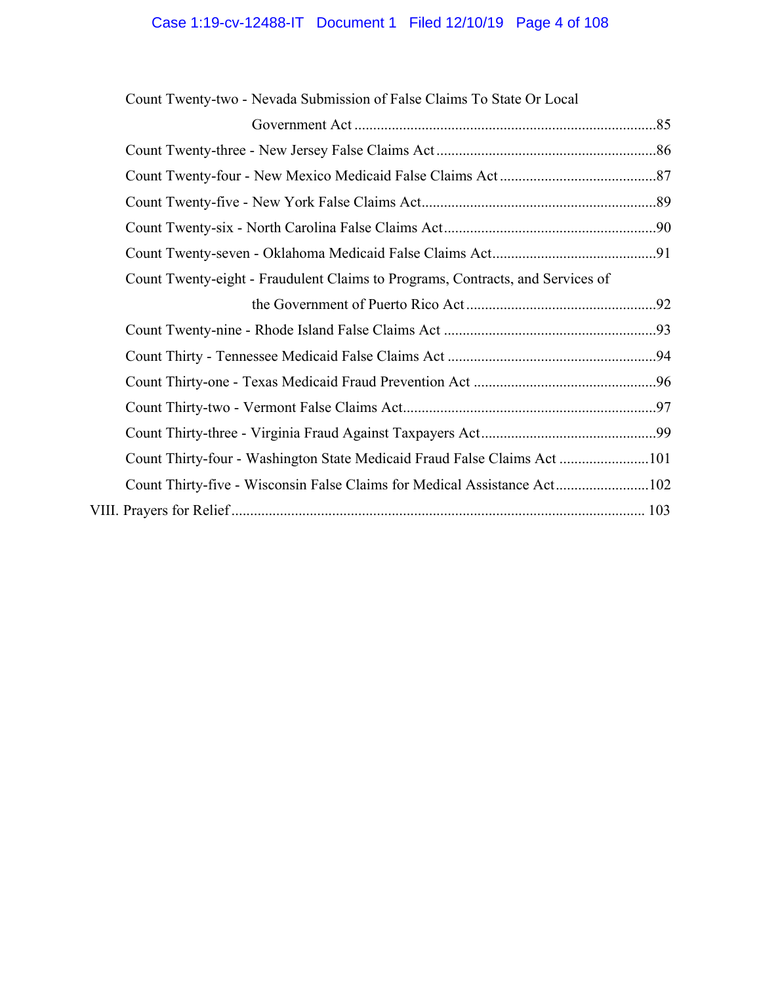| Count Twenty-two - Nevada Submission of False Claims To State Or Local         |  |
|--------------------------------------------------------------------------------|--|
|                                                                                |  |
|                                                                                |  |
|                                                                                |  |
|                                                                                |  |
|                                                                                |  |
|                                                                                |  |
| Count Twenty-eight - Fraudulent Claims to Programs, Contracts, and Services of |  |
|                                                                                |  |
|                                                                                |  |
|                                                                                |  |
|                                                                                |  |
|                                                                                |  |
|                                                                                |  |
| Count Thirty-four - Washington State Medicaid Fraud False Claims Act101        |  |
| Count Thirty-five - Wisconsin False Claims for Medical Assistance Act102       |  |
|                                                                                |  |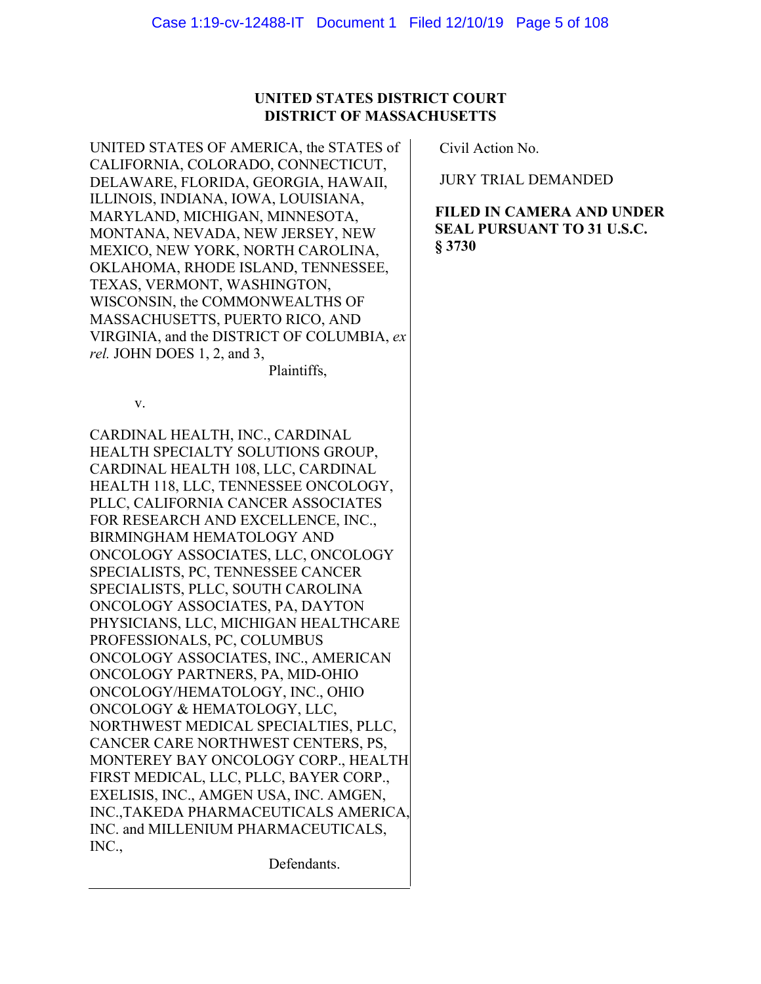## **UNITED STATES DISTRICT COURT DISTRICT OF MASSACHUSETTS**

UNITED STATES OF AMERICA, the STATES of CALIFORNIA, COLORADO, CONNECTICUT, DELAWARE, FLORIDA, GEORGIA, HAWAII, ILLINOIS, INDIANA, IOWA, LOUISIANA, MARYLAND, MICHIGAN, MINNESOTA, MONTANA, NEVADA, NEW JERSEY, NEW MEXICO, NEW YORK, NORTH CAROLINA, OKLAHOMA, RHODE ISLAND, TENNESSEE, TEXAS, VERMONT, WASHINGTON, WISCONSIN, the COMMONWEALTHS OF MASSACHUSETTS, PUERTO RICO, AND VIRGINIA, and the DISTRICT OF COLUMBIA, *ex rel.* JOHN DOES 1, 2, and 3,

Plaintiffs,

v.

CARDINAL HEALTH, INC., CARDINAL HEALTH SPECIALTY SOLUTIONS GROUP, CARDINAL HEALTH 108, LLC, CARDINAL HEALTH 118, LLC, TENNESSEE ONCOLOGY, PLLC, CALIFORNIA CANCER ASSOCIATES FOR RESEARCH AND EXCELLENCE, INC., BIRMINGHAM HEMATOLOGY AND ONCOLOGY ASSOCIATES, LLC, ONCOLOGY SPECIALISTS, PC, TENNESSEE CANCER SPECIALISTS, PLLC, SOUTH CAROLINA ONCOLOGY ASSOCIATES, PA, DAYTON PHYSICIANS, LLC, MICHIGAN HEALTHCARE PROFESSIONALS, PC, COLUMBUS ONCOLOGY ASSOCIATES, INC., AMERICAN ONCOLOGY PARTNERS, PA, MID-OHIO ONCOLOGY/HEMATOLOGY, INC., OHIO ONCOLOGY & HEMATOLOGY, LLC, NORTHWEST MEDICAL SPECIALTIES, PLLC, CANCER CARE NORTHWEST CENTERS, PS, MONTEREY BAY ONCOLOGY CORP., HEALTH FIRST MEDICAL, LLC, PLLC, BAYER CORP., EXELISIS, INC., AMGEN USA, INC. AMGEN, INC.,TAKEDA PHARMACEUTICALS AMERICA, INC. and MILLENIUM PHARMACEUTICALS, INC.,

Defendants.

Civil Action No.

JURY TRIAL DEMANDED

**FILED IN CAMERA AND UNDER SEAL PURSUANT TO 31 U.S.C. § 3730**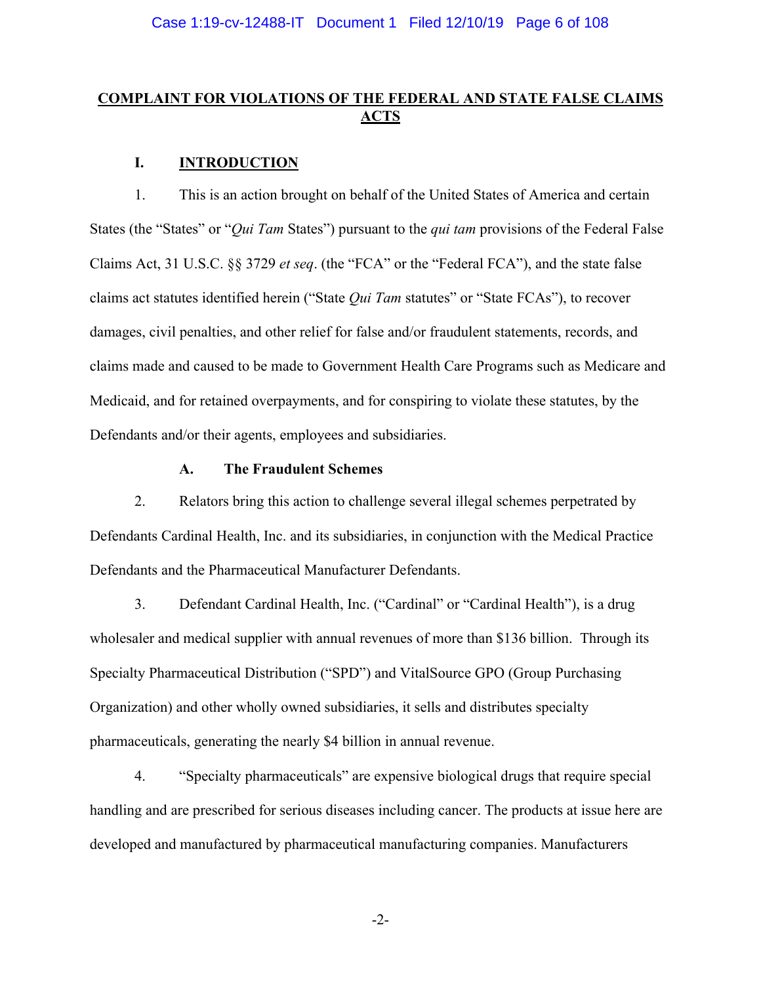## **COMPLAINT FOR VIOLATIONS OF THE FEDERAL AND STATE FALSE CLAIMS ACTS**

## **I. INTRODUCTION**

1. This is an action brought on behalf of the United States of America and certain States (the "States" or "*Qui Tam* States") pursuant to the *qui tam* provisions of the Federal False Claims Act, 31 U.S.C. §§ 3729 *et seq*. (the "FCA" or the "Federal FCA"), and the state false claims act statutes identified herein ("State *Qui Tam* statutes" or "State FCAs"), to recover damages, civil penalties, and other relief for false and/or fraudulent statements, records, and claims made and caused to be made to Government Health Care Programs such as Medicare and Medicaid, and for retained overpayments, and for conspiring to violate these statutes, by the Defendants and/or their agents, employees and subsidiaries.

#### **A. The Fraudulent Schemes**

2. Relators bring this action to challenge several illegal schemes perpetrated by Defendants Cardinal Health, Inc. and its subsidiaries, in conjunction with the Medical Practice Defendants and the Pharmaceutical Manufacturer Defendants.

3. Defendant Cardinal Health, Inc. ("Cardinal" or "Cardinal Health"), is a drug wholesaler and medical supplier with annual revenues of more than \$136 billion. Through its Specialty Pharmaceutical Distribution ("SPD") and VitalSource GPO (Group Purchasing Organization) and other wholly owned subsidiaries, it sells and distributes specialty pharmaceuticals, generating the nearly \$4 billion in annual revenue.

4. "Specialty pharmaceuticals" are expensive biological drugs that require special handling and are prescribed for serious diseases including cancer. The products at issue here are developed and manufactured by pharmaceutical manufacturing companies. Manufacturers

-2-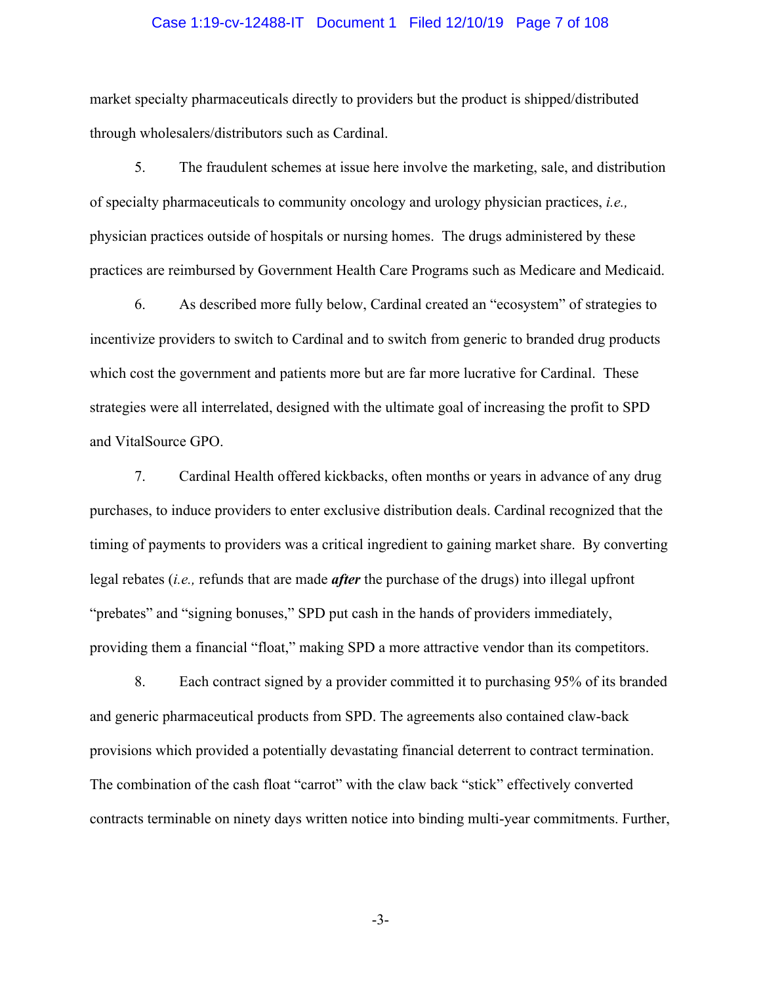#### Case 1:19-cv-12488-IT Document 1 Filed 12/10/19 Page 7 of 108

market specialty pharmaceuticals directly to providers but the product is shipped/distributed through wholesalers/distributors such as Cardinal.

5. The fraudulent schemes at issue here involve the marketing, sale, and distribution of specialty pharmaceuticals to community oncology and urology physician practices, *i.e.,*  physician practices outside of hospitals or nursing homes. The drugs administered by these practices are reimbursed by Government Health Care Programs such as Medicare and Medicaid.

6. As described more fully below, Cardinal created an "ecosystem" of strategies to incentivize providers to switch to Cardinal and to switch from generic to branded drug products which cost the government and patients more but are far more lucrative for Cardinal. These strategies were all interrelated, designed with the ultimate goal of increasing the profit to SPD and VitalSource GPO.

7. Cardinal Health offered kickbacks, often months or years in advance of any drug purchases, to induce providers to enter exclusive distribution deals. Cardinal recognized that the timing of payments to providers was a critical ingredient to gaining market share. By converting legal rebates (*i.e.,* refunds that are made *after* the purchase of the drugs) into illegal upfront "prebates" and "signing bonuses," SPD put cash in the hands of providers immediately, providing them a financial "float," making SPD a more attractive vendor than its competitors.

8. Each contract signed by a provider committed it to purchasing 95% of its branded and generic pharmaceutical products from SPD. The agreements also contained claw-back provisions which provided a potentially devastating financial deterrent to contract termination. The combination of the cash float "carrot" with the claw back "stick" effectively converted contracts terminable on ninety days written notice into binding multi-year commitments. Further,

-3-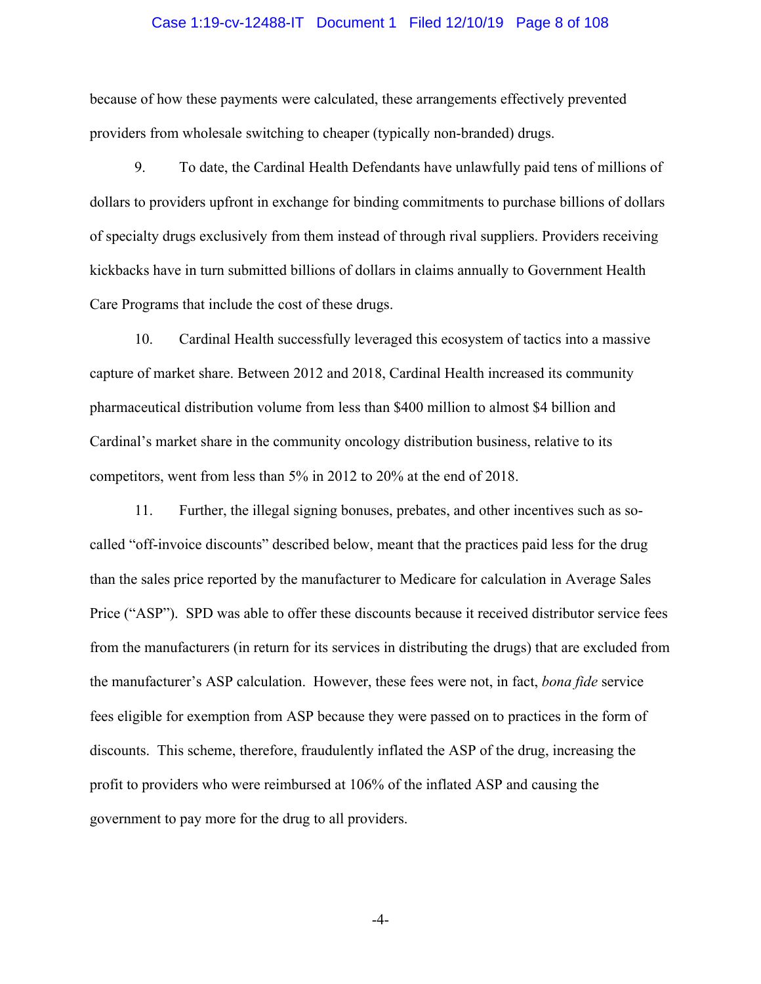#### Case 1:19-cv-12488-IT Document 1 Filed 12/10/19 Page 8 of 108

because of how these payments were calculated, these arrangements effectively prevented providers from wholesale switching to cheaper (typically non-branded) drugs.

9. To date, the Cardinal Health Defendants have unlawfully paid tens of millions of dollars to providers upfront in exchange for binding commitments to purchase billions of dollars of specialty drugs exclusively from them instead of through rival suppliers. Providers receiving kickbacks have in turn submitted billions of dollars in claims annually to Government Health Care Programs that include the cost of these drugs.

10. Cardinal Health successfully leveraged this ecosystem of tactics into a massive capture of market share. Between 2012 and 2018, Cardinal Health increased its community pharmaceutical distribution volume from less than \$400 million to almost \$4 billion and Cardinal's market share in the community oncology distribution business, relative to its competitors, went from less than 5% in 2012 to 20% at the end of 2018.

11. Further, the illegal signing bonuses, prebates, and other incentives such as socalled "off-invoice discounts" described below, meant that the practices paid less for the drug than the sales price reported by the manufacturer to Medicare for calculation in Average Sales Price ("ASP"). SPD was able to offer these discounts because it received distributor service fees from the manufacturers (in return for its services in distributing the drugs) that are excluded from the manufacturer's ASP calculation. However, these fees were not, in fact, *bona fide* service fees eligible for exemption from ASP because they were passed on to practices in the form of discounts. This scheme, therefore, fraudulently inflated the ASP of the drug, increasing the profit to providers who were reimbursed at 106% of the inflated ASP and causing the government to pay more for the drug to all providers.

-4-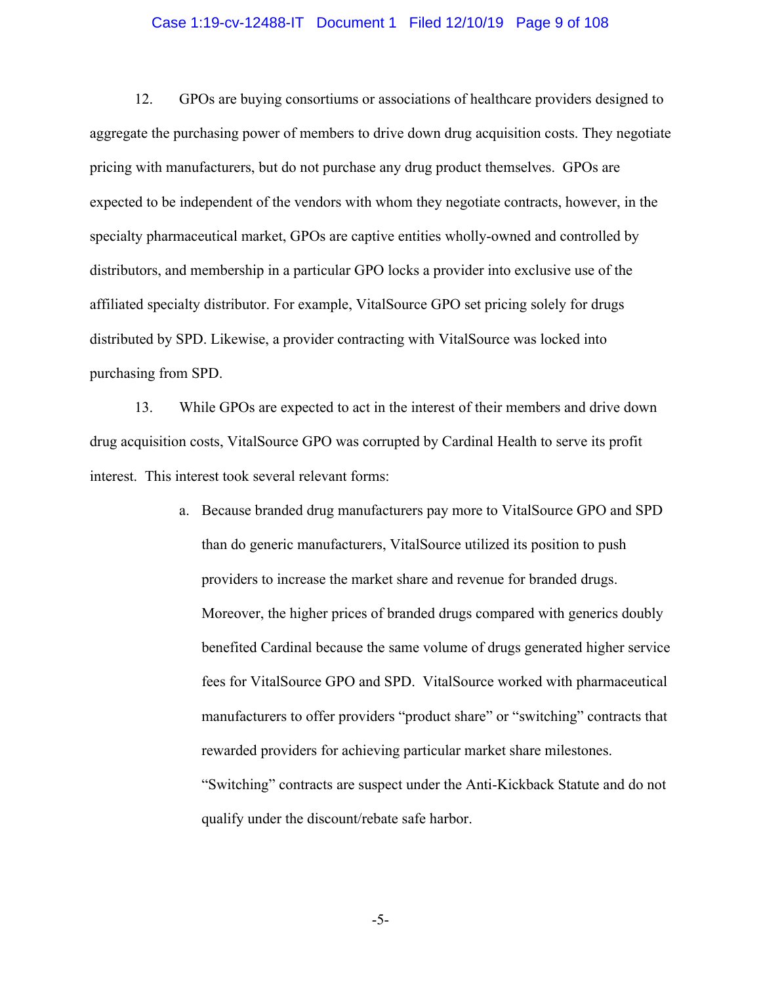#### Case 1:19-cv-12488-IT Document 1 Filed 12/10/19 Page 9 of 108

12. GPOs are buying consortiums or associations of healthcare providers designed to aggregate the purchasing power of members to drive down drug acquisition costs. They negotiate pricing with manufacturers, but do not purchase any drug product themselves. GPOs are expected to be independent of the vendors with whom they negotiate contracts, however, in the specialty pharmaceutical market, GPOs are captive entities wholly-owned and controlled by distributors, and membership in a particular GPO locks a provider into exclusive use of the affiliated specialty distributor. For example, VitalSource GPO set pricing solely for drugs distributed by SPD. Likewise, a provider contracting with VitalSource was locked into purchasing from SPD.

13. While GPOs are expected to act in the interest of their members and drive down drug acquisition costs, VitalSource GPO was corrupted by Cardinal Health to serve its profit interest. This interest took several relevant forms:

> a. Because branded drug manufacturers pay more to VitalSource GPO and SPD than do generic manufacturers, VitalSource utilized its position to push providers to increase the market share and revenue for branded drugs. Moreover, the higher prices of branded drugs compared with generics doubly benefited Cardinal because the same volume of drugs generated higher service fees for VitalSource GPO and SPD. VitalSource worked with pharmaceutical manufacturers to offer providers "product share" or "switching" contracts that rewarded providers for achieving particular market share milestones. "Switching" contracts are suspect under the Anti-Kickback Statute and do not qualify under the discount/rebate safe harbor.

> > -5-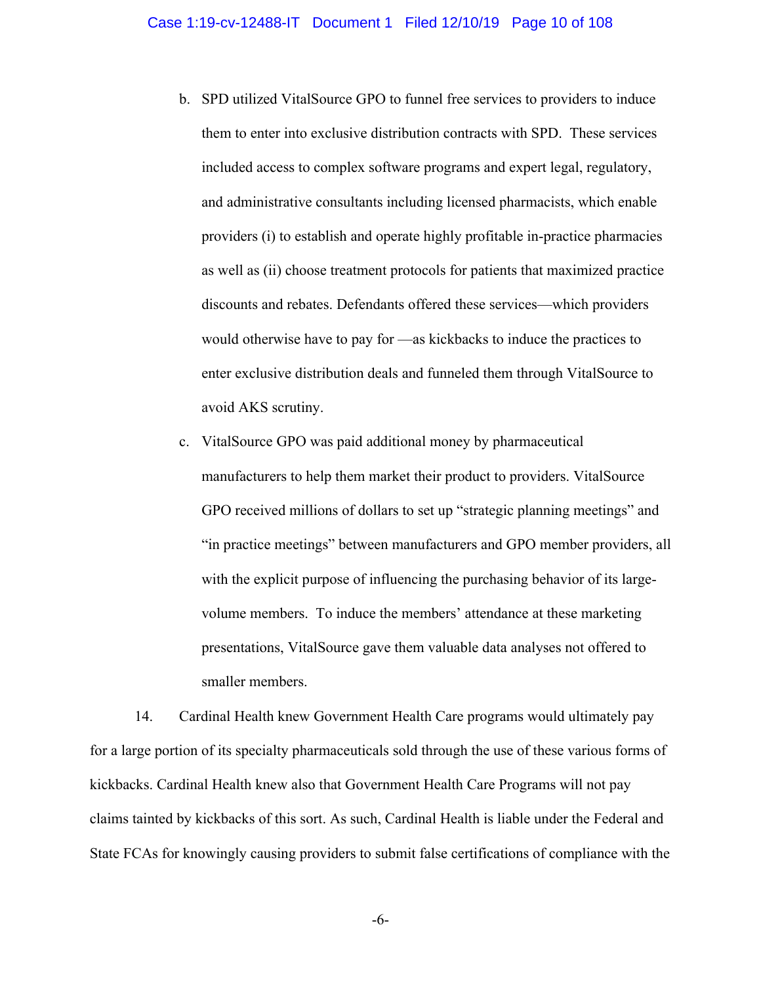- b. SPD utilized VitalSource GPO to funnel free services to providers to induce them to enter into exclusive distribution contracts with SPD. These services included access to complex software programs and expert legal, regulatory, and administrative consultants including licensed pharmacists, which enable providers (i) to establish and operate highly profitable in-practice pharmacies as well as (ii) choose treatment protocols for patients that maximized practice discounts and rebates. Defendants offered these services—which providers would otherwise have to pay for —as kickbacks to induce the practices to enter exclusive distribution deals and funneled them through VitalSource to avoid AKS scrutiny.
- c. VitalSource GPO was paid additional money by pharmaceutical manufacturers to help them market their product to providers. VitalSource GPO received millions of dollars to set up "strategic planning meetings" and "in practice meetings" between manufacturers and GPO member providers, all with the explicit purpose of influencing the purchasing behavior of its largevolume members. To induce the members' attendance at these marketing presentations, VitalSource gave them valuable data analyses not offered to smaller members.

14. Cardinal Health knew Government Health Care programs would ultimately pay for a large portion of its specialty pharmaceuticals sold through the use of these various forms of kickbacks. Cardinal Health knew also that Government Health Care Programs will not pay claims tainted by kickbacks of this sort. As such, Cardinal Health is liable under the Federal and State FCAs for knowingly causing providers to submit false certifications of compliance with the

-6-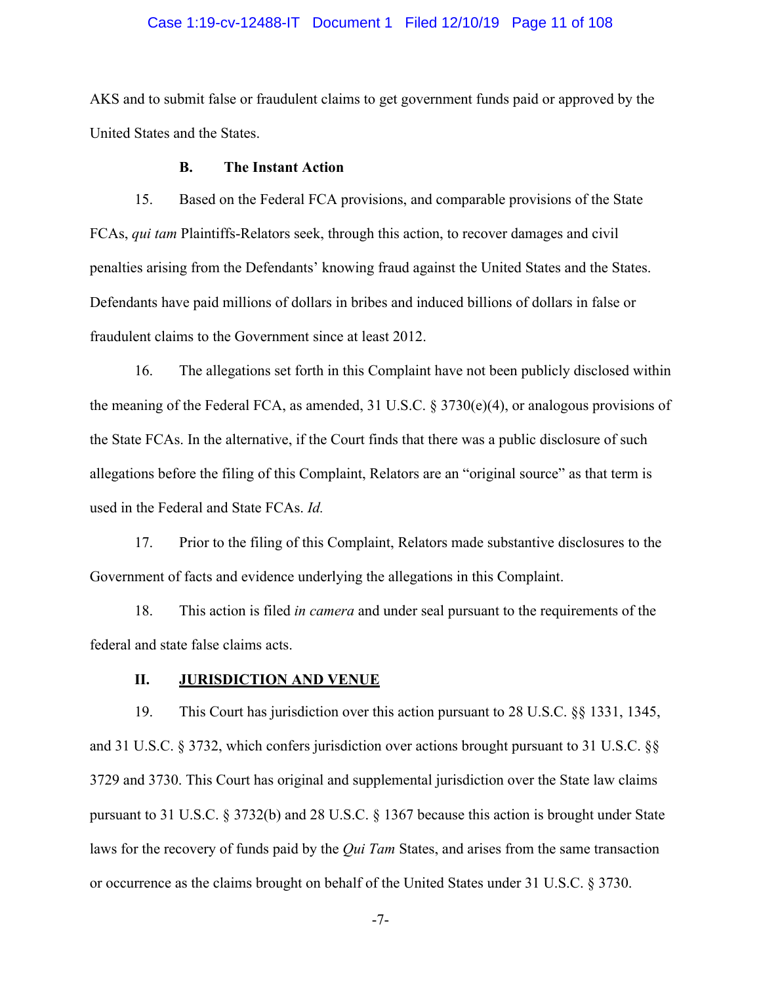#### Case 1:19-cv-12488-IT Document 1 Filed 12/10/19 Page 11 of 108

AKS and to submit false or fraudulent claims to get government funds paid or approved by the United States and the States.

#### **B. The Instant Action**

15. Based on the Federal FCA provisions, and comparable provisions of the State FCAs, *qui tam* Plaintiffs-Relators seek, through this action, to recover damages and civil penalties arising from the Defendants' knowing fraud against the United States and the States. Defendants have paid millions of dollars in bribes and induced billions of dollars in false or fraudulent claims to the Government since at least 2012.

16. The allegations set forth in this Complaint have not been publicly disclosed within the meaning of the Federal FCA, as amended, 31 U.S.C. § 3730(e)(4), or analogous provisions of the State FCAs. In the alternative, if the Court finds that there was a public disclosure of such allegations before the filing of this Complaint, Relators are an "original source" as that term is used in the Federal and State FCAs. *Id.*

17. Prior to the filing of this Complaint, Relators made substantive disclosures to the Government of facts and evidence underlying the allegations in this Complaint.

18. This action is filed *in camera* and under seal pursuant to the requirements of the federal and state false claims acts.

#### **II. JURISDICTION AND VENUE**

19. This Court has jurisdiction over this action pursuant to 28 U.S.C. §§ 1331, 1345, and 31 U.S.C. § 3732, which confers jurisdiction over actions brought pursuant to 31 U.S.C. §§ 3729 and 3730. This Court has original and supplemental jurisdiction over the State law claims pursuant to 31 U.S.C. § 3732(b) and 28 U.S.C. § 1367 because this action is brought under State laws for the recovery of funds paid by the *Qui Tam* States, and arises from the same transaction or occurrence as the claims brought on behalf of the United States under 31 U.S.C. § 3730.

-7-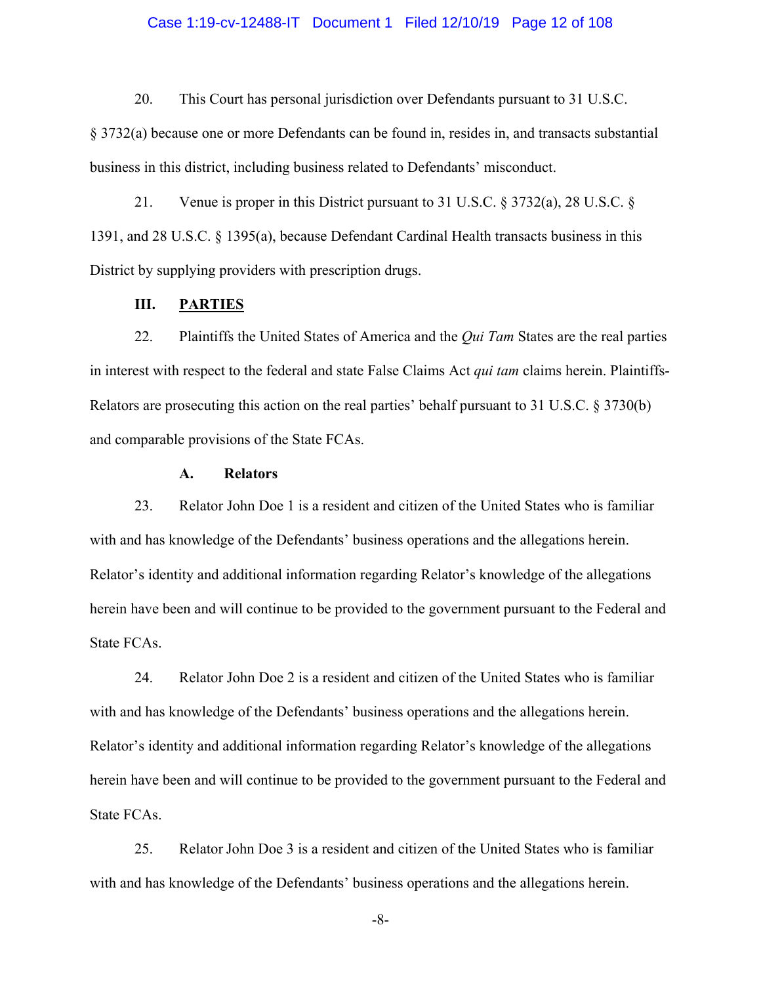#### Case 1:19-cv-12488-IT Document 1 Filed 12/10/19 Page 12 of 108

20. This Court has personal jurisdiction over Defendants pursuant to 31 U.S.C.

§ 3732(a) because one or more Defendants can be found in, resides in, and transacts substantial business in this district, including business related to Defendants' misconduct.

21. Venue is proper in this District pursuant to 31 U.S.C. § 3732(a), 28 U.S.C. § 1391, and 28 U.S.C. § 1395(a), because Defendant Cardinal Health transacts business in this District by supplying providers with prescription drugs.

## **III. PARTIES**

22. Plaintiffs the United States of America and the *Qui Tam* States are the real parties in interest with respect to the federal and state False Claims Act *qui tam* claims herein. Plaintiffs-Relators are prosecuting this action on the real parties' behalf pursuant to 31 U.S.C. § 3730(b) and comparable provisions of the State FCAs.

## **A. Relators**

23. Relator John Doe 1 is a resident and citizen of the United States who is familiar with and has knowledge of the Defendants' business operations and the allegations herein. Relator's identity and additional information regarding Relator's knowledge of the allegations herein have been and will continue to be provided to the government pursuant to the Federal and State FCAs.

24. Relator John Doe 2 is a resident and citizen of the United States who is familiar with and has knowledge of the Defendants' business operations and the allegations herein. Relator's identity and additional information regarding Relator's knowledge of the allegations herein have been and will continue to be provided to the government pursuant to the Federal and State FCAs.

25. Relator John Doe 3 is a resident and citizen of the United States who is familiar with and has knowledge of the Defendants' business operations and the allegations herein.

-8-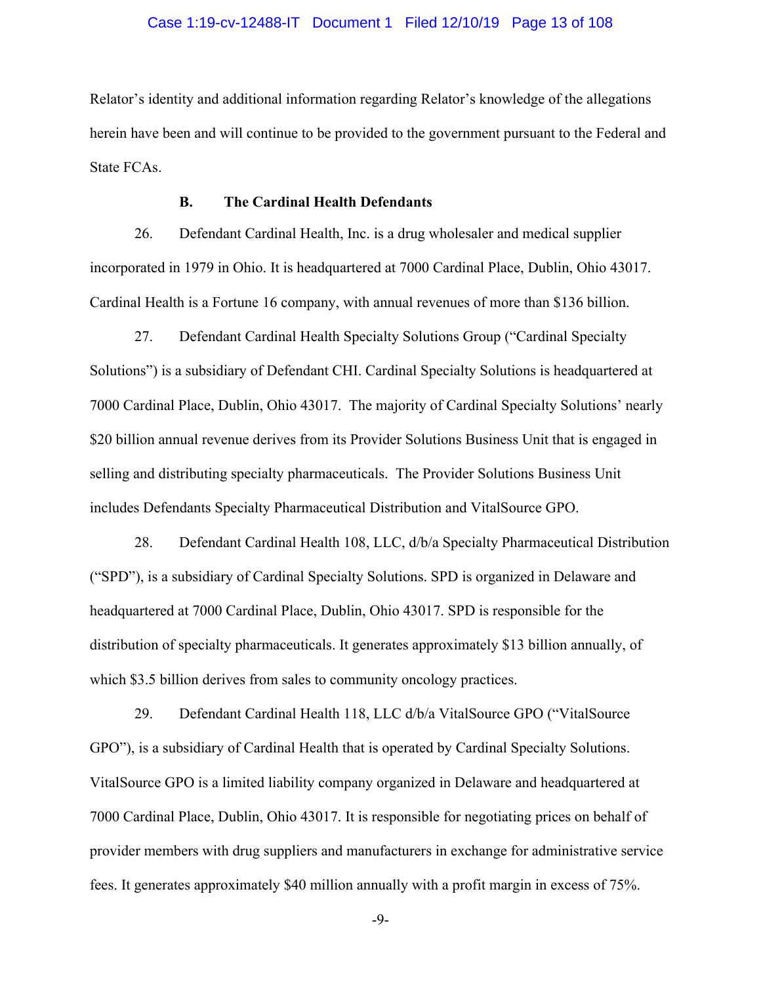#### Case 1:19-cv-12488-IT Document 1 Filed 12/10/19 Page 13 of 108

Relator's identity and additional information regarding Relator's knowledge of the allegations herein have been and will continue to be provided to the government pursuant to the Federal and State FCAs.

### **B. The Cardinal Health Defendants**

26. Defendant Cardinal Health, Inc. is a drug wholesaler and medical supplier incorporated in 1979 in Ohio. It is headquartered at 7000 Cardinal Place, Dublin, Ohio 43017. Cardinal Health is a Fortune 16 company, with annual revenues of more than \$136 billion.

27. Defendant Cardinal Health Specialty Solutions Group ("Cardinal Specialty Solutions") is a subsidiary of Defendant CHI. Cardinal Specialty Solutions is headquartered at 7000 Cardinal Place, Dublin, Ohio 43017. The majority of Cardinal Specialty Solutions' nearly \$20 billion annual revenue derives from its Provider Solutions Business Unit that is engaged in selling and distributing specialty pharmaceuticals. The Provider Solutions Business Unit includes Defendants Specialty Pharmaceutical Distribution and VitalSource GPO.

28. Defendant Cardinal Health 108, LLC, d/b/a Specialty Pharmaceutical Distribution ("SPD"), is a subsidiary of Cardinal Specialty Solutions. SPD is organized in Delaware and headquartered at 7000 Cardinal Place, Dublin, Ohio 43017. SPD is responsible for the distribution of specialty pharmaceuticals. It generates approximately \$13 billion annually, of which \$3.5 billion derives from sales to community oncology practices.

29. Defendant Cardinal Health 118, LLC d/b/a VitalSource GPO ("VitalSource GPO"), is a subsidiary of Cardinal Health that is operated by Cardinal Specialty Solutions. VitalSource GPO is a limited liability company organized in Delaware and headquartered at 7000 Cardinal Place, Dublin, Ohio 43017. It is responsible for negotiating prices on behalf of provider members with drug suppliers and manufacturers in exchange for administrative service fees. It generates approximately \$40 million annually with a profit margin in excess of 75%.

-9-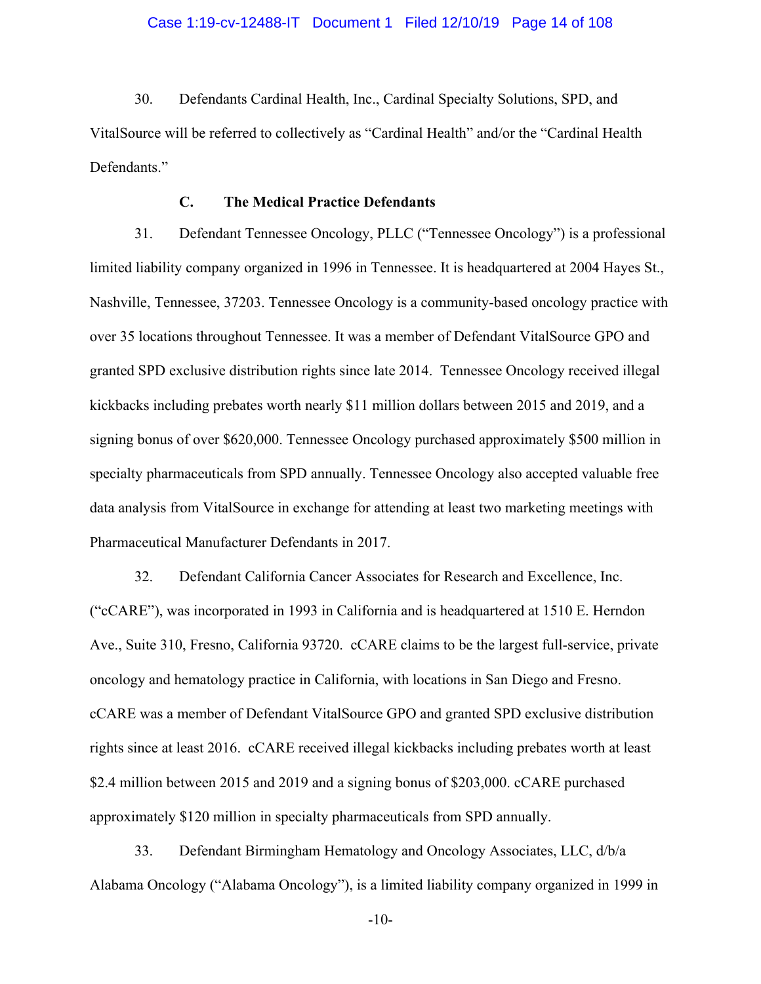#### Case 1:19-cv-12488-IT Document 1 Filed 12/10/19 Page 14 of 108

30. Defendants Cardinal Health, Inc., Cardinal Specialty Solutions, SPD, and VitalSource will be referred to collectively as "Cardinal Health" and/or the "Cardinal Health Defendants."

### **C. The Medical Practice Defendants**

31. Defendant Tennessee Oncology, PLLC ("Tennessee Oncology") is a professional limited liability company organized in 1996 in Tennessee. It is headquartered at 2004 Hayes St., Nashville, Tennessee, 37203. Tennessee Oncology is a community-based oncology practice with over 35 locations throughout Tennessee. It was a member of Defendant VitalSource GPO and granted SPD exclusive distribution rights since late 2014. Tennessee Oncology received illegal kickbacks including prebates worth nearly \$11 million dollars between 2015 and 2019, and a signing bonus of over \$620,000. Tennessee Oncology purchased approximately \$500 million in specialty pharmaceuticals from SPD annually. Tennessee Oncology also accepted valuable free data analysis from VitalSource in exchange for attending at least two marketing meetings with Pharmaceutical Manufacturer Defendants in 2017.

32. Defendant California Cancer Associates for Research and Excellence, Inc. ("cCARE"), was incorporated in 1993 in California and is headquartered at 1510 E. Herndon Ave., Suite 310, Fresno, California 93720. cCARE claims to be the largest full-service, private oncology and hematology practice in California, with locations in San Diego and Fresno. cCARE was a member of Defendant VitalSource GPO and granted SPD exclusive distribution rights since at least 2016. cCARE received illegal kickbacks including prebates worth at least \$2.4 million between 2015 and 2019 and a signing bonus of \$203,000. cCARE purchased approximately \$120 million in specialty pharmaceuticals from SPD annually.

33. Defendant Birmingham Hematology and Oncology Associates, LLC, d/b/a Alabama Oncology ("Alabama Oncology"), is a limited liability company organized in 1999 in

-10-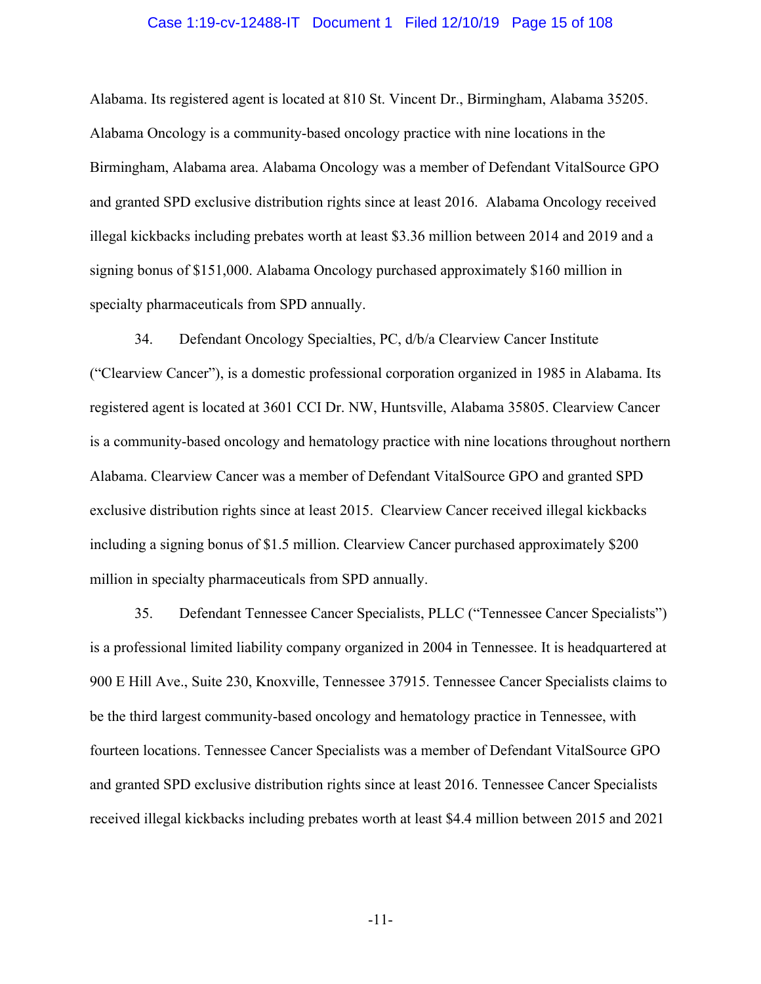#### Case 1:19-cv-12488-IT Document 1 Filed 12/10/19 Page 15 of 108

Alabama. Its registered agent is located at 810 St. Vincent Dr., Birmingham, Alabama 35205. Alabama Oncology is a community-based oncology practice with nine locations in the Birmingham, Alabama area. Alabama Oncology was a member of Defendant VitalSource GPO and granted SPD exclusive distribution rights since at least 2016. Alabama Oncology received illegal kickbacks including prebates worth at least \$3.36 million between 2014 and 2019 and a signing bonus of \$151,000. Alabama Oncology purchased approximately \$160 million in specialty pharmaceuticals from SPD annually.

34. Defendant Oncology Specialties, PC, d/b/a Clearview Cancer Institute ("Clearview Cancer"), is a domestic professional corporation organized in 1985 in Alabama. Its registered agent is located at 3601 CCI Dr. NW, Huntsville, Alabama 35805. Clearview Cancer is a community-based oncology and hematology practice with nine locations throughout northern Alabama. Clearview Cancer was a member of Defendant VitalSource GPO and granted SPD exclusive distribution rights since at least 2015. Clearview Cancer received illegal kickbacks including a signing bonus of \$1.5 million. Clearview Cancer purchased approximately \$200 million in specialty pharmaceuticals from SPD annually.

35. Defendant Tennessee Cancer Specialists, PLLC ("Tennessee Cancer Specialists") is a professional limited liability company organized in 2004 in Tennessee. It is headquartered at 900 E Hill Ave., Suite 230, Knoxville, Tennessee 37915. Tennessee Cancer Specialists claims to be the third largest community-based oncology and hematology practice in Tennessee, with fourteen locations. Tennessee Cancer Specialists was a member of Defendant VitalSource GPO and granted SPD exclusive distribution rights since at least 2016. Tennessee Cancer Specialists received illegal kickbacks including prebates worth at least \$4.4 million between 2015 and 2021

-11-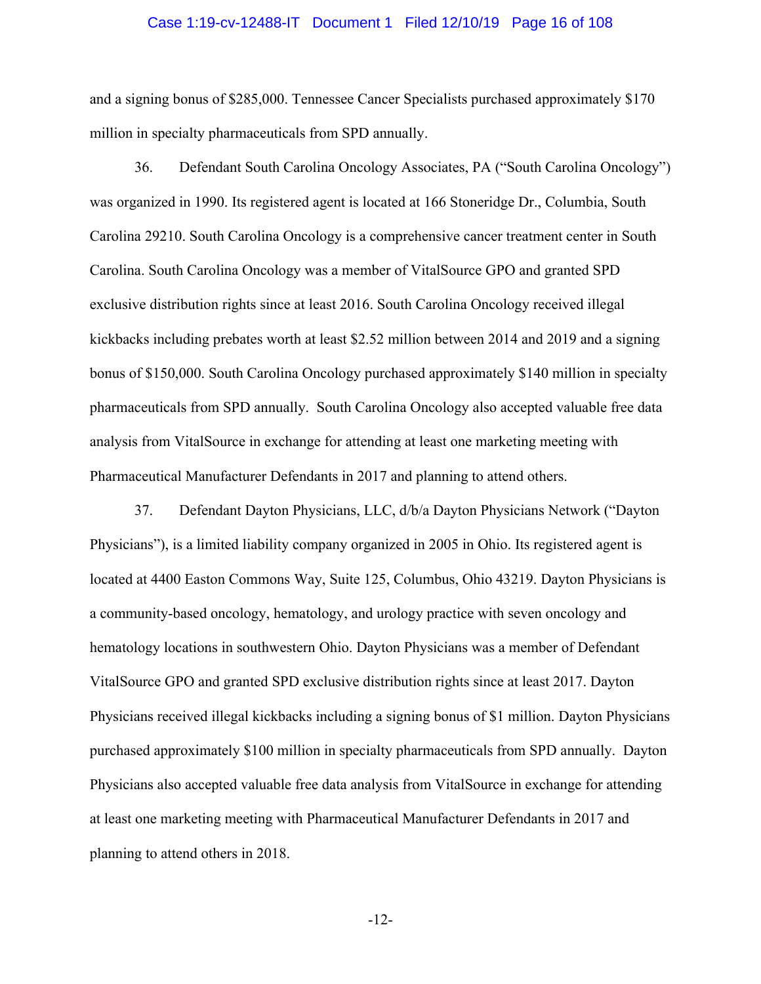#### Case 1:19-cv-12488-IT Document 1 Filed 12/10/19 Page 16 of 108

and a signing bonus of \$285,000. Tennessee Cancer Specialists purchased approximately \$170 million in specialty pharmaceuticals from SPD annually.

36. Defendant South Carolina Oncology Associates, PA ("South Carolina Oncology") was organized in 1990. Its registered agent is located at 166 Stoneridge Dr., Columbia, South Carolina 29210. South Carolina Oncology is a comprehensive cancer treatment center in South Carolina. South Carolina Oncology was a member of VitalSource GPO and granted SPD exclusive distribution rights since at least 2016. South Carolina Oncology received illegal kickbacks including prebates worth at least \$2.52 million between 2014 and 2019 and a signing bonus of \$150,000. South Carolina Oncology purchased approximately \$140 million in specialty pharmaceuticals from SPD annually. South Carolina Oncology also accepted valuable free data analysis from VitalSource in exchange for attending at least one marketing meeting with Pharmaceutical Manufacturer Defendants in 2017 and planning to attend others.

37. Defendant Dayton Physicians, LLC, d/b/a Dayton Physicians Network ("Dayton Physicians"), is a limited liability company organized in 2005 in Ohio. Its registered agent is located at 4400 Easton Commons Way, Suite 125, Columbus, Ohio 43219. Dayton Physicians is a community-based oncology, hematology, and urology practice with seven oncology and hematology locations in southwestern Ohio. Dayton Physicians was a member of Defendant VitalSource GPO and granted SPD exclusive distribution rights since at least 2017. Dayton Physicians received illegal kickbacks including a signing bonus of \$1 million. Dayton Physicians purchased approximately \$100 million in specialty pharmaceuticals from SPD annually. Dayton Physicians also accepted valuable free data analysis from VitalSource in exchange for attending at least one marketing meeting with Pharmaceutical Manufacturer Defendants in 2017 and planning to attend others in 2018.

-12-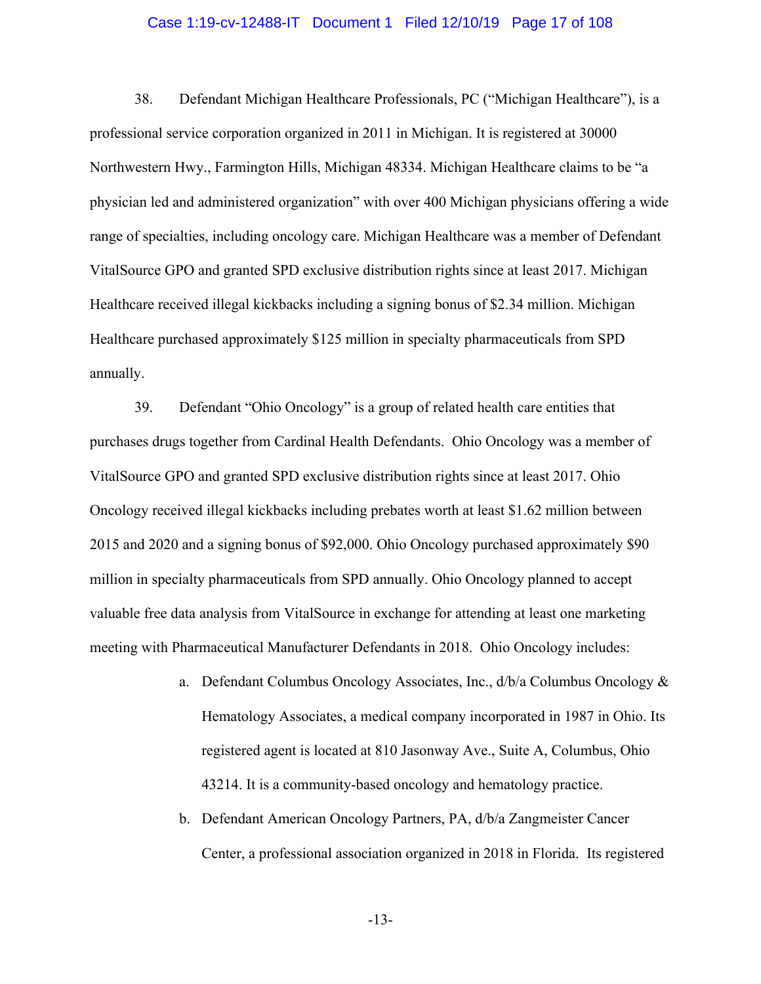#### Case 1:19-cv-12488-IT Document 1 Filed 12/10/19 Page 17 of 108

38. Defendant Michigan Healthcare Professionals, PC ("Michigan Healthcare"), is a professional service corporation organized in 2011 in Michigan. It is registered at 30000 Northwestern Hwy., Farmington Hills, Michigan 48334. Michigan Healthcare claims to be "a physician led and administered organization" with over 400 Michigan physicians offering a wide range of specialties, including oncology care. Michigan Healthcare was a member of Defendant VitalSource GPO and granted SPD exclusive distribution rights since at least 2017. Michigan Healthcare received illegal kickbacks including a signing bonus of \$2.34 million. Michigan Healthcare purchased approximately \$125 million in specialty pharmaceuticals from SPD annually.

39. Defendant "Ohio Oncology" is a group of related health care entities that purchases drugs together from Cardinal Health Defendants. Ohio Oncology was a member of VitalSource GPO and granted SPD exclusive distribution rights since at least 2017. Ohio Oncology received illegal kickbacks including prebates worth at least \$1.62 million between 2015 and 2020 and a signing bonus of \$92,000. Ohio Oncology purchased approximately \$90 million in specialty pharmaceuticals from SPD annually. Ohio Oncology planned to accept valuable free data analysis from VitalSource in exchange for attending at least one marketing meeting with Pharmaceutical Manufacturer Defendants in 2018. Ohio Oncology includes:

- a. Defendant Columbus Oncology Associates, Inc., d/b/a Columbus Oncology & Hematology Associates, a medical company incorporated in 1987 in Ohio. Its registered agent is located at 810 Jasonway Ave., Suite A, Columbus, Ohio 43214. It is a community-based oncology and hematology practice.
- b. Defendant American Oncology Partners, PA, d/b/a Zangmeister Cancer Center, a professional association organized in 2018 in Florida. Its registered

-13-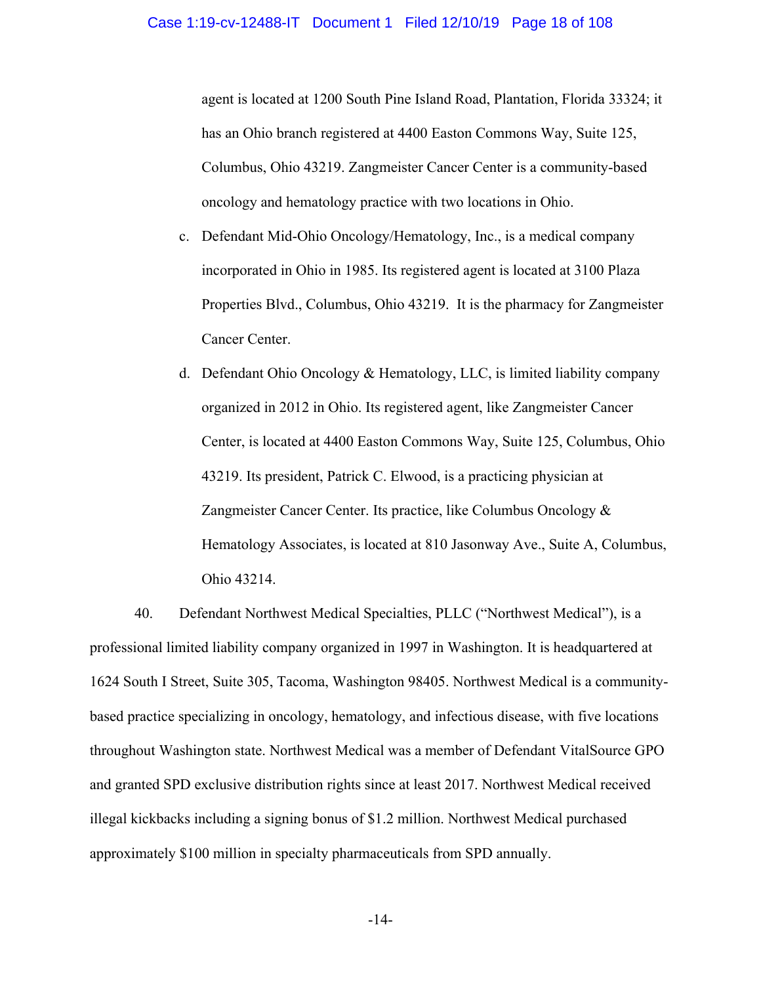agent is located at 1200 South Pine Island Road, Plantation, Florida 33324; it has an Ohio branch registered at 4400 Easton Commons Way, Suite 125, Columbus, Ohio 43219. Zangmeister Cancer Center is a community-based oncology and hematology practice with two locations in Ohio.

- c. Defendant Mid-Ohio Oncology/Hematology, Inc., is a medical company incorporated in Ohio in 1985. Its registered agent is located at 3100 Plaza Properties Blvd., Columbus, Ohio 43219. It is the pharmacy for Zangmeister Cancer Center.
- d. Defendant Ohio Oncology & Hematology, LLC, is limited liability company organized in 2012 in Ohio. Its registered agent, like Zangmeister Cancer Center, is located at 4400 Easton Commons Way, Suite 125, Columbus, Ohio 43219. Its president, Patrick C. Elwood, is a practicing physician at Zangmeister Cancer Center. Its practice, like Columbus Oncology & Hematology Associates, is located at 810 Jasonway Ave., Suite A, Columbus, Ohio 43214.

40. Defendant Northwest Medical Specialties, PLLC ("Northwest Medical"), is a professional limited liability company organized in 1997 in Washington. It is headquartered at 1624 South I Street, Suite 305, Tacoma, Washington 98405. Northwest Medical is a communitybased practice specializing in oncology, hematology, and infectious disease, with five locations throughout Washington state. Northwest Medical was a member of Defendant VitalSource GPO and granted SPD exclusive distribution rights since at least 2017. Northwest Medical received illegal kickbacks including a signing bonus of \$1.2 million. Northwest Medical purchased approximately \$100 million in specialty pharmaceuticals from SPD annually.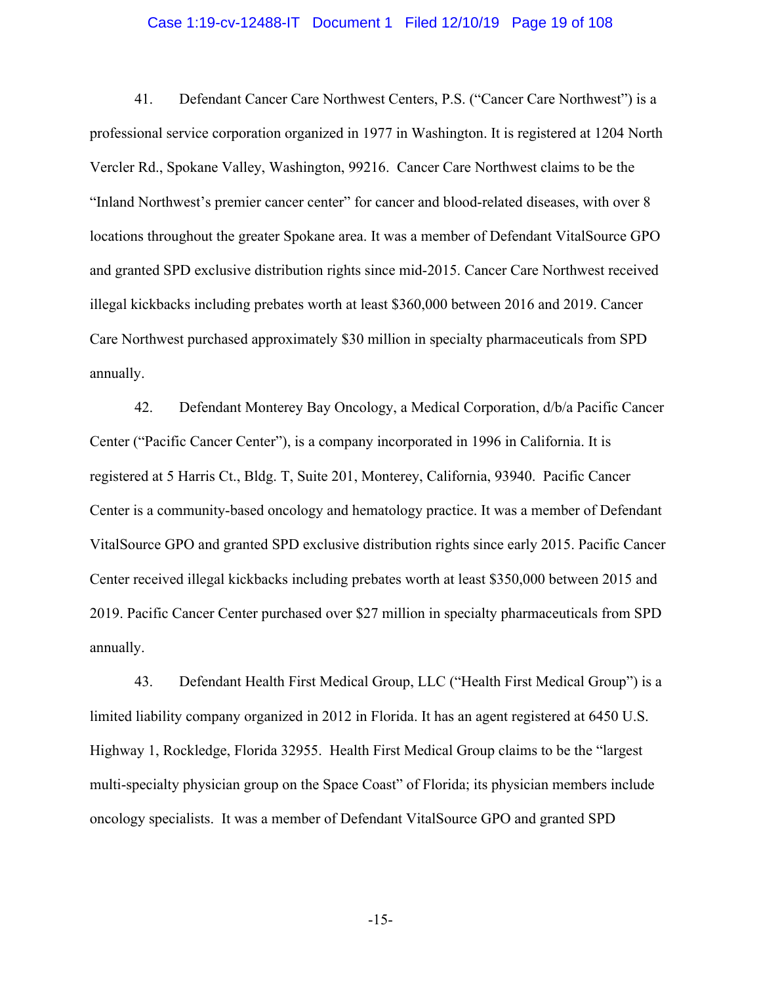#### Case 1:19-cv-12488-IT Document 1 Filed 12/10/19 Page 19 of 108

41. Defendant Cancer Care Northwest Centers, P.S. ("Cancer Care Northwest") is a professional service corporation organized in 1977 in Washington. It is registered at 1204 North Vercler Rd., Spokane Valley, Washington, 99216. Cancer Care Northwest claims to be the "Inland Northwest's premier cancer center" for cancer and blood-related diseases, with over 8 locations throughout the greater Spokane area. It was a member of Defendant VitalSource GPO and granted SPD exclusive distribution rights since mid-2015. Cancer Care Northwest received illegal kickbacks including prebates worth at least \$360,000 between 2016 and 2019. Cancer Care Northwest purchased approximately \$30 million in specialty pharmaceuticals from SPD annually.

42. Defendant Monterey Bay Oncology, a Medical Corporation, d/b/a Pacific Cancer Center ("Pacific Cancer Center"), is a company incorporated in 1996 in California. It is registered at 5 Harris Ct., Bldg. T, Suite 201, Monterey, California, 93940. Pacific Cancer Center is a community-based oncology and hematology practice. It was a member of Defendant VitalSource GPO and granted SPD exclusive distribution rights since early 2015. Pacific Cancer Center received illegal kickbacks including prebates worth at least \$350,000 between 2015 and 2019. Pacific Cancer Center purchased over \$27 million in specialty pharmaceuticals from SPD annually.

43. Defendant Health First Medical Group, LLC ("Health First Medical Group") is a limited liability company organized in 2012 in Florida. It has an agent registered at 6450 U.S. Highway 1, Rockledge, Florida 32955. Health First Medical Group claims to be the "largest multi-specialty physician group on the Space Coast" of Florida; its physician members include oncology specialists. It was a member of Defendant VitalSource GPO and granted SPD

-15-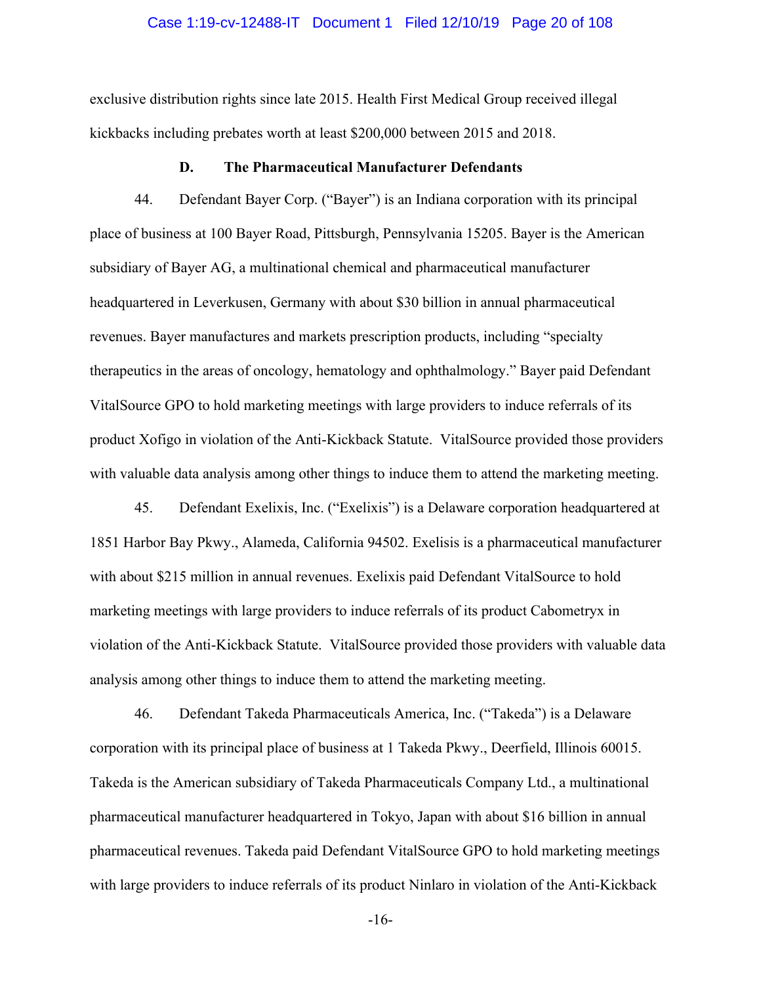#### Case 1:19-cv-12488-IT Document 1 Filed 12/10/19 Page 20 of 108

exclusive distribution rights since late 2015. Health First Medical Group received illegal kickbacks including prebates worth at least \$200,000 between 2015 and 2018.

#### **D. The Pharmaceutical Manufacturer Defendants**

44. Defendant Bayer Corp. ("Bayer") is an Indiana corporation with its principal place of business at 100 Bayer Road, Pittsburgh, Pennsylvania 15205. Bayer is the American subsidiary of Bayer AG, a multinational chemical and pharmaceutical manufacturer headquartered in Leverkusen, Germany with about \$30 billion in annual pharmaceutical revenues. Bayer manufactures and markets prescription products, including "specialty therapeutics in the areas of oncology, hematology and ophthalmology." Bayer paid Defendant VitalSource GPO to hold marketing meetings with large providers to induce referrals of its product Xofigo in violation of the Anti-Kickback Statute. VitalSource provided those providers with valuable data analysis among other things to induce them to attend the marketing meeting.

45. Defendant Exelixis, Inc. ("Exelixis") is a Delaware corporation headquartered at 1851 Harbor Bay Pkwy., Alameda, California 94502. Exelisis is a pharmaceutical manufacturer with about \$215 million in annual revenues. Exelixis paid Defendant VitalSource to hold marketing meetings with large providers to induce referrals of its product Cabometryx in violation of the Anti-Kickback Statute. VitalSource provided those providers with valuable data analysis among other things to induce them to attend the marketing meeting.

46. Defendant Takeda Pharmaceuticals America, Inc. ("Takeda") is a Delaware corporation with its principal place of business at 1 Takeda Pkwy., Deerfield, Illinois 60015. Takeda is the American subsidiary of Takeda Pharmaceuticals Company Ltd., a multinational pharmaceutical manufacturer headquartered in Tokyo, Japan with about \$16 billion in annual pharmaceutical revenues. Takeda paid Defendant VitalSource GPO to hold marketing meetings with large providers to induce referrals of its product Ninlaro in violation of the Anti-Kickback

-16-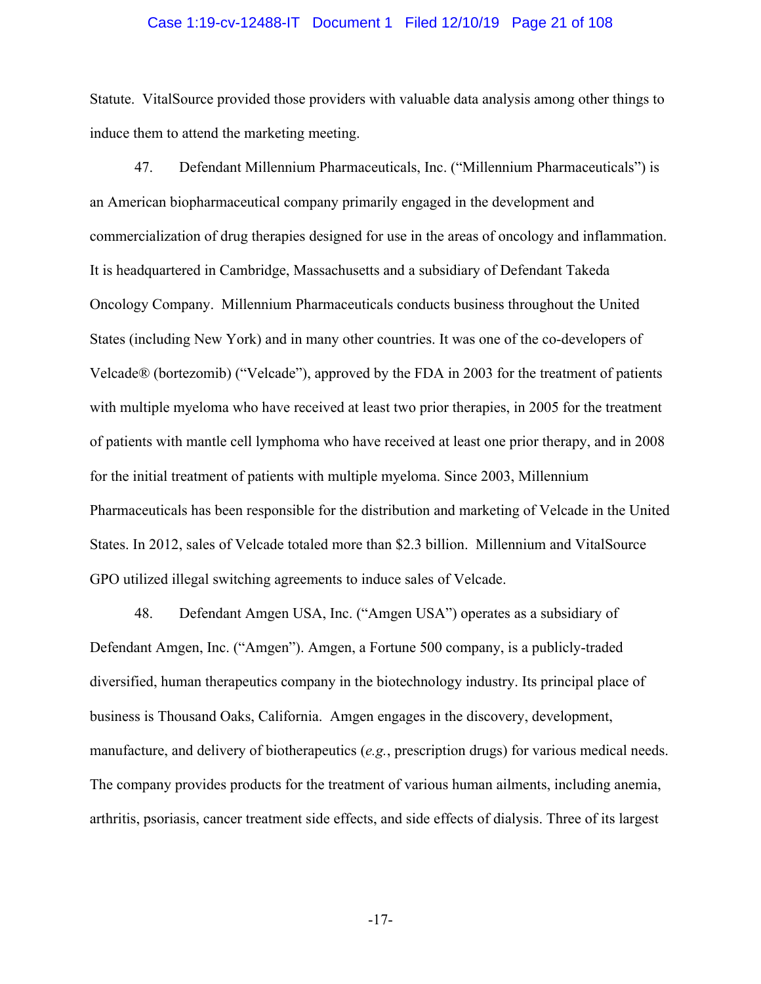#### Case 1:19-cv-12488-IT Document 1 Filed 12/10/19 Page 21 of 108

Statute. VitalSource provided those providers with valuable data analysis among other things to induce them to attend the marketing meeting.

47. Defendant Millennium Pharmaceuticals, Inc. ("Millennium Pharmaceuticals") is an American biopharmaceutical company primarily engaged in the development and commercialization of drug therapies designed for use in the areas of oncology and inflammation. It is headquartered in Cambridge, Massachusetts and a subsidiary of Defendant Takeda Oncology Company. Millennium Pharmaceuticals conducts business throughout the United States (including New York) and in many other countries. It was one of the co-developers of Velcade® (bortezomib) ("Velcade"), approved by the FDA in 2003 for the treatment of patients with multiple myeloma who have received at least two prior therapies, in 2005 for the treatment of patients with mantle cell lymphoma who have received at least one prior therapy, and in 2008 for the initial treatment of patients with multiple myeloma. Since 2003, Millennium Pharmaceuticals has been responsible for the distribution and marketing of Velcade in the United States. In 2012, sales of Velcade totaled more than \$2.3 billion. Millennium and VitalSource GPO utilized illegal switching agreements to induce sales of Velcade.

48. Defendant Amgen USA, Inc. ("Amgen USA") operates as a subsidiary of Defendant Amgen, Inc. ("Amgen"). Amgen, a Fortune 500 company, is a publicly-traded diversified, human therapeutics company in the biotechnology industry. Its principal place of business is Thousand Oaks, California. Amgen engages in the discovery, development, manufacture, and delivery of biotherapeutics (*e.g.*, prescription drugs) for various medical needs. The company provides products for the treatment of various human ailments, including anemia, arthritis, psoriasis, cancer treatment side effects, and side effects of dialysis. Three of its largest

-17-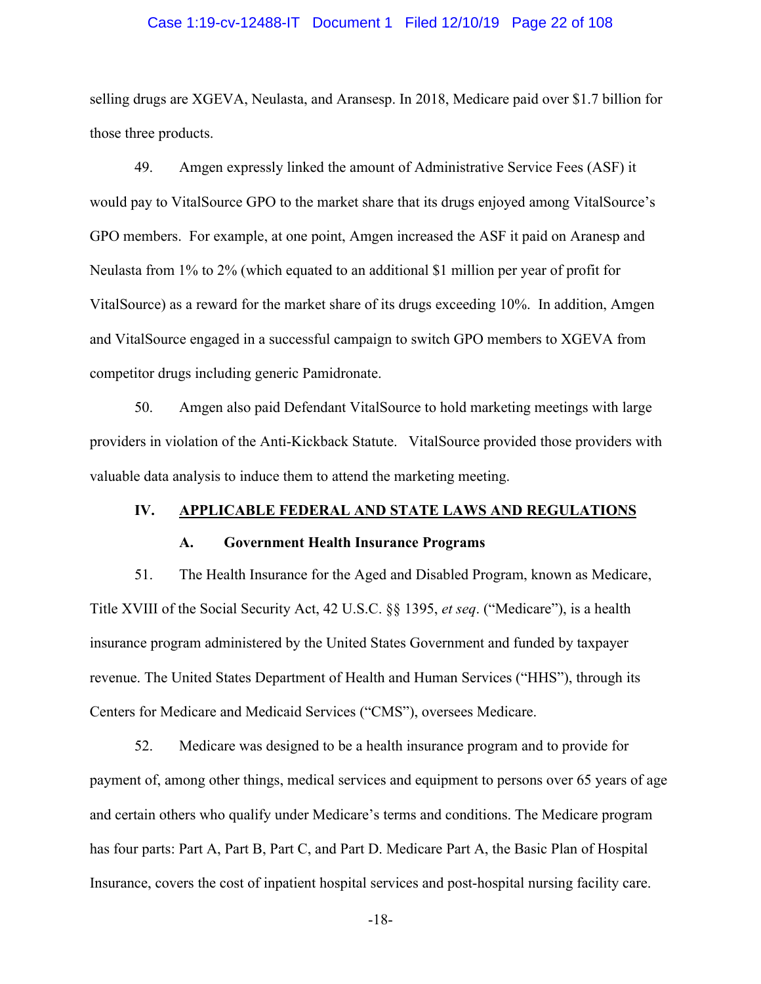#### Case 1:19-cv-12488-IT Document 1 Filed 12/10/19 Page 22 of 108

selling drugs are XGEVA, Neulasta, and Aransesp. In 2018, Medicare paid over \$1.7 billion for those three products.

49. Amgen expressly linked the amount of Administrative Service Fees (ASF) it would pay to VitalSource GPO to the market share that its drugs enjoyed among VitalSource's GPO members. For example, at one point, Amgen increased the ASF it paid on Aranesp and Neulasta from 1% to 2% (which equated to an additional \$1 million per year of profit for VitalSource) as a reward for the market share of its drugs exceeding 10%. In addition, Amgen and VitalSource engaged in a successful campaign to switch GPO members to XGEVA from competitor drugs including generic Pamidronate.

50. Amgen also paid Defendant VitalSource to hold marketing meetings with large providers in violation of the Anti-Kickback Statute. VitalSource provided those providers with valuable data analysis to induce them to attend the marketing meeting.

# **IV. APPLICABLE FEDERAL AND STATE LAWS AND REGULATIONS**

#### **A. Government Health Insurance Programs**

51. The Health Insurance for the Aged and Disabled Program, known as Medicare, Title XVIII of the Social Security Act, 42 U.S.C. §§ 1395, *et seq*. ("Medicare"), is a health insurance program administered by the United States Government and funded by taxpayer revenue. The United States Department of Health and Human Services ("HHS"), through its Centers for Medicare and Medicaid Services ("CMS"), oversees Medicare.

52. Medicare was designed to be a health insurance program and to provide for payment of, among other things, medical services and equipment to persons over 65 years of age and certain others who qualify under Medicare's terms and conditions. The Medicare program has four parts: Part A, Part B, Part C, and Part D. Medicare Part A, the Basic Plan of Hospital Insurance, covers the cost of inpatient hospital services and post-hospital nursing facility care.

-18-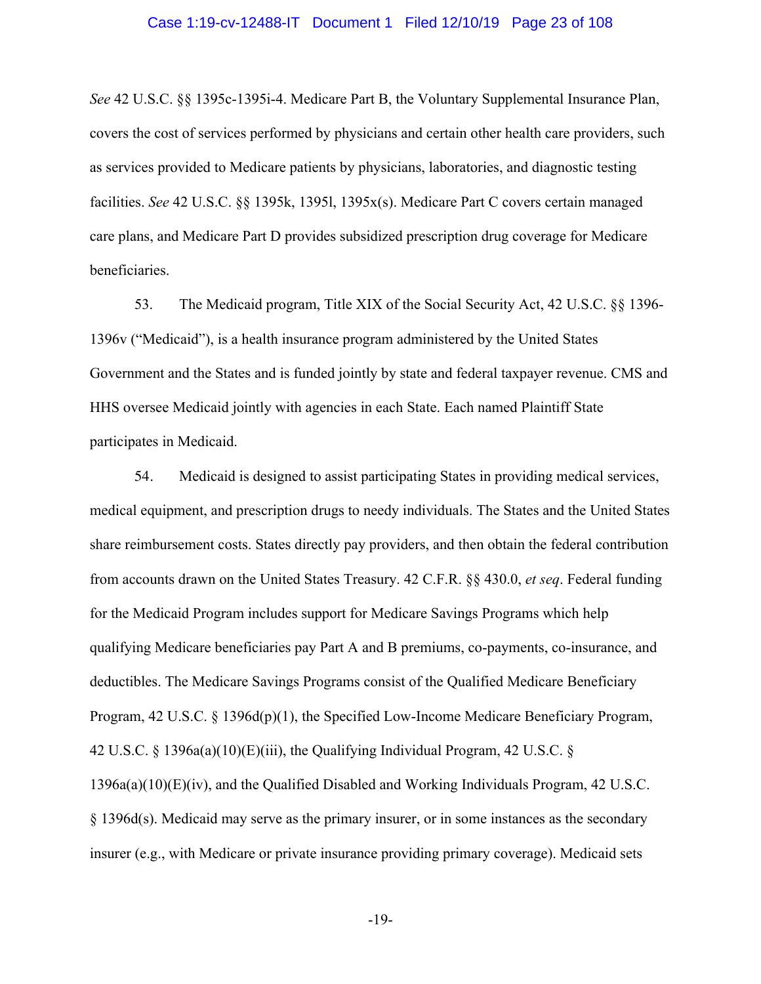#### Case 1:19-cv-12488-IT Document 1 Filed 12/10/19 Page 23 of 108

*See* 42 U.S.C. §§ 1395c-1395i-4. Medicare Part B, the Voluntary Supplemental Insurance Plan, covers the cost of services performed by physicians and certain other health care providers, such as services provided to Medicare patients by physicians, laboratories, and diagnostic testing facilities. *See* 42 U.S.C. §§ 1395k, 1395l, 1395x(s). Medicare Part C covers certain managed care plans, and Medicare Part D provides subsidized prescription drug coverage for Medicare beneficiaries.

53. The Medicaid program, Title XIX of the Social Security Act, 42 U.S.C. §§ 1396- 1396v ("Medicaid"), is a health insurance program administered by the United States Government and the States and is funded jointly by state and federal taxpayer revenue. CMS and HHS oversee Medicaid jointly with agencies in each State. Each named Plaintiff State participates in Medicaid.

54. Medicaid is designed to assist participating States in providing medical services, medical equipment, and prescription drugs to needy individuals. The States and the United States share reimbursement costs. States directly pay providers, and then obtain the federal contribution from accounts drawn on the United States Treasury. 42 C.F.R. §§ 430.0, *et seq*. Federal funding for the Medicaid Program includes support for Medicare Savings Programs which help qualifying Medicare beneficiaries pay Part A and B premiums, co-payments, co-insurance, and deductibles. The Medicare Savings Programs consist of the Qualified Medicare Beneficiary Program, 42 U.S.C. § 1396d(p)(1), the Specified Low-Income Medicare Beneficiary Program, 42 U.S.C. § 1396a(a)(10)(E)(iii), the Qualifying Individual Program, 42 U.S.C. § 1396a(a)(10)(E)(iv), and the Qualified Disabled and Working Individuals Program, 42 U.S.C. § 1396d(s). Medicaid may serve as the primary insurer, or in some instances as the secondary insurer (e.g., with Medicare or private insurance providing primary coverage). Medicaid sets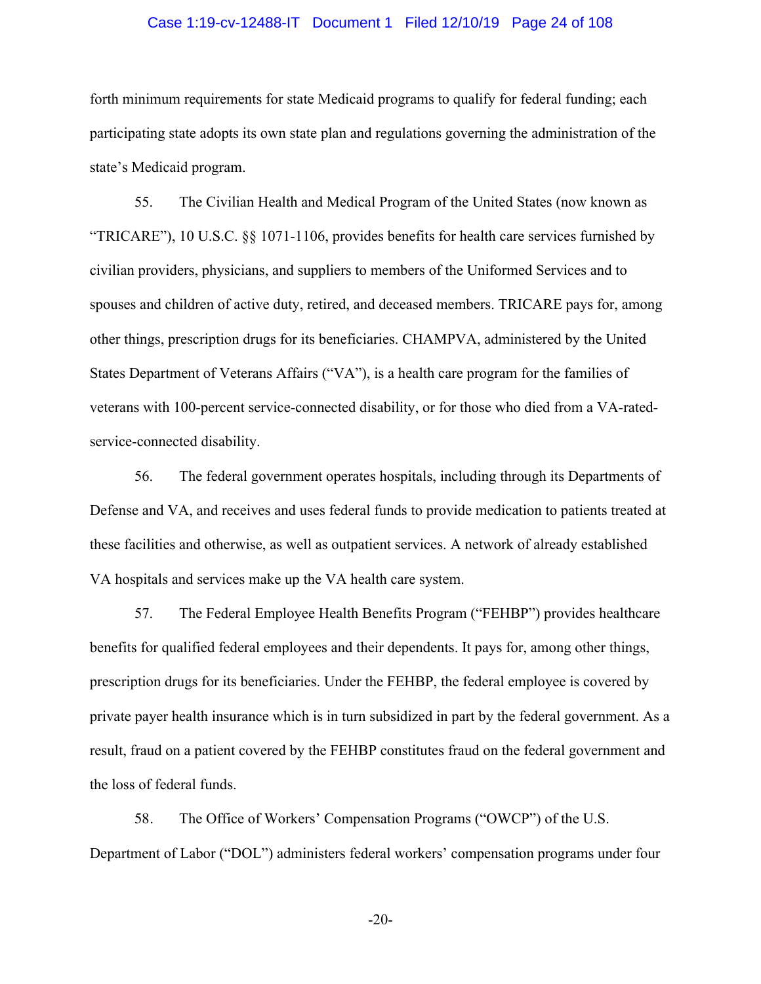#### Case 1:19-cv-12488-IT Document 1 Filed 12/10/19 Page 24 of 108

forth minimum requirements for state Medicaid programs to qualify for federal funding; each participating state adopts its own state plan and regulations governing the administration of the state's Medicaid program.

55. The Civilian Health and Medical Program of the United States (now known as "TRICARE"), 10 U.S.C. §§ 1071-1106, provides benefits for health care services furnished by civilian providers, physicians, and suppliers to members of the Uniformed Services and to spouses and children of active duty, retired, and deceased members. TRICARE pays for, among other things, prescription drugs for its beneficiaries. CHAMPVA, administered by the United States Department of Veterans Affairs ("VA"), is a health care program for the families of veterans with 100-percent service-connected disability, or for those who died from a VA-ratedservice-connected disability.

56. The federal government operates hospitals, including through its Departments of Defense and VA, and receives and uses federal funds to provide medication to patients treated at these facilities and otherwise, as well as outpatient services. A network of already established VA hospitals and services make up the VA health care system.

57. The Federal Employee Health Benefits Program ("FEHBP") provides healthcare benefits for qualified federal employees and their dependents. It pays for, among other things, prescription drugs for its beneficiaries. Under the FEHBP, the federal employee is covered by private payer health insurance which is in turn subsidized in part by the federal government. As a result, fraud on a patient covered by the FEHBP constitutes fraud on the federal government and the loss of federal funds.

58. The Office of Workers' Compensation Programs ("OWCP") of the U.S. Department of Labor ("DOL") administers federal workers' compensation programs under four

-20-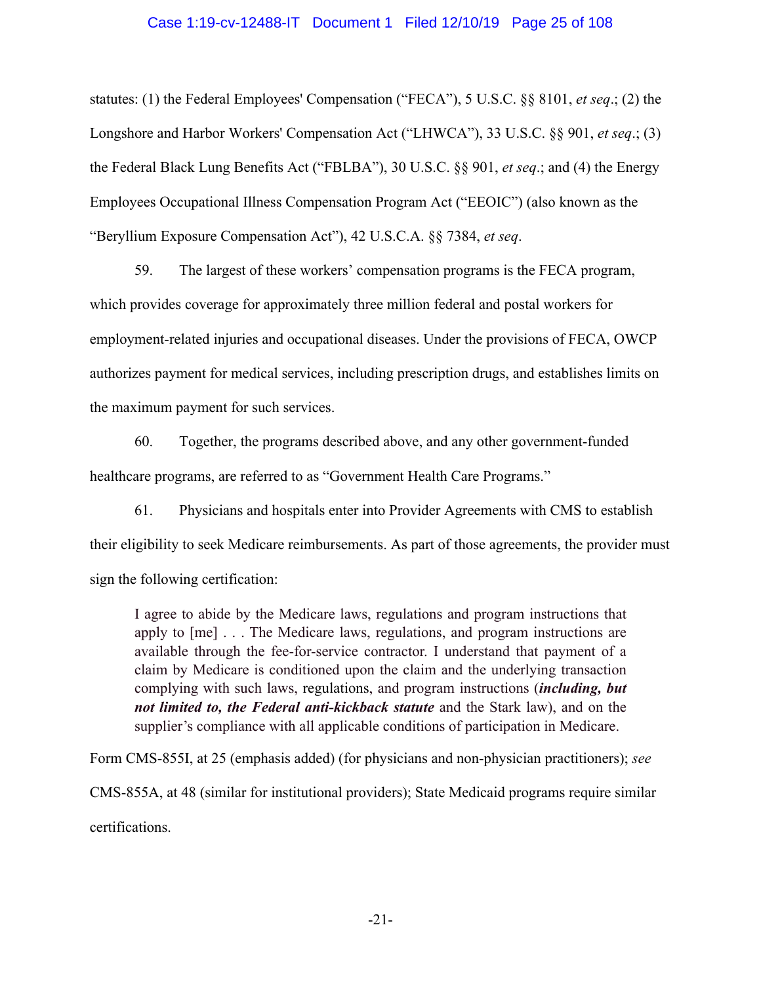#### Case 1:19-cv-12488-IT Document 1 Filed 12/10/19 Page 25 of 108

statutes: (1) the Federal Employees' Compensation ("FECA"), 5 U.S.C. §§ 8101, *et seq*.; (2) the Longshore and Harbor Workers' Compensation Act ("LHWCA"), 33 U.S.C. §§ 901, *et seq*.; (3) the Federal Black Lung Benefits Act ("FBLBA"), 30 U.S.C. §§ 901, *et seq*.; and (4) the Energy Employees Occupational Illness Compensation Program Act ("EEOIC") (also known as the "Beryllium Exposure Compensation Act"), 42 U.S.C.A. §§ 7384, *et seq*.

59. The largest of these workers' compensation programs is the FECA program, which provides coverage for approximately three million federal and postal workers for employment-related injuries and occupational diseases. Under the provisions of FECA, OWCP authorizes payment for medical services, including prescription drugs, and establishes limits on the maximum payment for such services.

60. Together, the programs described above, and any other government-funded healthcare programs, are referred to as "Government Health Care Programs."

61. Physicians and hospitals enter into Provider Agreements with CMS to establish their eligibility to seek Medicare reimbursements. As part of those agreements, the provider must sign the following certification:

I agree to abide by the Medicare laws, regulations and program instructions that apply to [me] . . . The Medicare laws, regulations, and program instructions are available through the fee-for-service contractor. I understand that payment of a claim by Medicare is conditioned upon the claim and the underlying transaction complying with such laws, regulations, and program instructions (*including, but not limited to, the Federal anti-kickback statute* and the Stark law), and on the supplier's compliance with all applicable conditions of participation in Medicare.

Form CMS-855I, at 25 (emphasis added) (for physicians and non-physician practitioners); *see*  CMS-855A, at 48 (similar for institutional providers); State Medicaid programs require similar certifications.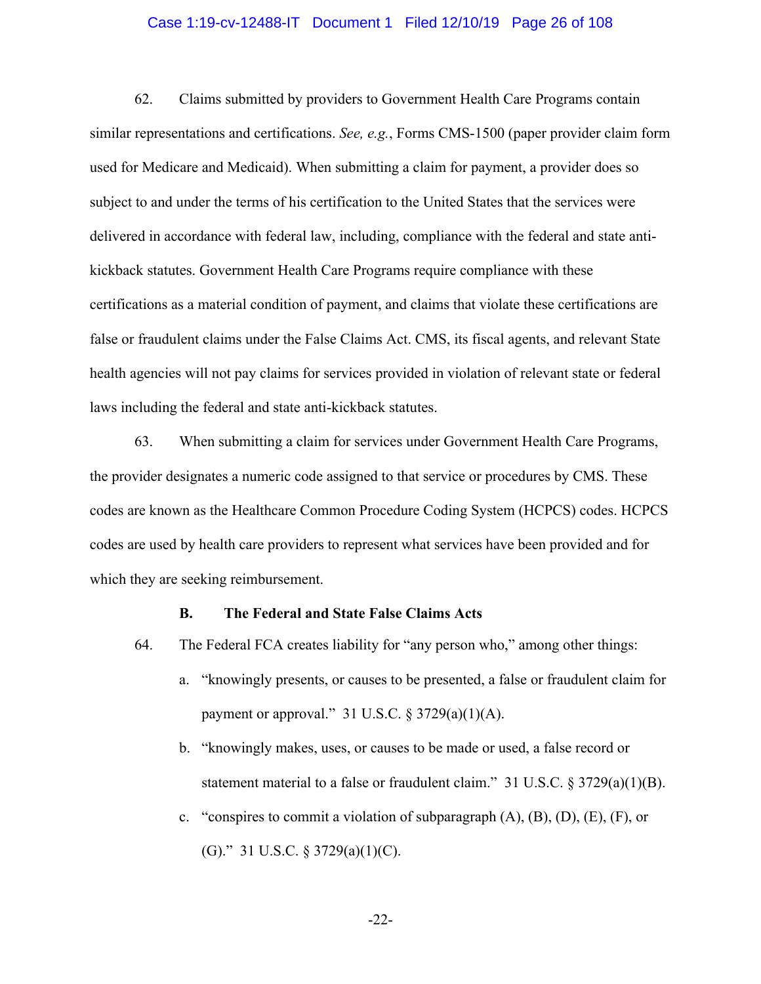#### Case 1:19-cv-12488-IT Document 1 Filed 12/10/19 Page 26 of 108

62. Claims submitted by providers to Government Health Care Programs contain similar representations and certifications. *See, e.g.*, Forms CMS-1500 (paper provider claim form used for Medicare and Medicaid). When submitting a claim for payment, a provider does so subject to and under the terms of his certification to the United States that the services were delivered in accordance with federal law, including, compliance with the federal and state antikickback statutes. Government Health Care Programs require compliance with these certifications as a material condition of payment, and claims that violate these certifications are false or fraudulent claims under the False Claims Act. CMS, its fiscal agents, and relevant State health agencies will not pay claims for services provided in violation of relevant state or federal laws including the federal and state anti-kickback statutes.

63. When submitting a claim for services under Government Health Care Programs, the provider designates a numeric code assigned to that service or procedures by CMS. These codes are known as the Healthcare Common Procedure Coding System (HCPCS) codes. HCPCS codes are used by health care providers to represent what services have been provided and for which they are seeking reimbursement.

#### **B. The Federal and State False Claims Acts**

- 64. The Federal FCA creates liability for "any person who," among other things:
	- a. "knowingly presents, or causes to be presented, a false or fraudulent claim for payment or approval." 31 U.S.C.  $\S 3729(a)(1)(A)$ .
	- b. "knowingly makes, uses, or causes to be made or used, a false record or statement material to a false or fraudulent claim." 31 U.S.C.  $\S 3729(a)(1)(B)$ .
	- c. "conspires to commit a violation of subparagraph  $(A)$ ,  $(B)$ ,  $(D)$ ,  $(E)$ ,  $(F)$ , or (G)." 31 U.S.C.  $\S 3729(a)(1)(C)$ .

-22-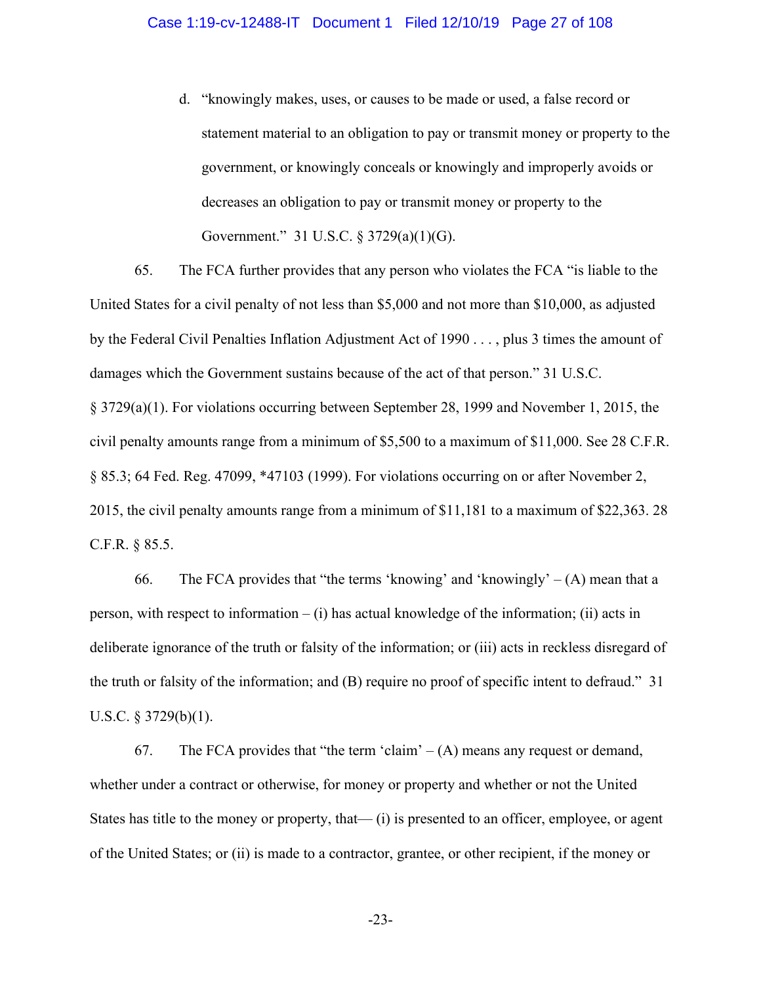d. "knowingly makes, uses, or causes to be made or used, a false record or statement material to an obligation to pay or transmit money or property to the government, or knowingly conceals or knowingly and improperly avoids or decreases an obligation to pay or transmit money or property to the Government." 31 U.S.C. § 3729(a)(1)(G).

65. The FCA further provides that any person who violates the FCA "is liable to the United States for a civil penalty of not less than \$5,000 and not more than \$10,000, as adjusted by the Federal Civil Penalties Inflation Adjustment Act of 1990 . . . , plus 3 times the amount of damages which the Government sustains because of the act of that person." 31 U.S.C. § 3729(a)(1). For violations occurring between September 28, 1999 and November 1, 2015, the civil penalty amounts range from a minimum of \$5,500 to a maximum of \$11,000. See 28 C.F.R. § 85.3; 64 Fed. Reg. 47099, \*47103 (1999). For violations occurring on or after November 2, 2015, the civil penalty amounts range from a minimum of \$11,181 to a maximum of \$22,363. 28 C.F.R. § 85.5.

66. The FCA provides that "the terms 'knowing' and 'knowingly'  $-(A)$  mean that a person, with respect to information – (i) has actual knowledge of the information; (ii) acts in deliberate ignorance of the truth or falsity of the information; or (iii) acts in reckless disregard of the truth or falsity of the information; and (B) require no proof of specific intent to defraud." 31 U.S.C. § 3729(b)(1).

67. The FCA provides that "the term 'claim'  $-(A)$  means any request or demand, whether under a contract or otherwise, for money or property and whether or not the United States has title to the money or property, that— (i) is presented to an officer, employee, or agent of the United States; or (ii) is made to a contractor, grantee, or other recipient, if the money or

-23-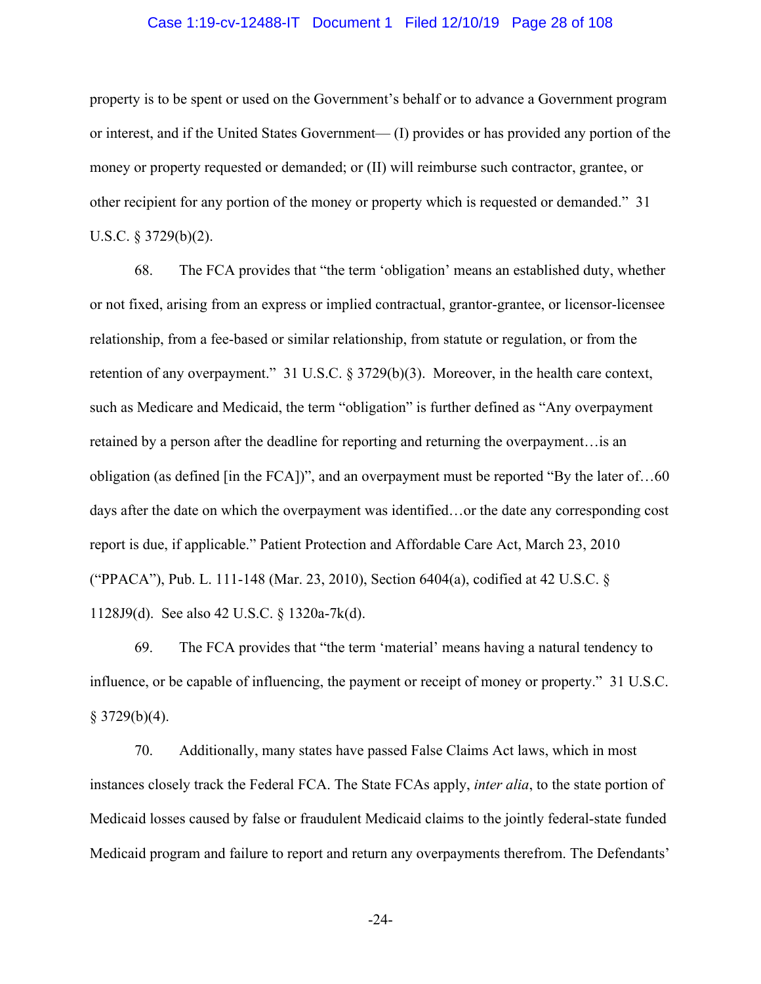#### Case 1:19-cv-12488-IT Document 1 Filed 12/10/19 Page 28 of 108

property is to be spent or used on the Government's behalf or to advance a Government program or interest, and if the United States Government— (I) provides or has provided any portion of the money or property requested or demanded; or (II) will reimburse such contractor, grantee, or other recipient for any portion of the money or property which is requested or demanded." 31 U.S.C. § 3729(b)(2).

68. The FCA provides that "the term 'obligation' means an established duty, whether or not fixed, arising from an express or implied contractual, grantor-grantee, or licensor-licensee relationship, from a fee-based or similar relationship, from statute or regulation, or from the retention of any overpayment." 31 U.S.C. § 3729(b)(3). Moreover, in the health care context, such as Medicare and Medicaid, the term "obligation" is further defined as "Any overpayment retained by a person after the deadline for reporting and returning the overpayment…is an obligation (as defined [in the FCA])", and an overpayment must be reported "By the later of…60 days after the date on which the overpayment was identified…or the date any corresponding cost report is due, if applicable." Patient Protection and Affordable Care Act, March 23, 2010 ("PPACA"), Pub. L. 111-148 (Mar. 23, 2010), Section 6404(a), codified at 42 U.S.C. § 1128J9(d). See also 42 U.S.C. § 1320a-7k(d).

69. The FCA provides that "the term 'material' means having a natural tendency to influence, or be capable of influencing, the payment or receipt of money or property." 31 U.S.C.  $§$  3729(b)(4).

70. Additionally, many states have passed False Claims Act laws, which in most instances closely track the Federal FCA. The State FCAs apply, *inter alia*, to the state portion of Medicaid losses caused by false or fraudulent Medicaid claims to the jointly federal-state funded Medicaid program and failure to report and return any overpayments therefrom. The Defendants'

-24-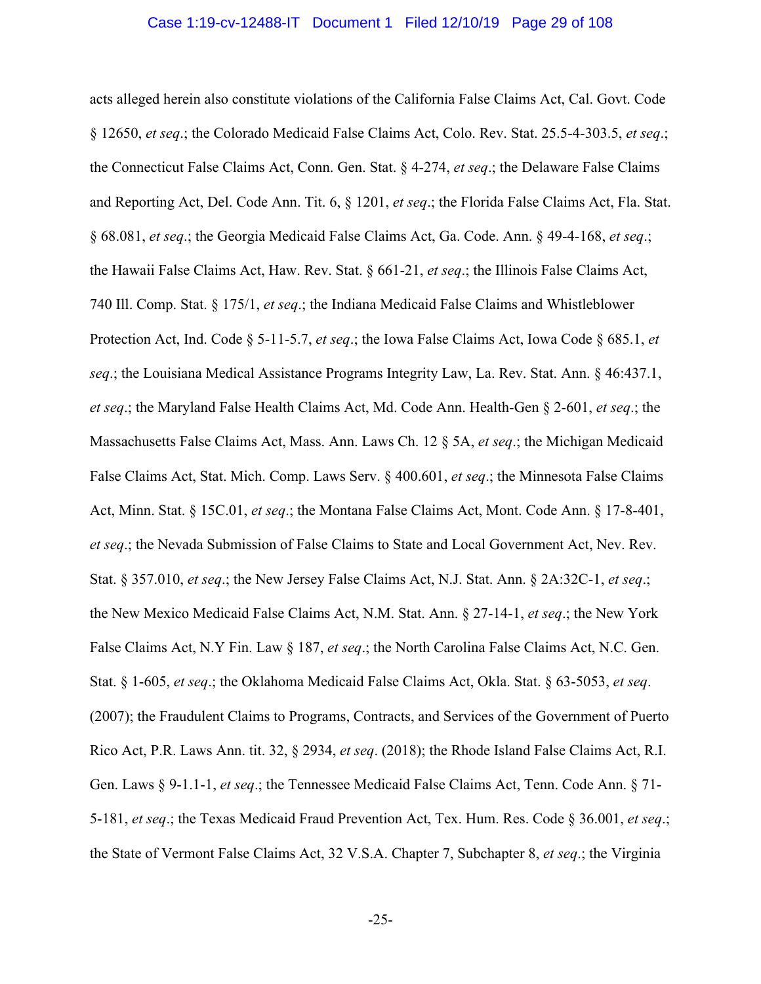#### Case 1:19-cv-12488-IT Document 1 Filed 12/10/19 Page 29 of 108

acts alleged herein also constitute violations of the California False Claims Act, Cal. Govt. Code § 12650, *et seq*.; the Colorado Medicaid False Claims Act, Colo. Rev. Stat. 25.5-4-303.5, *et seq*.; the Connecticut False Claims Act, Conn. Gen. Stat. § 4-274, *et seq*.; the Delaware False Claims and Reporting Act, Del. Code Ann. Tit. 6, § 1201, *et seq*.; the Florida False Claims Act, Fla. Stat. § 68.081, *et seq*.; the Georgia Medicaid False Claims Act, Ga. Code. Ann. § 49-4-168, *et seq*.; the Hawaii False Claims Act, Haw. Rev. Stat. § 661-21, *et seq*.; the Illinois False Claims Act, 740 Ill. Comp. Stat. § 175/1, *et seq*.; the Indiana Medicaid False Claims and Whistleblower Protection Act, Ind. Code § 5-11-5.7, *et seq*.; the Iowa False Claims Act, Iowa Code § 685.1, *et seq*.; the Louisiana Medical Assistance Programs Integrity Law, La. Rev. Stat. Ann. § 46:437.1, *et seq*.; the Maryland False Health Claims Act, Md. Code Ann. Health-Gen § 2-601, *et seq*.; the Massachusetts False Claims Act, Mass. Ann. Laws Ch. 12 § 5A, *et seq*.; the Michigan Medicaid False Claims Act, Stat. Mich. Comp. Laws Serv. § 400.601, *et seq*.; the Minnesota False Claims Act, Minn. Stat. § 15C.01, *et seq*.; the Montana False Claims Act, Mont. Code Ann. § 17-8-401, *et seq*.; the Nevada Submission of False Claims to State and Local Government Act, Nev. Rev. Stat. § 357.010, *et seq*.; the New Jersey False Claims Act, N.J. Stat. Ann. § 2A:32C-1, *et seq*.; the New Mexico Medicaid False Claims Act, N.M. Stat. Ann. § 27-14-1, *et seq*.; the New York False Claims Act, N.Y Fin. Law § 187, *et seq*.; the North Carolina False Claims Act, N.C. Gen. Stat. § 1-605, *et seq*.; the Oklahoma Medicaid False Claims Act, Okla. Stat. § 63-5053, *et seq*. (2007); the Fraudulent Claims to Programs, Contracts, and Services of the Government of Puerto Rico Act, P.R. Laws Ann. tit. 32, § 2934, *et seq*. (2018); the Rhode Island False Claims Act, R.I. Gen. Laws § 9-1.1-1, *et seq*.; the Tennessee Medicaid False Claims Act, Tenn. Code Ann. § 71- 5-181, *et seq*.; the Texas Medicaid Fraud Prevention Act, Tex. Hum. Res. Code § 36.001, *et seq*.; the State of Vermont False Claims Act, 32 V.S.A. Chapter 7, Subchapter 8, *et seq*.; the Virginia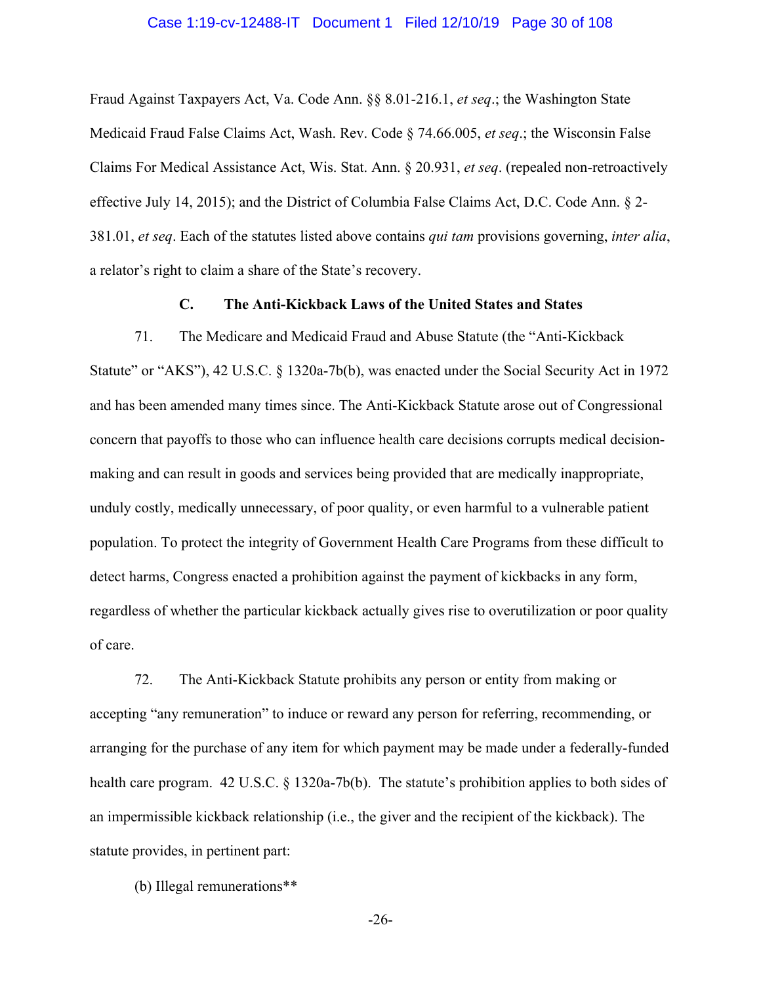#### Case 1:19-cv-12488-IT Document 1 Filed 12/10/19 Page 30 of 108

Fraud Against Taxpayers Act, Va. Code Ann. §§ 8.01-216.1, *et seq*.; the Washington State Medicaid Fraud False Claims Act, Wash. Rev. Code § 74.66.005, *et seq*.; the Wisconsin False Claims For Medical Assistance Act, Wis. Stat. Ann. § 20.931, *et seq*. (repealed non-retroactively effective July 14, 2015); and the District of Columbia False Claims Act, D.C. Code Ann. § 2- 381.01, *et seq*. Each of the statutes listed above contains *qui tam* provisions governing, *inter alia*, a relator's right to claim a share of the State's recovery.

### **C. The Anti-Kickback Laws of the United States and States**

71. The Medicare and Medicaid Fraud and Abuse Statute (the "Anti-Kickback Statute" or "AKS"), 42 U.S.C. § 1320a-7b(b), was enacted under the Social Security Act in 1972 and has been amended many times since. The Anti-Kickback Statute arose out of Congressional concern that payoffs to those who can influence health care decisions corrupts medical decisionmaking and can result in goods and services being provided that are medically inappropriate, unduly costly, medically unnecessary, of poor quality, or even harmful to a vulnerable patient population. To protect the integrity of Government Health Care Programs from these difficult to detect harms, Congress enacted a prohibition against the payment of kickbacks in any form, regardless of whether the particular kickback actually gives rise to overutilization or poor quality of care.

72. The Anti-Kickback Statute prohibits any person or entity from making or accepting "any remuneration" to induce or reward any person for referring, recommending, or arranging for the purchase of any item for which payment may be made under a federally-funded health care program. 42 U.S.C. § 1320a-7b(b). The statute's prohibition applies to both sides of an impermissible kickback relationship (i.e., the giver and the recipient of the kickback). The statute provides, in pertinent part:

(b) Illegal remunerations\*\*

-26-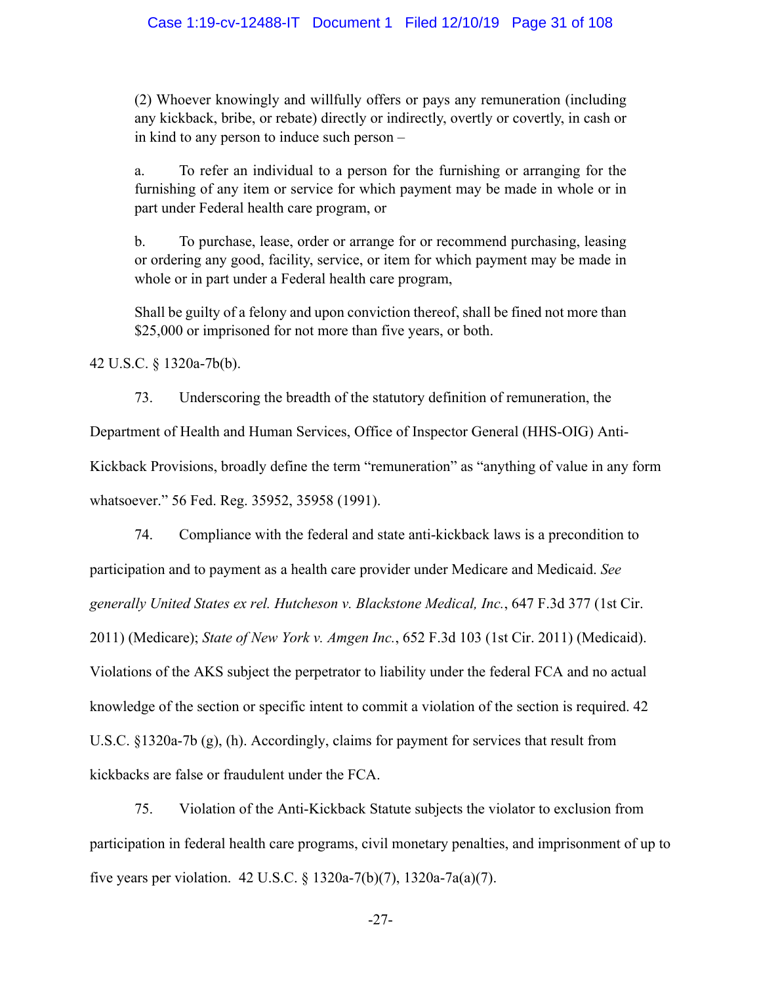(2) Whoever knowingly and willfully offers or pays any remuneration (including any kickback, bribe, or rebate) directly or indirectly, overtly or covertly, in cash or in kind to any person to induce such person –

a. To refer an individual to a person for the furnishing or arranging for the furnishing of any item or service for which payment may be made in whole or in part under Federal health care program, or

b. To purchase, lease, order or arrange for or recommend purchasing, leasing or ordering any good, facility, service, or item for which payment may be made in whole or in part under a Federal health care program,

Shall be guilty of a felony and upon conviction thereof, shall be fined not more than \$25,000 or imprisoned for not more than five years, or both.

42 U.S.C. § 1320a-7b(b).

73. Underscoring the breadth of the statutory definition of remuneration, the

Department of Health and Human Services, Office of Inspector General (HHS-OIG) Anti-

Kickback Provisions, broadly define the term "remuneration" as "anything of value in any form whatsoever." 56 Fed. Reg. 35952, 35958 (1991).

74. Compliance with the federal and state anti-kickback laws is a precondition to participation and to payment as a health care provider under Medicare and Medicaid. *See generally United States ex rel. Hutcheson v. Blackstone Medical, Inc.*, 647 F.3d 377 (1st Cir. 2011) (Medicare); *State of New York v. Amgen Inc.*, 652 F.3d 103 (1st Cir. 2011) (Medicaid). Violations of the AKS subject the perpetrator to liability under the federal FCA and no actual knowledge of the section or specific intent to commit a violation of the section is required. 42 U.S.C. §1320a-7b (g), (h). Accordingly, claims for payment for services that result from kickbacks are false or fraudulent under the FCA.

75. Violation of the Anti-Kickback Statute subjects the violator to exclusion from participation in federal health care programs, civil monetary penalties, and imprisonment of up to five years per violation. 42 U.S.C. § 1320a-7(b)(7), 1320a-7a(a)(7).

-27-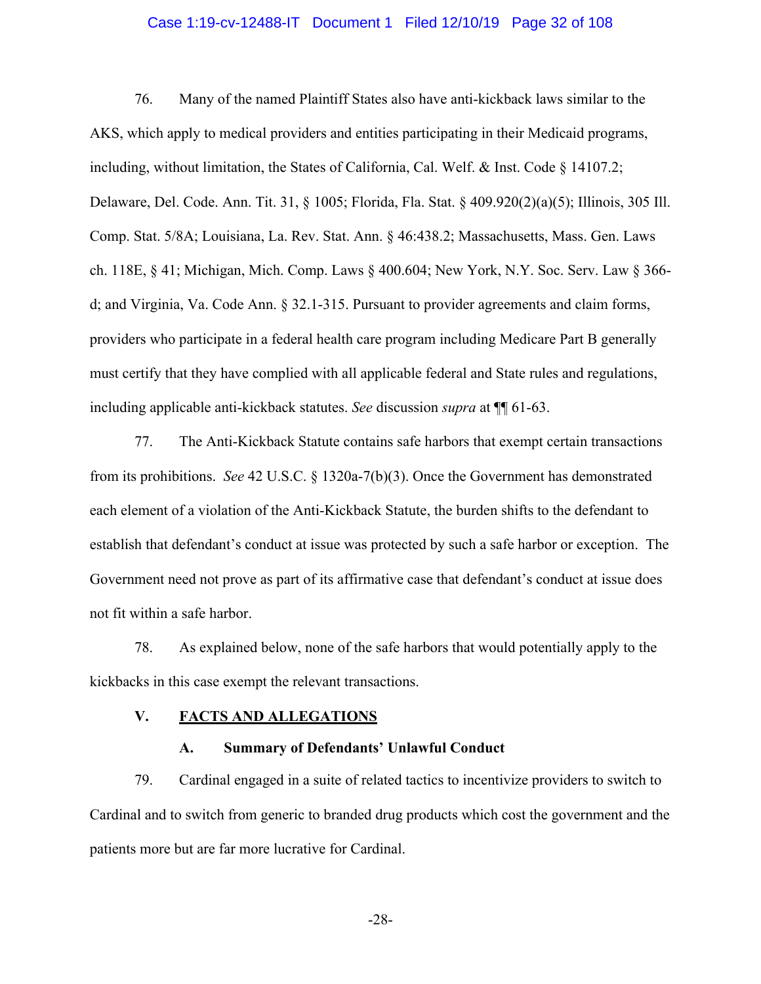#### Case 1:19-cv-12488-IT Document 1 Filed 12/10/19 Page 32 of 108

76. Many of the named Plaintiff States also have anti-kickback laws similar to the AKS, which apply to medical providers and entities participating in their Medicaid programs, including, without limitation, the States of California, Cal. Welf. & Inst. Code § 14107.2; Delaware, Del. Code. Ann. Tit. 31, § 1005; Florida, Fla. Stat. § 409.920(2)(a)(5); Illinois, 305 Ill. Comp. Stat. 5/8A; Louisiana, La. Rev. Stat. Ann. § 46:438.2; Massachusetts, Mass. Gen. Laws ch. 118E, § 41; Michigan, Mich. Comp. Laws § 400.604; New York, N.Y. Soc. Serv. Law § 366 d; and Virginia, Va. Code Ann. § 32.1-315. Pursuant to provider agreements and claim forms, providers who participate in a federal health care program including Medicare Part B generally must certify that they have complied with all applicable federal and State rules and regulations, including applicable anti-kickback statutes. *See* discussion *supra* at ¶¶ 61-63.

77. The Anti-Kickback Statute contains safe harbors that exempt certain transactions from its prohibitions. *See* 42 U.S.C. § 1320a-7(b)(3). Once the Government has demonstrated each element of a violation of the Anti-Kickback Statute, the burden shifts to the defendant to establish that defendant's conduct at issue was protected by such a safe harbor or exception. The Government need not prove as part of its affirmative case that defendant's conduct at issue does not fit within a safe harbor.

78. As explained below, none of the safe harbors that would potentially apply to the kickbacks in this case exempt the relevant transactions.

#### **V. FACTS AND ALLEGATIONS**

#### **A. Summary of Defendants' Unlawful Conduct**

79. Cardinal engaged in a suite of related tactics to incentivize providers to switch to Cardinal and to switch from generic to branded drug products which cost the government and the patients more but are far more lucrative for Cardinal.

-28-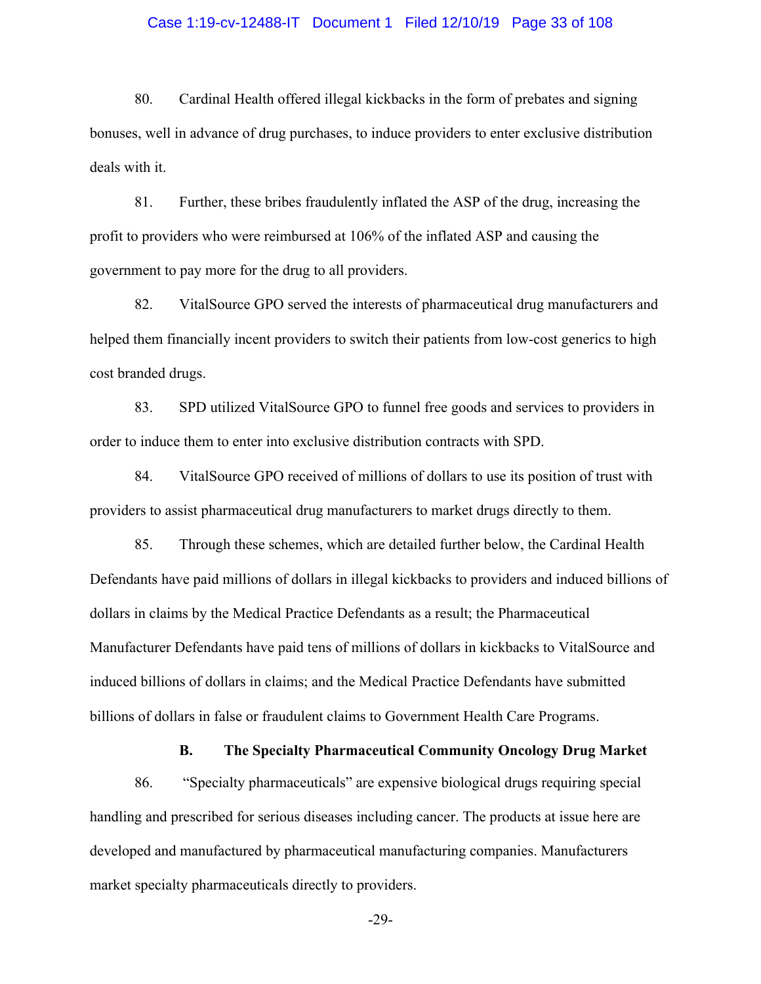#### Case 1:19-cv-12488-IT Document 1 Filed 12/10/19 Page 33 of 108

80. Cardinal Health offered illegal kickbacks in the form of prebates and signing bonuses, well in advance of drug purchases, to induce providers to enter exclusive distribution deals with it.

81. Further, these bribes fraudulently inflated the ASP of the drug, increasing the profit to providers who were reimbursed at 106% of the inflated ASP and causing the government to pay more for the drug to all providers.

82. VitalSource GPO served the interests of pharmaceutical drug manufacturers and helped them financially incent providers to switch their patients from low-cost generics to high cost branded drugs.

83. SPD utilized VitalSource GPO to funnel free goods and services to providers in order to induce them to enter into exclusive distribution contracts with SPD.

84. VitalSource GPO received of millions of dollars to use its position of trust with providers to assist pharmaceutical drug manufacturers to market drugs directly to them.

85. Through these schemes, which are detailed further below, the Cardinal Health Defendants have paid millions of dollars in illegal kickbacks to providers and induced billions of dollars in claims by the Medical Practice Defendants as a result; the Pharmaceutical Manufacturer Defendants have paid tens of millions of dollars in kickbacks to VitalSource and induced billions of dollars in claims; and the Medical Practice Defendants have submitted billions of dollars in false or fraudulent claims to Government Health Care Programs.

**B. The Specialty Pharmaceutical Community Oncology Drug Market**

86. "Specialty pharmaceuticals" are expensive biological drugs requiring special handling and prescribed for serious diseases including cancer. The products at issue here are developed and manufactured by pharmaceutical manufacturing companies. Manufacturers market specialty pharmaceuticals directly to providers.

-29-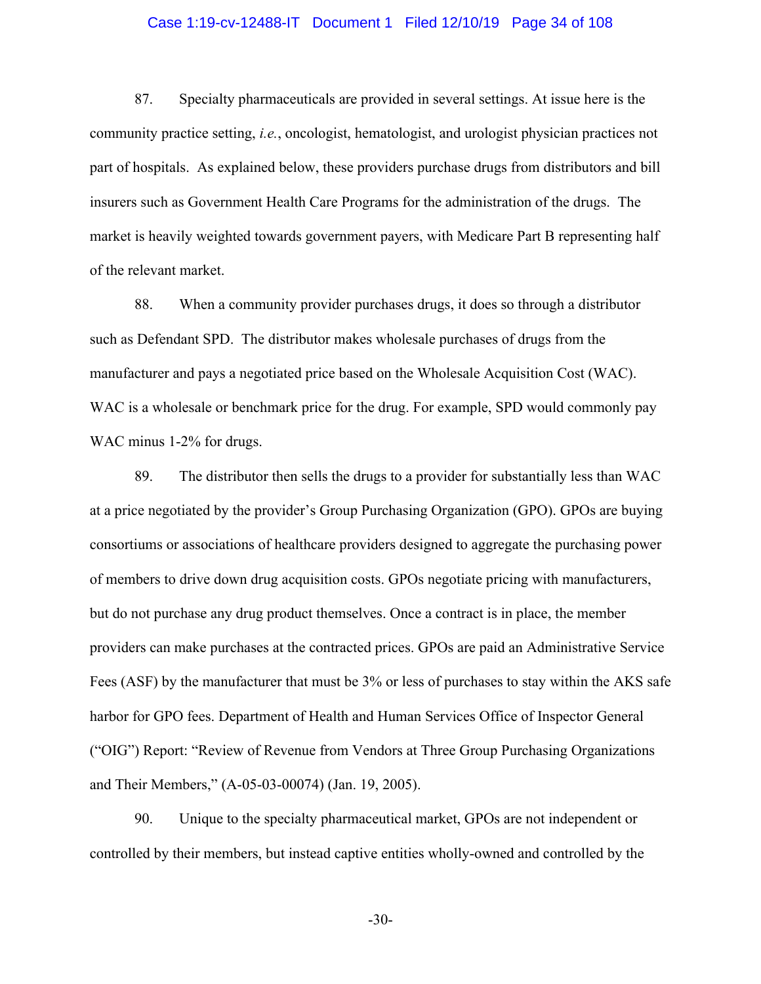#### Case 1:19-cv-12488-IT Document 1 Filed 12/10/19 Page 34 of 108

87. Specialty pharmaceuticals are provided in several settings. At issue here is the community practice setting, *i.e.*, oncologist, hematologist, and urologist physician practices not part of hospitals. As explained below, these providers purchase drugs from distributors and bill insurers such as Government Health Care Programs for the administration of the drugs. The market is heavily weighted towards government payers, with Medicare Part B representing half of the relevant market.

88. When a community provider purchases drugs, it does so through a distributor such as Defendant SPD. The distributor makes wholesale purchases of drugs from the manufacturer and pays a negotiated price based on the Wholesale Acquisition Cost (WAC). WAC is a wholesale or benchmark price for the drug. For example, SPD would commonly pay WAC minus 1-2% for drugs.

89. The distributor then sells the drugs to a provider for substantially less than WAC at a price negotiated by the provider's Group Purchasing Organization (GPO). GPOs are buying consortiums or associations of healthcare providers designed to aggregate the purchasing power of members to drive down drug acquisition costs. GPOs negotiate pricing with manufacturers, but do not purchase any drug product themselves. Once a contract is in place, the member providers can make purchases at the contracted prices. GPOs are paid an Administrative Service Fees (ASF) by the manufacturer that must be 3% or less of purchases to stay within the AKS safe harbor for GPO fees. Department of Health and Human Services Office of Inspector General ("OIG") Report: "Review of Revenue from Vendors at Three Group Purchasing Organizations and Their Members," (A-05-03-00074) (Jan. 19, 2005).

90. Unique to the specialty pharmaceutical market, GPOs are not independent or controlled by their members, but instead captive entities wholly-owned and controlled by the

-30-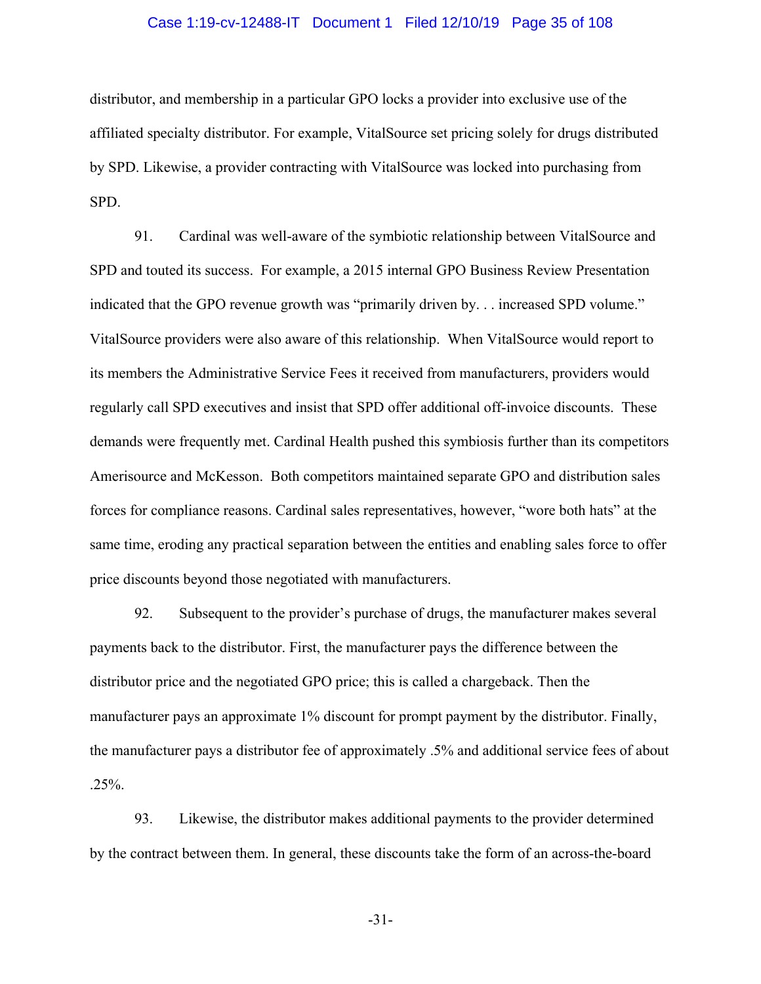#### Case 1:19-cv-12488-IT Document 1 Filed 12/10/19 Page 35 of 108

distributor, and membership in a particular GPO locks a provider into exclusive use of the affiliated specialty distributor. For example, VitalSource set pricing solely for drugs distributed by SPD. Likewise, a provider contracting with VitalSource was locked into purchasing from SPD.

91. Cardinal was well-aware of the symbiotic relationship between VitalSource and SPD and touted its success. For example, a 2015 internal GPO Business Review Presentation indicated that the GPO revenue growth was "primarily driven by. . . increased SPD volume." VitalSource providers were also aware of this relationship. When VitalSource would report to its members the Administrative Service Fees it received from manufacturers, providers would regularly call SPD executives and insist that SPD offer additional off-invoice discounts. These demands were frequently met. Cardinal Health pushed this symbiosis further than its competitors Amerisource and McKesson. Both competitors maintained separate GPO and distribution sales forces for compliance reasons. Cardinal sales representatives, however, "wore both hats" at the same time, eroding any practical separation between the entities and enabling sales force to offer price discounts beyond those negotiated with manufacturers.

92. Subsequent to the provider's purchase of drugs, the manufacturer makes several payments back to the distributor. First, the manufacturer pays the difference between the distributor price and the negotiated GPO price; this is called a chargeback. Then the manufacturer pays an approximate 1% discount for prompt payment by the distributor. Finally, the manufacturer pays a distributor fee of approximately .5% and additional service fees of about .25%.

93. Likewise, the distributor makes additional payments to the provider determined by the contract between them. In general, these discounts take the form of an across-the-board

-31-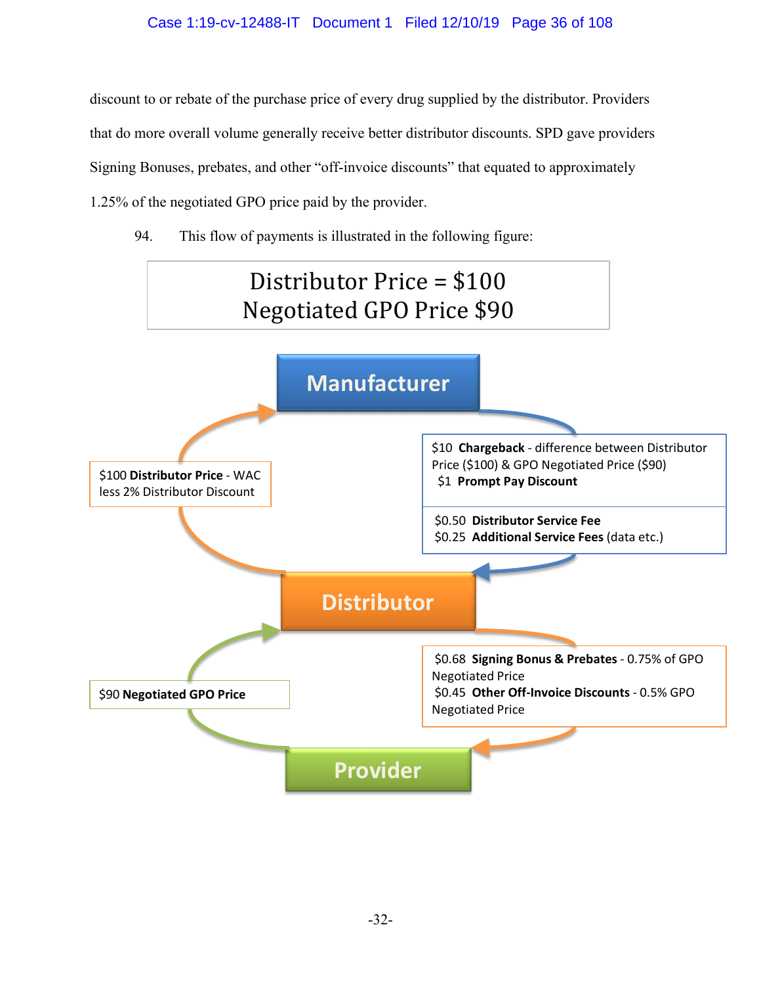## Case 1:19-cv-12488-IT Document 1 Filed 12/10/19 Page 36 of 108

discount to or rebate of the purchase price of every drug supplied by the distributor. Providers that do more overall volume generally receive better distributor discounts. SPD gave providers Signing Bonuses, prebates, and other "off-invoice discounts" that equated to approximately 1.25% of the negotiated GPO price paid by the provider.

94. This flow of payments is illustrated in the following figure:

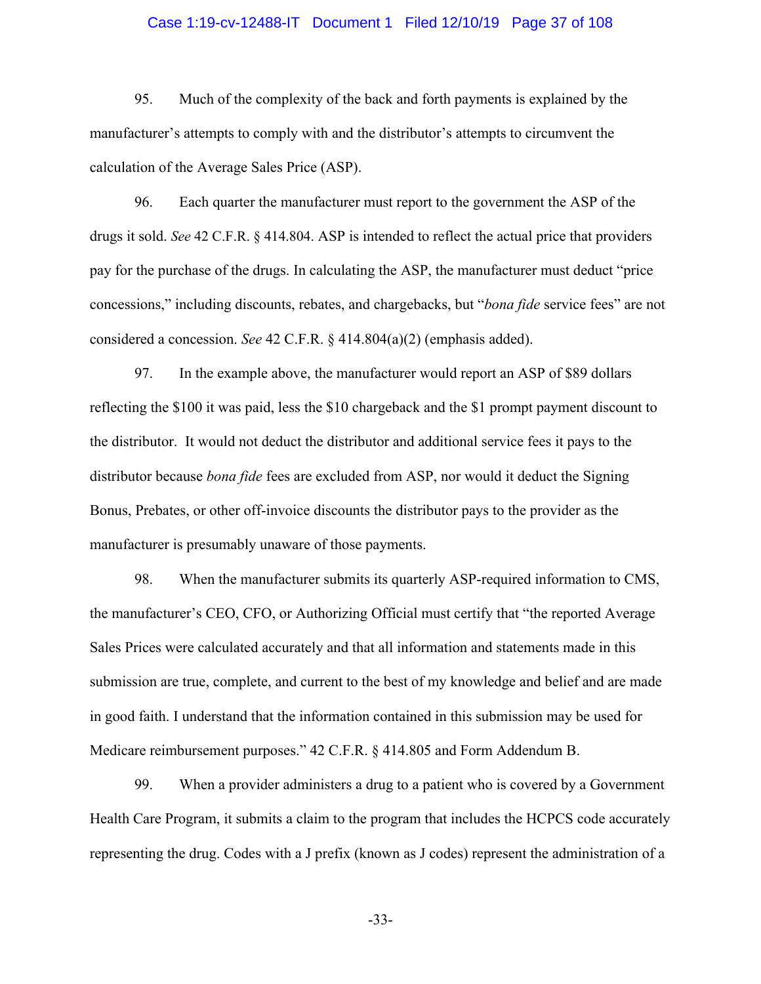#### Case 1:19-cv-12488-IT Document 1 Filed 12/10/19 Page 37 of 108

95. Much of the complexity of the back and forth payments is explained by the manufacturer's attempts to comply with and the distributor's attempts to circumvent the calculation of the Average Sales Price (ASP).

96. Each quarter the manufacturer must report to the government the ASP of the drugs it sold. *See* 42 C.F.R. § 414.804. ASP is intended to reflect the actual price that providers pay for the purchase of the drugs. In calculating the ASP, the manufacturer must deduct "price concessions," including discounts, rebates, and chargebacks, but "*bona fide* service fees" are not considered a concession. *See* 42 C.F.R. § 414.804(a)(2) (emphasis added).

97. In the example above, the manufacturer would report an ASP of \$89 dollars reflecting the \$100 it was paid, less the \$10 chargeback and the \$1 prompt payment discount to the distributor. It would not deduct the distributor and additional service fees it pays to the distributor because *bona fide* fees are excluded from ASP, nor would it deduct the Signing Bonus, Prebates, or other off-invoice discounts the distributor pays to the provider as the manufacturer is presumably unaware of those payments.

98. When the manufacturer submits its quarterly ASP-required information to CMS, the manufacturer's CEO, CFO, or Authorizing Official must certify that "the reported Average Sales Prices were calculated accurately and that all information and statements made in this submission are true, complete, and current to the best of my knowledge and belief and are made in good faith. I understand that the information contained in this submission may be used for Medicare reimbursement purposes." 42 C.F.R. § 414.805 and Form Addendum B.

99. When a provider administers a drug to a patient who is covered by a Government Health Care Program, it submits a claim to the program that includes the HCPCS code accurately representing the drug. Codes with a J prefix (known as J codes) represent the administration of a

-33-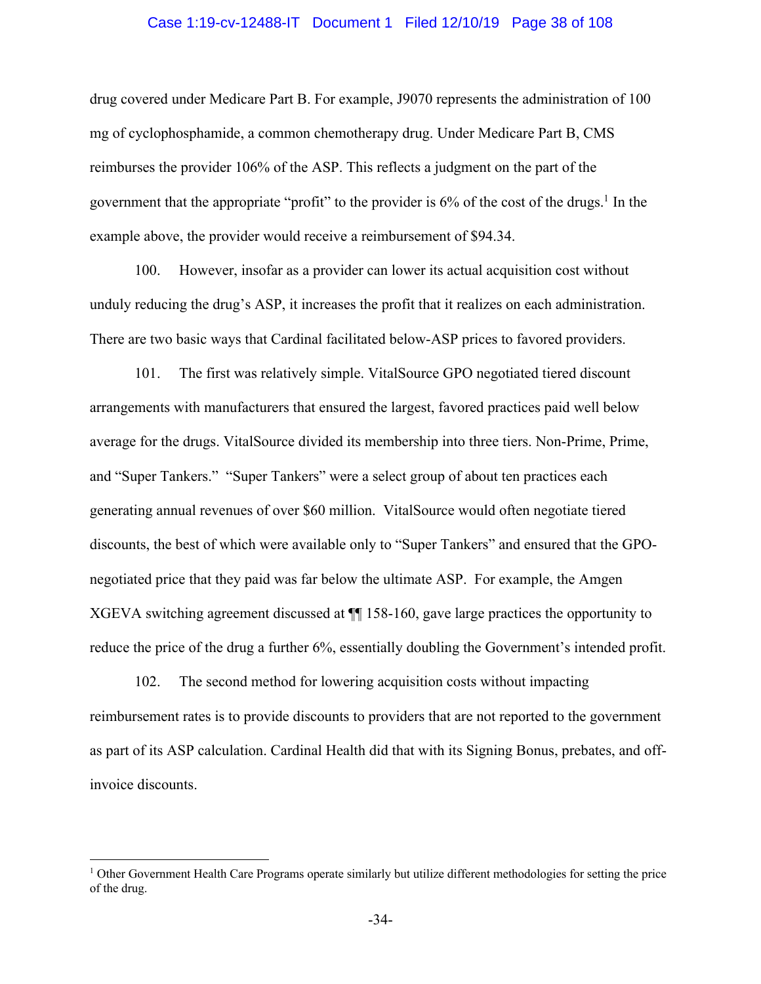#### Case 1:19-cv-12488-IT Document 1 Filed 12/10/19 Page 38 of 108

drug covered under Medicare Part B. For example, J9070 represents the administration of 100 mg of cyclophosphamide, a common chemotherapy drug. Under Medicare Part B, CMS reimburses the provider 106% of the ASP. This reflects a judgment on the part of the government that the appropriate "profit" to the provider is  $6\%$  of the cost of the drugs.<sup>1</sup> In the example above, the provider would receive a reimbursement of \$94.34.

100. However, insofar as a provider can lower its actual acquisition cost without unduly reducing the drug's ASP, it increases the profit that it realizes on each administration. There are two basic ways that Cardinal facilitated below-ASP prices to favored providers.

101. The first was relatively simple. VitalSource GPO negotiated tiered discount arrangements with manufacturers that ensured the largest, favored practices paid well below average for the drugs. VitalSource divided its membership into three tiers. Non-Prime, Prime, and "Super Tankers." "Super Tankers" were a select group of about ten practices each generating annual revenues of over \$60 million. VitalSource would often negotiate tiered discounts, the best of which were available only to "Super Tankers" and ensured that the GPOnegotiated price that they paid was far below the ultimate ASP. For example, the Amgen XGEVA switching agreement discussed at ¶¶ 158-160, gave large practices the opportunity to reduce the price of the drug a further 6%, essentially doubling the Government's intended profit.

102. The second method for lowering acquisition costs without impacting reimbursement rates is to provide discounts to providers that are not reported to the government as part of its ASP calculation. Cardinal Health did that with its Signing Bonus, prebates, and offinvoice discounts.

<sup>1</sup> Other Government Health Care Programs operate similarly but utilize different methodologies for setting the price of the drug.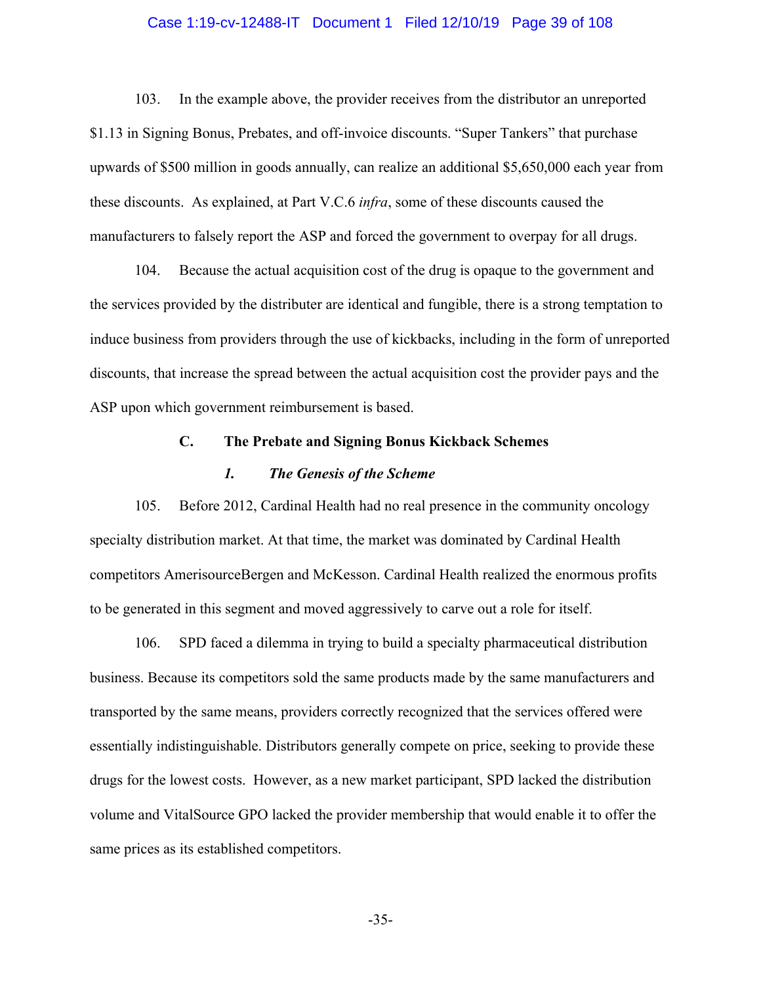#### Case 1:19-cv-12488-IT Document 1 Filed 12/10/19 Page 39 of 108

103. In the example above, the provider receives from the distributor an unreported \$1.13 in Signing Bonus, Prebates, and off-invoice discounts. "Super Tankers" that purchase upwards of \$500 million in goods annually, can realize an additional \$5,650,000 each year from these discounts. As explained, at Part V.C.6 *infra*, some of these discounts caused the manufacturers to falsely report the ASP and forced the government to overpay for all drugs.

104. Because the actual acquisition cost of the drug is opaque to the government and the services provided by the distributer are identical and fungible, there is a strong temptation to induce business from providers through the use of kickbacks, including in the form of unreported discounts, that increase the spread between the actual acquisition cost the provider pays and the ASP upon which government reimbursement is based.

#### **C. The Prebate and Signing Bonus Kickback Schemes**

### *1. The Genesis of the Scheme*

105. Before 2012, Cardinal Health had no real presence in the community oncology specialty distribution market. At that time, the market was dominated by Cardinal Health competitors AmerisourceBergen and McKesson. Cardinal Health realized the enormous profits to be generated in this segment and moved aggressively to carve out a role for itself.

106. SPD faced a dilemma in trying to build a specialty pharmaceutical distribution business. Because its competitors sold the same products made by the same manufacturers and transported by the same means, providers correctly recognized that the services offered were essentially indistinguishable. Distributors generally compete on price, seeking to provide these drugs for the lowest costs. However, as a new market participant, SPD lacked the distribution volume and VitalSource GPO lacked the provider membership that would enable it to offer the same prices as its established competitors.

-35-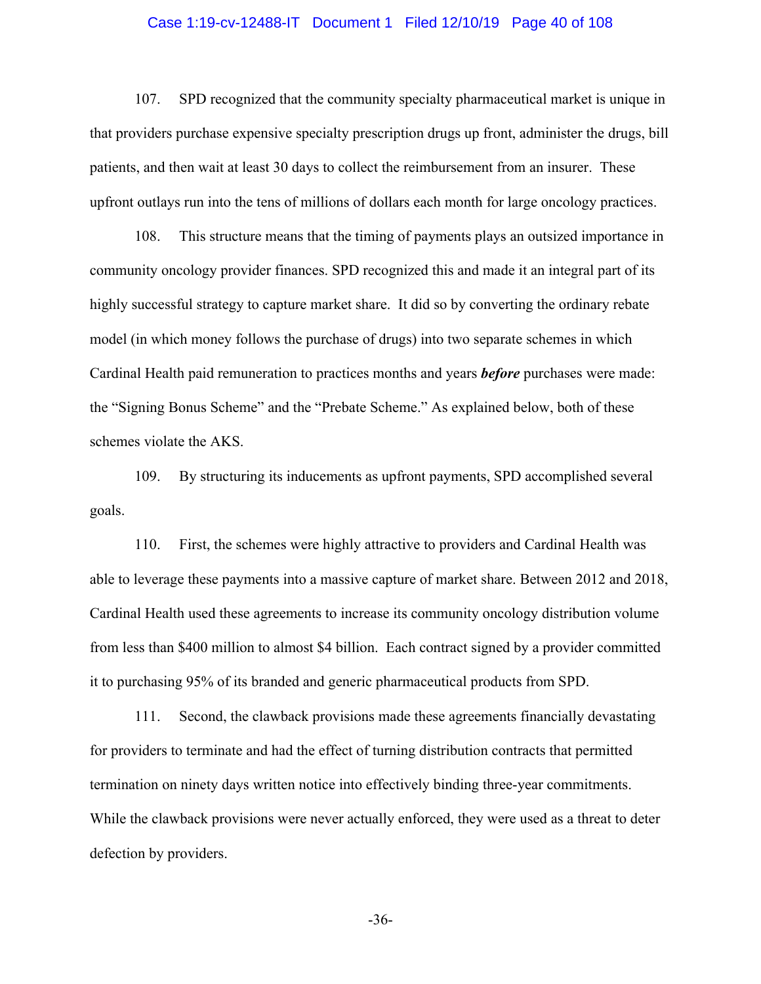#### Case 1:19-cv-12488-IT Document 1 Filed 12/10/19 Page 40 of 108

107. SPD recognized that the community specialty pharmaceutical market is unique in that providers purchase expensive specialty prescription drugs up front, administer the drugs, bill patients, and then wait at least 30 days to collect the reimbursement from an insurer. These upfront outlays run into the tens of millions of dollars each month for large oncology practices.

108. This structure means that the timing of payments plays an outsized importance in community oncology provider finances. SPD recognized this and made it an integral part of its highly successful strategy to capture market share. It did so by converting the ordinary rebate model (in which money follows the purchase of drugs) into two separate schemes in which Cardinal Health paid remuneration to practices months and years *before* purchases were made: the "Signing Bonus Scheme" and the "Prebate Scheme." As explained below, both of these schemes violate the AKS.

109. By structuring its inducements as upfront payments, SPD accomplished several goals.

110. First, the schemes were highly attractive to providers and Cardinal Health was able to leverage these payments into a massive capture of market share. Between 2012 and 2018, Cardinal Health used these agreements to increase its community oncology distribution volume from less than \$400 million to almost \$4 billion. Each contract signed by a provider committed it to purchasing 95% of its branded and generic pharmaceutical products from SPD.

111. Second, the clawback provisions made these agreements financially devastating for providers to terminate and had the effect of turning distribution contracts that permitted termination on ninety days written notice into effectively binding three-year commitments. While the clawback provisions were never actually enforced, they were used as a threat to deter defection by providers.

-36-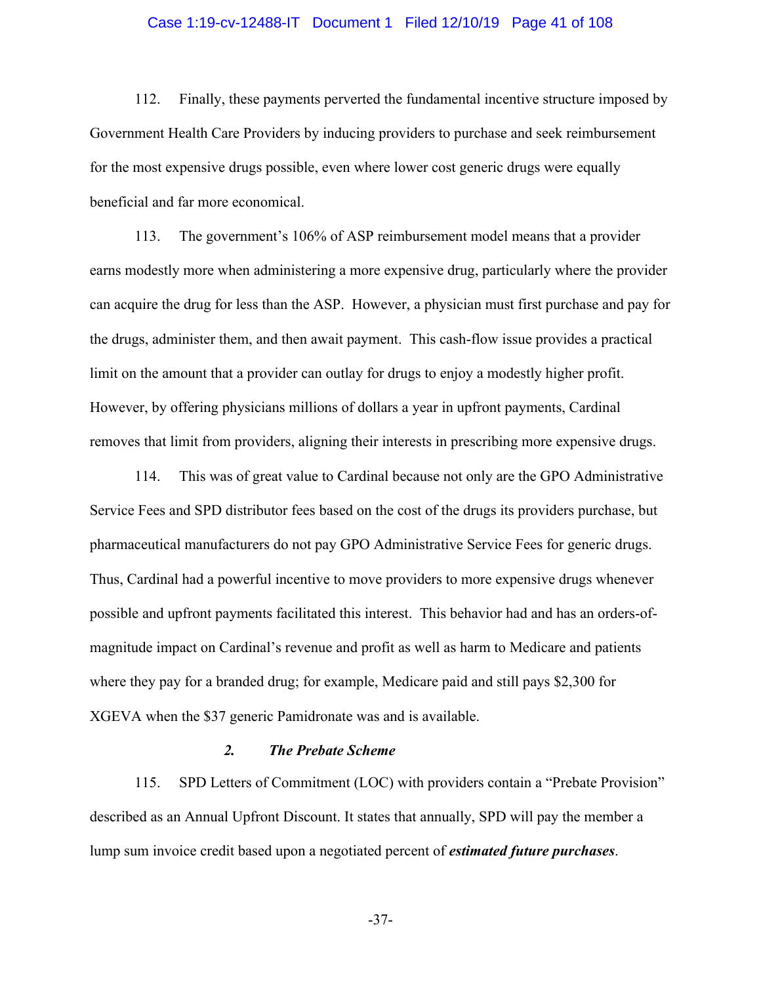#### Case 1:19-cv-12488-IT Document 1 Filed 12/10/19 Page 41 of 108

112. Finally, these payments perverted the fundamental incentive structure imposed by Government Health Care Providers by inducing providers to purchase and seek reimbursement for the most expensive drugs possible, even where lower cost generic drugs were equally beneficial and far more economical.

113. The government's 106% of ASP reimbursement model means that a provider earns modestly more when administering a more expensive drug, particularly where the provider can acquire the drug for less than the ASP. However, a physician must first purchase and pay for the drugs, administer them, and then await payment. This cash-flow issue provides a practical limit on the amount that a provider can outlay for drugs to enjoy a modestly higher profit. However, by offering physicians millions of dollars a year in upfront payments, Cardinal removes that limit from providers, aligning their interests in prescribing more expensive drugs.

114. This was of great value to Cardinal because not only are the GPO Administrative Service Fees and SPD distributor fees based on the cost of the drugs its providers purchase, but pharmaceutical manufacturers do not pay GPO Administrative Service Fees for generic drugs. Thus, Cardinal had a powerful incentive to move providers to more expensive drugs whenever possible and upfront payments facilitated this interest. This behavior had and has an orders-ofmagnitude impact on Cardinal's revenue and profit as well as harm to Medicare and patients where they pay for a branded drug; for example, Medicare paid and still pays \$2,300 for XGEVA when the \$37 generic Pamidronate was and is available.

### *2. The Prebate Scheme*

115. SPD Letters of Commitment (LOC) with providers contain a "Prebate Provision" described as an Annual Upfront Discount. It states that annually, SPD will pay the member a lump sum invoice credit based upon a negotiated percent of *estimated future purchases*.

-37-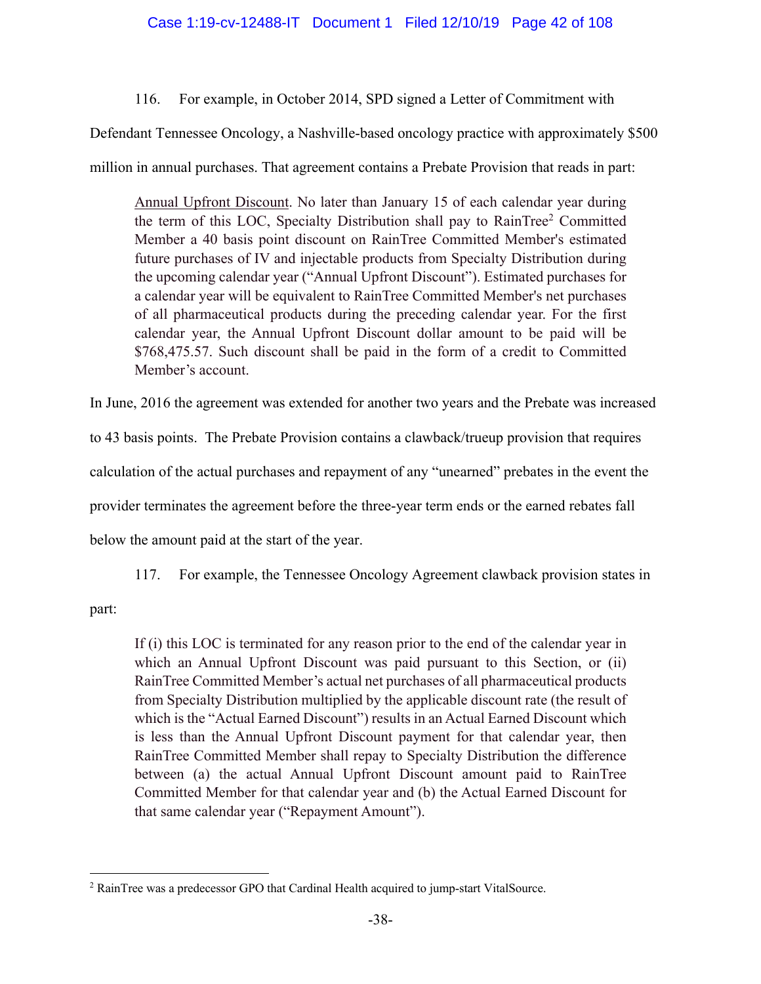# 116. For example, in October 2014, SPD signed a Letter of Commitment with

Defendant Tennessee Oncology, a Nashville-based oncology practice with approximately \$500

million in annual purchases. That agreement contains a Prebate Provision that reads in part:

Annual Upfront Discount. No later than January 15 of each calendar year during the term of this LOC, Specialty Distribution shall pay to RainTree<sup>2</sup> Committed Member a 40 basis point discount on RainTree Committed Member's estimated future purchases of IV and injectable products from Specialty Distribution during the upcoming calendar year ("Annual Upfront Discount"). Estimated purchases for a calendar year will be equivalent to RainTree Committed Member's net purchases of all pharmaceutical products during the preceding calendar year. For the first calendar year, the Annual Upfront Discount dollar amount to be paid will be \$768,475.57. Such discount shall be paid in the form of a credit to Committed Member's account.

In June, 2016 the agreement was extended for another two years and the Prebate was increased

to 43 basis points. The Prebate Provision contains a clawback/trueup provision that requires

calculation of the actual purchases and repayment of any "unearned" prebates in the event the

provider terminates the agreement before the three-year term ends or the earned rebates fall

below the amount paid at the start of the year.

117. For example, the Tennessee Oncology Agreement clawback provision states in

part:

If (i) this LOC is terminated for any reason prior to the end of the calendar year in which an Annual Upfront Discount was paid pursuant to this Section, or (ii) RainTree Committed Member's actual net purchases of all pharmaceutical products from Specialty Distribution multiplied by the applicable discount rate (the result of which is the "Actual Earned Discount") results in an Actual Earned Discount which is less than the Annual Upfront Discount payment for that calendar year, then RainTree Committed Member shall repay to Specialty Distribution the difference between (a) the actual Annual Upfront Discount amount paid to RainTree Committed Member for that calendar year and (b) the Actual Earned Discount for that same calendar year ("Repayment Amount").

<sup>2</sup> RainTree was a predecessor GPO that Cardinal Health acquired to jump-start VitalSource.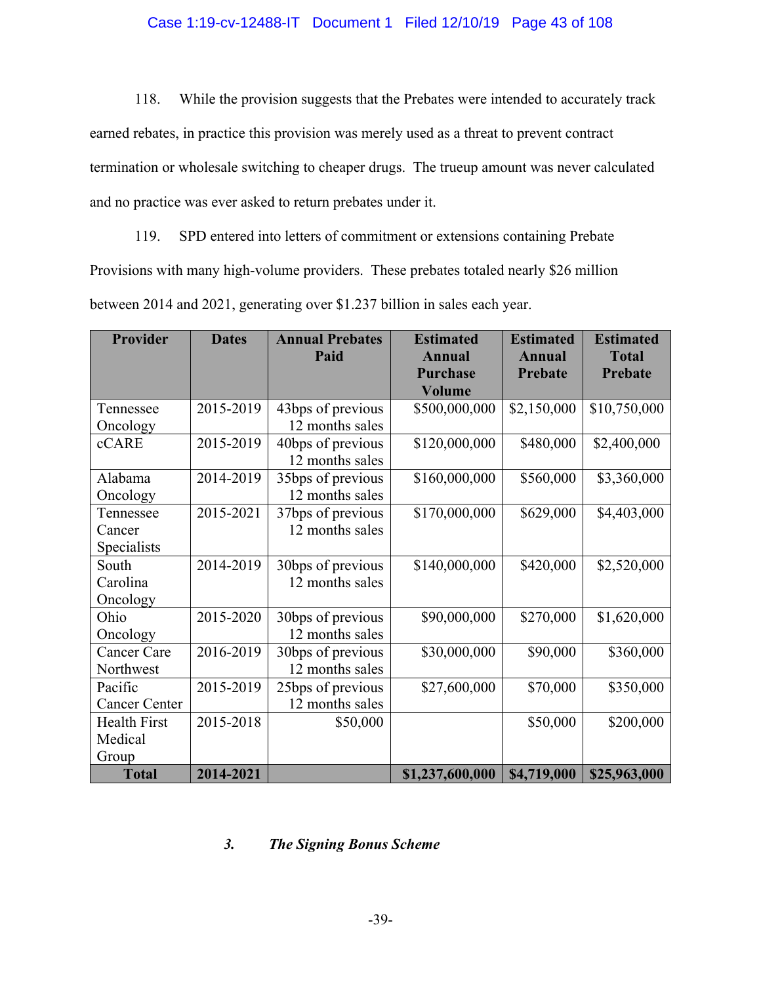### Case 1:19-cv-12488-IT Document 1 Filed 12/10/19 Page 43 of 108

118. While the provision suggests that the Prebates were intended to accurately track earned rebates, in practice this provision was merely used as a threat to prevent contract termination or wholesale switching to cheaper drugs. The trueup amount was never calculated and no practice was ever asked to return prebates under it.

119. SPD entered into letters of commitment or extensions containing Prebate Provisions with many high-volume providers. These prebates totaled nearly \$26 million between 2014 and 2021, generating over \$1.237 billion in sales each year.

| <b>Provider</b>      | <b>Dates</b> | <b>Annual Prebates</b> | <b>Estimated</b> | <b>Estimated</b> | <b>Estimated</b> |
|----------------------|--------------|------------------------|------------------|------------------|------------------|
|                      |              | Paid                   | <b>Annual</b>    | <b>Annual</b>    | <b>Total</b>     |
|                      |              |                        | <b>Purchase</b>  | <b>Prebate</b>   | <b>Prebate</b>   |
|                      |              |                        | <b>Volume</b>    |                  |                  |
| Tennessee            | 2015-2019    | 43bps of previous      | \$500,000,000    | \$2,150,000      | \$10,750,000     |
| Oncology             |              | 12 months sales        |                  |                  |                  |
| cCARE                | 2015-2019    | 40bps of previous      | \$120,000,000    | \$480,000        | \$2,400,000      |
|                      |              | 12 months sales        |                  |                  |                  |
| Alabama              | 2014-2019    | 35bps of previous      | \$160,000,000    | \$560,000        | \$3,360,000      |
| Oncology             |              | 12 months sales        |                  |                  |                  |
| Tennessee            | 2015-2021    | 37bps of previous      | \$170,000,000    | \$629,000        | \$4,403,000      |
| Cancer               |              | 12 months sales        |                  |                  |                  |
| Specialists          |              |                        |                  |                  |                  |
| South                | 2014-2019    | 30bps of previous      | \$140,000,000    | \$420,000        | \$2,520,000      |
| Carolina             |              | 12 months sales        |                  |                  |                  |
| Oncology             |              |                        |                  |                  |                  |
| Ohio                 | 2015-2020    | 30bps of previous      | \$90,000,000     | \$270,000        | \$1,620,000      |
| Oncology             |              | 12 months sales        |                  |                  |                  |
| <b>Cancer Care</b>   | 2016-2019    | 30bps of previous      | \$30,000,000     | \$90,000         | \$360,000        |
| Northwest            |              | 12 months sales        |                  |                  |                  |
| Pacific              | 2015-2019    | 25bps of previous      | \$27,600,000     | \$70,000         | \$350,000        |
| <b>Cancer Center</b> |              | 12 months sales        |                  |                  |                  |
| <b>Health First</b>  | 2015-2018    | \$50,000               |                  | \$50,000         | \$200,000        |
| Medical              |              |                        |                  |                  |                  |
| Group                |              |                        |                  |                  |                  |
| <b>Total</b>         | 2014-2021    |                        | \$1,237,600,000  | \$4,719,000      | \$25,963,000     |

## *3. The Signing Bonus Scheme*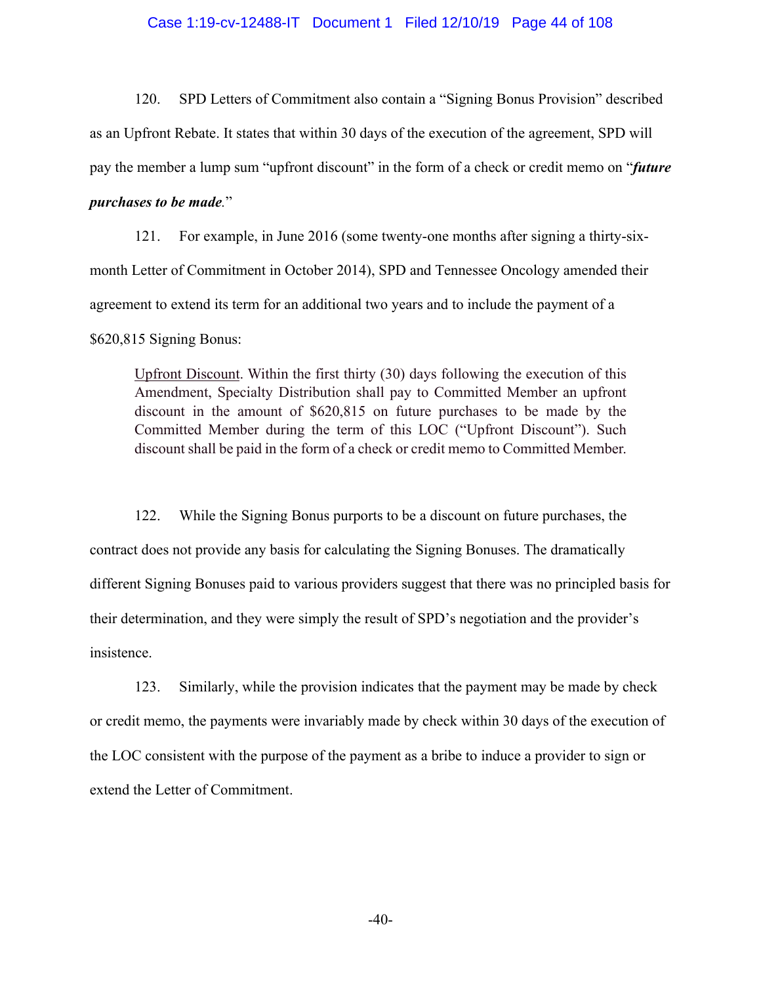#### Case 1:19-cv-12488-IT Document 1 Filed 12/10/19 Page 44 of 108

120. SPD Letters of Commitment also contain a "Signing Bonus Provision" described as an Upfront Rebate. It states that within 30 days of the execution of the agreement, SPD will pay the member a lump sum "upfront discount" in the form of a check or credit memo on "*future* 

## *purchases to be made.*"

121. For example, in June 2016 (some twenty-one months after signing a thirty-sixmonth Letter of Commitment in October 2014), SPD and Tennessee Oncology amended their agreement to extend its term for an additional two years and to include the payment of a \$620,815 Signing Bonus:

Upfront Discount. Within the first thirty (30) days following the execution of this Amendment, Specialty Distribution shall pay to Committed Member an upfront discount in the amount of \$620,815 on future purchases to be made by the Committed Member during the term of this LOC ("Upfront Discount"). Such discount shall be paid in the form of a check or credit memo to Committed Member.

122. While the Signing Bonus purports to be a discount on future purchases, the contract does not provide any basis for calculating the Signing Bonuses. The dramatically different Signing Bonuses paid to various providers suggest that there was no principled basis for their determination, and they were simply the result of SPD's negotiation and the provider's insistence.

123. Similarly, while the provision indicates that the payment may be made by check or credit memo, the payments were invariably made by check within 30 days of the execution of the LOC consistent with the purpose of the payment as a bribe to induce a provider to sign or extend the Letter of Commitment.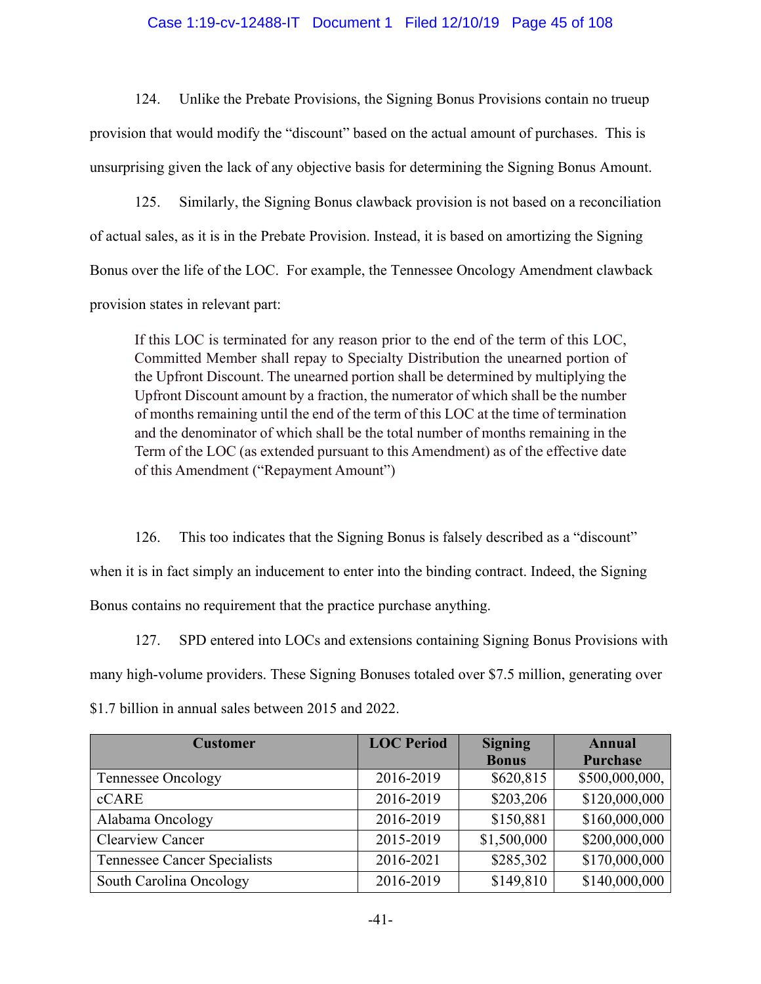### Case 1:19-cv-12488-IT Document 1 Filed 12/10/19 Page 45 of 108

124. Unlike the Prebate Provisions, the Signing Bonus Provisions contain no trueup provision that would modify the "discount" based on the actual amount of purchases. This is unsurprising given the lack of any objective basis for determining the Signing Bonus Amount.

125. Similarly, the Signing Bonus clawback provision is not based on a reconciliation of actual sales, as it is in the Prebate Provision. Instead, it is based on amortizing the Signing Bonus over the life of the LOC. For example, the Tennessee Oncology Amendment clawback provision states in relevant part:

If this LOC is terminated for any reason prior to the end of the term of this LOC, Committed Member shall repay to Specialty Distribution the unearned portion of the Upfront Discount. The unearned portion shall be determined by multiplying the Upfront Discount amount by a fraction, the numerator of which shall be the number of months remaining until the end of the term of this LOC at the time of termination and the denominator of which shall be the total number of months remaining in the Term of the LOC (as extended pursuant to this Amendment) as of the effective date of this Amendment ("Repayment Amount")

126. This too indicates that the Signing Bonus is falsely described as a "discount" when it is in fact simply an inducement to enter into the binding contract. Indeed, the Signing Bonus contains no requirement that the practice purchase anything.

127. SPD entered into LOCs and extensions containing Signing Bonus Provisions with many high-volume providers. These Signing Bonuses totaled over \$7.5 million, generating over \$1.7 billion in annual sales between 2015 and 2022.

| <b>Customer</b>                     | <b>LOC</b> Period | <b>Signing</b> | <b>Annual</b>  |
|-------------------------------------|-------------------|----------------|----------------|
|                                     |                   | <b>Bonus</b>   | Purchase       |
| Tennessee Oncology                  | 2016-2019         | \$620,815      | \$500,000,000, |
| cCARE                               | 2016-2019         | \$203,206      | \$120,000,000  |
| Alabama Oncology                    | 2016-2019         | \$150,881      | \$160,000,000  |
| <b>Clearview Cancer</b>             | 2015-2019         | \$1,500,000    | \$200,000,000  |
| <b>Tennessee Cancer Specialists</b> | 2016-2021         | \$285,302      | \$170,000,000  |
| South Carolina Oncology             | 2016-2019         | \$149,810      | \$140,000,000  |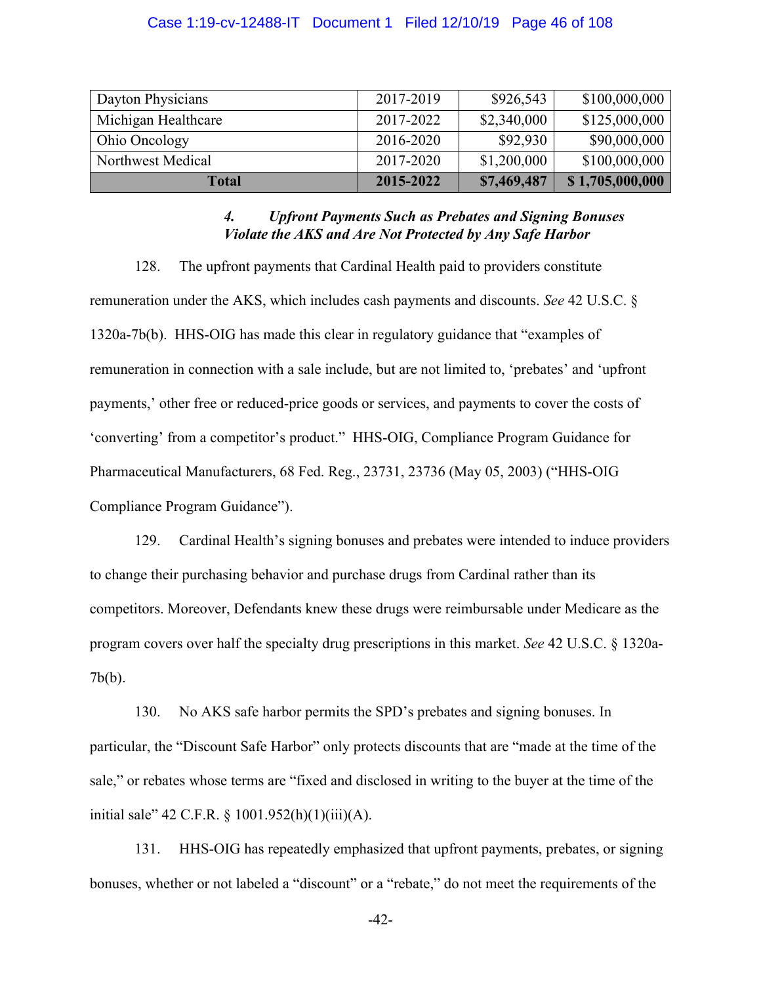#### Case 1:19-cv-12488-IT Document 1 Filed 12/10/19 Page 46 of 108

| Dayton Physicians   | 2017-2019 | \$926,543   | \$100,000,000   |
|---------------------|-----------|-------------|-----------------|
| Michigan Healthcare | 2017-2022 | \$2,340,000 | \$125,000,000   |
| Ohio Oncology       | 2016-2020 | \$92,930    | \$90,000,000    |
| Northwest Medical   | 2017-2020 | \$1,200,000 | \$100,000,000   |
| Total               | 2015-2022 | \$7,469,487 | \$1,705,000,000 |

### *4. Upfront Payments Such as Prebates and Signing Bonuses Violate the AKS and Are Not Protected by Any Safe Harbor*

128. The upfront payments that Cardinal Health paid to providers constitute remuneration under the AKS, which includes cash payments and discounts. *See* 42 U.S.C. § 1320a-7b(b). HHS-OIG has made this clear in regulatory guidance that "examples of remuneration in connection with a sale include, but are not limited to, 'prebates' and 'upfront payments,' other free or reduced-price goods or services, and payments to cover the costs of 'converting' from a competitor's product." HHS-OIG, Compliance Program Guidance for Pharmaceutical Manufacturers, 68 Fed. Reg., 23731, 23736 (May 05, 2003) ("HHS-OIG Compliance Program Guidance").

129. Cardinal Health's signing bonuses and prebates were intended to induce providers to change their purchasing behavior and purchase drugs from Cardinal rather than its competitors. Moreover, Defendants knew these drugs were reimbursable under Medicare as the program covers over half the specialty drug prescriptions in this market. *See* 42 U.S.C. § 1320a-7b(b).

130. No AKS safe harbor permits the SPD's prebates and signing bonuses. In particular, the "Discount Safe Harbor" only protects discounts that are "made at the time of the sale," or rebates whose terms are "fixed and disclosed in writing to the buyer at the time of the initial sale" 42 C.F.R. § 1001.952(h)(1)(iii)(A).

131. HHS-OIG has repeatedly emphasized that upfront payments, prebates, or signing bonuses, whether or not labeled a "discount" or a "rebate," do not meet the requirements of the

-42-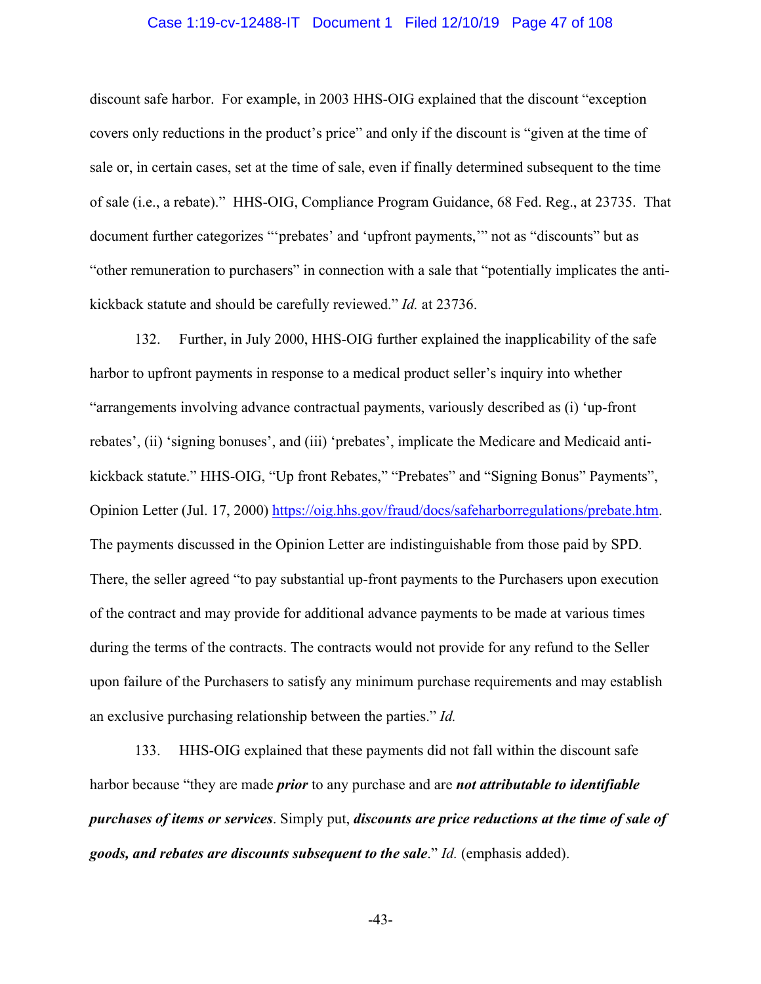#### Case 1:19-cv-12488-IT Document 1 Filed 12/10/19 Page 47 of 108

discount safe harbor. For example, in 2003 HHS-OIG explained that the discount "exception covers only reductions in the product's price" and only if the discount is "given at the time of sale or, in certain cases, set at the time of sale, even if finally determined subsequent to the time of sale (i.e., a rebate)." HHS-OIG, Compliance Program Guidance, 68 Fed. Reg., at 23735. That document further categorizes "'prebates' and 'upfront payments,'" not as "discounts" but as "other remuneration to purchasers" in connection with a sale that "potentially implicates the antikickback statute and should be carefully reviewed." *Id.* at 23736.

132. Further, in July 2000, HHS-OIG further explained the inapplicability of the safe harbor to upfront payments in response to a medical product seller's inquiry into whether "arrangements involving advance contractual payments, variously described as (i) 'up-front rebates', (ii) 'signing bonuses', and (iii) 'prebates', implicate the Medicare and Medicaid antikickback statute." HHS-OIG, "Up front Rebates," "Prebates" and "Signing Bonus" Payments", Opinion Letter (Jul. 17, 2000) https://oig.hhs.gov/fraud/docs/safeharborregulations/prebate.htm. The payments discussed in the Opinion Letter are indistinguishable from those paid by SPD. There, the seller agreed "to pay substantial up-front payments to the Purchasers upon execution of the contract and may provide for additional advance payments to be made at various times during the terms of the contracts. The contracts would not provide for any refund to the Seller upon failure of the Purchasers to satisfy any minimum purchase requirements and may establish an exclusive purchasing relationship between the parties." *Id.*

133. HHS-OIG explained that these payments did not fall within the discount safe harbor because "they are made *prior* to any purchase and are *not attributable to identifiable purchases of items or services*. Simply put, *discounts are price reductions at the time of sale of goods, and rebates are discounts subsequent to the sale*." *Id.* (emphasis added).

-43-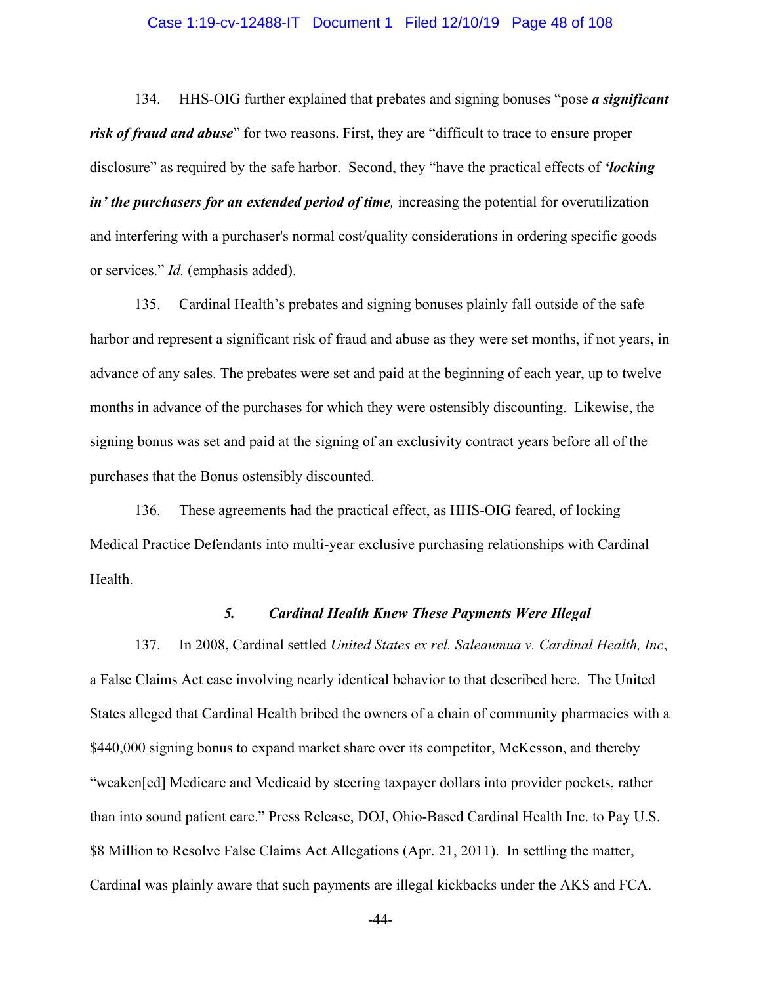#### Case 1:19-cv-12488-IT Document 1 Filed 12/10/19 Page 48 of 108

134. HHS-OIG further explained that prebates and signing bonuses "pose *a significant risk of fraud and abuse*" for two reasons. First, they are "difficult to trace to ensure proper disclosure" as required by the safe harbor. Second, they "have the practical effects of *'locking in' the purchasers for an extended period of time,* increasing the potential for overutilization and interfering with a purchaser's normal cost/quality considerations in ordering specific goods or services." *Id.* (emphasis added).

135. Cardinal Health's prebates and signing bonuses plainly fall outside of the safe harbor and represent a significant risk of fraud and abuse as they were set months, if not years, in advance of any sales. The prebates were set and paid at the beginning of each year, up to twelve months in advance of the purchases for which they were ostensibly discounting. Likewise, the signing bonus was set and paid at the signing of an exclusivity contract years before all of the purchases that the Bonus ostensibly discounted.

136. These agreements had the practical effect, as HHS-OIG feared, of locking Medical Practice Defendants into multi-year exclusive purchasing relationships with Cardinal Health.

### *5. Cardinal Health Knew These Payments Were Illegal*

137. In 2008, Cardinal settled *United States ex rel. Saleaumua v. Cardinal Health, Inc*, a False Claims Act case involving nearly identical behavior to that described here. The United States alleged that Cardinal Health bribed the owners of a chain of community pharmacies with a \$440,000 signing bonus to expand market share over its competitor, McKesson, and thereby "weaken[ed] Medicare and Medicaid by steering taxpayer dollars into provider pockets, rather than into sound patient care." Press Release, DOJ, Ohio-Based Cardinal Health Inc. to Pay U.S. \$8 Million to Resolve False Claims Act Allegations (Apr. 21, 2011). In settling the matter, Cardinal was plainly aware that such payments are illegal kickbacks under the AKS and FCA.

-44-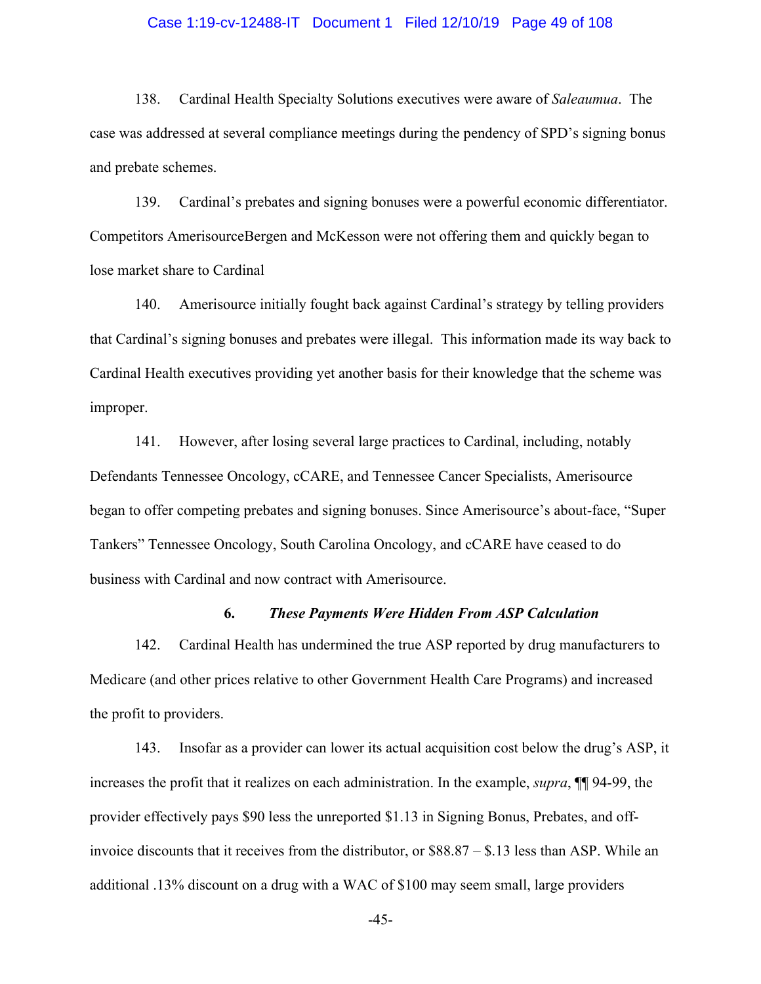#### Case 1:19-cv-12488-IT Document 1 Filed 12/10/19 Page 49 of 108

138. Cardinal Health Specialty Solutions executives were aware of *Saleaumua*. The case was addressed at several compliance meetings during the pendency of SPD's signing bonus and prebate schemes.

139. Cardinal's prebates and signing bonuses were a powerful economic differentiator. Competitors AmerisourceBergen and McKesson were not offering them and quickly began to lose market share to Cardinal

140. Amerisource initially fought back against Cardinal's strategy by telling providers that Cardinal's signing bonuses and prebates were illegal. This information made its way back to Cardinal Health executives providing yet another basis for their knowledge that the scheme was improper.

141. However, after losing several large practices to Cardinal, including, notably Defendants Tennessee Oncology, cCARE, and Tennessee Cancer Specialists, Amerisource began to offer competing prebates and signing bonuses. Since Amerisource's about-face, "Super Tankers" Tennessee Oncology, South Carolina Oncology, and cCARE have ceased to do business with Cardinal and now contract with Amerisource.

#### **6.** *These Payments Were Hidden From ASP Calculation*

142. Cardinal Health has undermined the true ASP reported by drug manufacturers to Medicare (and other prices relative to other Government Health Care Programs) and increased the profit to providers.

143. Insofar as a provider can lower its actual acquisition cost below the drug's ASP, it increases the profit that it realizes on each administration. In the example, *supra*, ¶¶ 94-99, the provider effectively pays \$90 less the unreported \$1.13 in Signing Bonus, Prebates, and offinvoice discounts that it receives from the distributor, or \$88.87 – \$.13 less than ASP. While an additional .13% discount on a drug with a WAC of \$100 may seem small, large providers

-45-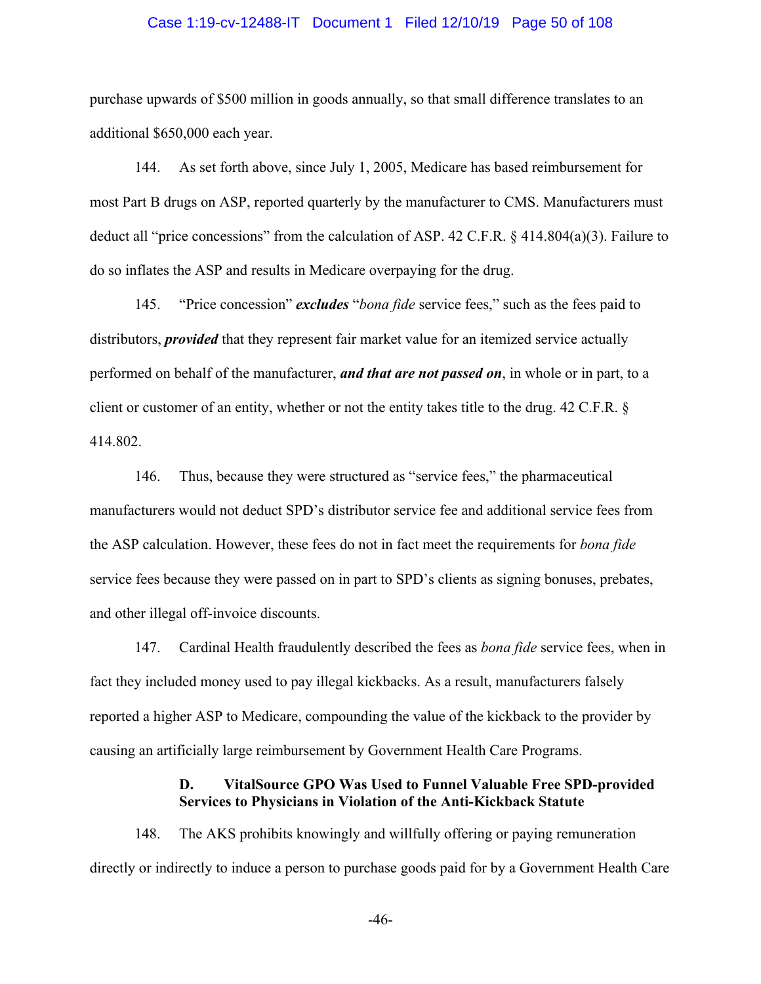#### Case 1:19-cv-12488-IT Document 1 Filed 12/10/19 Page 50 of 108

purchase upwards of \$500 million in goods annually, so that small difference translates to an additional \$650,000 each year.

144. As set forth above, since July 1, 2005, Medicare has based reimbursement for most Part B drugs on ASP, reported quarterly by the manufacturer to CMS. Manufacturers must deduct all "price concessions" from the calculation of ASP. 42 C.F.R. § 414.804(a)(3). Failure to do so inflates the ASP and results in Medicare overpaying for the drug.

145. "Price concession" *excludes* "*bona fide* service fees," such as the fees paid to distributors, *provided* that they represent fair market value for an itemized service actually performed on behalf of the manufacturer, *and that are not passed on*, in whole or in part, to a client or customer of an entity, whether or not the entity takes title to the drug. 42 C.F.R. § 414.802.

146. Thus, because they were structured as "service fees," the pharmaceutical manufacturers would not deduct SPD's distributor service fee and additional service fees from the ASP calculation. However, these fees do not in fact meet the requirements for *bona fide* service fees because they were passed on in part to SPD's clients as signing bonuses, prebates, and other illegal off-invoice discounts.

147. Cardinal Health fraudulently described the fees as *bona fide* service fees, when in fact they included money used to pay illegal kickbacks. As a result, manufacturers falsely reported a higher ASP to Medicare, compounding the value of the kickback to the provider by causing an artificially large reimbursement by Government Health Care Programs.

# **D. VitalSource GPO Was Used to Funnel Valuable Free SPD-provided Services to Physicians in Violation of the Anti-Kickback Statute**

148. The AKS prohibits knowingly and willfully offering or paying remuneration directly or indirectly to induce a person to purchase goods paid for by a Government Health Care

-46-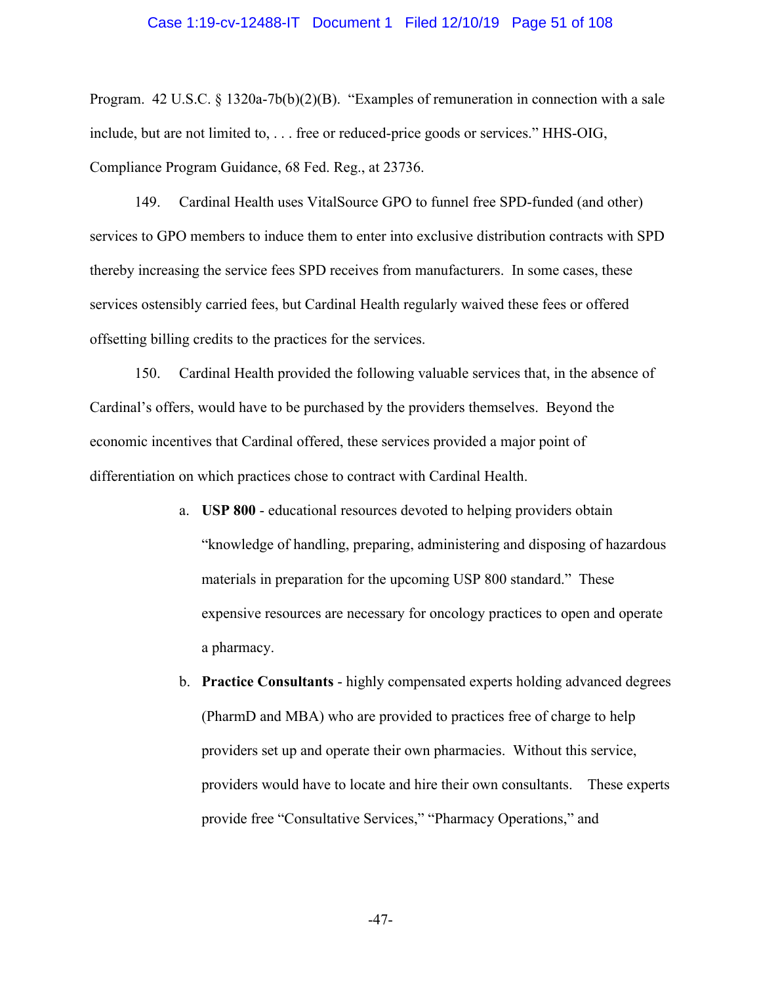#### Case 1:19-cv-12488-IT Document 1 Filed 12/10/19 Page 51 of 108

Program. 42 U.S.C. § 1320a-7b(b)(2)(B). "Examples of remuneration in connection with a sale include, but are not limited to, . . . free or reduced-price goods or services." HHS-OIG, Compliance Program Guidance, 68 Fed. Reg., at 23736.

149. Cardinal Health uses VitalSource GPO to funnel free SPD-funded (and other) services to GPO members to induce them to enter into exclusive distribution contracts with SPD thereby increasing the service fees SPD receives from manufacturers. In some cases, these services ostensibly carried fees, but Cardinal Health regularly waived these fees or offered offsetting billing credits to the practices for the services.

150. Cardinal Health provided the following valuable services that, in the absence of Cardinal's offers, would have to be purchased by the providers themselves. Beyond the economic incentives that Cardinal offered, these services provided a major point of differentiation on which practices chose to contract with Cardinal Health.

- a. **USP 800** educational resources devoted to helping providers obtain "knowledge of handling, preparing, administering and disposing of hazardous materials in preparation for the upcoming USP 800 standard." These expensive resources are necessary for oncology practices to open and operate a pharmacy.
- b. **Practice Consultants** highly compensated experts holding advanced degrees (PharmD and MBA) who are provided to practices free of charge to help providers set up and operate their own pharmacies. Without this service, providers would have to locate and hire their own consultants. These experts provide free "Consultative Services," "Pharmacy Operations," and

-47-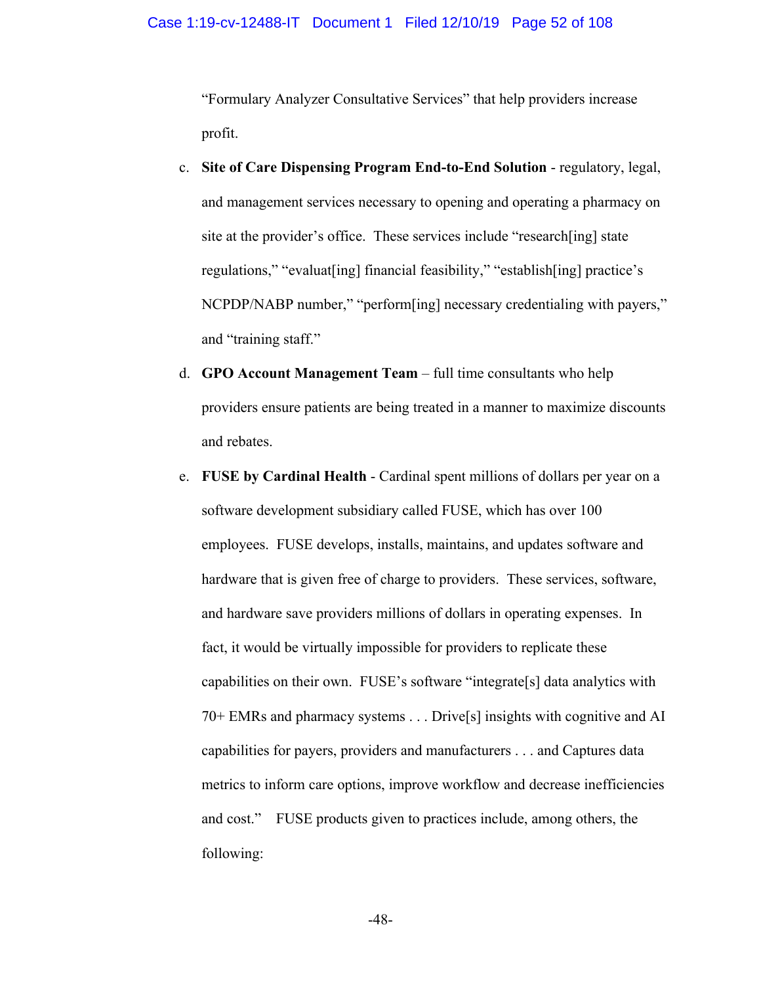"Formulary Analyzer Consultative Services" that help providers increase profit.

- c. **Site of Care Dispensing Program End-to-End Solution** regulatory, legal, and management services necessary to opening and operating a pharmacy on site at the provider's office. These services include "research[ing] state regulations," "evaluat[ing] financial feasibility," "establish[ing] practice's NCPDP/NABP number," "perform[ing] necessary credentialing with payers," and "training staff."
- d. **GPO Account Management Team** full time consultants who help providers ensure patients are being treated in a manner to maximize discounts and rebates.
- e. **FUSE by Cardinal Health** Cardinal spent millions of dollars per year on a software development subsidiary called FUSE, which has over 100 employees. FUSE develops, installs, maintains, and updates software and hardware that is given free of charge to providers. These services, software, and hardware save providers millions of dollars in operating expenses. In fact, it would be virtually impossible for providers to replicate these capabilities on their own. FUSE's software "integrate[s] data analytics with 70+ EMRs and pharmacy systems . . . Drive[s] insights with cognitive and AI capabilities for payers, providers and manufacturers . . . and Captures data metrics to inform care options, improve workflow and decrease inefficiencies and cost." FUSE products given to practices include, among others, the following: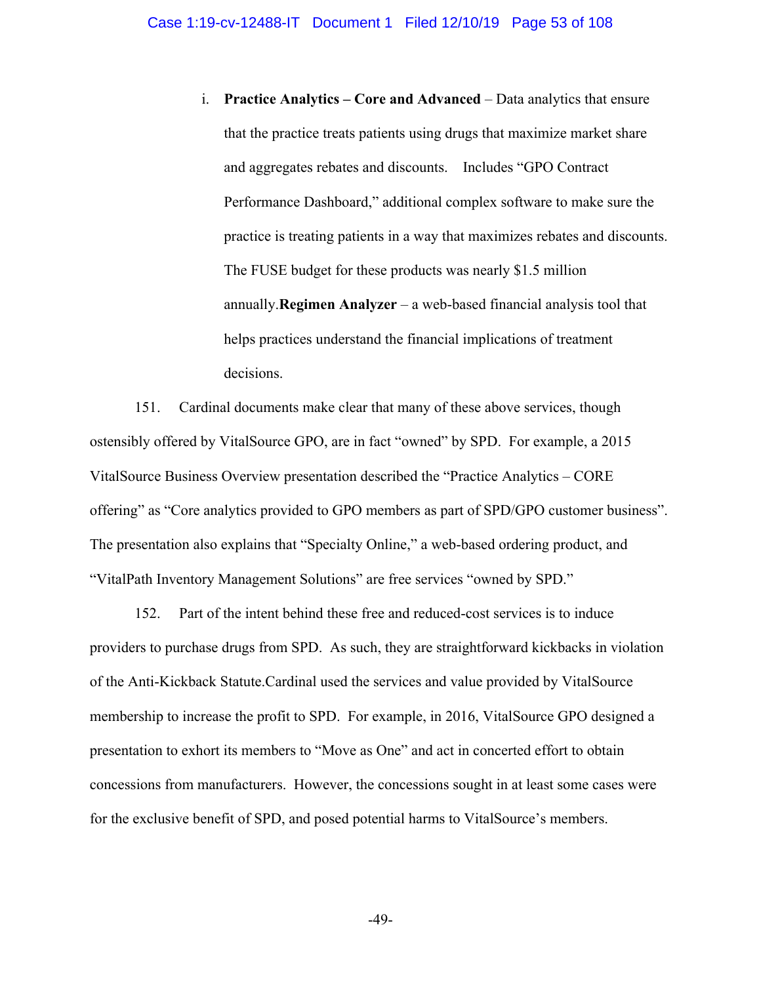i. **Practice Analytics – Core and Advanced** – Data analytics that ensure that the practice treats patients using drugs that maximize market share and aggregates rebates and discounts. Includes "GPO Contract Performance Dashboard," additional complex software to make sure the practice is treating patients in a way that maximizes rebates and discounts. The FUSE budget for these products was nearly \$1.5 million annually.**Regimen Analyzer** – a web-based financial analysis tool that helps practices understand the financial implications of treatment decisions.

151. Cardinal documents make clear that many of these above services, though ostensibly offered by VitalSource GPO, are in fact "owned" by SPD. For example, a 2015 VitalSource Business Overview presentation described the "Practice Analytics – CORE offering" as "Core analytics provided to GPO members as part of SPD/GPO customer business". The presentation also explains that "Specialty Online," a web-based ordering product, and "VitalPath Inventory Management Solutions" are free services "owned by SPD."

152. Part of the intent behind these free and reduced-cost services is to induce providers to purchase drugs from SPD. As such, they are straightforward kickbacks in violation of the Anti-Kickback Statute.Cardinal used the services and value provided by VitalSource membership to increase the profit to SPD. For example, in 2016, VitalSource GPO designed a presentation to exhort its members to "Move as One" and act in concerted effort to obtain concessions from manufacturers. However, the concessions sought in at least some cases were for the exclusive benefit of SPD, and posed potential harms to VitalSource's members.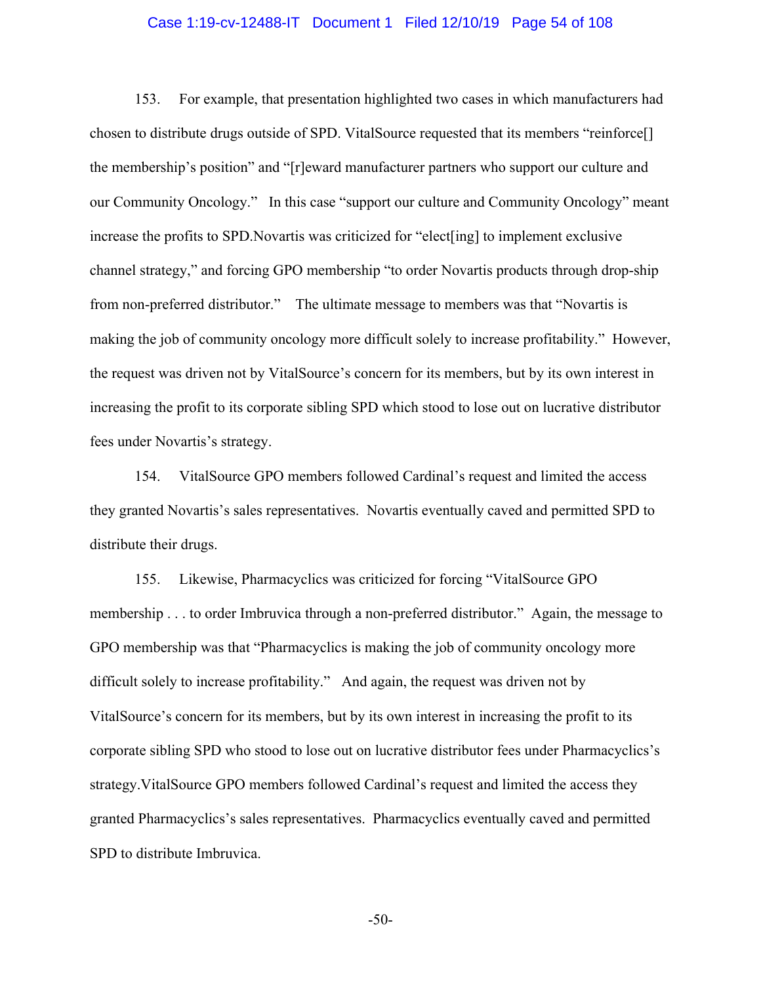#### Case 1:19-cv-12488-IT Document 1 Filed 12/10/19 Page 54 of 108

153. For example, that presentation highlighted two cases in which manufacturers had chosen to distribute drugs outside of SPD. VitalSource requested that its members "reinforce[] the membership's position" and "[r]eward manufacturer partners who support our culture and our Community Oncology." In this case "support our culture and Community Oncology" meant increase the profits to SPD.Novartis was criticized for "elect[ing] to implement exclusive channel strategy," and forcing GPO membership "to order Novartis products through drop-ship from non-preferred distributor." The ultimate message to members was that "Novartis is making the job of community oncology more difficult solely to increase profitability." However, the request was driven not by VitalSource's concern for its members, but by its own interest in increasing the profit to its corporate sibling SPD which stood to lose out on lucrative distributor fees under Novartis's strategy.

154. VitalSource GPO members followed Cardinal's request and limited the access they granted Novartis's sales representatives. Novartis eventually caved and permitted SPD to distribute their drugs.

155. Likewise, Pharmacyclics was criticized for forcing "VitalSource GPO membership . . . to order Imbruvica through a non-preferred distributor." Again, the message to GPO membership was that "Pharmacyclics is making the job of community oncology more difficult solely to increase profitability." And again, the request was driven not by VitalSource's concern for its members, but by its own interest in increasing the profit to its corporate sibling SPD who stood to lose out on lucrative distributor fees under Pharmacyclics's strategy.VitalSource GPO members followed Cardinal's request and limited the access they granted Pharmacyclics's sales representatives. Pharmacyclics eventually caved and permitted SPD to distribute Imbruvica.

-50-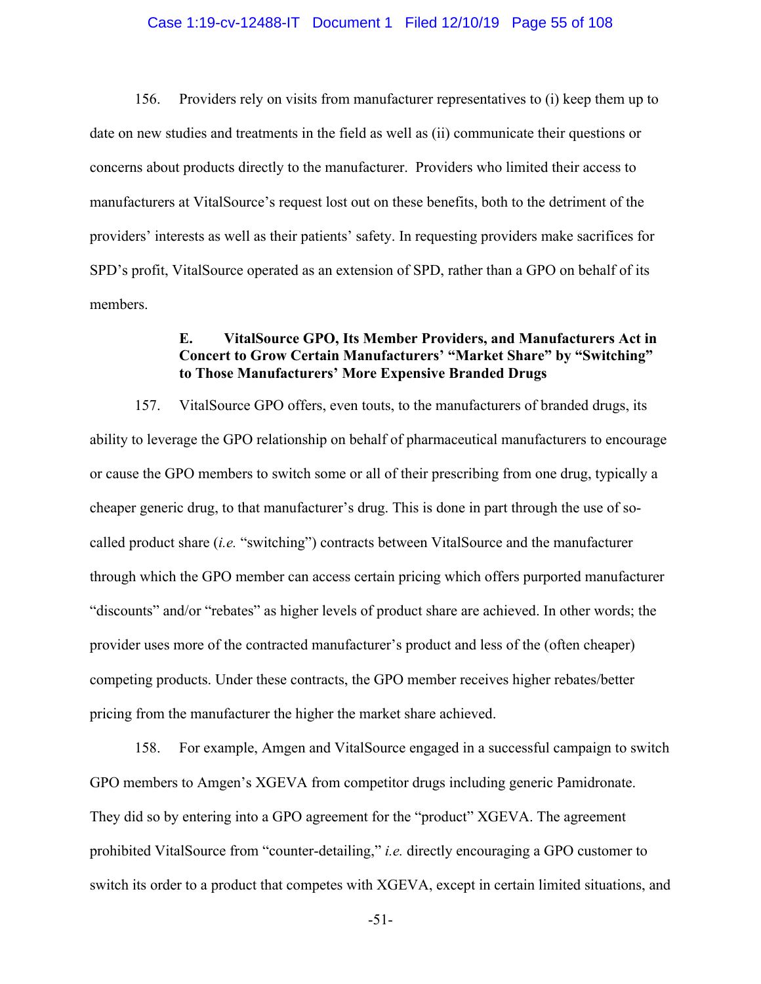#### Case 1:19-cv-12488-IT Document 1 Filed 12/10/19 Page 55 of 108

156. Providers rely on visits from manufacturer representatives to (i) keep them up to date on new studies and treatments in the field as well as (ii) communicate their questions or concerns about products directly to the manufacturer. Providers who limited their access to manufacturers at VitalSource's request lost out on these benefits, both to the detriment of the providers' interests as well as their patients' safety. In requesting providers make sacrifices for SPD's profit, VitalSource operated as an extension of SPD, rather than a GPO on behalf of its members.

## **E. VitalSource GPO, Its Member Providers, and Manufacturers Act in Concert to Grow Certain Manufacturers' "Market Share" by "Switching" to Those Manufacturers' More Expensive Branded Drugs**

157. VitalSource GPO offers, even touts, to the manufacturers of branded drugs, its ability to leverage the GPO relationship on behalf of pharmaceutical manufacturers to encourage or cause the GPO members to switch some or all of their prescribing from one drug, typically a cheaper generic drug, to that manufacturer's drug. This is done in part through the use of socalled product share (*i.e.* "switching") contracts between VitalSource and the manufacturer through which the GPO member can access certain pricing which offers purported manufacturer "discounts" and/or "rebates" as higher levels of product share are achieved. In other words; the provider uses more of the contracted manufacturer's product and less of the (often cheaper) competing products. Under these contracts, the GPO member receives higher rebates/better pricing from the manufacturer the higher the market share achieved.

158. For example, Amgen and VitalSource engaged in a successful campaign to switch GPO members to Amgen's XGEVA from competitor drugs including generic Pamidronate. They did so by entering into a GPO agreement for the "product" XGEVA. The agreement prohibited VitalSource from "counter-detailing," *i.e.* directly encouraging a GPO customer to switch its order to a product that competes with XGEVA, except in certain limited situations, and

-51-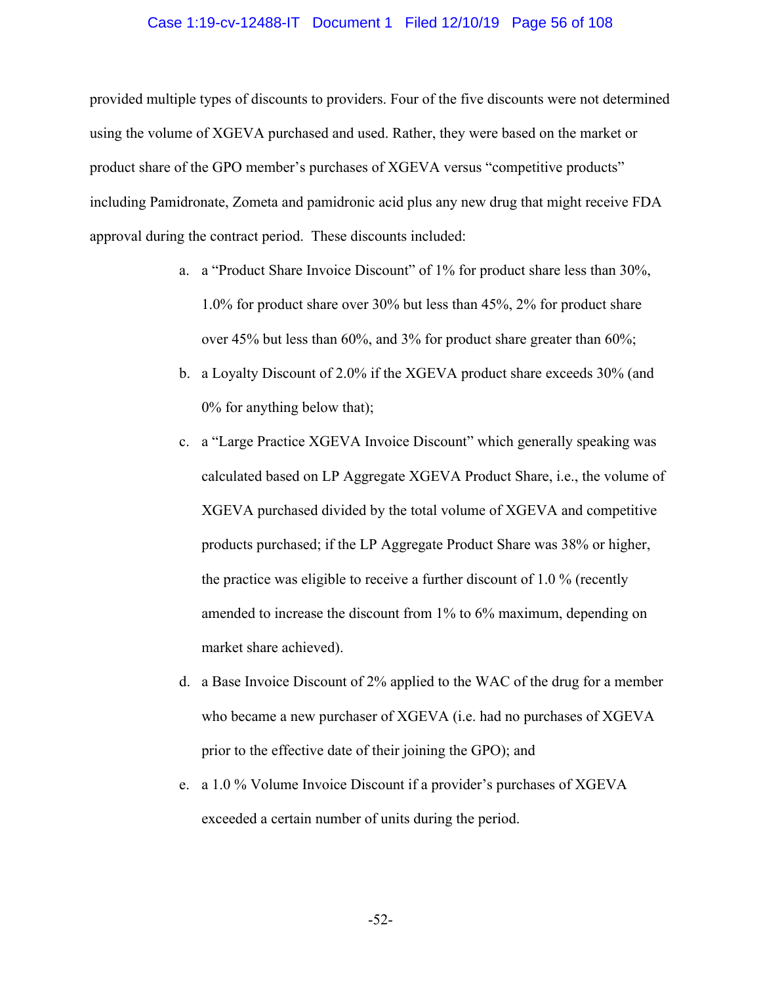#### Case 1:19-cv-12488-IT Document 1 Filed 12/10/19 Page 56 of 108

provided multiple types of discounts to providers. Four of the five discounts were not determined using the volume of XGEVA purchased and used. Rather, they were based on the market or product share of the GPO member's purchases of XGEVA versus "competitive products" including Pamidronate, Zometa and pamidronic acid plus any new drug that might receive FDA approval during the contract period. These discounts included:

- a. a "Product Share Invoice Discount" of 1% for product share less than 30%, 1.0% for product share over 30% but less than 45%, 2% for product share over 45% but less than 60%, and 3% for product share greater than 60%;
- b. a Loyalty Discount of 2.0% if the XGEVA product share exceeds 30% (and 0% for anything below that);
- c. a "Large Practice XGEVA Invoice Discount" which generally speaking was calculated based on LP Aggregate XGEVA Product Share, i.e., the volume of XGEVA purchased divided by the total volume of XGEVA and competitive products purchased; if the LP Aggregate Product Share was 38% or higher, the practice was eligible to receive a further discount of 1.0 % (recently amended to increase the discount from 1% to 6% maximum, depending on market share achieved).
- d. a Base Invoice Discount of 2% applied to the WAC of the drug for a member who became a new purchaser of XGEVA (i.e. had no purchases of XGEVA prior to the effective date of their joining the GPO); and
- e. a 1.0 % Volume Invoice Discount if a provider's purchases of XGEVA exceeded a certain number of units during the period.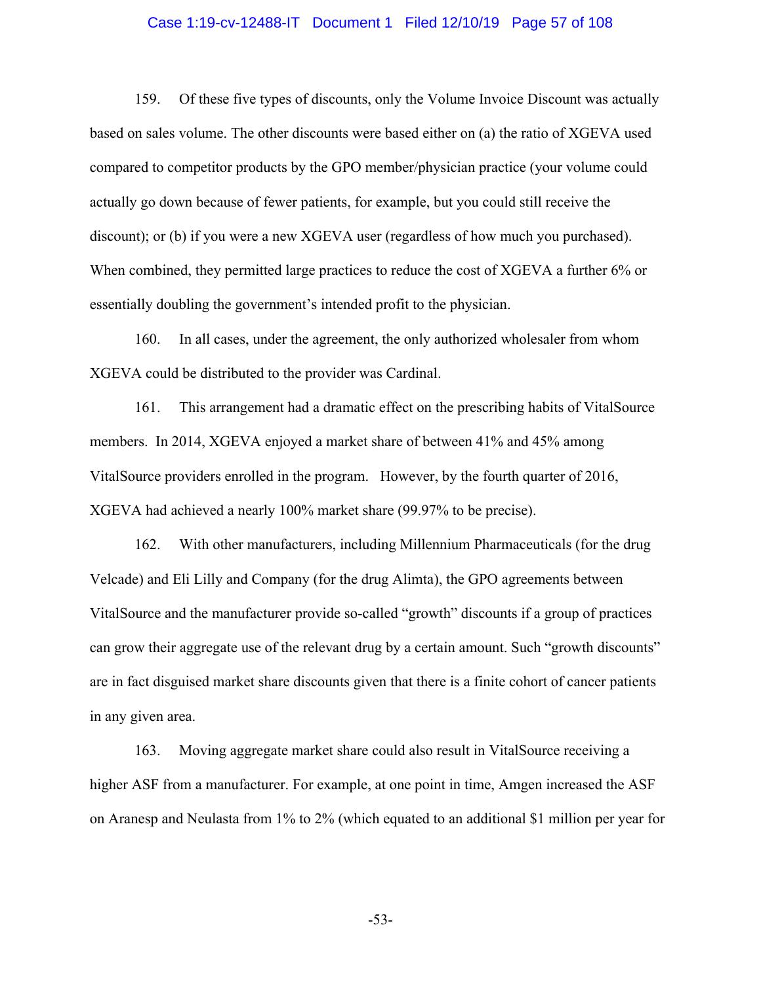#### Case 1:19-cv-12488-IT Document 1 Filed 12/10/19 Page 57 of 108

159. Of these five types of discounts, only the Volume Invoice Discount was actually based on sales volume. The other discounts were based either on (a) the ratio of XGEVA used compared to competitor products by the GPO member/physician practice (your volume could actually go down because of fewer patients, for example, but you could still receive the discount); or (b) if you were a new XGEVA user (regardless of how much you purchased). When combined, they permitted large practices to reduce the cost of XGEVA a further 6% or essentially doubling the government's intended profit to the physician.

160. In all cases, under the agreement, the only authorized wholesaler from whom XGEVA could be distributed to the provider was Cardinal.

161. This arrangement had a dramatic effect on the prescribing habits of VitalSource members. In 2014, XGEVA enjoyed a market share of between 41% and 45% among VitalSource providers enrolled in the program. However, by the fourth quarter of 2016, XGEVA had achieved a nearly 100% market share (99.97% to be precise).

162. With other manufacturers, including Millennium Pharmaceuticals (for the drug Velcade) and Eli Lilly and Company (for the drug Alimta), the GPO agreements between VitalSource and the manufacturer provide so-called "growth" discounts if a group of practices can grow their aggregate use of the relevant drug by a certain amount. Such "growth discounts" are in fact disguised market share discounts given that there is a finite cohort of cancer patients in any given area.

163. Moving aggregate market share could also result in VitalSource receiving a higher ASF from a manufacturer. For example, at one point in time, Amgen increased the ASF on Aranesp and Neulasta from 1% to 2% (which equated to an additional \$1 million per year for

-53-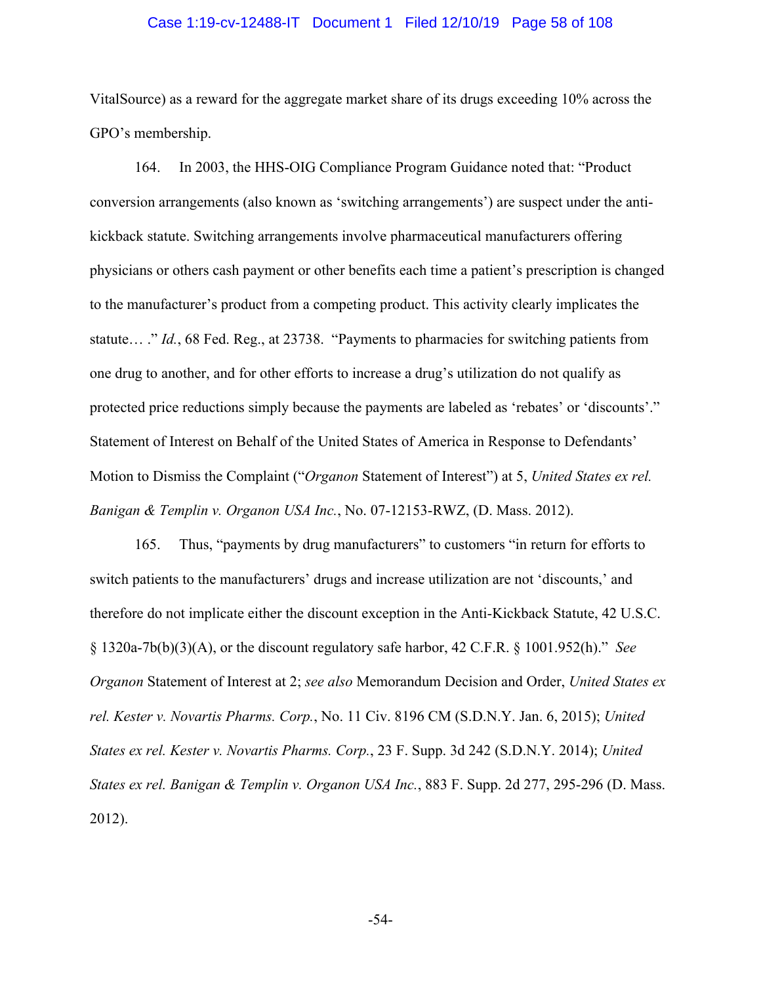#### Case 1:19-cv-12488-IT Document 1 Filed 12/10/19 Page 58 of 108

VitalSource) as a reward for the aggregate market share of its drugs exceeding 10% across the GPO's membership.

164. In 2003, the HHS-OIG Compliance Program Guidance noted that: "Product conversion arrangements (also known as 'switching arrangements') are suspect under the antikickback statute. Switching arrangements involve pharmaceutical manufacturers offering physicians or others cash payment or other benefits each time a patient's prescription is changed to the manufacturer's product from a competing product. This activity clearly implicates the statute… ." *Id.*, 68 Fed. Reg., at 23738. "Payments to pharmacies for switching patients from one drug to another, and for other efforts to increase a drug's utilization do not qualify as protected price reductions simply because the payments are labeled as 'rebates' or 'discounts'." Statement of Interest on Behalf of the United States of America in Response to Defendants' Motion to Dismiss the Complaint ("*Organon* Statement of Interest") at 5, *United States ex rel. Banigan & Templin v. Organon USA Inc.*, No. 07-12153-RWZ, (D. Mass. 2012).

165. Thus, "payments by drug manufacturers" to customers "in return for efforts to switch patients to the manufacturers' drugs and increase utilization are not 'discounts,' and therefore do not implicate either the discount exception in the Anti-Kickback Statute, 42 U.S.C. § 1320a-7b(b)(3)(A), or the discount regulatory safe harbor, 42 C.F.R. § 1001.952(h)." *See Organon* Statement of Interest at 2; *see also* Memorandum Decision and Order, *United States ex rel. Kester v. Novartis Pharms. Corp.*, No. 11 Civ. 8196 CM (S.D.N.Y. Jan. 6, 2015); *United States ex rel. Kester v. Novartis Pharms. Corp.*, 23 F. Supp. 3d 242 (S.D.N.Y. 2014); *United States ex rel. Banigan & Templin v. Organon USA Inc.*, 883 F. Supp. 2d 277, 295-296 (D. Mass. 2012).

-54-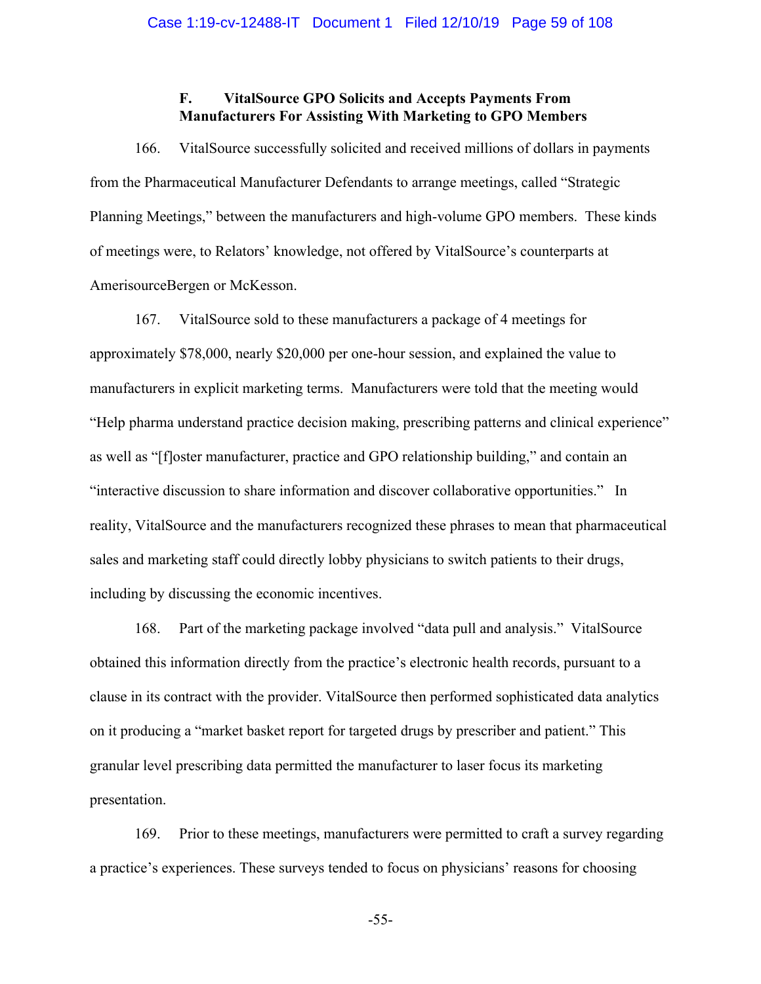## **F. VitalSource GPO Solicits and Accepts Payments From Manufacturers For Assisting With Marketing to GPO Members**

166. VitalSource successfully solicited and received millions of dollars in payments from the Pharmaceutical Manufacturer Defendants to arrange meetings, called "Strategic Planning Meetings," between the manufacturers and high-volume GPO members. These kinds of meetings were, to Relators' knowledge, not offered by VitalSource's counterparts at AmerisourceBergen or McKesson.

167. VitalSource sold to these manufacturers a package of 4 meetings for approximately \$78,000, nearly \$20,000 per one-hour session, and explained the value to manufacturers in explicit marketing terms. Manufacturers were told that the meeting would "Help pharma understand practice decision making, prescribing patterns and clinical experience" as well as "[f]oster manufacturer, practice and GPO relationship building," and contain an "interactive discussion to share information and discover collaborative opportunities." In reality, VitalSource and the manufacturers recognized these phrases to mean that pharmaceutical sales and marketing staff could directly lobby physicians to switch patients to their drugs, including by discussing the economic incentives.

168. Part of the marketing package involved "data pull and analysis." VitalSource obtained this information directly from the practice's electronic health records, pursuant to a clause in its contract with the provider. VitalSource then performed sophisticated data analytics on it producing a "market basket report for targeted drugs by prescriber and patient." This granular level prescribing data permitted the manufacturer to laser focus its marketing presentation.

169. Prior to these meetings, manufacturers were permitted to craft a survey regarding a practice's experiences. These surveys tended to focus on physicians' reasons for choosing

-55-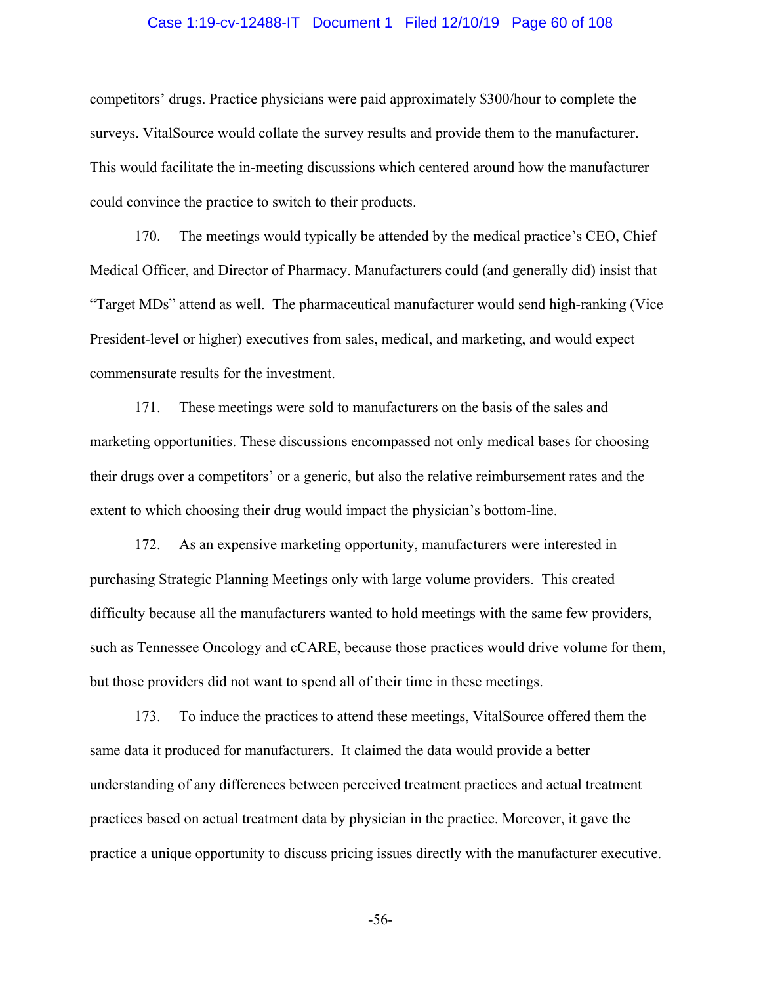#### Case 1:19-cv-12488-IT Document 1 Filed 12/10/19 Page 60 of 108

competitors' drugs. Practice physicians were paid approximately \$300/hour to complete the surveys. VitalSource would collate the survey results and provide them to the manufacturer. This would facilitate the in-meeting discussions which centered around how the manufacturer could convince the practice to switch to their products.

170. The meetings would typically be attended by the medical practice's CEO, Chief Medical Officer, and Director of Pharmacy. Manufacturers could (and generally did) insist that "Target MDs" attend as well. The pharmaceutical manufacturer would send high-ranking (Vice President-level or higher) executives from sales, medical, and marketing, and would expect commensurate results for the investment.

171. These meetings were sold to manufacturers on the basis of the sales and marketing opportunities. These discussions encompassed not only medical bases for choosing their drugs over a competitors' or a generic, but also the relative reimbursement rates and the extent to which choosing their drug would impact the physician's bottom-line.

172. As an expensive marketing opportunity, manufacturers were interested in purchasing Strategic Planning Meetings only with large volume providers. This created difficulty because all the manufacturers wanted to hold meetings with the same few providers, such as Tennessee Oncology and cCARE, because those practices would drive volume for them, but those providers did not want to spend all of their time in these meetings.

173. To induce the practices to attend these meetings, VitalSource offered them the same data it produced for manufacturers. It claimed the data would provide a better understanding of any differences between perceived treatment practices and actual treatment practices based on actual treatment data by physician in the practice. Moreover, it gave the practice a unique opportunity to discuss pricing issues directly with the manufacturer executive.

-56-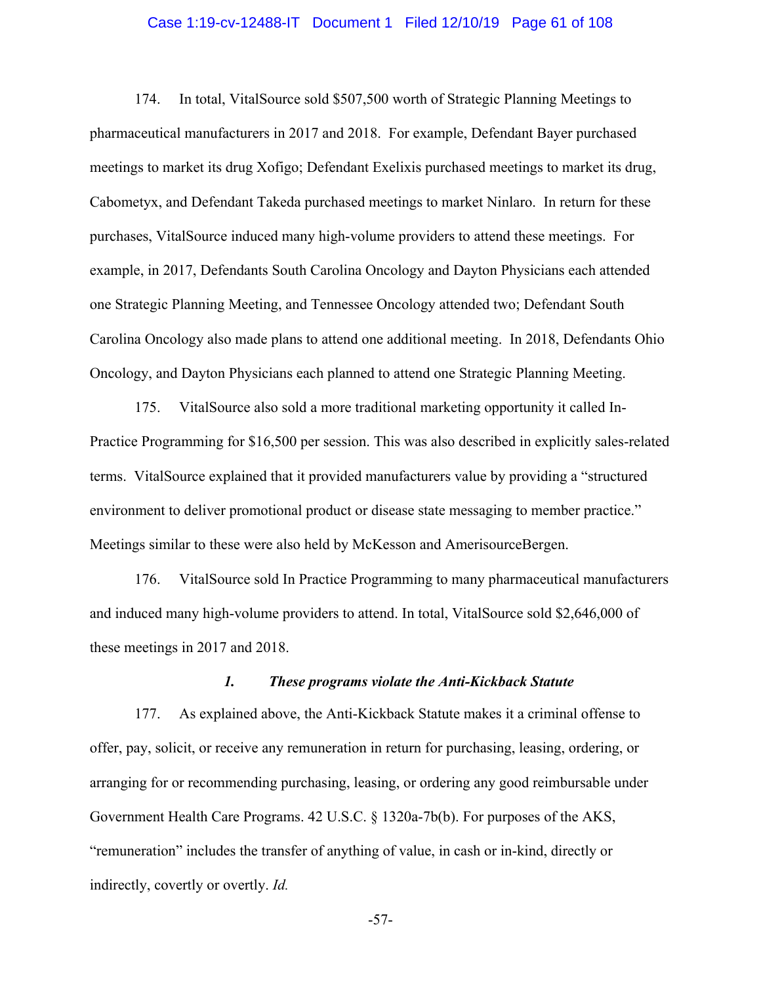#### Case 1:19-cv-12488-IT Document 1 Filed 12/10/19 Page 61 of 108

174. In total, VitalSource sold \$507,500 worth of Strategic Planning Meetings to pharmaceutical manufacturers in 2017 and 2018. For example, Defendant Bayer purchased meetings to market its drug Xofigo; Defendant Exelixis purchased meetings to market its drug, Cabometyx, and Defendant Takeda purchased meetings to market Ninlaro. In return for these purchases, VitalSource induced many high-volume providers to attend these meetings. For example, in 2017, Defendants South Carolina Oncology and Dayton Physicians each attended one Strategic Planning Meeting, and Tennessee Oncology attended two; Defendant South Carolina Oncology also made plans to attend one additional meeting. In 2018, Defendants Ohio Oncology, and Dayton Physicians each planned to attend one Strategic Planning Meeting.

175. VitalSource also sold a more traditional marketing opportunity it called In-Practice Programming for \$16,500 per session. This was also described in explicitly sales-related terms. VitalSource explained that it provided manufacturers value by providing a "structured environment to deliver promotional product or disease state messaging to member practice." Meetings similar to these were also held by McKesson and AmerisourceBergen.

176. VitalSource sold In Practice Programming to many pharmaceutical manufacturers and induced many high-volume providers to attend. In total, VitalSource sold \$2,646,000 of these meetings in 2017 and 2018.

## *1. These programs violate the Anti-Kickback Statute*

177. As explained above, the Anti-Kickback Statute makes it a criminal offense to offer, pay, solicit, or receive any remuneration in return for purchasing, leasing, ordering, or arranging for or recommending purchasing, leasing, or ordering any good reimbursable under Government Health Care Programs. 42 U.S.C. § 1320a-7b(b). For purposes of the AKS, "remuneration" includes the transfer of anything of value, in cash or in-kind, directly or indirectly, covertly or overtly. *Id.* 

-57-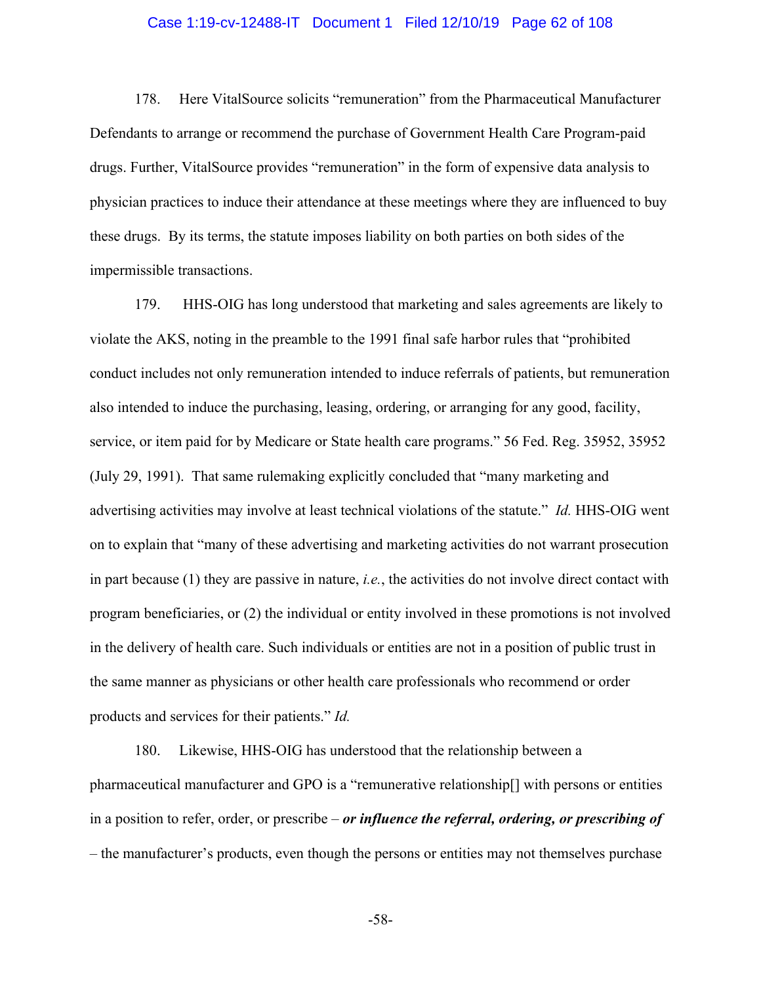#### Case 1:19-cv-12488-IT Document 1 Filed 12/10/19 Page 62 of 108

178. Here VitalSource solicits "remuneration" from the Pharmaceutical Manufacturer Defendants to arrange or recommend the purchase of Government Health Care Program-paid drugs. Further, VitalSource provides "remuneration" in the form of expensive data analysis to physician practices to induce their attendance at these meetings where they are influenced to buy these drugs. By its terms, the statute imposes liability on both parties on both sides of the impermissible transactions.

179. HHS-OIG has long understood that marketing and sales agreements are likely to violate the AKS, noting in the preamble to the 1991 final safe harbor rules that "prohibited conduct includes not only remuneration intended to induce referrals of patients, but remuneration also intended to induce the purchasing, leasing, ordering, or arranging for any good, facility, service, or item paid for by Medicare or State health care programs." 56 Fed. Reg. 35952, 35952 (July 29, 1991). That same rulemaking explicitly concluded that "many marketing and advertising activities may involve at least technical violations of the statute." *Id.* HHS-OIG went on to explain that "many of these advertising and marketing activities do not warrant prosecution in part because (1) they are passive in nature, *i.e.*, the activities do not involve direct contact with program beneficiaries, or (2) the individual or entity involved in these promotions is not involved in the delivery of health care. Such individuals or entities are not in a position of public trust in the same manner as physicians or other health care professionals who recommend or order products and services for their patients." *Id.*

180. Likewise, HHS-OIG has understood that the relationship between a pharmaceutical manufacturer and GPO is a "remunerative relationship[] with persons or entities in a position to refer, order, or prescribe – *or influence the referral, ordering, or prescribing of* – the manufacturer's products, even though the persons or entities may not themselves purchase

-58-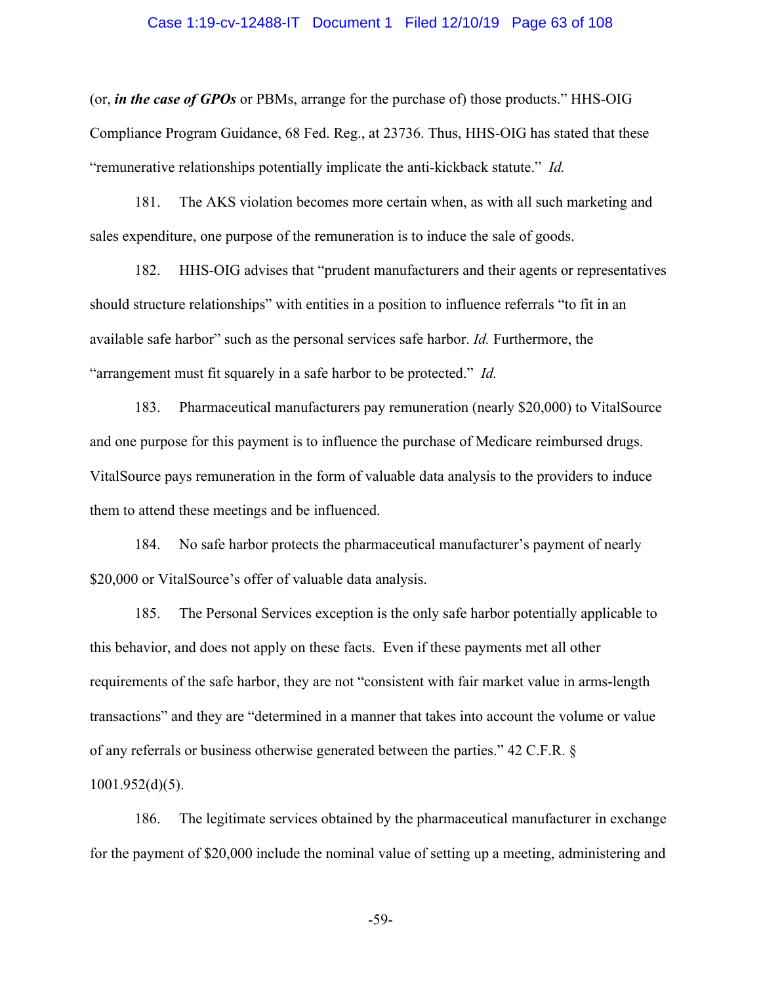#### Case 1:19-cv-12488-IT Document 1 Filed 12/10/19 Page 63 of 108

(or, *in the case of GPOs* or PBMs, arrange for the purchase of) those products." HHS-OIG Compliance Program Guidance, 68 Fed. Reg., at 23736. Thus, HHS-OIG has stated that these "remunerative relationships potentially implicate the anti-kickback statute." *Id.* 

181. The AKS violation becomes more certain when, as with all such marketing and sales expenditure, one purpose of the remuneration is to induce the sale of goods.

182. HHS-OIG advises that "prudent manufacturers and their agents or representatives should structure relationships" with entities in a position to influence referrals "to fit in an available safe harbor" such as the personal services safe harbor. *Id.* Furthermore, the "arrangement must fit squarely in a safe harbor to be protected." *Id.* 

183. Pharmaceutical manufacturers pay remuneration (nearly \$20,000) to VitalSource and one purpose for this payment is to influence the purchase of Medicare reimbursed drugs. VitalSource pays remuneration in the form of valuable data analysis to the providers to induce them to attend these meetings and be influenced.

184. No safe harbor protects the pharmaceutical manufacturer's payment of nearly \$20,000 or VitalSource's offer of valuable data analysis.

185. The Personal Services exception is the only safe harbor potentially applicable to this behavior, and does not apply on these facts. Even if these payments met all other requirements of the safe harbor, they are not "consistent with fair market value in arms-length transactions" and they are "determined in a manner that takes into account the volume or value of any referrals or business otherwise generated between the parties." 42 C.F.R. § 1001.952(d)(5).

186. The legitimate services obtained by the pharmaceutical manufacturer in exchange for the payment of \$20,000 include the nominal value of setting up a meeting, administering and

-59-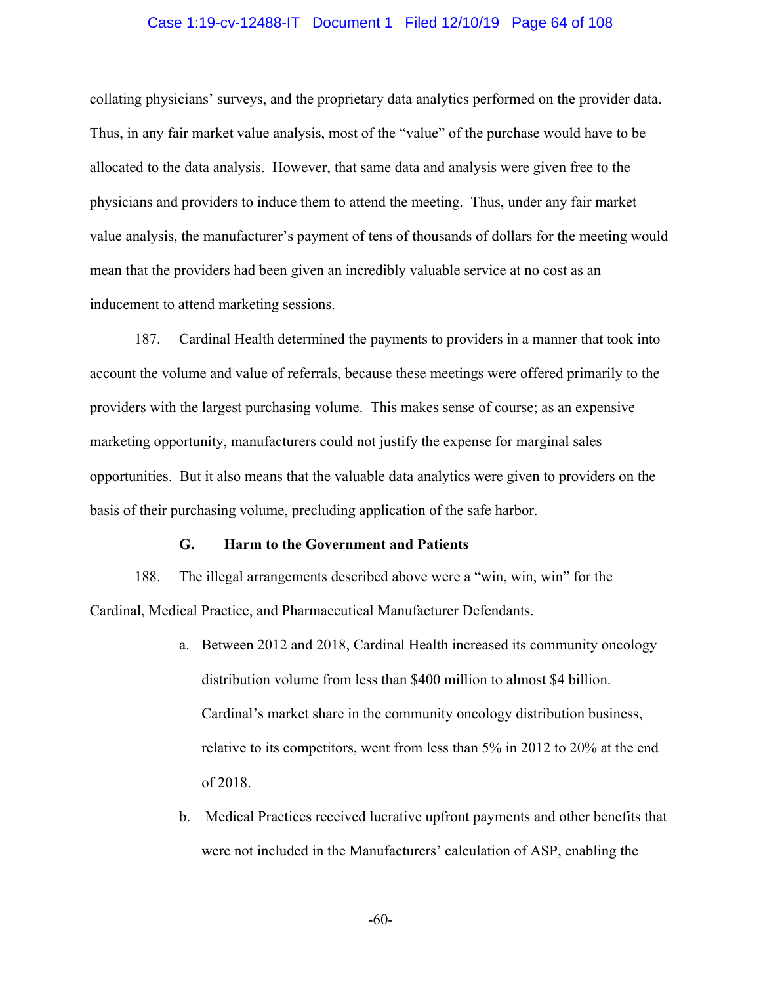#### Case 1:19-cv-12488-IT Document 1 Filed 12/10/19 Page 64 of 108

collating physicians' surveys, and the proprietary data analytics performed on the provider data. Thus, in any fair market value analysis, most of the "value" of the purchase would have to be allocated to the data analysis. However, that same data and analysis were given free to the physicians and providers to induce them to attend the meeting. Thus, under any fair market value analysis, the manufacturer's payment of tens of thousands of dollars for the meeting would mean that the providers had been given an incredibly valuable service at no cost as an inducement to attend marketing sessions.

187. Cardinal Health determined the payments to providers in a manner that took into account the volume and value of referrals, because these meetings were offered primarily to the providers with the largest purchasing volume. This makes sense of course; as an expensive marketing opportunity, manufacturers could not justify the expense for marginal sales opportunities. But it also means that the valuable data analytics were given to providers on the basis of their purchasing volume, precluding application of the safe harbor.

#### **G. Harm to the Government and Patients**

188. The illegal arrangements described above were a "win, win, win" for the Cardinal, Medical Practice, and Pharmaceutical Manufacturer Defendants.

- a. Between 2012 and 2018, Cardinal Health increased its community oncology distribution volume from less than \$400 million to almost \$4 billion. Cardinal's market share in the community oncology distribution business, relative to its competitors, went from less than 5% in 2012 to 20% at the end of 2018.
- b. Medical Practices received lucrative upfront payments and other benefits that were not included in the Manufacturers' calculation of ASP, enabling the

-60-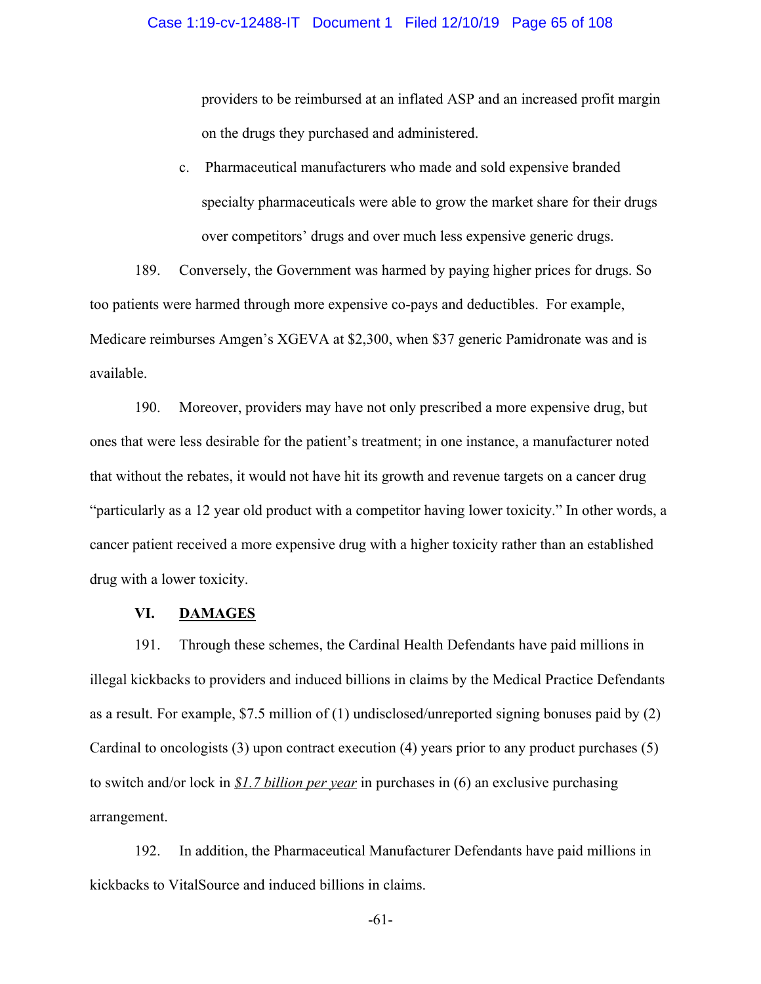providers to be reimbursed at an inflated ASP and an increased profit margin on the drugs they purchased and administered.

c. Pharmaceutical manufacturers who made and sold expensive branded specialty pharmaceuticals were able to grow the market share for their drugs over competitors' drugs and over much less expensive generic drugs.

189. Conversely, the Government was harmed by paying higher prices for drugs. So too patients were harmed through more expensive co-pays and deductibles. For example, Medicare reimburses Amgen's XGEVA at \$2,300, when \$37 generic Pamidronate was and is available.

190. Moreover, providers may have not only prescribed a more expensive drug, but ones that were less desirable for the patient's treatment; in one instance, a manufacturer noted that without the rebates, it would not have hit its growth and revenue targets on a cancer drug "particularly as a 12 year old product with a competitor having lower toxicity." In other words, a cancer patient received a more expensive drug with a higher toxicity rather than an established drug with a lower toxicity.

## **VI. DAMAGES**

191. Through these schemes, the Cardinal Health Defendants have paid millions in illegal kickbacks to providers and induced billions in claims by the Medical Practice Defendants as a result. For example, \$7.5 million of (1) undisclosed/unreported signing bonuses paid by (2) Cardinal to oncologists (3) upon contract execution (4) years prior to any product purchases (5) to switch and/or lock in *\$1.7 billion per year* in purchases in (6) an exclusive purchasing arrangement.

192. In addition, the Pharmaceutical Manufacturer Defendants have paid millions in kickbacks to VitalSource and induced billions in claims.

-61-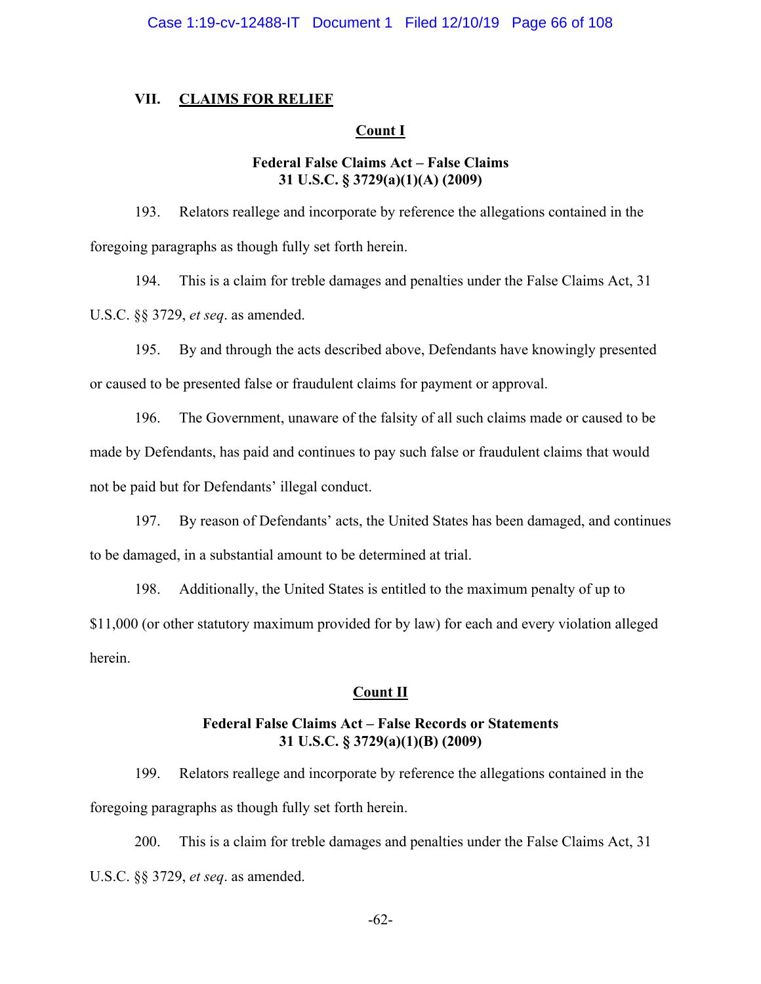### **VII. CLAIMS FOR RELIEF**

### **Count I**

### **Federal False Claims Act – False Claims 31 U.S.C. § 3729(a)(1)(A) (2009)**

193. Relators reallege and incorporate by reference the allegations contained in the foregoing paragraphs as though fully set forth herein.

194. This is a claim for treble damages and penalties under the False Claims Act, 31 U.S.C. §§ 3729, *et seq*. as amended.

195. By and through the acts described above, Defendants have knowingly presented or caused to be presented false or fraudulent claims for payment or approval.

196. The Government, unaware of the falsity of all such claims made or caused to be made by Defendants, has paid and continues to pay such false or fraudulent claims that would not be paid but for Defendants' illegal conduct.

197. By reason of Defendants' acts, the United States has been damaged, and continues to be damaged, in a substantial amount to be determined at trial.

198. Additionally, the United States is entitled to the maximum penalty of up to

\$11,000 (or other statutory maximum provided for by law) for each and every violation alleged herein.

## **Count II**

## **Federal False Claims Act – False Records or Statements 31 U.S.C. § 3729(a)(1)(B) (2009)**

199. Relators reallege and incorporate by reference the allegations contained in the foregoing paragraphs as though fully set forth herein.

200. This is a claim for treble damages and penalties under the False Claims Act, 31 U.S.C. §§ 3729, *et seq*. as amended.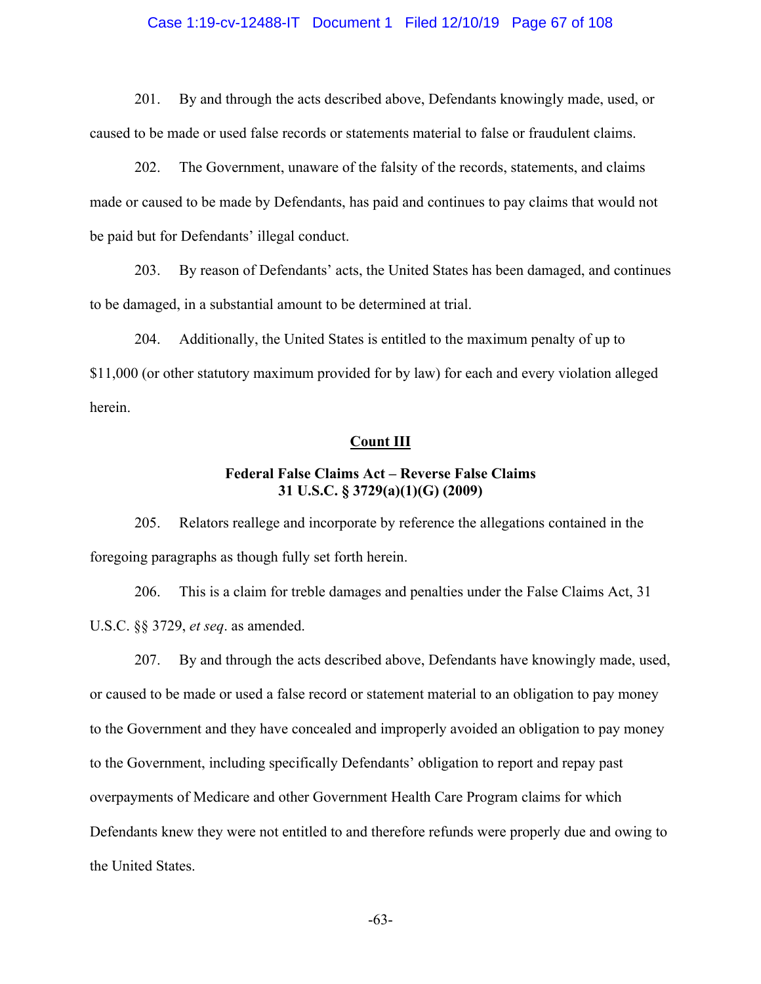#### Case 1:19-cv-12488-IT Document 1 Filed 12/10/19 Page 67 of 108

201. By and through the acts described above, Defendants knowingly made, used, or caused to be made or used false records or statements material to false or fraudulent claims.

202. The Government, unaware of the falsity of the records, statements, and claims made or caused to be made by Defendants, has paid and continues to pay claims that would not be paid but for Defendants' illegal conduct.

203. By reason of Defendants' acts, the United States has been damaged, and continues to be damaged, in a substantial amount to be determined at trial.

204. Additionally, the United States is entitled to the maximum penalty of up to \$11,000 (or other statutory maximum provided for by law) for each and every violation alleged herein.

#### **Count III**

## **Federal False Claims Act – Reverse False Claims 31 U.S.C. § 3729(a)(1)(G) (2009)**

205. Relators reallege and incorporate by reference the allegations contained in the foregoing paragraphs as though fully set forth herein.

206. This is a claim for treble damages and penalties under the False Claims Act, 31 U.S.C. §§ 3729, *et seq*. as amended.

207. By and through the acts described above, Defendants have knowingly made, used, or caused to be made or used a false record or statement material to an obligation to pay money to the Government and they have concealed and improperly avoided an obligation to pay money to the Government, including specifically Defendants' obligation to report and repay past overpayments of Medicare and other Government Health Care Program claims for which Defendants knew they were not entitled to and therefore refunds were properly due and owing to the United States.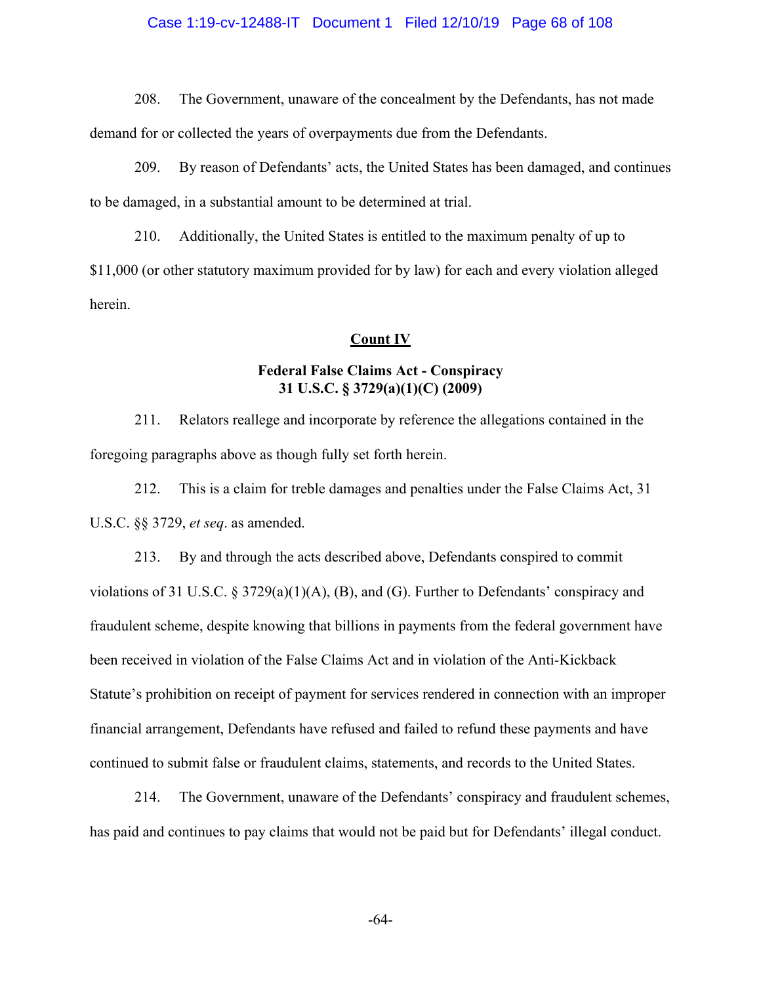### Case 1:19-cv-12488-IT Document 1 Filed 12/10/19 Page 68 of 108

208. The Government, unaware of the concealment by the Defendants, has not made

demand for or collected the years of overpayments due from the Defendants.

209. By reason of Defendants' acts, the United States has been damaged, and continues to be damaged, in a substantial amount to be determined at trial.

210. Additionally, the United States is entitled to the maximum penalty of up to \$11,000 (or other statutory maximum provided for by law) for each and every violation alleged herein.

#### **Count IV**

## **Federal False Claims Act - Conspiracy 31 U.S.C. § 3729(a)(1)(C) (2009)**

211. Relators reallege and incorporate by reference the allegations contained in the foregoing paragraphs above as though fully set forth herein.

212. This is a claim for treble damages and penalties under the False Claims Act, 31 U.S.C. §§ 3729, *et seq*. as amended.

213. By and through the acts described above, Defendants conspired to commit violations of 31 U.S.C. § 3729(a)(1)(A), (B), and (G). Further to Defendants' conspiracy and fraudulent scheme, despite knowing that billions in payments from the federal government have been received in violation of the False Claims Act and in violation of the Anti-Kickback Statute's prohibition on receipt of payment for services rendered in connection with an improper financial arrangement, Defendants have refused and failed to refund these payments and have continued to submit false or fraudulent claims, statements, and records to the United States.

214. The Government, unaware of the Defendants' conspiracy and fraudulent schemes, has paid and continues to pay claims that would not be paid but for Defendants' illegal conduct.

-64-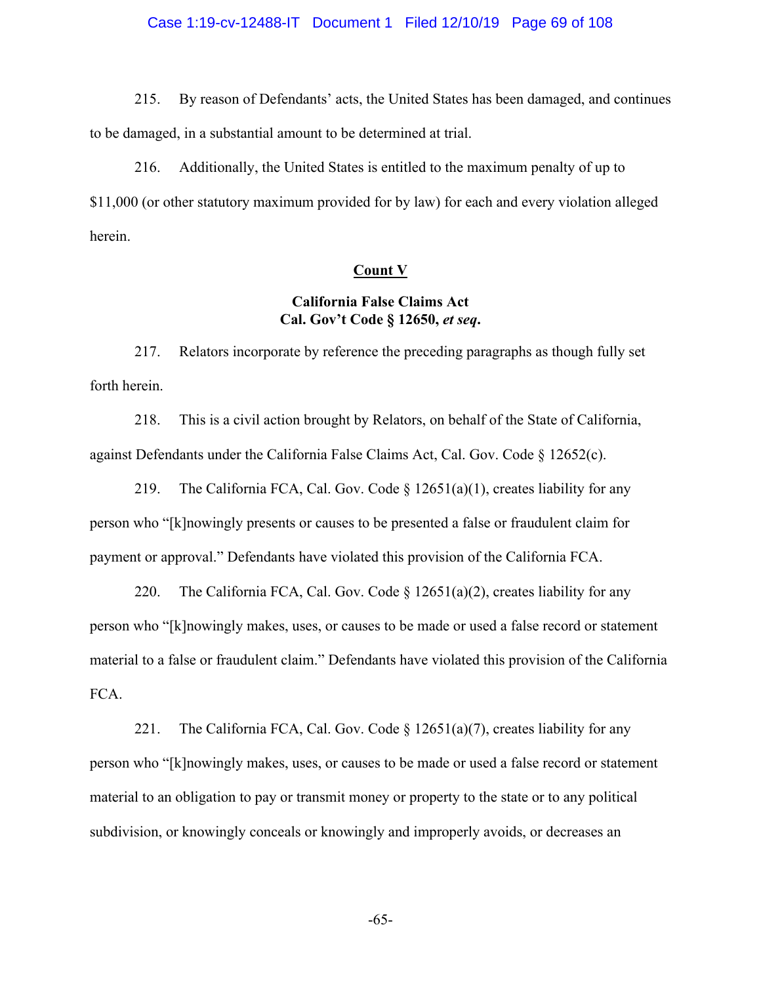#### Case 1:19-cv-12488-IT Document 1 Filed 12/10/19 Page 69 of 108

215. By reason of Defendants' acts, the United States has been damaged, and continues to be damaged, in a substantial amount to be determined at trial.

216. Additionally, the United States is entitled to the maximum penalty of up to \$11,000 (or other statutory maximum provided for by law) for each and every violation alleged herein.

### **Count V**

## **California False Claims Act Cal. Gov't Code § 12650,** *et seq***.**

217. Relators incorporate by reference the preceding paragraphs as though fully set forth herein.

218. This is a civil action brought by Relators, on behalf of the State of California, against Defendants under the California False Claims Act, Cal. Gov. Code  $\S$  12652(c).

219. The California FCA, Cal. Gov. Code  $\S$  12651(a)(1), creates liability for any person who "[k]nowingly presents or causes to be presented a false or fraudulent claim for payment or approval." Defendants have violated this provision of the California FCA.

220. The California FCA, Cal. Gov. Code  $\S 12651(a)(2)$ , creates liability for any person who "[k]nowingly makes, uses, or causes to be made or used a false record or statement material to a false or fraudulent claim." Defendants have violated this provision of the California FCA.

221. The California FCA, Cal. Gov. Code  $\S$  12651(a)(7), creates liability for any person who "[k]nowingly makes, uses, or causes to be made or used a false record or statement material to an obligation to pay or transmit money or property to the state or to any political subdivision, or knowingly conceals or knowingly and improperly avoids, or decreases an

-65-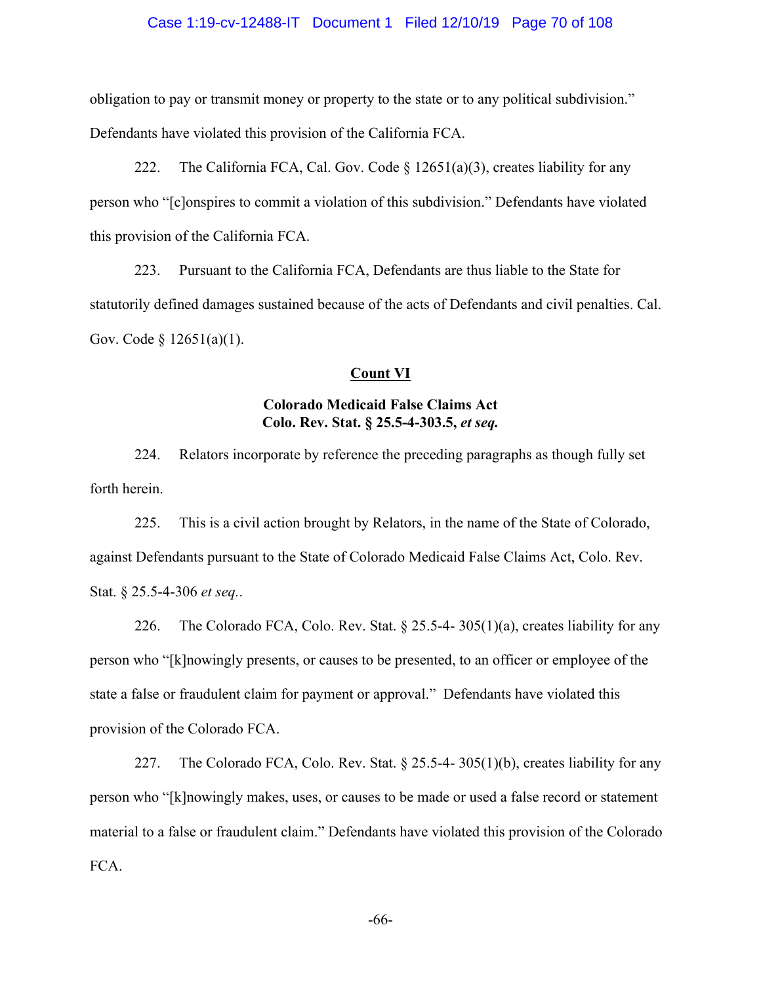#### Case 1:19-cv-12488-IT Document 1 Filed 12/10/19 Page 70 of 108

obligation to pay or transmit money or property to the state or to any political subdivision." Defendants have violated this provision of the California FCA.

222. The California FCA, Cal. Gov. Code  $\S 12651(a)(3)$ , creates liability for any person who "[c]onspires to commit a violation of this subdivision." Defendants have violated this provision of the California FCA.

223. Pursuant to the California FCA, Defendants are thus liable to the State for statutorily defined damages sustained because of the acts of Defendants and civil penalties. Cal. Gov. Code § 12651(a)(1).

### **Count VI**

# **Colorado Medicaid False Claims Act Colo. Rev. Stat. § 25.5-4-303.5,** *et seq.*

224. Relators incorporate by reference the preceding paragraphs as though fully set forth herein.

225. This is a civil action brought by Relators, in the name of the State of Colorado, against Defendants pursuant to the State of Colorado Medicaid False Claims Act, Colo. Rev. Stat. § 25.5-4-306 *et seq.*.

226. The Colorado FCA, Colo. Rev. Stat. § 25.5-4-305(1)(a), creates liability for any person who "[k]nowingly presents, or causes to be presented, to an officer or employee of the state a false or fraudulent claim for payment or approval." Defendants have violated this provision of the Colorado FCA.

227. The Colorado FCA, Colo. Rev. Stat. § 25.5-4- 305(1)(b), creates liability for any person who "[k]nowingly makes, uses, or causes to be made or used a false record or statement material to a false or fraudulent claim." Defendants have violated this provision of the Colorado FCA.

-66-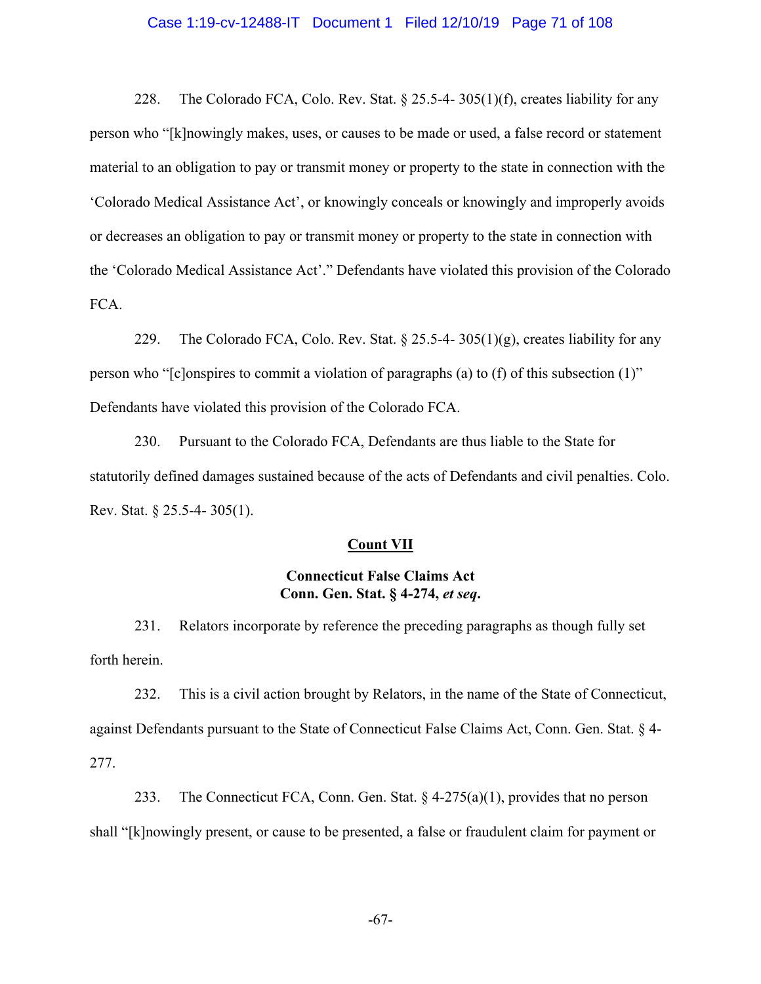#### Case 1:19-cv-12488-IT Document 1 Filed 12/10/19 Page 71 of 108

228. The Colorado FCA, Colo. Rev. Stat.  $\S 25.5-4-305(1)(f)$ , creates liability for any person who "[k]nowingly makes, uses, or causes to be made or used, a false record or statement material to an obligation to pay or transmit money or property to the state in connection with the 'Colorado Medical Assistance Act', or knowingly conceals or knowingly and improperly avoids or decreases an obligation to pay or transmit money or property to the state in connection with the 'Colorado Medical Assistance Act'." Defendants have violated this provision of the Colorado FCA.

229. The Colorado FCA, Colo. Rev. Stat. § 25.5-4-305(1)(g), creates liability for any person who "[c]onspires to commit a violation of paragraphs (a) to (f) of this subsection (1)" Defendants have violated this provision of the Colorado FCA.

230. Pursuant to the Colorado FCA, Defendants are thus liable to the State for statutorily defined damages sustained because of the acts of Defendants and civil penalties. Colo. Rev. Stat. § 25.5-4- 305(1).

#### **Count VII**

## **Connecticut False Claims Act Conn. Gen. Stat. § 4-274,** *et seq***.**

231. Relators incorporate by reference the preceding paragraphs as though fully set forth herein.

232. This is a civil action brought by Relators, in the name of the State of Connecticut, against Defendants pursuant to the State of Connecticut False Claims Act, Conn. Gen. Stat. § 4- 277.

233. The Connecticut FCA, Conn. Gen. Stat.  $\S$  4-275(a)(1), provides that no person shall "[k]nowingly present, or cause to be presented, a false or fraudulent claim for payment or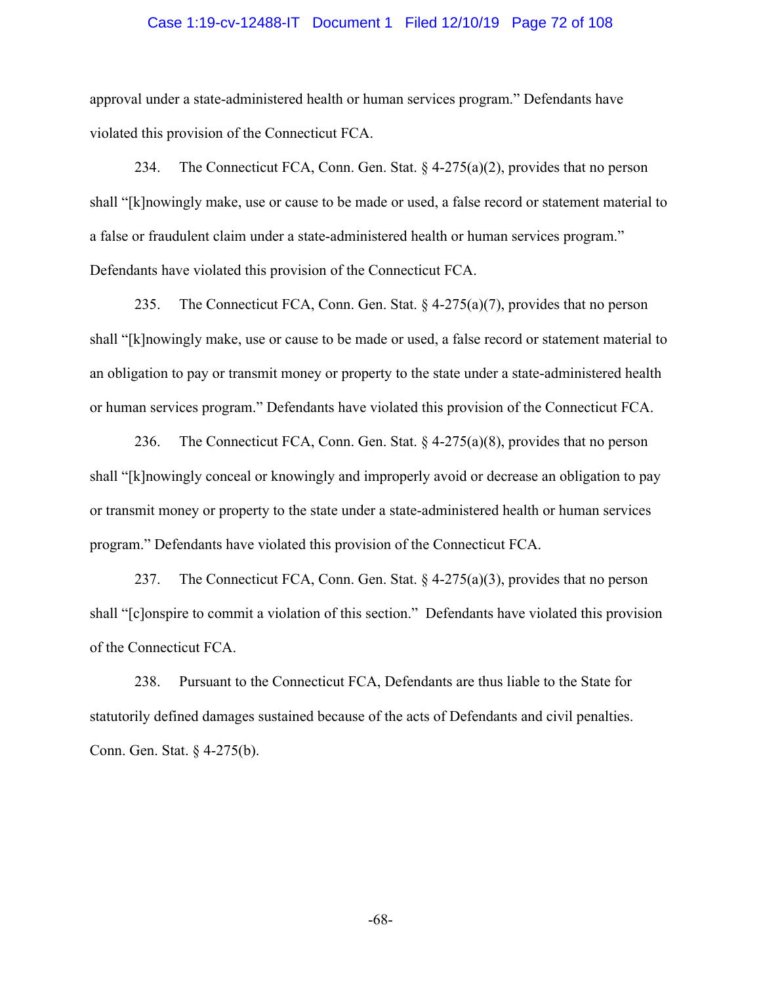#### Case 1:19-cv-12488-IT Document 1 Filed 12/10/19 Page 72 of 108

approval under a state-administered health or human services program." Defendants have violated this provision of the Connecticut FCA.

234. The Connecticut FCA, Conn. Gen. Stat.  $\S$  4-275(a)(2), provides that no person shall "[k]nowingly make, use or cause to be made or used, a false record or statement material to a false or fraudulent claim under a state-administered health or human services program." Defendants have violated this provision of the Connecticut FCA.

235. The Connecticut FCA, Conn. Gen. Stat.  $\S$  4-275(a)(7), provides that no person shall "[k]nowingly make, use or cause to be made or used, a false record or statement material to an obligation to pay or transmit money or property to the state under a state-administered health or human services program." Defendants have violated this provision of the Connecticut FCA.

236. The Connecticut FCA, Conn. Gen. Stat.  $\S$  4-275(a)(8), provides that no person shall "[k]nowingly conceal or knowingly and improperly avoid or decrease an obligation to pay or transmit money or property to the state under a state-administered health or human services program." Defendants have violated this provision of the Connecticut FCA.

237. The Connecticut FCA, Conn. Gen. Stat.  $\S$  4-275(a)(3), provides that no person shall "[c]onspire to commit a violation of this section." Defendants have violated this provision of the Connecticut FCA.

238. Pursuant to the Connecticut FCA, Defendants are thus liable to the State for statutorily defined damages sustained because of the acts of Defendants and civil penalties. Conn. Gen. Stat. § 4-275(b).

-68-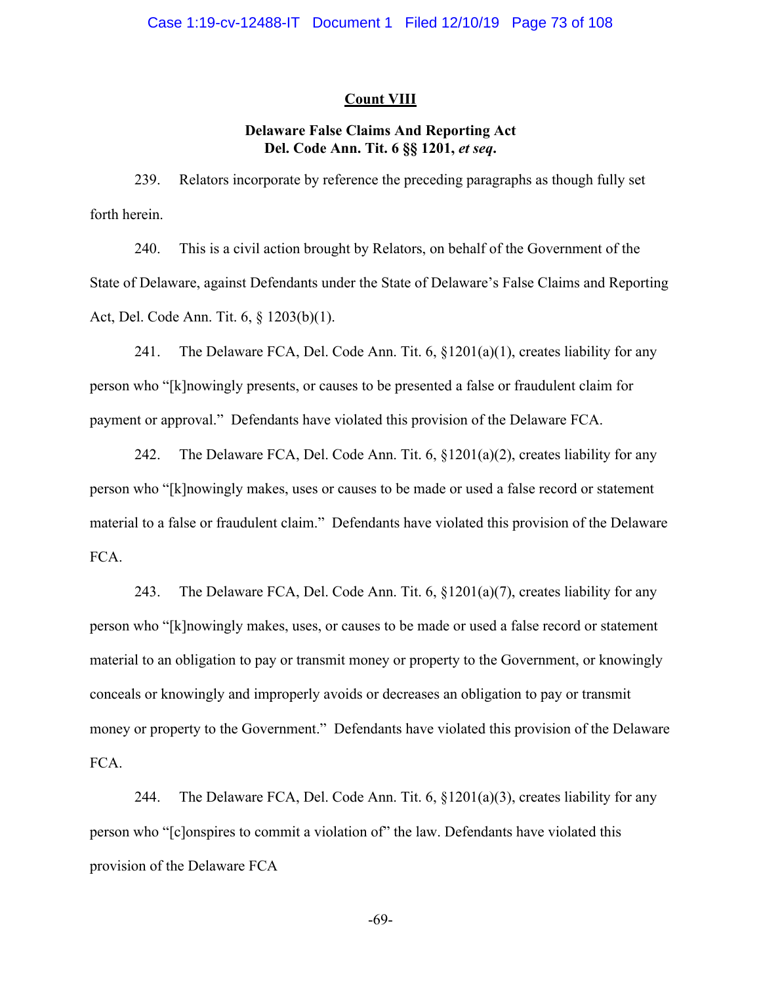### **Count VIII**

# **Delaware False Claims And Reporting Act Del. Code Ann. Tit. 6 §§ 1201,** *et seq***.**

239. Relators incorporate by reference the preceding paragraphs as though fully set forth herein.

240. This is a civil action brought by Relators, on behalf of the Government of the State of Delaware, against Defendants under the State of Delaware's False Claims and Reporting Act, Del. Code Ann. Tit. 6, § 1203(b)(1).

241. The Delaware FCA, Del. Code Ann. Tit.  $6, §1201(a)(1)$ , creates liability for any person who "[k]nowingly presents, or causes to be presented a false or fraudulent claim for payment or approval." Defendants have violated this provision of the Delaware FCA.

242. The Delaware FCA, Del. Code Ann. Tit.  $6, \frac{81201(a)(2)}{2}$ , creates liability for any person who "[k]nowingly makes, uses or causes to be made or used a false record or statement material to a false or fraudulent claim." Defendants have violated this provision of the Delaware FCA.

243. The Delaware FCA, Del. Code Ann. Tit. 6, §1201(a)(7), creates liability for any person who "[k]nowingly makes, uses, or causes to be made or used a false record or statement material to an obligation to pay or transmit money or property to the Government, or knowingly conceals or knowingly and improperly avoids or decreases an obligation to pay or transmit money or property to the Government." Defendants have violated this provision of the Delaware FCA.

244. The Delaware FCA, Del. Code Ann. Tit.  $6, §1201(a)(3)$ , creates liability for any person who "[c]onspires to commit a violation of" the law. Defendants have violated this provision of the Delaware FCA

-69-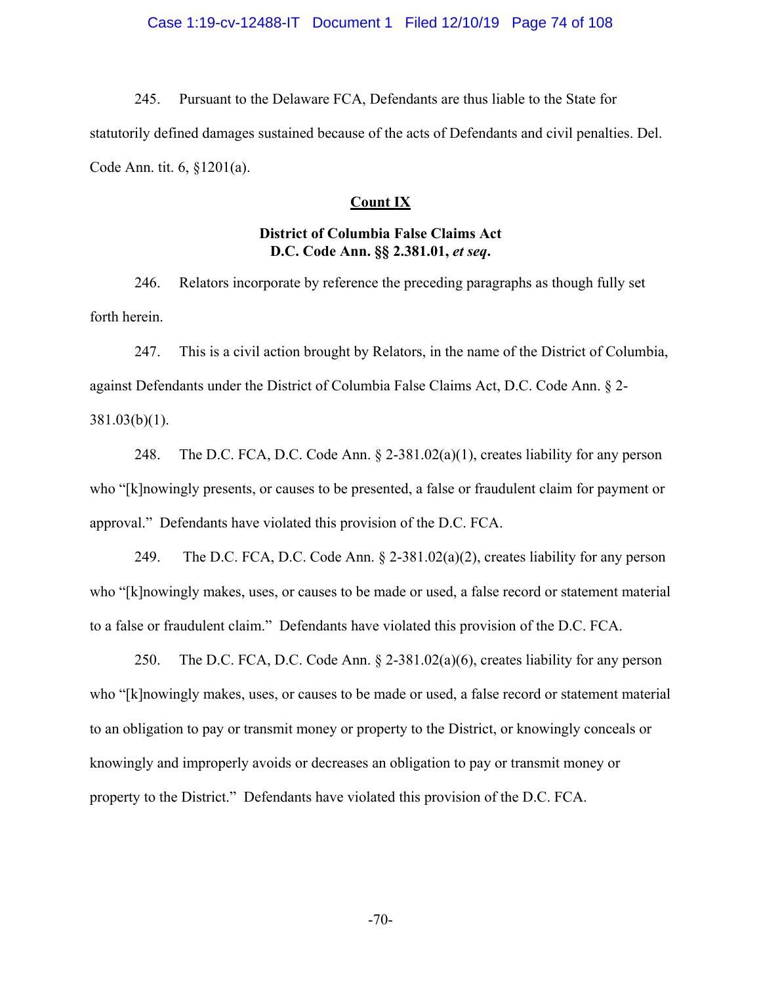245. Pursuant to the Delaware FCA, Defendants are thus liable to the State for statutorily defined damages sustained because of the acts of Defendants and civil penalties. Del. Code Ann. tit. 6, §1201(a).

### **Count IX**

# **District of Columbia False Claims Act D.C. Code Ann. §§ 2.381.01,** *et seq***.**

246. Relators incorporate by reference the preceding paragraphs as though fully set forth herein.

247. This is a civil action brought by Relators, in the name of the District of Columbia, against Defendants under the District of Columbia False Claims Act, D.C. Code Ann. § 2- 381.03(b)(1).

248. The D.C. FCA, D.C. Code Ann. § 2-381.02(a)(1), creates liability for any person who "[k]nowingly presents, or causes to be presented, a false or fraudulent claim for payment or approval." Defendants have violated this provision of the D.C. FCA.

249. The D.C. FCA, D.C. Code Ann. § 2-381.02(a)(2), creates liability for any person who "[k]nowingly makes, uses, or causes to be made or used, a false record or statement material to a false or fraudulent claim." Defendants have violated this provision of the D.C. FCA.

250. The D.C. FCA, D.C. Code Ann. § 2-381.02(a)(6), creates liability for any person who "[k]nowingly makes, uses, or causes to be made or used, a false record or statement material to an obligation to pay or transmit money or property to the District, or knowingly conceals or knowingly and improperly avoids or decreases an obligation to pay or transmit money or property to the District." Defendants have violated this provision of the D.C. FCA.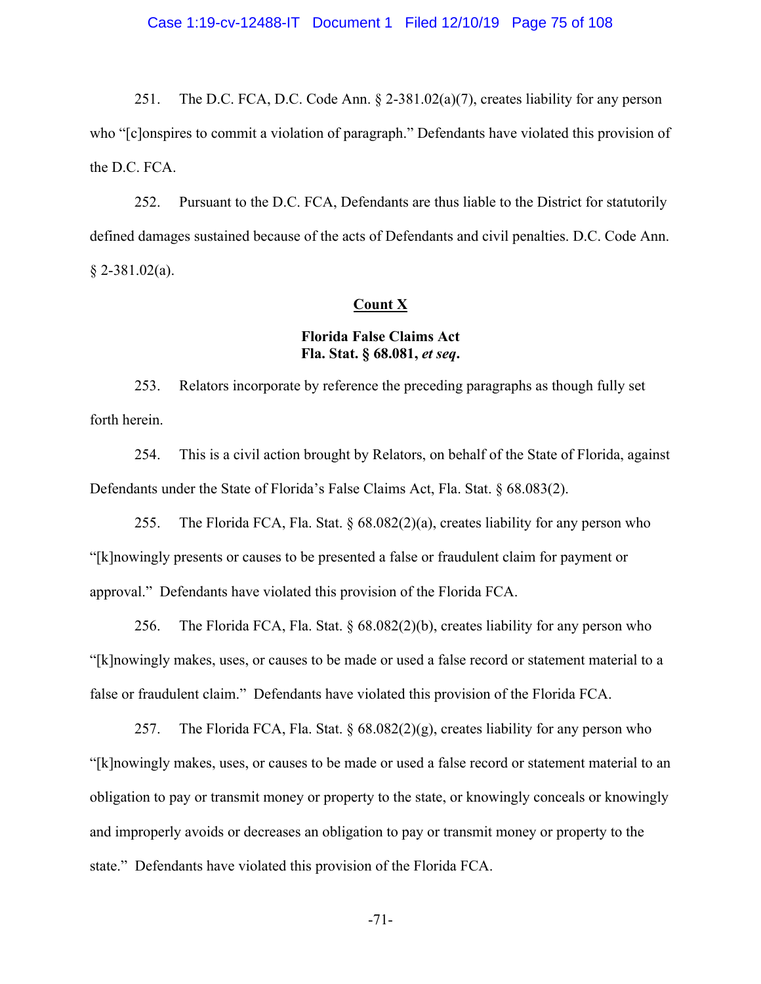251. The D.C. FCA, D.C. Code Ann. § 2-381.02(a)(7), creates liability for any person who "[c]onspires to commit a violation of paragraph." Defendants have violated this provision of the D.C. FCA.

252. Pursuant to the D.C. FCA, Defendants are thus liable to the District for statutorily defined damages sustained because of the acts of Defendants and civil penalties. D.C. Code Ann.  $§$  2-381.02(a).

## **Count X**

# **Florida False Claims Act Fla. Stat. § 68.081,** *et seq***.**

253. Relators incorporate by reference the preceding paragraphs as though fully set forth herein.

254. This is a civil action brought by Relators, on behalf of the State of Florida, against Defendants under the State of Florida's False Claims Act, Fla. Stat. § 68.083(2).

255. The Florida FCA, Fla. Stat.  $\S 68.082(2)(a)$ , creates liability for any person who "[k]nowingly presents or causes to be presented a false or fraudulent claim for payment or approval." Defendants have violated this provision of the Florida FCA.

256. The Florida FCA, Fla. Stat. § 68.082(2)(b), creates liability for any person who "[k]nowingly makes, uses, or causes to be made or used a false record or statement material to a false or fraudulent claim." Defendants have violated this provision of the Florida FCA.

257. The Florida FCA, Fla. Stat.  $\S 68.082(2)(g)$ , creates liability for any person who "[k]nowingly makes, uses, or causes to be made or used a false record or statement material to an obligation to pay or transmit money or property to the state, or knowingly conceals or knowingly and improperly avoids or decreases an obligation to pay or transmit money or property to the state." Defendants have violated this provision of the Florida FCA.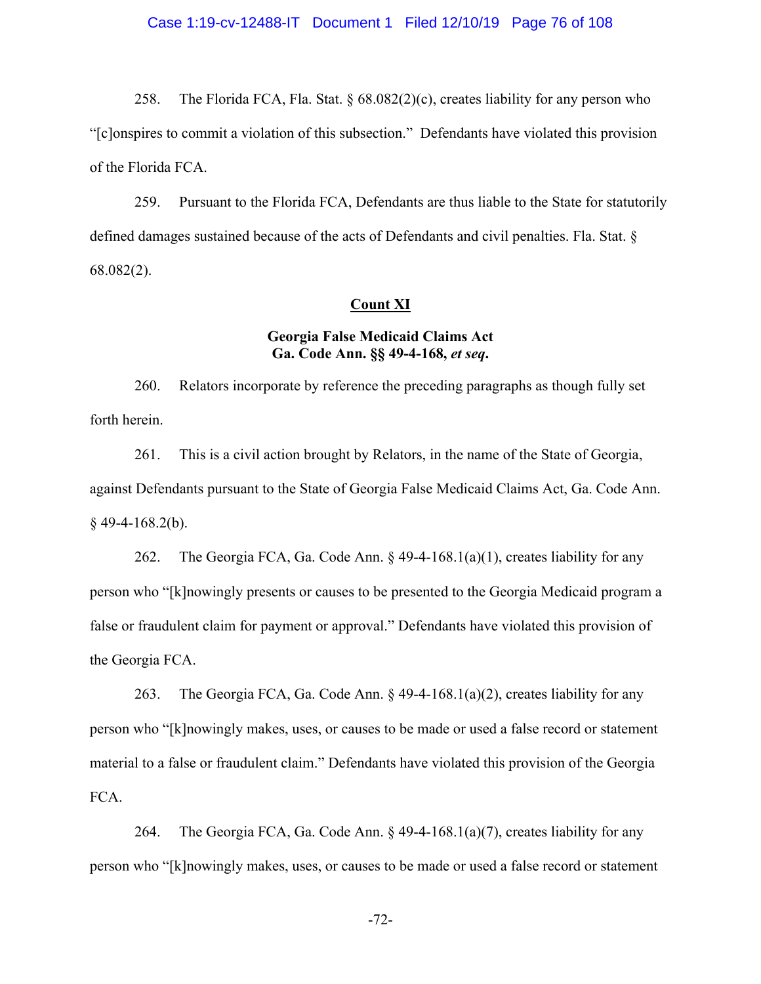258. The Florida FCA, Fla. Stat.  $\S 68.082(2)(c)$ , creates liability for any person who "[c]onspires to commit a violation of this subsection." Defendants have violated this provision of the Florida FCA.

259. Pursuant to the Florida FCA, Defendants are thus liable to the State for statutorily defined damages sustained because of the acts of Defendants and civil penalties. Fla. Stat. § 68.082(2).

## **Count XI**

# **Georgia False Medicaid Claims Act Ga. Code Ann. §§ 49-4-168,** *et seq***.**

260. Relators incorporate by reference the preceding paragraphs as though fully set forth herein.

261. This is a civil action brought by Relators, in the name of the State of Georgia, against Defendants pursuant to the State of Georgia False Medicaid Claims Act, Ga. Code Ann.  $§$  49-4-168.2(b).

262. The Georgia FCA, Ga. Code Ann.  $\S$  49-4-168.1(a)(1), creates liability for any person who "[k]nowingly presents or causes to be presented to the Georgia Medicaid program a false or fraudulent claim for payment or approval." Defendants have violated this provision of the Georgia FCA.

263. The Georgia FCA, Ga. Code Ann.  $\S$  49-4-168.1(a)(2), creates liability for any person who "[k]nowingly makes, uses, or causes to be made or used a false record or statement material to a false or fraudulent claim." Defendants have violated this provision of the Georgia FCA.

264. The Georgia FCA, Ga. Code Ann.  $\S$  49-4-168.1(a)(7), creates liability for any person who "[k]nowingly makes, uses, or causes to be made or used a false record or statement

-72-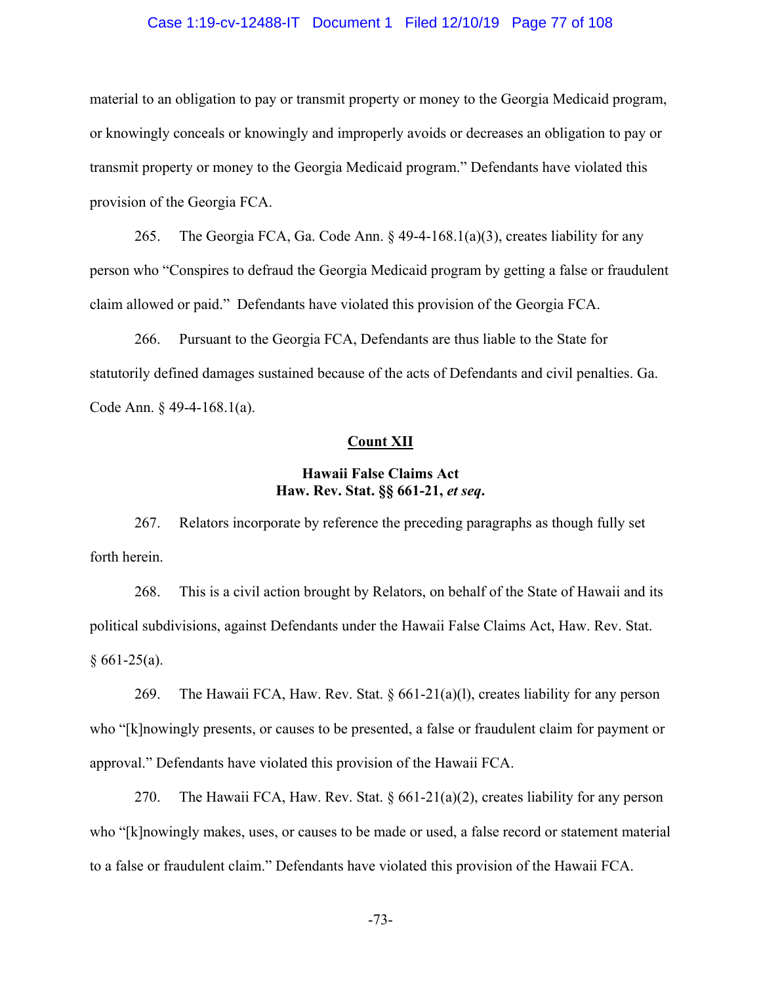### Case 1:19-cv-12488-IT Document 1 Filed 12/10/19 Page 77 of 108

material to an obligation to pay or transmit property or money to the Georgia Medicaid program, or knowingly conceals or knowingly and improperly avoids or decreases an obligation to pay or transmit property or money to the Georgia Medicaid program." Defendants have violated this provision of the Georgia FCA.

265. The Georgia FCA, Ga. Code Ann.  $\S$  49-4-168.1(a)(3), creates liability for any person who "Conspires to defraud the Georgia Medicaid program by getting a false or fraudulent claim allowed or paid." Defendants have violated this provision of the Georgia FCA.

266. Pursuant to the Georgia FCA, Defendants are thus liable to the State for statutorily defined damages sustained because of the acts of Defendants and civil penalties. Ga. Code Ann. § 49-4-168.1(a).

### **Count XII**

# **Hawaii False Claims Act Haw. Rev. Stat. §§ 661-21,** *et seq***.**

267. Relators incorporate by reference the preceding paragraphs as though fully set forth herein.

268. This is a civil action brought by Relators, on behalf of the State of Hawaii and its political subdivisions, against Defendants under the Hawaii False Claims Act, Haw. Rev. Stat.  $§ 661-25(a).$ 

269. The Hawaii FCA, Haw. Rev. Stat.  $\S 661-21(a)(1)$ , creates liability for any person who "[k]nowingly presents, or causes to be presented, a false or fraudulent claim for payment or approval." Defendants have violated this provision of the Hawaii FCA.

270. The Hawaii FCA, Haw. Rev. Stat. § 661-21(a)(2), creates liability for any person who "[k]nowingly makes, uses, or causes to be made or used, a false record or statement material to a false or fraudulent claim." Defendants have violated this provision of the Hawaii FCA.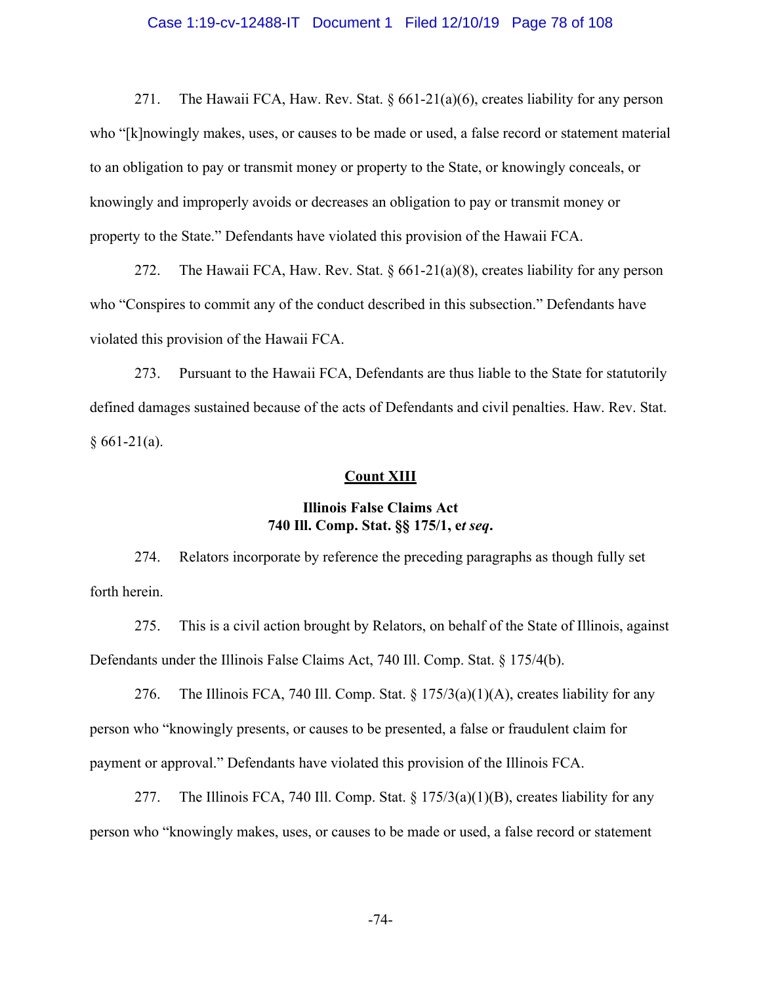### Case 1:19-cv-12488-IT Document 1 Filed 12/10/19 Page 78 of 108

271. The Hawaii FCA, Haw. Rev. Stat. § 661-21(a)(6), creates liability for any person who "[k]nowingly makes, uses, or causes to be made or used, a false record or statement material to an obligation to pay or transmit money or property to the State, or knowingly conceals, or knowingly and improperly avoids or decreases an obligation to pay or transmit money or property to the State." Defendants have violated this provision of the Hawaii FCA.

272. The Hawaii FCA, Haw. Rev. Stat. § 661-21(a)(8), creates liability for any person who "Conspires to commit any of the conduct described in this subsection." Defendants have violated this provision of the Hawaii FCA.

273. Pursuant to the Hawaii FCA, Defendants are thus liable to the State for statutorily defined damages sustained because of the acts of Defendants and civil penalties. Haw. Rev. Stat.  $§ 661-21(a).$ 

### **Count XIII**

# **Illinois False Claims Act 740 Ill. Comp. Stat. §§ 175/1, e***t seq***.**

274. Relators incorporate by reference the preceding paragraphs as though fully set forth herein.

275. This is a civil action brought by Relators, on behalf of the State of Illinois, against Defendants under the Illinois False Claims Act, 740 Ill. Comp. Stat. § 175/4(b).

276. The Illinois FCA, 740 Ill. Comp. Stat.  $\S 175/3(a)(1)(A)$ , creates liability for any person who "knowingly presents, or causes to be presented, a false or fraudulent claim for payment or approval." Defendants have violated this provision of the Illinois FCA.

277. The Illinois FCA, 740 Ill. Comp. Stat.  $\S 175/3(a)(1)(B)$ , creates liability for any person who "knowingly makes, uses, or causes to be made or used, a false record or statement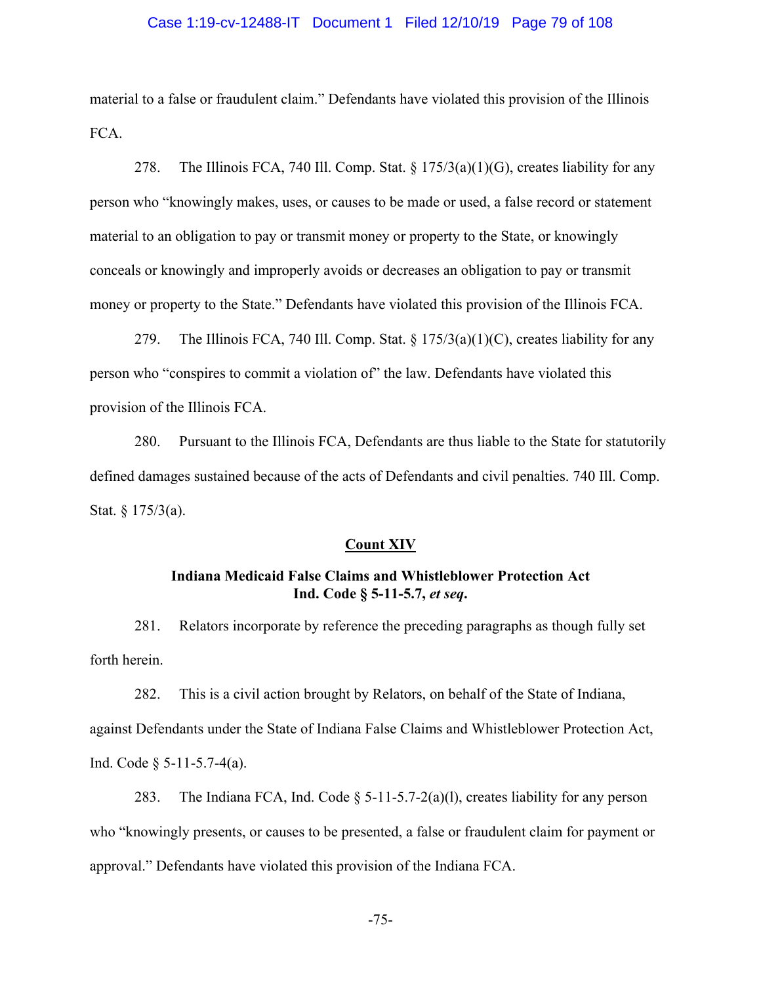### Case 1:19-cv-12488-IT Document 1 Filed 12/10/19 Page 79 of 108

material to a false or fraudulent claim." Defendants have violated this provision of the Illinois FCA.

278. The Illinois FCA, 740 Ill. Comp. Stat.  $\S 175/3(a)(1)(G)$ , creates liability for any person who "knowingly makes, uses, or causes to be made or used, a false record or statement material to an obligation to pay or transmit money or property to the State, or knowingly conceals or knowingly and improperly avoids or decreases an obligation to pay or transmit money or property to the State." Defendants have violated this provision of the Illinois FCA.

279. The Illinois FCA, 740 Ill. Comp. Stat.  $\S 175/3(a)(1)(C)$ , creates liability for any person who "conspires to commit a violation of" the law. Defendants have violated this provision of the Illinois FCA.

280. Pursuant to the Illinois FCA, Defendants are thus liable to the State for statutorily defined damages sustained because of the acts of Defendants and civil penalties. 740 Ill. Comp. Stat.  $§ 175/3(a)$ .

#### **Count XIV**

# **Indiana Medicaid False Claims and Whistleblower Protection Act Ind. Code § 5-11-5.7,** *et seq***.**

281. Relators incorporate by reference the preceding paragraphs as though fully set forth herein.

282. This is a civil action brought by Relators, on behalf of the State of Indiana, against Defendants under the State of Indiana False Claims and Whistleblower Protection Act, Ind. Code § 5-11-5.7-4(a).

283. The Indiana FCA, Ind. Code  $\S$  5-11-5.7-2(a)(1), creates liability for any person who "knowingly presents, or causes to be presented, a false or fraudulent claim for payment or approval." Defendants have violated this provision of the Indiana FCA.

-75-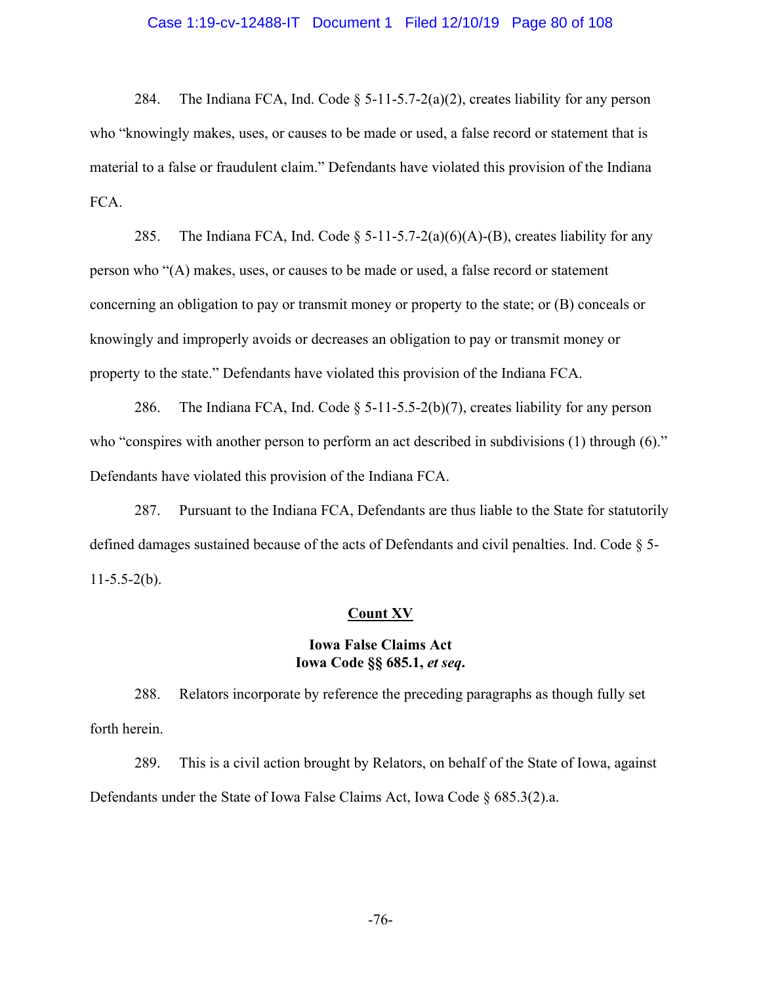### Case 1:19-cv-12488-IT Document 1 Filed 12/10/19 Page 80 of 108

284. The Indiana FCA, Ind. Code  $\S$  5-11-5.7-2(a)(2), creates liability for any person who "knowingly makes, uses, or causes to be made or used, a false record or statement that is material to a false or fraudulent claim." Defendants have violated this provision of the Indiana FCA.

285. The Indiana FCA, Ind. Code  $\S$  5-11-5.7-2(a)(6)(A)-(B), creates liability for any person who "(A) makes, uses, or causes to be made or used, a false record or statement concerning an obligation to pay or transmit money or property to the state; or (B) conceals or knowingly and improperly avoids or decreases an obligation to pay or transmit money or property to the state." Defendants have violated this provision of the Indiana FCA.

286. The Indiana FCA, Ind. Code  $\S$  5-11-5.5-2(b)(7), creates liability for any person who "conspires with another person to perform an act described in subdivisions (1) through (6)." Defendants have violated this provision of the Indiana FCA.

287. Pursuant to the Indiana FCA, Defendants are thus liable to the State for statutorily defined damages sustained because of the acts of Defendants and civil penalties. Ind. Code § 5-  $11-5.5-2(b)$ .

#### **Count XV**

# **Iowa False Claims Act Iowa Code §§ 685.1,** *et seq***.**

288. Relators incorporate by reference the preceding paragraphs as though fully set forth herein.

289. This is a civil action brought by Relators, on behalf of the State of Iowa, against Defendants under the State of Iowa False Claims Act, Iowa Code § 685.3(2).a.

-76-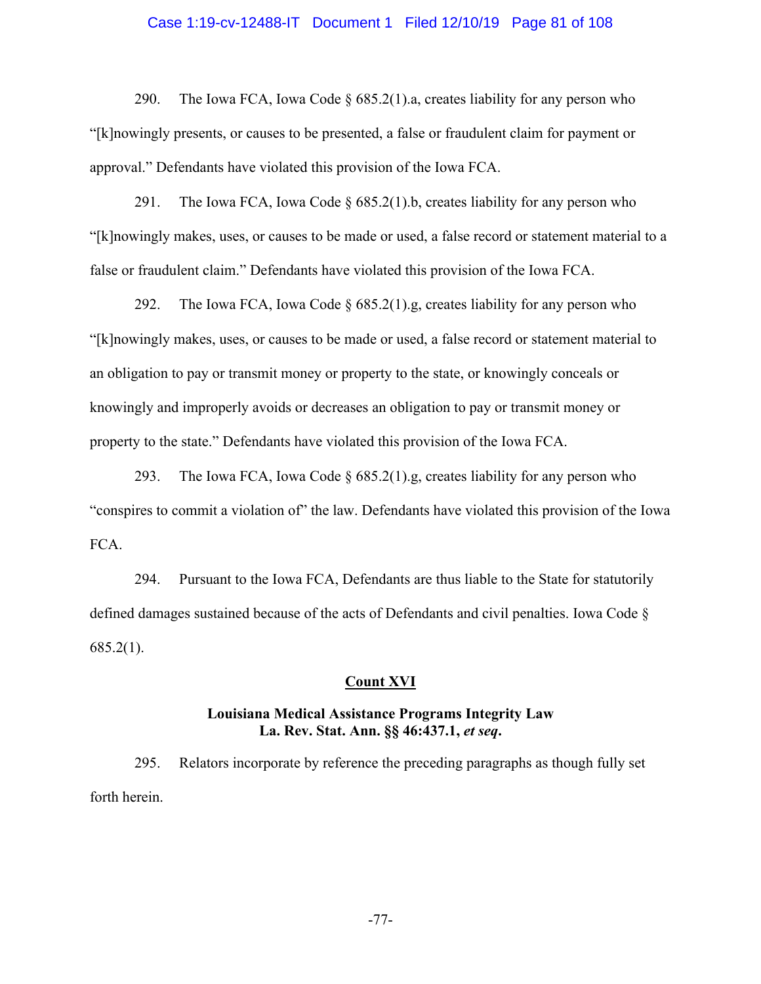### Case 1:19-cv-12488-IT Document 1 Filed 12/10/19 Page 81 of 108

290. The Iowa FCA, Iowa Code  $\S$  685.2(1).a, creates liability for any person who "[k]nowingly presents, or causes to be presented, a false or fraudulent claim for payment or approval." Defendants have violated this provision of the Iowa FCA.

291. The Iowa FCA, Iowa Code  $\S 685.2(1)$ .b, creates liability for any person who "[k]nowingly makes, uses, or causes to be made or used, a false record or statement material to a false or fraudulent claim." Defendants have violated this provision of the Iowa FCA.

292. The Iowa FCA, Iowa Code  $\S$  685.2(1).g, creates liability for any person who "[k]nowingly makes, uses, or causes to be made or used, a false record or statement material to an obligation to pay or transmit money or property to the state, or knowingly conceals or knowingly and improperly avoids or decreases an obligation to pay or transmit money or property to the state." Defendants have violated this provision of the Iowa FCA.

293. The Iowa FCA, Iowa Code  $\S$  685.2(1).g, creates liability for any person who "conspires to commit a violation of" the law. Defendants have violated this provision of the Iowa FCA.

294. Pursuant to the Iowa FCA, Defendants are thus liable to the State for statutorily defined damages sustained because of the acts of Defendants and civil penalties. Iowa Code § 685.2(1).

#### **Count XVI**

## **Louisiana Medical Assistance Programs Integrity Law La. Rev. Stat. Ann. §§ 46:437.1,** *et seq***.**

295. Relators incorporate by reference the preceding paragraphs as though fully set forth herein.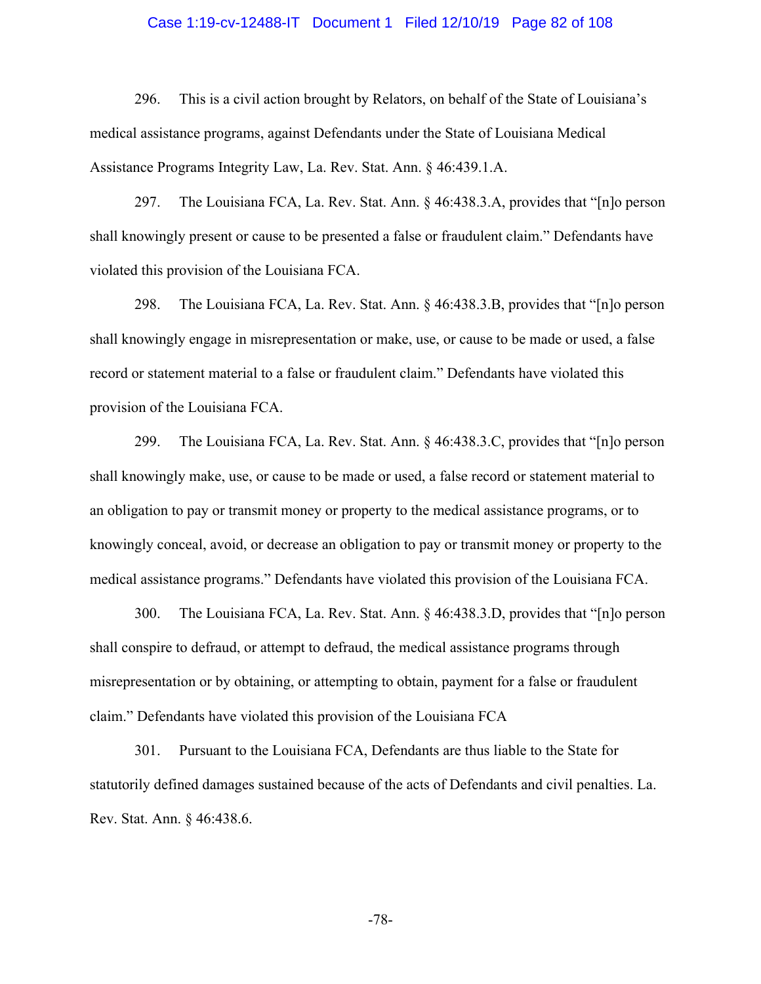### Case 1:19-cv-12488-IT Document 1 Filed 12/10/19 Page 82 of 108

296. This is a civil action brought by Relators, on behalf of the State of Louisiana's medical assistance programs, against Defendants under the State of Louisiana Medical Assistance Programs Integrity Law, La. Rev. Stat. Ann. § 46:439.1.A.

297. The Louisiana FCA, La. Rev. Stat. Ann. § 46:438.3.A, provides that "[n]o person shall knowingly present or cause to be presented a false or fraudulent claim." Defendants have violated this provision of the Louisiana FCA.

298. The Louisiana FCA, La. Rev. Stat. Ann. § 46:438.3.B, provides that "[n]o person shall knowingly engage in misrepresentation or make, use, or cause to be made or used, a false record or statement material to a false or fraudulent claim." Defendants have violated this provision of the Louisiana FCA.

299. The Louisiana FCA, La. Rev. Stat. Ann. § 46:438.3.C, provides that "[n]o person shall knowingly make, use, or cause to be made or used, a false record or statement material to an obligation to pay or transmit money or property to the medical assistance programs, or to knowingly conceal, avoid, or decrease an obligation to pay or transmit money or property to the medical assistance programs." Defendants have violated this provision of the Louisiana FCA.

300. The Louisiana FCA, La. Rev. Stat. Ann. § 46:438.3.D, provides that "[n]o person shall conspire to defraud, or attempt to defraud, the medical assistance programs through misrepresentation or by obtaining, or attempting to obtain, payment for a false or fraudulent claim." Defendants have violated this provision of the Louisiana FCA

301. Pursuant to the Louisiana FCA, Defendants are thus liable to the State for statutorily defined damages sustained because of the acts of Defendants and civil penalties. La. Rev. Stat. Ann. § 46:438.6.

-78-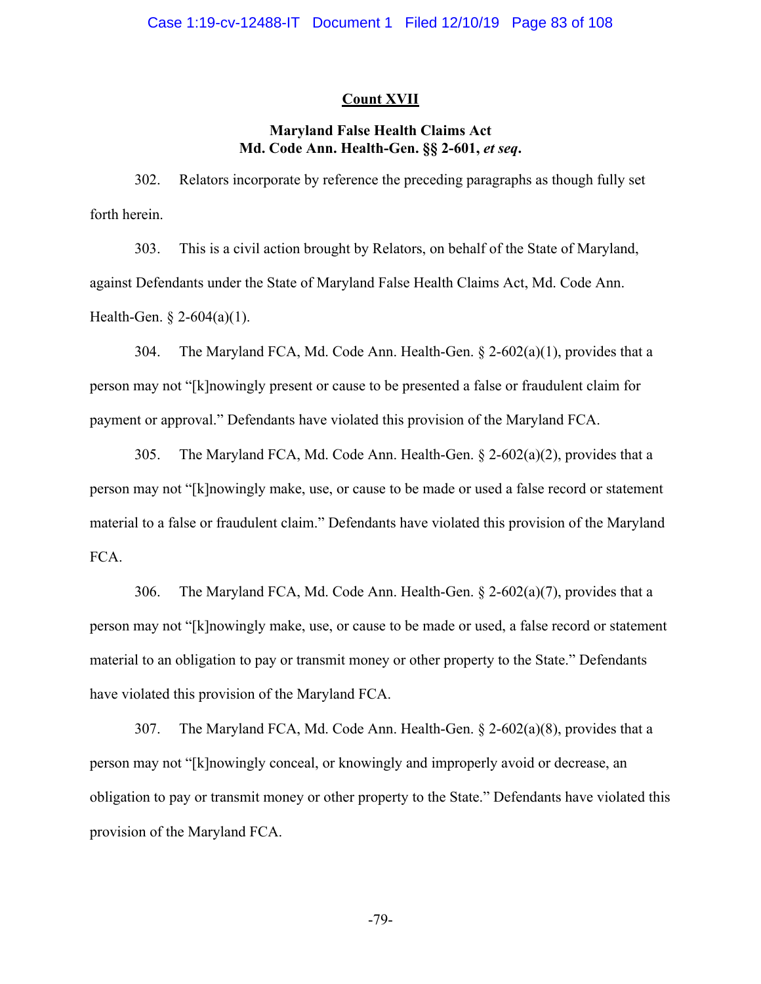### **Count XVII**

# **Maryland False Health Claims Act Md. Code Ann. Health-Gen. §§ 2-601,** *et seq***.**

302. Relators incorporate by reference the preceding paragraphs as though fully set forth herein.

303. This is a civil action brought by Relators, on behalf of the State of Maryland, against Defendants under the State of Maryland False Health Claims Act, Md. Code Ann. Health-Gen. § 2-604(a)(1).

304. The Maryland FCA, Md. Code Ann. Health-Gen. § 2-602(a)(1), provides that a person may not "[k]nowingly present or cause to be presented a false or fraudulent claim for payment or approval." Defendants have violated this provision of the Maryland FCA.

305. The Maryland FCA, Md. Code Ann. Health-Gen.  $\S$  2-602(a)(2), provides that a person may not "[k]nowingly make, use, or cause to be made or used a false record or statement material to a false or fraudulent claim." Defendants have violated this provision of the Maryland FCA.

306. The Maryland FCA, Md. Code Ann. Health-Gen. § 2-602(a)(7), provides that a person may not "[k]nowingly make, use, or cause to be made or used, a false record or statement material to an obligation to pay or transmit money or other property to the State." Defendants have violated this provision of the Maryland FCA.

307. The Maryland FCA, Md. Code Ann. Health-Gen. § 2-602(a)(8), provides that a person may not "[k]nowingly conceal, or knowingly and improperly avoid or decrease, an obligation to pay or transmit money or other property to the State." Defendants have violated this provision of the Maryland FCA.

-79-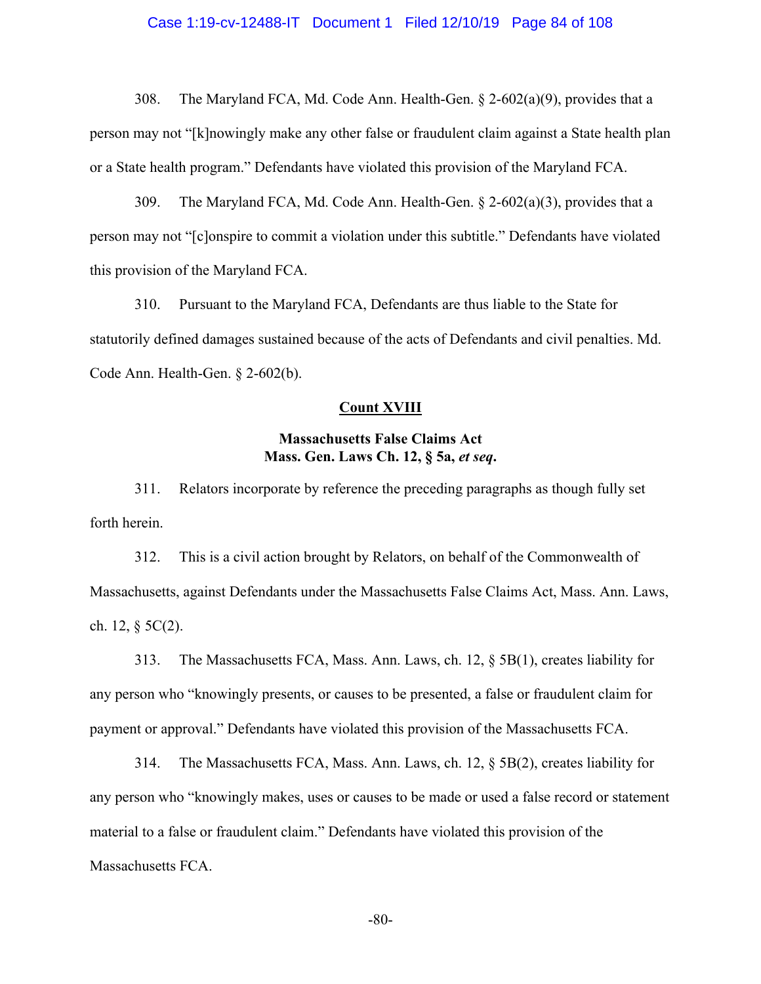### Case 1:19-cv-12488-IT Document 1 Filed 12/10/19 Page 84 of 108

308. The Maryland FCA, Md. Code Ann. Health-Gen. § 2-602(a)(9), provides that a person may not "[k]nowingly make any other false or fraudulent claim against a State health plan or a State health program." Defendants have violated this provision of the Maryland FCA.

309. The Maryland FCA, Md. Code Ann. Health-Gen.  $\S$  2-602(a)(3), provides that a person may not "[c]onspire to commit a violation under this subtitle." Defendants have violated this provision of the Maryland FCA.

310. Pursuant to the Maryland FCA, Defendants are thus liable to the State for statutorily defined damages sustained because of the acts of Defendants and civil penalties. Md. Code Ann. Health-Gen. § 2-602(b).

### **Count XVIII**

# **Massachusetts False Claims Act Mass. Gen. Laws Ch. 12, § 5a,** *et seq***.**

311. Relators incorporate by reference the preceding paragraphs as though fully set forth herein.

312. This is a civil action brought by Relators, on behalf of the Commonwealth of Massachusetts, against Defendants under the Massachusetts False Claims Act, Mass. Ann. Laws, ch. 12,  $\S$  5C(2).

313. The Massachusetts FCA, Mass. Ann. Laws, ch. 12, § 5B(1), creates liability for any person who "knowingly presents, or causes to be presented, a false or fraudulent claim for payment or approval." Defendants have violated this provision of the Massachusetts FCA.

314. The Massachusetts FCA, Mass. Ann. Laws, ch. 12, § 5B(2), creates liability for any person who "knowingly makes, uses or causes to be made or used a false record or statement material to a false or fraudulent claim." Defendants have violated this provision of the Massachusetts FCA.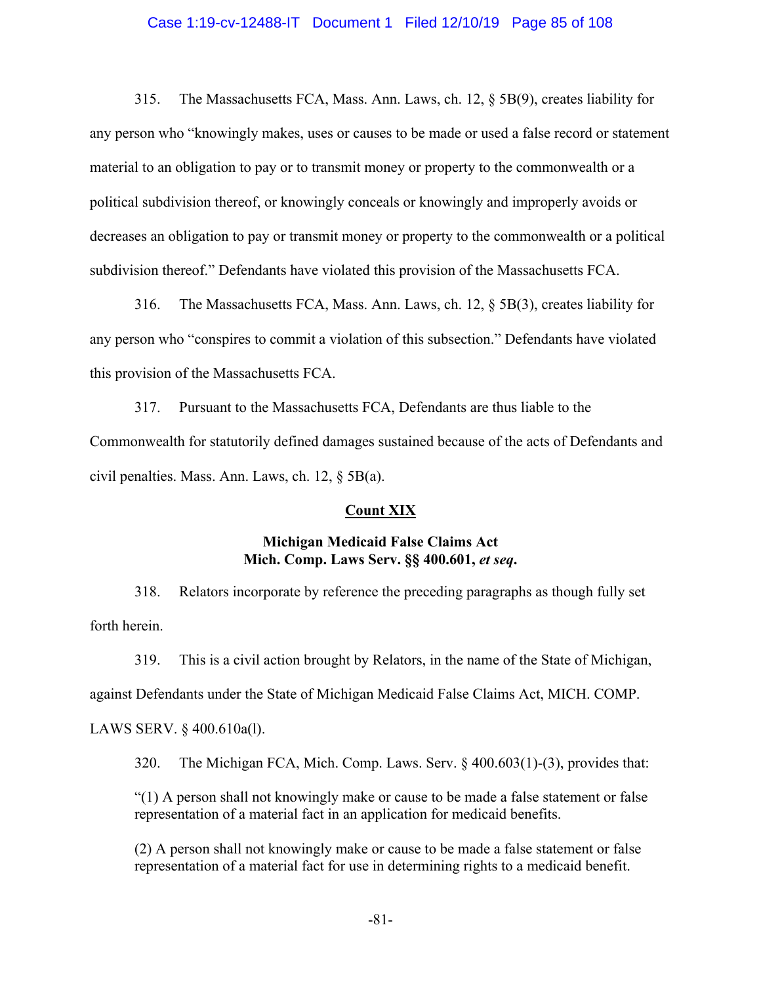### Case 1:19-cv-12488-IT Document 1 Filed 12/10/19 Page 85 of 108

315. The Massachusetts FCA, Mass. Ann. Laws, ch. 12, § 5B(9), creates liability for any person who "knowingly makes, uses or causes to be made or used a false record or statement material to an obligation to pay or to transmit money or property to the commonwealth or a political subdivision thereof, or knowingly conceals or knowingly and improperly avoids or decreases an obligation to pay or transmit money or property to the commonwealth or a political subdivision thereof." Defendants have violated this provision of the Massachusetts FCA.

316. The Massachusetts FCA, Mass. Ann. Laws, ch. 12, § 5B(3), creates liability for any person who "conspires to commit a violation of this subsection." Defendants have violated this provision of the Massachusetts FCA.

317. Pursuant to the Massachusetts FCA, Defendants are thus liable to the Commonwealth for statutorily defined damages sustained because of the acts of Defendants and civil penalties. Mass. Ann. Laws, ch. 12, § 5B(a).

### **Count XIX**

### **Michigan Medicaid False Claims Act Mich. Comp. Laws Serv. §§ 400.601,** *et seq***.**

318. Relators incorporate by reference the preceding paragraphs as though fully set forth herein.

319. This is a civil action brought by Relators, in the name of the State of Michigan, against Defendants under the State of Michigan Medicaid False Claims Act, MICH. COMP.

LAWS SERV. § 400.610a(l).

320. The Michigan FCA, Mich. Comp. Laws. Serv. § 400.603(1)-(3), provides that:

"(1) A person shall not knowingly make or cause to be made a false statement or false representation of a material fact in an application for medicaid benefits.

(2) A person shall not knowingly make or cause to be made a false statement or false representation of a material fact for use in determining rights to a medicaid benefit.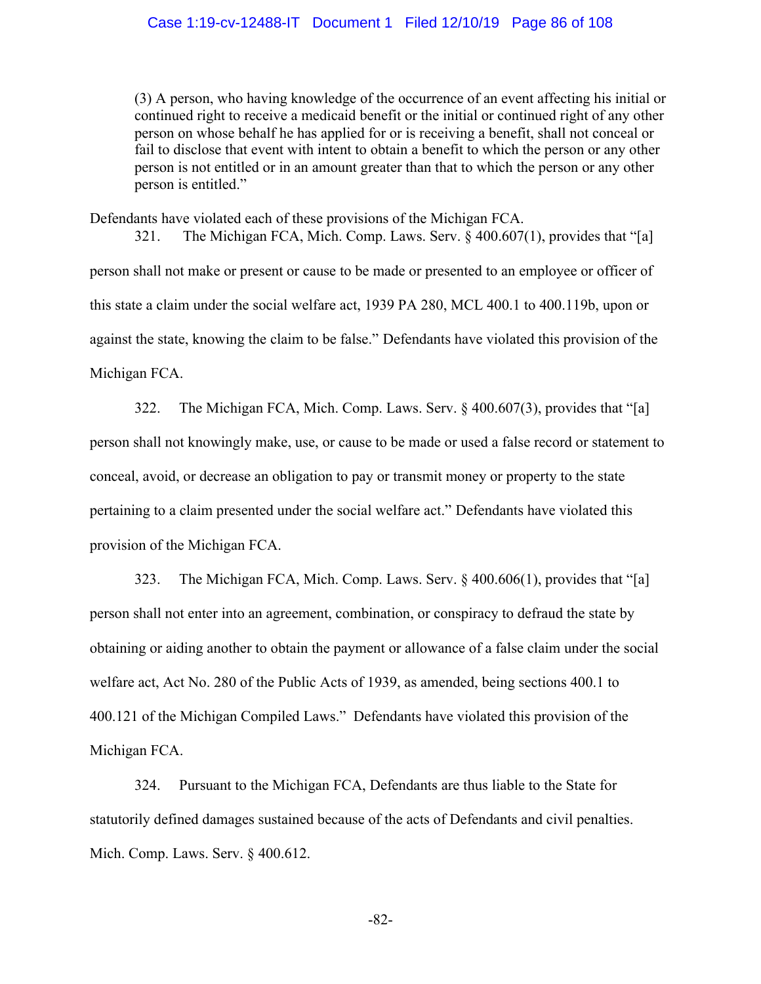### Case 1:19-cv-12488-IT Document 1 Filed 12/10/19 Page 86 of 108

(3) A person, who having knowledge of the occurrence of an event affecting his initial or continued right to receive a medicaid benefit or the initial or continued right of any other person on whose behalf he has applied for or is receiving a benefit, shall not conceal or fail to disclose that event with intent to obtain a benefit to which the person or any other person is not entitled or in an amount greater than that to which the person or any other person is entitled."

Defendants have violated each of these provisions of the Michigan FCA.

321. The Michigan FCA, Mich. Comp. Laws. Serv. § 400.607(1), provides that "[a] person shall not make or present or cause to be made or presented to an employee or officer of this state a claim under the social welfare act, 1939 PA 280, MCL 400.1 to 400.119b, upon or against the state, knowing the claim to be false." Defendants have violated this provision of the Michigan FCA.

322. The Michigan FCA, Mich. Comp. Laws. Serv. § 400.607(3), provides that "[a] person shall not knowingly make, use, or cause to be made or used a false record or statement to conceal, avoid, or decrease an obligation to pay or transmit money or property to the state pertaining to a claim presented under the social welfare act." Defendants have violated this provision of the Michigan FCA.

323. The Michigan FCA, Mich. Comp. Laws. Serv. § 400.606(1), provides that "[a] person shall not enter into an agreement, combination, or conspiracy to defraud the state by obtaining or aiding another to obtain the payment or allowance of a false claim under the social welfare act, Act No. 280 of the Public Acts of 1939, as amended, being sections 400.1 to 400.121 of the Michigan Compiled Laws." Defendants have violated this provision of the Michigan FCA.

324. Pursuant to the Michigan FCA, Defendants are thus liable to the State for statutorily defined damages sustained because of the acts of Defendants and civil penalties. Mich. Comp. Laws. Serv. § 400.612.

-82-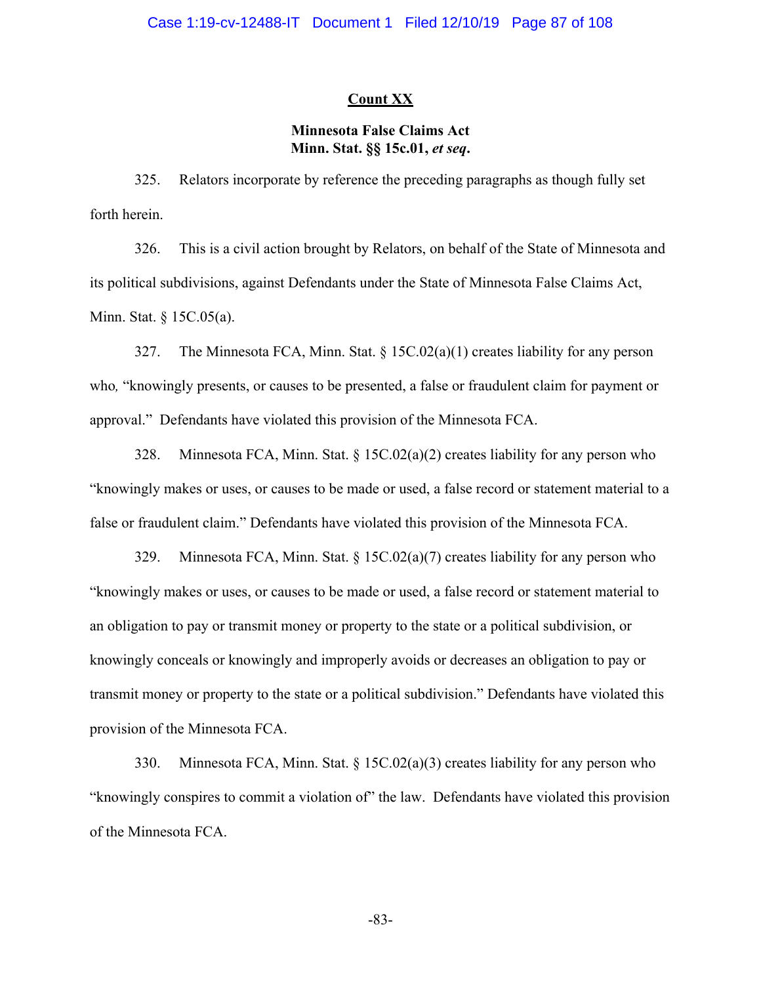### **Count XX**

# **Minnesota False Claims Act Minn. Stat. §§ 15c.01,** *et seq***.**

325. Relators incorporate by reference the preceding paragraphs as though fully set forth herein.

326. This is a civil action brought by Relators, on behalf of the State of Minnesota and its political subdivisions, against Defendants under the State of Minnesota False Claims Act, Minn. Stat. § 15C.05(a).

327. The Minnesota FCA, Minn. Stat. § 15C.02(a)(1) creates liability for any person who*,* "knowingly presents, or causes to be presented, a false or fraudulent claim for payment or approval." Defendants have violated this provision of the Minnesota FCA.

328. Minnesota FCA, Minn. Stat. § 15C.02(a)(2) creates liability for any person who "knowingly makes or uses, or causes to be made or used, a false record or statement material to a false or fraudulent claim." Defendants have violated this provision of the Minnesota FCA.

329. Minnesota FCA, Minn. Stat. § 15C.02(a)(7) creates liability for any person who "knowingly makes or uses, or causes to be made or used, a false record or statement material to an obligation to pay or transmit money or property to the state or a political subdivision, or knowingly conceals or knowingly and improperly avoids or decreases an obligation to pay or transmit money or property to the state or a political subdivision." Defendants have violated this provision of the Minnesota FCA.

330. Minnesota FCA, Minn. Stat. § 15C.02(a)(3) creates liability for any person who "knowingly conspires to commit a violation of" the law. Defendants have violated this provision of the Minnesota FCA.

-83-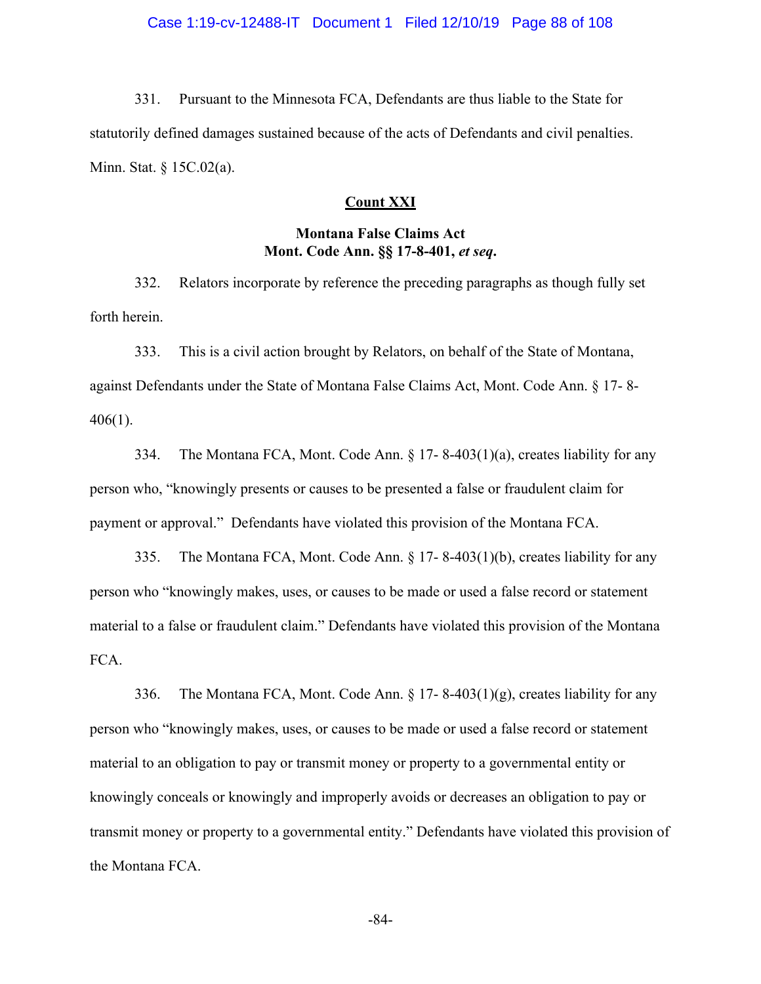331. Pursuant to the Minnesota FCA, Defendants are thus liable to the State for statutorily defined damages sustained because of the acts of Defendants and civil penalties. Minn. Stat. § 15C.02(a).

### **Count XXI**

# **Montana False Claims Act Mont. Code Ann. §§ 17-8-401,** *et seq***.**

332. Relators incorporate by reference the preceding paragraphs as though fully set forth herein.

333. This is a civil action brought by Relators, on behalf of the State of Montana, against Defendants under the State of Montana False Claims Act, Mont. Code Ann. § 17- 8- 406(1).

334. The Montana FCA, Mont. Code Ann.  $\S 17-8-403(1)(a)$ , creates liability for any person who, "knowingly presents or causes to be presented a false or fraudulent claim for payment or approval." Defendants have violated this provision of the Montana FCA.

335. The Montana FCA, Mont. Code Ann. § 17- 8-403(1)(b), creates liability for any person who "knowingly makes, uses, or causes to be made or used a false record or statement material to a false or fraudulent claim." Defendants have violated this provision of the Montana FCA.

336. The Montana FCA, Mont. Code Ann. § 17- 8-403(1)(g), creates liability for any person who "knowingly makes, uses, or causes to be made or used a false record or statement material to an obligation to pay or transmit money or property to a governmental entity or knowingly conceals or knowingly and improperly avoids or decreases an obligation to pay or transmit money or property to a governmental entity." Defendants have violated this provision of the Montana FCA.

-84-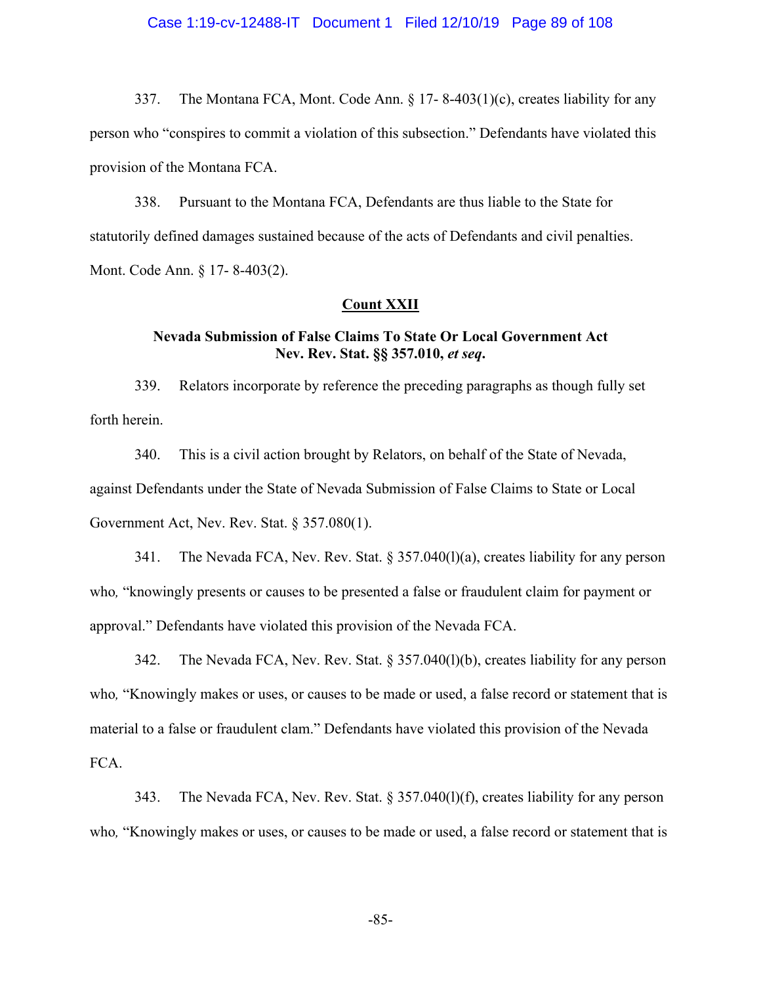### Case 1:19-cv-12488-IT Document 1 Filed 12/10/19 Page 89 of 108

337. The Montana FCA, Mont. Code Ann. § 17- 8-403(1)(c), creates liability for any person who "conspires to commit a violation of this subsection." Defendants have violated this provision of the Montana FCA.

338. Pursuant to the Montana FCA, Defendants are thus liable to the State for statutorily defined damages sustained because of the acts of Defendants and civil penalties. Mont. Code Ann. § 17- 8-403(2).

### **Count XXII**

# **Nevada Submission of False Claims To State Or Local Government Act Nev. Rev. Stat. §§ 357.010,** *et seq***.**

339. Relators incorporate by reference the preceding paragraphs as though fully set forth herein.

340. This is a civil action brought by Relators, on behalf of the State of Nevada, against Defendants under the State of Nevada Submission of False Claims to State or Local Government Act, Nev. Rev. Stat. § 357.080(1).

341. The Nevada FCA, Nev. Rev. Stat. § 357.040(l)(a), creates liability for any person who*,* "knowingly presents or causes to be presented a false or fraudulent claim for payment or approval." Defendants have violated this provision of the Nevada FCA.

342. The Nevada FCA, Nev. Rev. Stat. § 357.040(l)(b), creates liability for any person who, "Knowingly makes or uses, or causes to be made or used, a false record or statement that is material to a false or fraudulent clam." Defendants have violated this provision of the Nevada FCA.

343. The Nevada FCA, Nev. Rev. Stat. § 357.040(l)(f), creates liability for any person who, "Knowingly makes or uses, or causes to be made or used, a false record or statement that is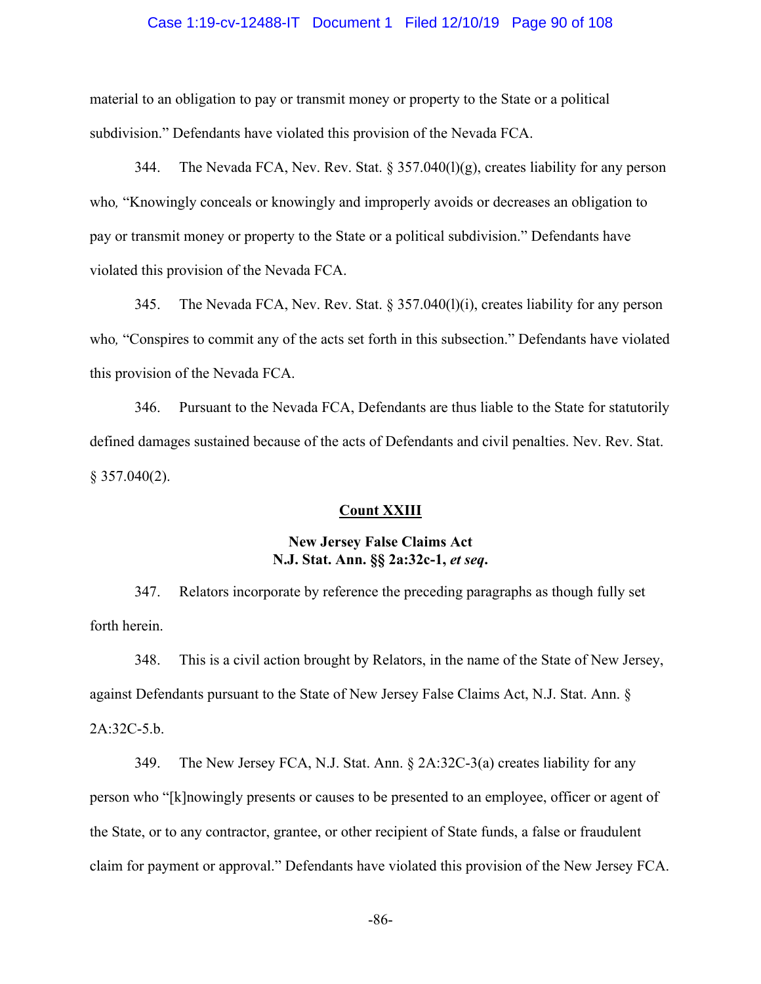### Case 1:19-cv-12488-IT Document 1 Filed 12/10/19 Page 90 of 108

material to an obligation to pay or transmit money or property to the State or a political subdivision." Defendants have violated this provision of the Nevada FCA.

344. The Nevada FCA, Nev. Rev. Stat.  $\S 357.040(1)(g)$ , creates liability for any person who*,* "Knowingly conceals or knowingly and improperly avoids or decreases an obligation to pay or transmit money or property to the State or a political subdivision." Defendants have violated this provision of the Nevada FCA.

345. The Nevada FCA, Nev. Rev. Stat. § 357.040(l)(i), creates liability for any person who, "Conspires to commit any of the acts set forth in this subsection." Defendants have violated this provision of the Nevada FCA.

346. Pursuant to the Nevada FCA, Defendants are thus liable to the State for statutorily defined damages sustained because of the acts of Defendants and civil penalties. Nev. Rev. Stat.  $§$  357.040(2).

#### **Count XXIII**

## **New Jersey False Claims Act N.J. Stat. Ann. §§ 2a:32c-1,** *et seq***.**

347. Relators incorporate by reference the preceding paragraphs as though fully set forth herein.

348. This is a civil action brought by Relators, in the name of the State of New Jersey, against Defendants pursuant to the State of New Jersey False Claims Act, N.J. Stat. Ann. § 2A:32C-5.b.

349. The New Jersey FCA, N.J. Stat. Ann. § 2A:32C-3(a) creates liability for any person who "[k]nowingly presents or causes to be presented to an employee, officer or agent of the State, or to any contractor, grantee, or other recipient of State funds, a false or fraudulent claim for payment or approval." Defendants have violated this provision of the New Jersey FCA.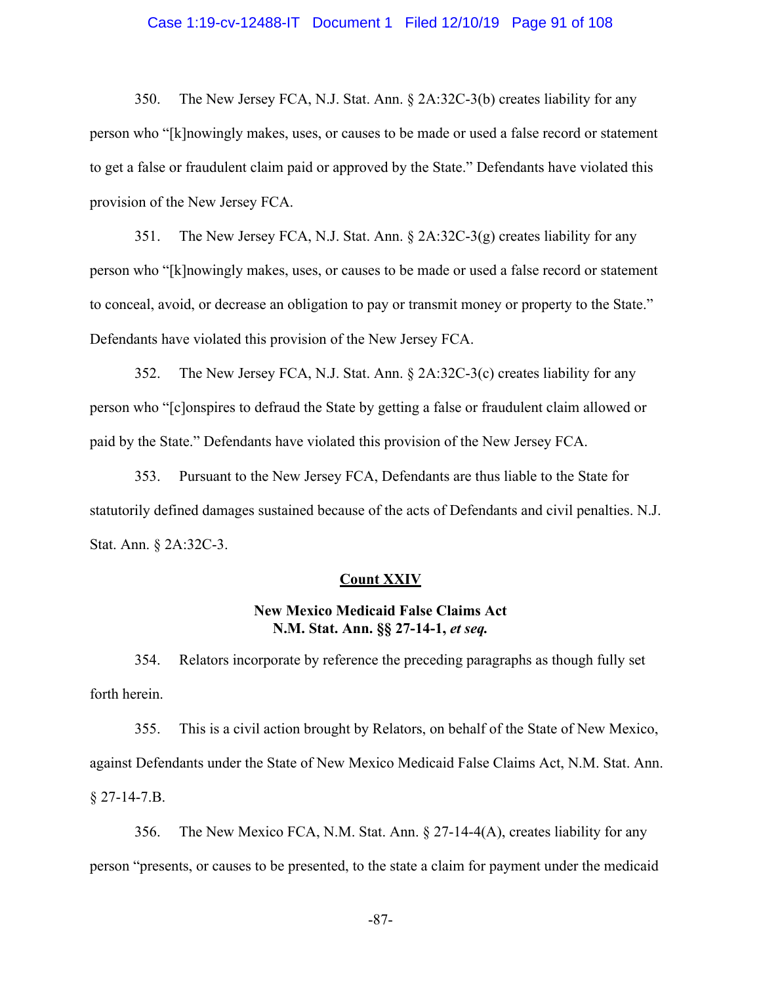### Case 1:19-cv-12488-IT Document 1 Filed 12/10/19 Page 91 of 108

350. The New Jersey FCA, N.J. Stat. Ann. § 2A:32C-3(b) creates liability for any person who "[k]nowingly makes, uses, or causes to be made or used a false record or statement to get a false or fraudulent claim paid or approved by the State." Defendants have violated this provision of the New Jersey FCA.

351. The New Jersey FCA, N.J. Stat. Ann. § 2A:32C-3(g) creates liability for any person who "[k]nowingly makes, uses, or causes to be made or used a false record or statement to conceal, avoid, or decrease an obligation to pay or transmit money or property to the State." Defendants have violated this provision of the New Jersey FCA.

352. The New Jersey FCA, N.J. Stat. Ann. § 2A:32C-3(c) creates liability for any person who "[c]onspires to defraud the State by getting a false or fraudulent claim allowed or paid by the State." Defendants have violated this provision of the New Jersey FCA.

353. Pursuant to the New Jersey FCA, Defendants are thus liable to the State for statutorily defined damages sustained because of the acts of Defendants and civil penalties. N.J. Stat. Ann. § 2A:32C-3.

### **Count XXIV**

## **New Mexico Medicaid False Claims Act N.M. Stat. Ann. §§ 27-14-1,** *et seq.*

354. Relators incorporate by reference the preceding paragraphs as though fully set forth herein.

355. This is a civil action brought by Relators, on behalf of the State of New Mexico, against Defendants under the State of New Mexico Medicaid False Claims Act, N.M. Stat. Ann. § 27-14-7.B.

356. The New Mexico FCA, N.M. Stat. Ann. § 27-14-4(A), creates liability for any person "presents, or causes to be presented, to the state a claim for payment under the medicaid

-87-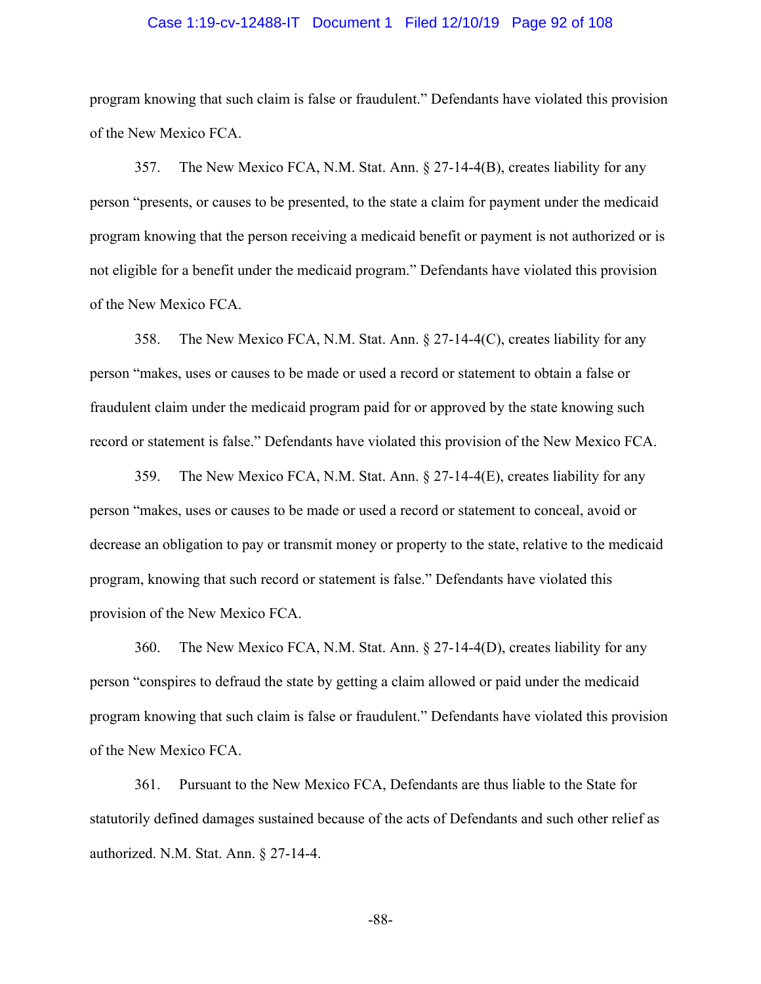### Case 1:19-cv-12488-IT Document 1 Filed 12/10/19 Page 92 of 108

program knowing that such claim is false or fraudulent." Defendants have violated this provision of the New Mexico FCA.

357. The New Mexico FCA, N.M. Stat. Ann. § 27-14-4(B), creates liability for any person "presents, or causes to be presented, to the state a claim for payment under the medicaid program knowing that the person receiving a medicaid benefit or payment is not authorized or is not eligible for a benefit under the medicaid program." Defendants have violated this provision of the New Mexico FCA.

358. The New Mexico FCA, N.M. Stat. Ann. § 27-14-4(C), creates liability for any person "makes, uses or causes to be made or used a record or statement to obtain a false or fraudulent claim under the medicaid program paid for or approved by the state knowing such record or statement is false." Defendants have violated this provision of the New Mexico FCA.

359. The New Mexico FCA, N.M. Stat. Ann. § 27-14-4(E), creates liability for any person "makes, uses or causes to be made or used a record or statement to conceal, avoid or decrease an obligation to pay or transmit money or property to the state, relative to the medicaid program, knowing that such record or statement is false." Defendants have violated this provision of the New Mexico FCA.

360. The New Mexico FCA, N.M. Stat. Ann. § 27-14-4(D), creates liability for any person "conspires to defraud the state by getting a claim allowed or paid under the medicaid program knowing that such claim is false or fraudulent." Defendants have violated this provision of the New Mexico FCA.

361. Pursuant to the New Mexico FCA, Defendants are thus liable to the State for statutorily defined damages sustained because of the acts of Defendants and such other relief as authorized. N.M. Stat. Ann. § 27-14-4.

-88-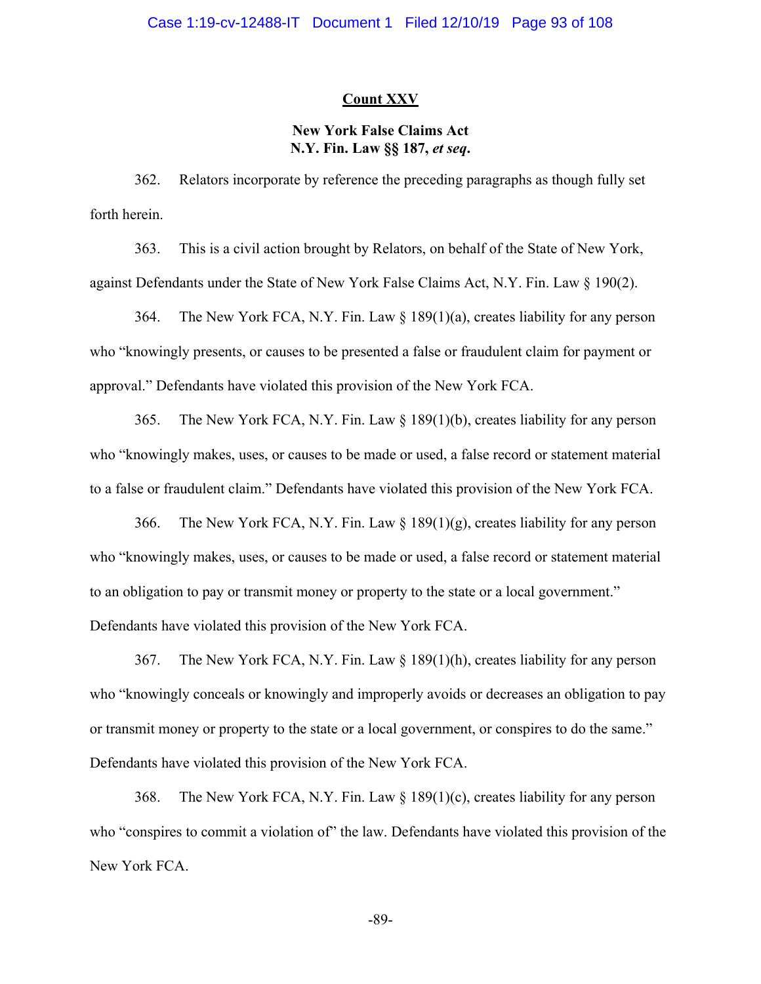## **Count XXV**

# **New York False Claims Act N.Y. Fin. Law §§ 187,** *et seq***.**

362. Relators incorporate by reference the preceding paragraphs as though fully set forth herein.

363. This is a civil action brought by Relators, on behalf of the State of New York, against Defendants under the State of New York False Claims Act, N.Y. Fin. Law § 190(2).

364. The New York FCA, N.Y. Fin. Law § 189(1)(a), creates liability for any person who "knowingly presents, or causes to be presented a false or fraudulent claim for payment or approval." Defendants have violated this provision of the New York FCA.

365. The New York FCA, N.Y. Fin. Law § 189(1)(b), creates liability for any person who "knowingly makes, uses, or causes to be made or used, a false record or statement material to a false or fraudulent claim." Defendants have violated this provision of the New York FCA.

366. The New York FCA, N.Y. Fin. Law  $\S 189(1)(g)$ , creates liability for any person who "knowingly makes, uses, or causes to be made or used, a false record or statement material to an obligation to pay or transmit money or property to the state or a local government." Defendants have violated this provision of the New York FCA.

367. The New York FCA, N.Y. Fin. Law § 189(1)(h), creates liability for any person who "knowingly conceals or knowingly and improperly avoids or decreases an obligation to pay or transmit money or property to the state or a local government, or conspires to do the same." Defendants have violated this provision of the New York FCA.

368. The New York FCA, N.Y. Fin. Law § 189(1)(c), creates liability for any person who "conspires to commit a violation of" the law. Defendants have violated this provision of the New York FCA.

-89-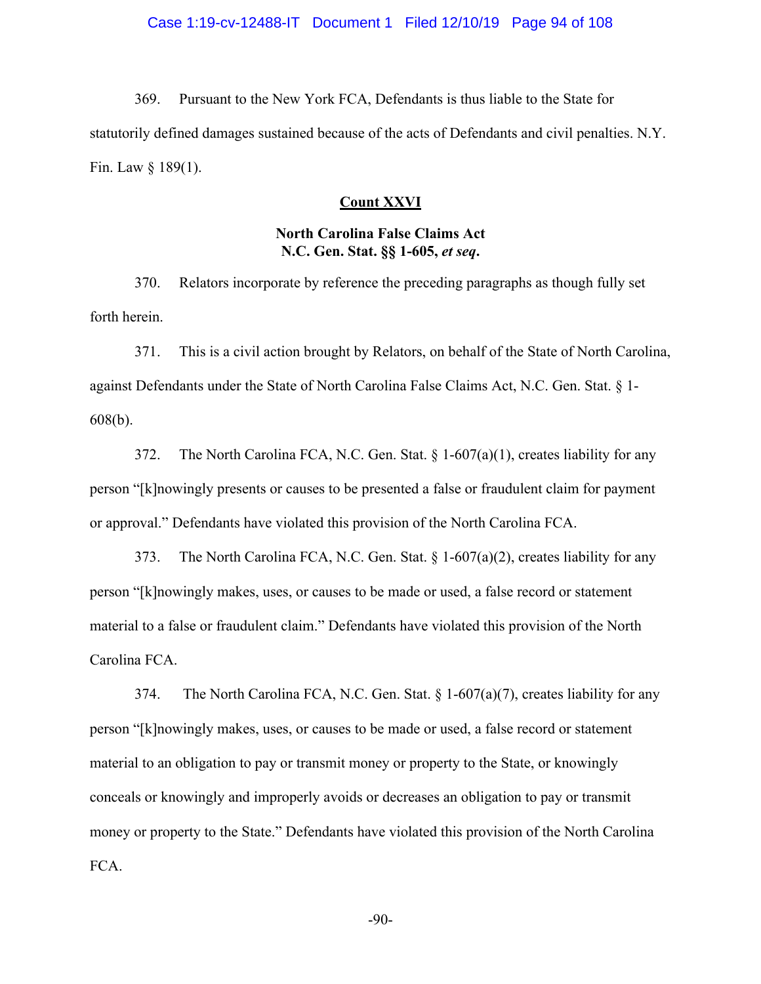369. Pursuant to the New York FCA, Defendants is thus liable to the State for statutorily defined damages sustained because of the acts of Defendants and civil penalties. N.Y. Fin. Law § 189(1).

### **Count XXVI**

## **North Carolina False Claims Act N.C. Gen. Stat. §§ 1-605,** *et seq***.**

370. Relators incorporate by reference the preceding paragraphs as though fully set forth herein.

371. This is a civil action brought by Relators, on behalf of the State of North Carolina, against Defendants under the State of North Carolina False Claims Act, N.C. Gen. Stat. § 1- 608(b).

372. The North Carolina FCA, N.C. Gen. Stat.  $\S 1-607(a)(1)$ , creates liability for any person "[k]nowingly presents or causes to be presented a false or fraudulent claim for payment or approval." Defendants have violated this provision of the North Carolina FCA.

373. The North Carolina FCA, N.C. Gen. Stat.  $\S 1-607(a)(2)$ , creates liability for any person "[k]nowingly makes, uses, or causes to be made or used, a false record or statement material to a false or fraudulent claim." Defendants have violated this provision of the North Carolina FCA.

374. The North Carolina FCA, N.C. Gen. Stat.  $\S 1-607(a)(7)$ , creates liability for any person "[k]nowingly makes, uses, or causes to be made or used, a false record or statement material to an obligation to pay or transmit money or property to the State, or knowingly conceals or knowingly and improperly avoids or decreases an obligation to pay or transmit money or property to the State." Defendants have violated this provision of the North Carolina FCA.

-90-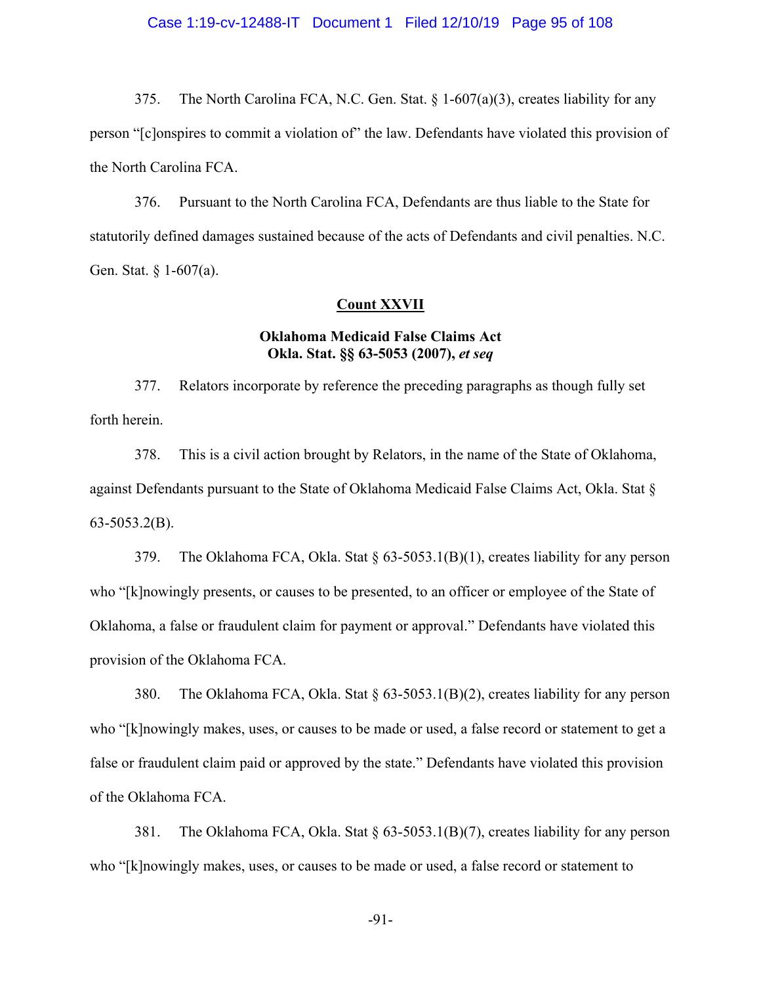### Case 1:19-cv-12488-IT Document 1 Filed 12/10/19 Page 95 of 108

375. The North Carolina FCA, N.C. Gen. Stat.  $\S 1-607(a)(3)$ , creates liability for any person "[c]onspires to commit a violation of" the law. Defendants have violated this provision of the North Carolina FCA.

376. Pursuant to the North Carolina FCA, Defendants are thus liable to the State for statutorily defined damages sustained because of the acts of Defendants and civil penalties. N.C. Gen. Stat. § 1-607(a).

### **Count XXVII**

# **Oklahoma Medicaid False Claims Act Okla. Stat. §§ 63-5053 (2007),** *et seq*

377. Relators incorporate by reference the preceding paragraphs as though fully set forth herein.

378. This is a civil action brought by Relators, in the name of the State of Oklahoma, against Defendants pursuant to the State of Oklahoma Medicaid False Claims Act, Okla. Stat § 63-5053.2(B).

379. The Oklahoma FCA, Okla. Stat § 63-5053.1(B)(1), creates liability for any person who "[k]nowingly presents, or causes to be presented, to an officer or employee of the State of Oklahoma, a false or fraudulent claim for payment or approval." Defendants have violated this provision of the Oklahoma FCA.

380. The Oklahoma FCA, Okla. Stat § 63-5053.1(B)(2), creates liability for any person who "[k]nowingly makes, uses, or causes to be made or used, a false record or statement to get a false or fraudulent claim paid or approved by the state." Defendants have violated this provision of the Oklahoma FCA.

381. The Oklahoma FCA, Okla. Stat § 63-5053.1(B)(7), creates liability for any person who "[k]nowingly makes, uses, or causes to be made or used, a false record or statement to

-91-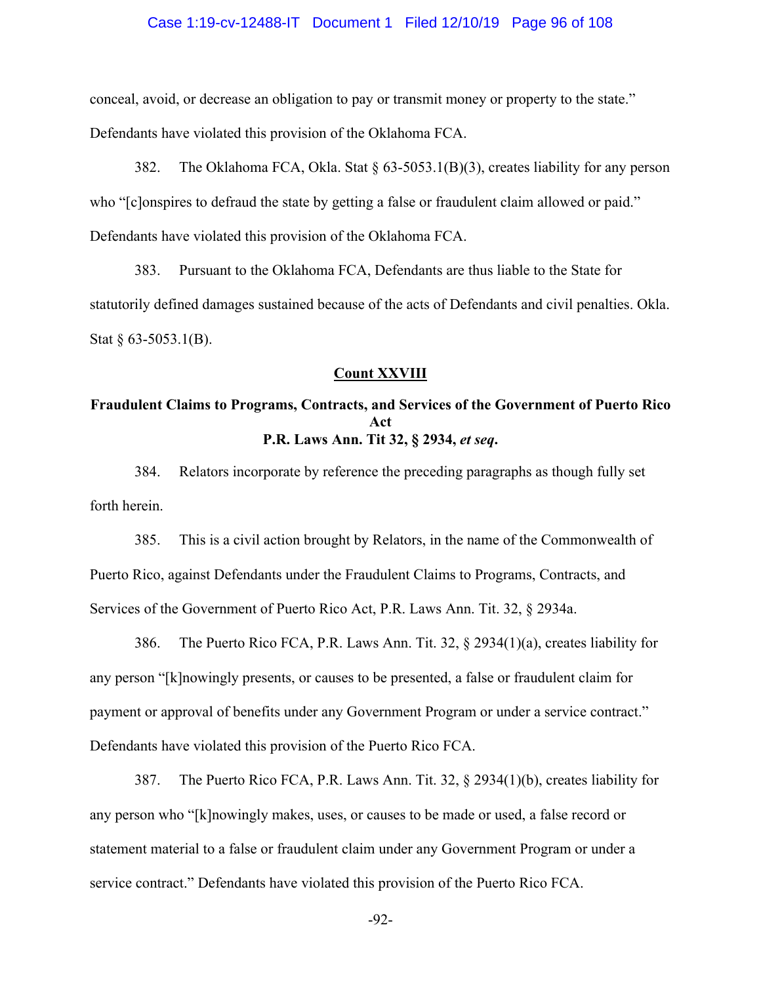### Case 1:19-cv-12488-IT Document 1 Filed 12/10/19 Page 96 of 108

conceal, avoid, or decrease an obligation to pay or transmit money or property to the state." Defendants have violated this provision of the Oklahoma FCA.

382. The Oklahoma FCA, Okla. Stat § 63-5053.1(B)(3), creates liability for any person who "[c]onspires to defraud the state by getting a false or fraudulent claim allowed or paid." Defendants have violated this provision of the Oklahoma FCA.

383. Pursuant to the Oklahoma FCA, Defendants are thus liable to the State for statutorily defined damages sustained because of the acts of Defendants and civil penalties. Okla. Stat § 63-5053.1(B).

#### **Count XXVIII**

## **Fraudulent Claims to Programs, Contracts, and Services of the Government of Puerto Rico Act P.R. Laws Ann. Tit 32, § 2934,** *et seq***.**

384. Relators incorporate by reference the preceding paragraphs as though fully set forth herein.

385. This is a civil action brought by Relators, in the name of the Commonwealth of Puerto Rico, against Defendants under the Fraudulent Claims to Programs, Contracts, and Services of the Government of Puerto Rico Act, P.R. Laws Ann. Tit. 32, § 2934a.

386. The Puerto Rico FCA, P.R. Laws Ann. Tit. 32, § 2934(1)(a), creates liability for any person "[k]nowingly presents, or causes to be presented, a false or fraudulent claim for payment or approval of benefits under any Government Program or under a service contract." Defendants have violated this provision of the Puerto Rico FCA.

387. The Puerto Rico FCA, P.R. Laws Ann. Tit. 32, § 2934(1)(b), creates liability for any person who "[k]nowingly makes, uses, or causes to be made or used, a false record or statement material to a false or fraudulent claim under any Government Program or under a service contract." Defendants have violated this provision of the Puerto Rico FCA.

-92-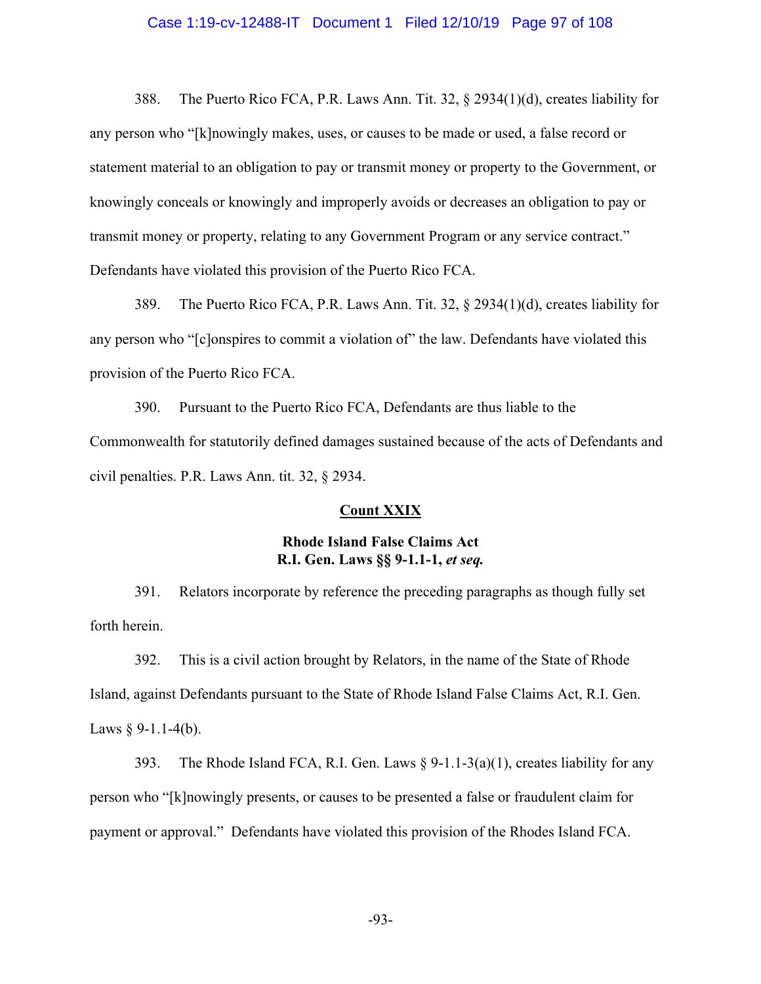### Case 1:19-cv-12488-IT Document 1 Filed 12/10/19 Page 97 of 108

388. The Puerto Rico FCA, P.R. Laws Ann. Tit. 32, § 2934(1)(d), creates liability for any person who "[k]nowingly makes, uses, or causes to be made or used, a false record or statement material to an obligation to pay or transmit money or property to the Government, or knowingly conceals or knowingly and improperly avoids or decreases an obligation to pay or transmit money or property, relating to any Government Program or any service contract." Defendants have violated this provision of the Puerto Rico FCA.

389. The Puerto Rico FCA, P.R. Laws Ann. Tit. 32, § 2934(1)(d), creates liability for any person who "[c]onspires to commit a violation of" the law. Defendants have violated this provision of the Puerto Rico FCA.

390. Pursuant to the Puerto Rico FCA, Defendants are thus liable to the Commonwealth for statutorily defined damages sustained because of the acts of Defendants and civil penalties. P.R. Laws Ann. tit. 32, § 2934.

#### **Count XXIX**

## **Rhode Island False Claims Act R.I. Gen. Laws §§ 9-1.1-1,** *et seq.*

391. Relators incorporate by reference the preceding paragraphs as though fully set forth herein.

392. This is a civil action brought by Relators, in the name of the State of Rhode Island, against Defendants pursuant to the State of Rhode Island False Claims Act, R.I. Gen. Laws  $§$  9-1.1-4(b).

393. The Rhode Island FCA, R.I. Gen. Laws  $\S 9-1.1-3(a)(1)$ , creates liability for any person who "[k]nowingly presents, or causes to be presented a false or fraudulent claim for payment or approval." Defendants have violated this provision of the Rhodes Island FCA.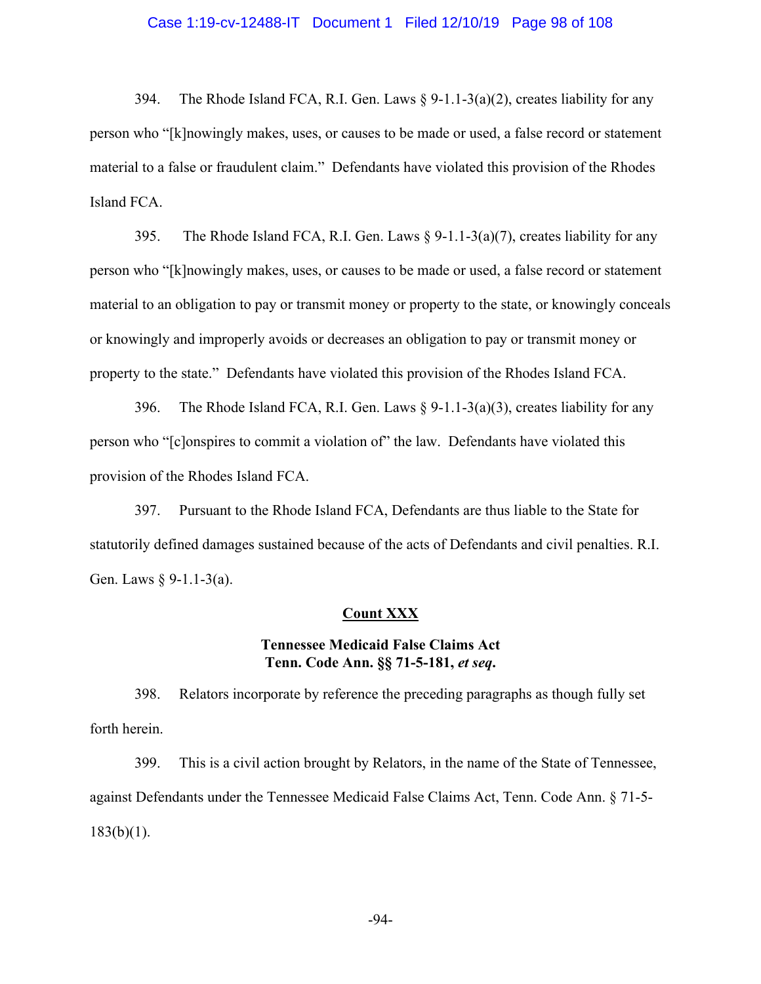### Case 1:19-cv-12488-IT Document 1 Filed 12/10/19 Page 98 of 108

394. The Rhode Island FCA, R.I. Gen. Laws  $\S$  9-1.1-3(a)(2), creates liability for any person who "[k]nowingly makes, uses, or causes to be made or used, a false record or statement material to a false or fraudulent claim." Defendants have violated this provision of the Rhodes Island FCA.

395. The Rhode Island FCA, R.I. Gen. Laws  $\S$  9-1.1-3(a)(7), creates liability for any person who "[k]nowingly makes, uses, or causes to be made or used, a false record or statement material to an obligation to pay or transmit money or property to the state, or knowingly conceals or knowingly and improperly avoids or decreases an obligation to pay or transmit money or property to the state." Defendants have violated this provision of the Rhodes Island FCA.

396. The Rhode Island FCA, R.I. Gen. Laws  $\S$  9-1.1-3(a)(3), creates liability for any person who "[c]onspires to commit a violation of" the law. Defendants have violated this provision of the Rhodes Island FCA.

397. Pursuant to the Rhode Island FCA, Defendants are thus liable to the State for statutorily defined damages sustained because of the acts of Defendants and civil penalties. R.I. Gen. Laws § 9-1.1-3(a).

#### **Count XXX**

# **Tennessee Medicaid False Claims Act Tenn. Code Ann. §§ 71-5-181,** *et seq***.**

398. Relators incorporate by reference the preceding paragraphs as though fully set forth herein.

399. This is a civil action brought by Relators, in the name of the State of Tennessee, against Defendants under the Tennessee Medicaid False Claims Act, Tenn. Code Ann. § 71-5-  $183(b)(1)$ .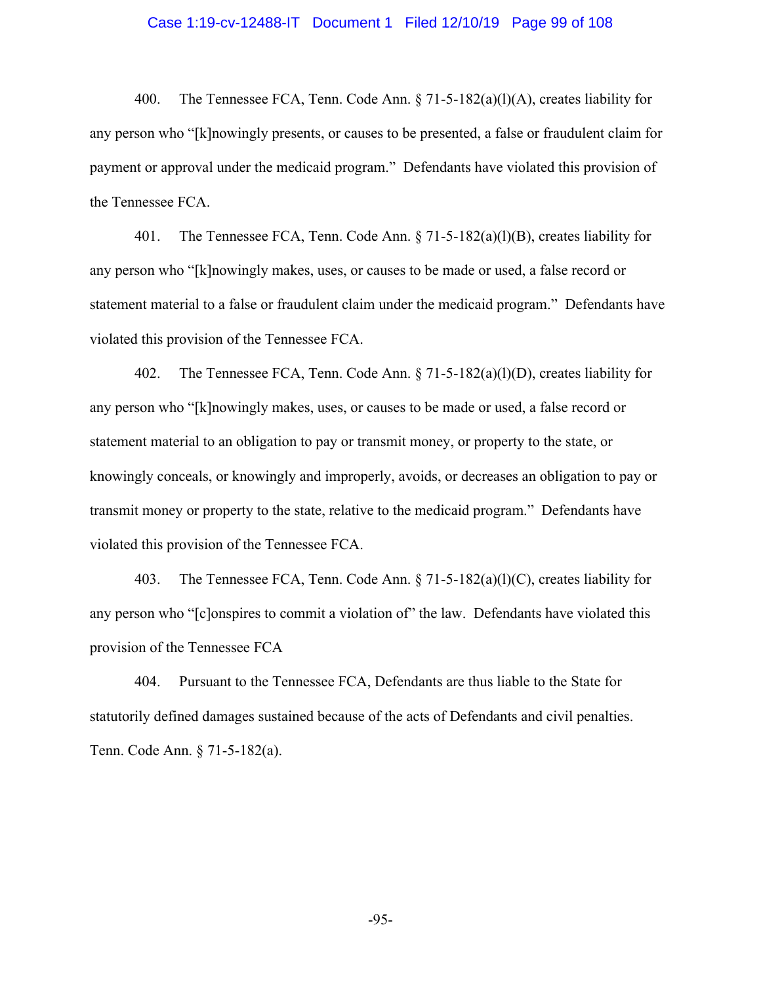### Case 1:19-cv-12488-IT Document 1 Filed 12/10/19 Page 99 of 108

400. The Tennessee FCA, Tenn. Code Ann. § 71-5-182(a)(l)(A), creates liability for any person who "[k]nowingly presents, or causes to be presented, a false or fraudulent claim for payment or approval under the medicaid program." Defendants have violated this provision of the Tennessee FCA.

401. The Tennessee FCA, Tenn. Code Ann. § 71-5-182(a)(l)(B), creates liability for any person who "[k]nowingly makes, uses, or causes to be made or used, a false record or statement material to a false or fraudulent claim under the medicaid program." Defendants have violated this provision of the Tennessee FCA.

402. The Tennessee FCA, Tenn. Code Ann. § 71-5-182(a)(l)(D), creates liability for any person who "[k]nowingly makes, uses, or causes to be made or used, a false record or statement material to an obligation to pay or transmit money, or property to the state, or knowingly conceals, or knowingly and improperly, avoids, or decreases an obligation to pay or transmit money or property to the state, relative to the medicaid program." Defendants have violated this provision of the Tennessee FCA.

403. The Tennessee FCA, Tenn. Code Ann. § 71-5-182(a)(l)(C), creates liability for any person who "[c]onspires to commit a violation of" the law. Defendants have violated this provision of the Tennessee FCA

404. Pursuant to the Tennessee FCA, Defendants are thus liable to the State for statutorily defined damages sustained because of the acts of Defendants and civil penalties. Tenn. Code Ann. § 71-5-182(a).

-95-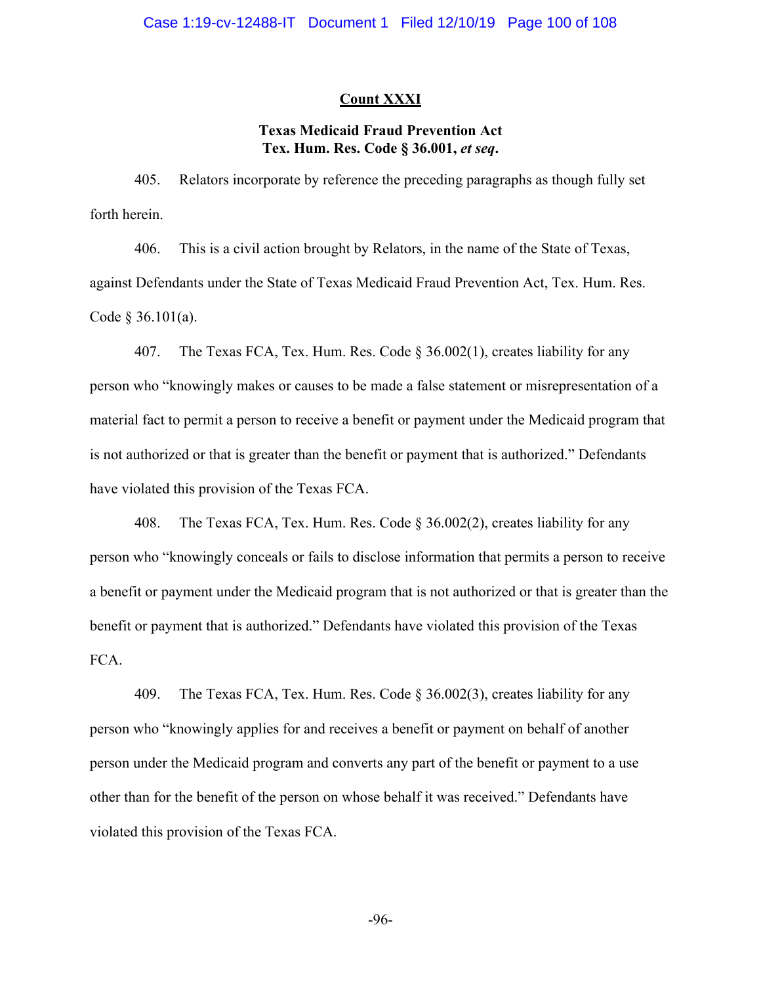### **Count XXXI**

# **Texas Medicaid Fraud Prevention Act Tex. Hum. Res. Code § 36.001,** *et seq***.**

405. Relators incorporate by reference the preceding paragraphs as though fully set forth herein.

406. This is a civil action brought by Relators, in the name of the State of Texas, against Defendants under the State of Texas Medicaid Fraud Prevention Act, Tex. Hum. Res. Code § 36.101(a).

407. The Texas FCA, Tex. Hum. Res. Code § 36.002(1), creates liability for any person who "knowingly makes or causes to be made a false statement or misrepresentation of a material fact to permit a person to receive a benefit or payment under the Medicaid program that is not authorized or that is greater than the benefit or payment that is authorized." Defendants have violated this provision of the Texas FCA.

408. The Texas FCA, Tex. Hum. Res. Code § 36.002(2), creates liability for any person who "knowingly conceals or fails to disclose information that permits a person to receive a benefit or payment under the Medicaid program that is not authorized or that is greater than the benefit or payment that is authorized." Defendants have violated this provision of the Texas FCA.

409. The Texas FCA, Tex. Hum. Res. Code § 36.002(3), creates liability for any person who "knowingly applies for and receives a benefit or payment on behalf of another person under the Medicaid program and converts any part of the benefit or payment to a use other than for the benefit of the person on whose behalf it was received." Defendants have violated this provision of the Texas FCA.

-96-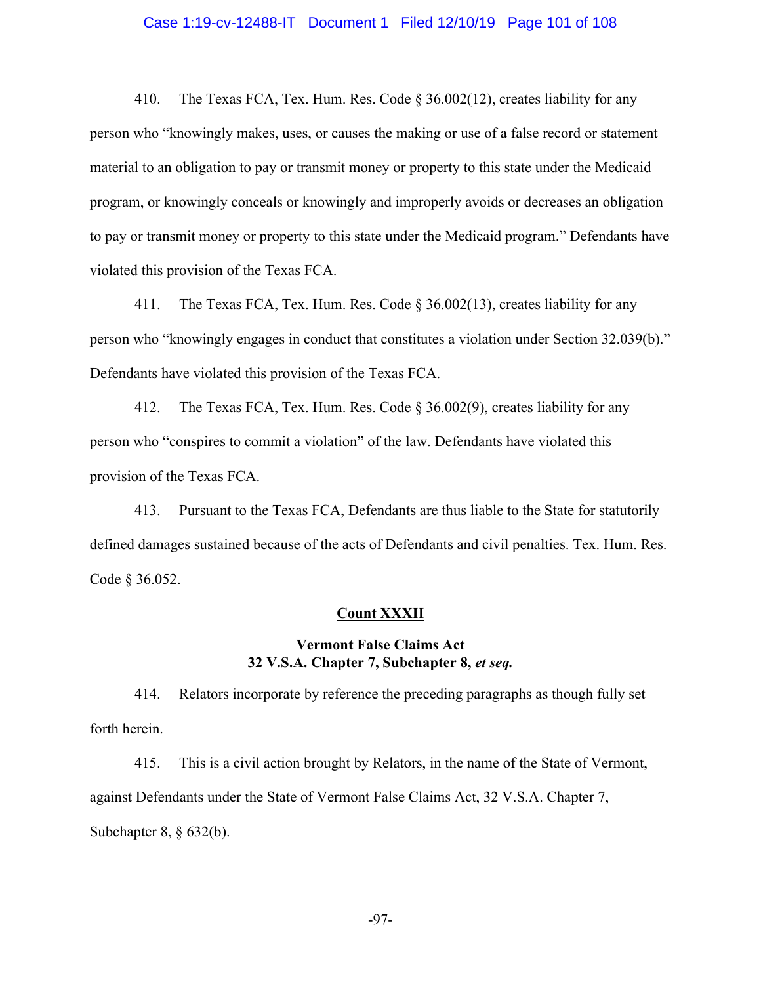### Case 1:19-cv-12488-IT Document 1 Filed 12/10/19 Page 101 of 108

410. The Texas FCA, Tex. Hum. Res. Code § 36.002(12), creates liability for any person who "knowingly makes, uses, or causes the making or use of a false record or statement material to an obligation to pay or transmit money or property to this state under the Medicaid program, or knowingly conceals or knowingly and improperly avoids or decreases an obligation to pay or transmit money or property to this state under the Medicaid program." Defendants have violated this provision of the Texas FCA.

411. The Texas FCA, Tex. Hum. Res. Code § 36.002(13), creates liability for any person who "knowingly engages in conduct that constitutes a violation under Section 32.039(b)." Defendants have violated this provision of the Texas FCA.

412. The Texas FCA, Tex. Hum. Res. Code § 36.002(9), creates liability for any person who "conspires to commit a violation" of the law. Defendants have violated this provision of the Texas FCA.

413. Pursuant to the Texas FCA, Defendants are thus liable to the State for statutorily defined damages sustained because of the acts of Defendants and civil penalties. Tex. Hum. Res. Code § 36.052.

#### **Count XXXII**

## **Vermont False Claims Act 32 V.S.A. Chapter 7, Subchapter 8,** *et seq.*

414. Relators incorporate by reference the preceding paragraphs as though fully set forth herein.

415. This is a civil action brought by Relators, in the name of the State of Vermont, against Defendants under the State of Vermont False Claims Act, 32 V.S.A. Chapter 7, Subchapter 8, § 632(b).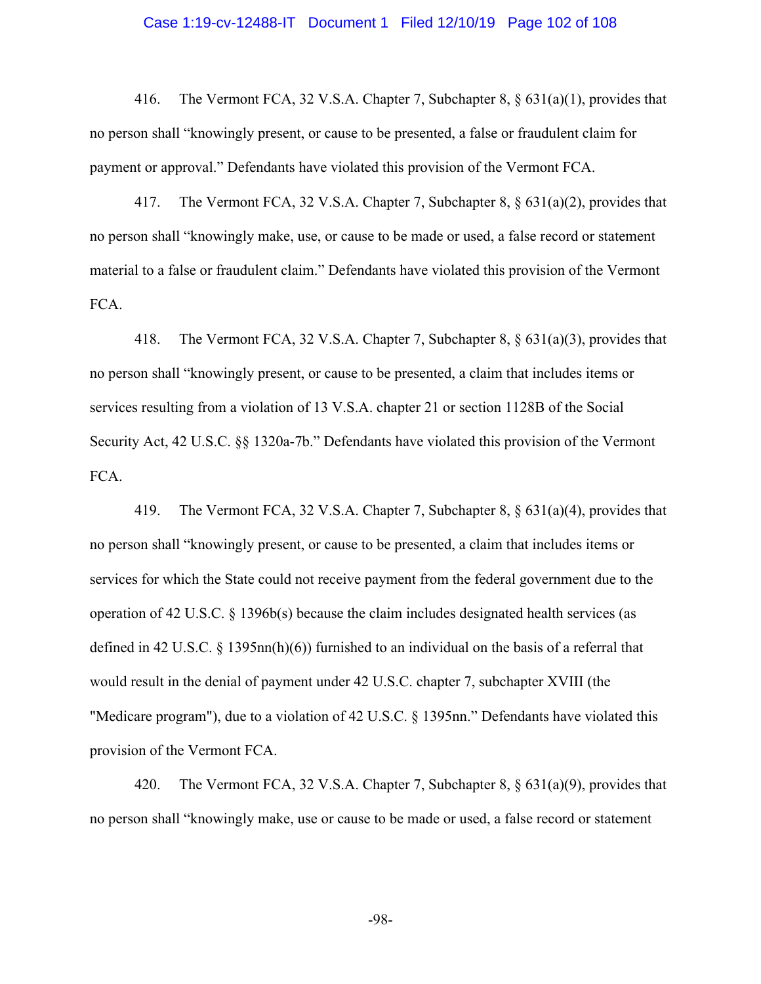### Case 1:19-cv-12488-IT Document 1 Filed 12/10/19 Page 102 of 108

416. The Vermont FCA, 32 V.S.A. Chapter 7, Subchapter 8, § 631(a)(1), provides that no person shall "knowingly present, or cause to be presented, a false or fraudulent claim for payment or approval." Defendants have violated this provision of the Vermont FCA.

417. The Vermont FCA, 32 V.S.A. Chapter 7, Subchapter 8, § 631(a)(2), provides that no person shall "knowingly make, use, or cause to be made or used, a false record or statement material to a false or fraudulent claim." Defendants have violated this provision of the Vermont FCA.

418. The Vermont FCA, 32 V.S.A. Chapter 7, Subchapter 8, § 631(a)(3), provides that no person shall "knowingly present, or cause to be presented, a claim that includes items or services resulting from a violation of 13 V.S.A. chapter 21 or section 1128B of the Social Security Act, 42 U.S.C. §§ 1320a-7b." Defendants have violated this provision of the Vermont FCA.

419. The Vermont FCA, 32 V.S.A. Chapter 7, Subchapter 8, § 631(a)(4), provides that no person shall "knowingly present, or cause to be presented, a claim that includes items or services for which the State could not receive payment from the federal government due to the operation of 42 U.S.C.  $\S$  1396b(s) because the claim includes designated health services (as defined in 42 U.S.C. § 1395nn(h)(6)) furnished to an individual on the basis of a referral that would result in the denial of payment under 42 U.S.C. chapter 7, subchapter XVIII (the "Medicare program"), due to a violation of 42 U.S.C. § 1395nn." Defendants have violated this provision of the Vermont FCA.

420. The Vermont FCA, 32 V.S.A. Chapter 7, Subchapter 8, § 631(a)(9), provides that no person shall "knowingly make, use or cause to be made or used, a false record or statement

-98-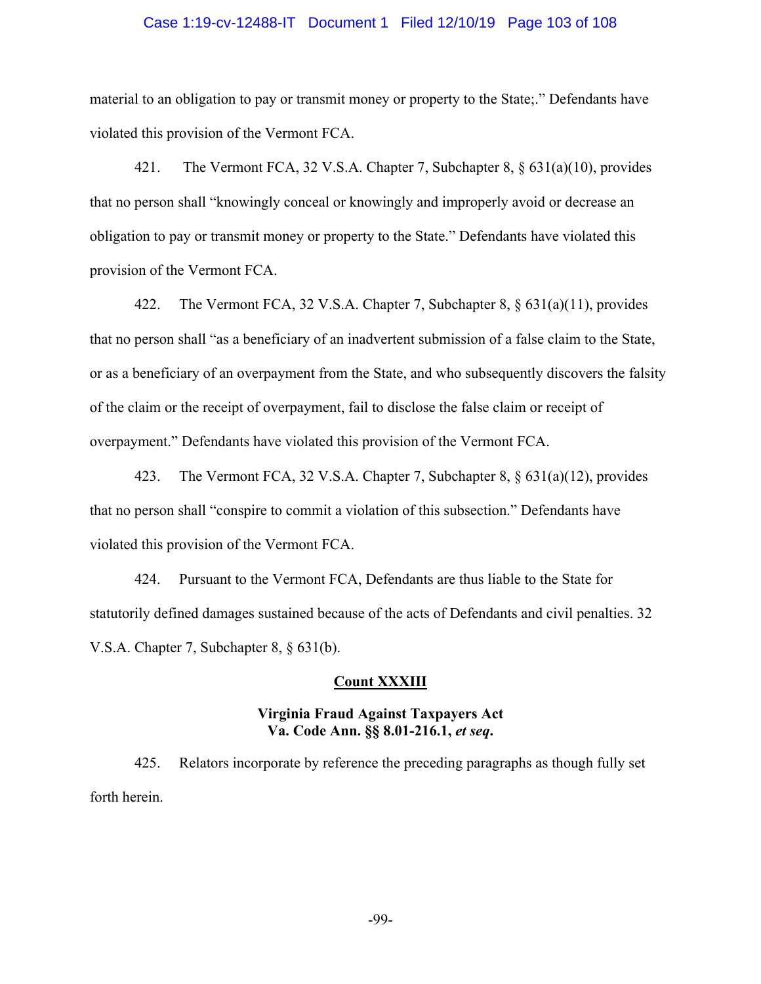### Case 1:19-cv-12488-IT Document 1 Filed 12/10/19 Page 103 of 108

material to an obligation to pay or transmit money or property to the State;." Defendants have violated this provision of the Vermont FCA.

421. The Vermont FCA, 32 V.S.A. Chapter 7, Subchapter 8, § 631(a)(10), provides that no person shall "knowingly conceal or knowingly and improperly avoid or decrease an obligation to pay or transmit money or property to the State." Defendants have violated this provision of the Vermont FCA.

422. The Vermont FCA, 32 V.S.A. Chapter 7, Subchapter 8, § 631(a)(11), provides that no person shall "as a beneficiary of an inadvertent submission of a false claim to the State, or as a beneficiary of an overpayment from the State, and who subsequently discovers the falsity of the claim or the receipt of overpayment, fail to disclose the false claim or receipt of overpayment." Defendants have violated this provision of the Vermont FCA.

423. The Vermont FCA, 32 V.S.A. Chapter 7, Subchapter 8, § 631(a)(12), provides that no person shall "conspire to commit a violation of this subsection." Defendants have violated this provision of the Vermont FCA.

424. Pursuant to the Vermont FCA, Defendants are thus liable to the State for statutorily defined damages sustained because of the acts of Defendants and civil penalties. 32 V.S.A. Chapter 7, Subchapter 8, § 631(b).

### **Count XXXIII**

## **Virginia Fraud Against Taxpayers Act Va. Code Ann. §§ 8.01-216.1,** *et seq***.**

425. Relators incorporate by reference the preceding paragraphs as though fully set forth herein.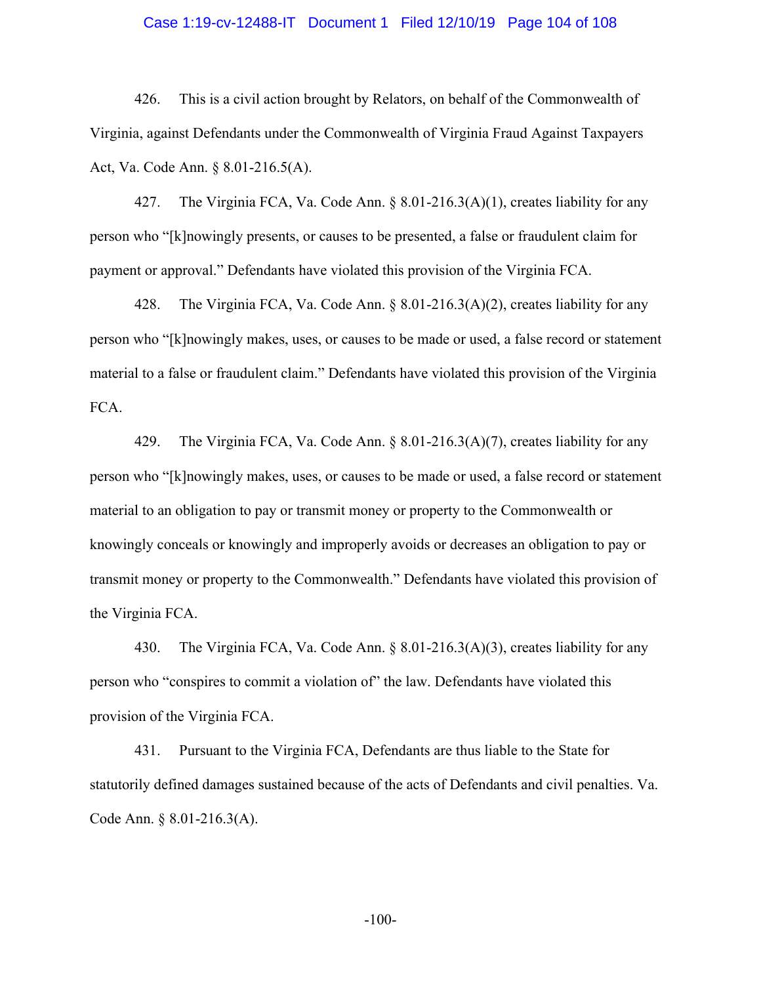### Case 1:19-cv-12488-IT Document 1 Filed 12/10/19 Page 104 of 108

426. This is a civil action brought by Relators, on behalf of the Commonwealth of Virginia, against Defendants under the Commonwealth of Virginia Fraud Against Taxpayers Act, Va. Code Ann. § 8.01-216.5(A).

427. The Virginia FCA, Va. Code Ann. § 8.01-216.3(A)(1), creates liability for any person who "[k]nowingly presents, or causes to be presented, a false or fraudulent claim for payment or approval." Defendants have violated this provision of the Virginia FCA.

428. The Virginia FCA, Va. Code Ann. § 8.01-216.3(A)(2), creates liability for any person who "[k]nowingly makes, uses, or causes to be made or used, a false record or statement material to a false or fraudulent claim." Defendants have violated this provision of the Virginia FCA.

429. The Virginia FCA, Va. Code Ann. § 8.01-216.3(A)(7), creates liability for any person who "[k]nowingly makes, uses, or causes to be made or used, a false record or statement material to an obligation to pay or transmit money or property to the Commonwealth or knowingly conceals or knowingly and improperly avoids or decreases an obligation to pay or transmit money or property to the Commonwealth." Defendants have violated this provision of the Virginia FCA.

430. The Virginia FCA, Va. Code Ann. § 8.01-216.3(A)(3), creates liability for any person who "conspires to commit a violation of" the law. Defendants have violated this provision of the Virginia FCA.

431. Pursuant to the Virginia FCA, Defendants are thus liable to the State for statutorily defined damages sustained because of the acts of Defendants and civil penalties. Va. Code Ann. § 8.01-216.3(A).

-100-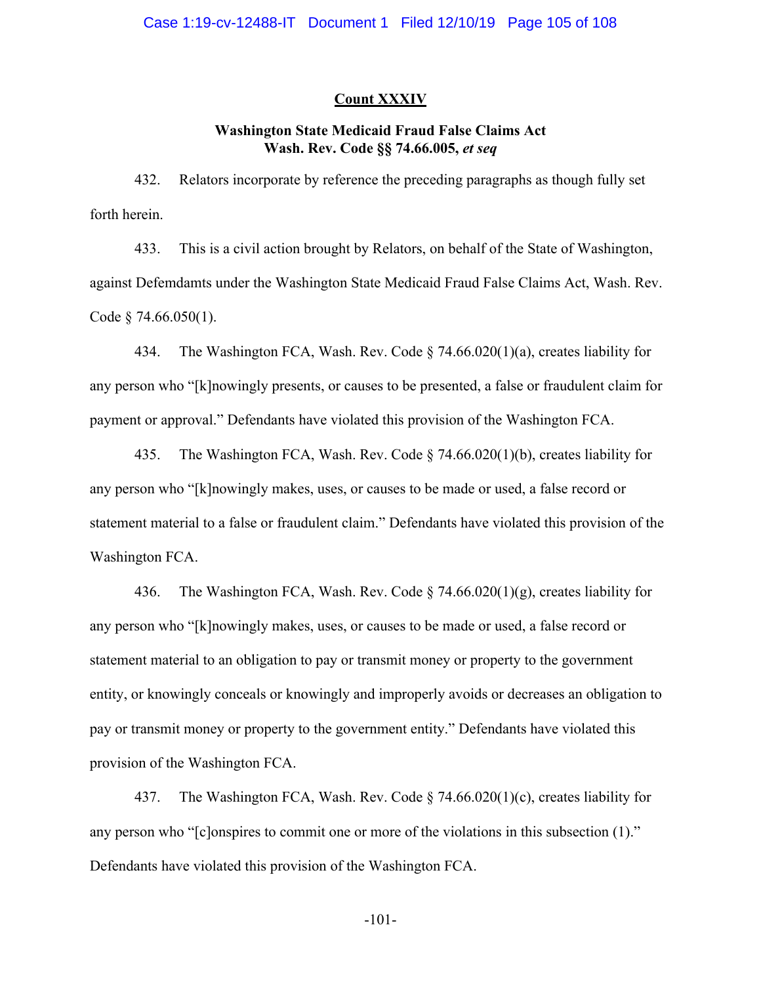### **Count XXXIV**

# **Washington State Medicaid Fraud False Claims Act Wash. Rev. Code §§ 74.66.005,** *et seq*

432. Relators incorporate by reference the preceding paragraphs as though fully set forth herein.

433. This is a civil action brought by Relators, on behalf of the State of Washington, against Defemdamts under the Washington State Medicaid Fraud False Claims Act, Wash. Rev. Code § 74.66.050(1).

434. The Washington FCA, Wash. Rev. Code § 74.66.020(1)(a), creates liability for any person who "[k]nowingly presents, or causes to be presented, a false or fraudulent claim for payment or approval." Defendants have violated this provision of the Washington FCA.

435. The Washington FCA, Wash. Rev. Code § 74.66.020(1)(b), creates liability for any person who "[k]nowingly makes, uses, or causes to be made or used, a false record or statement material to a false or fraudulent claim." Defendants have violated this provision of the Washington FCA.

436. The Washington FCA, Wash. Rev. Code § 74.66.020(1)(g), creates liability for any person who "[k]nowingly makes, uses, or causes to be made or used, a false record or statement material to an obligation to pay or transmit money or property to the government entity, or knowingly conceals or knowingly and improperly avoids or decreases an obligation to pay or transmit money or property to the government entity." Defendants have violated this provision of the Washington FCA.

437. The Washington FCA, Wash. Rev. Code § 74.66.020(1)(c), creates liability for any person who "[c]onspires to commit one or more of the violations in this subsection (1)." Defendants have violated this provision of the Washington FCA.

-101-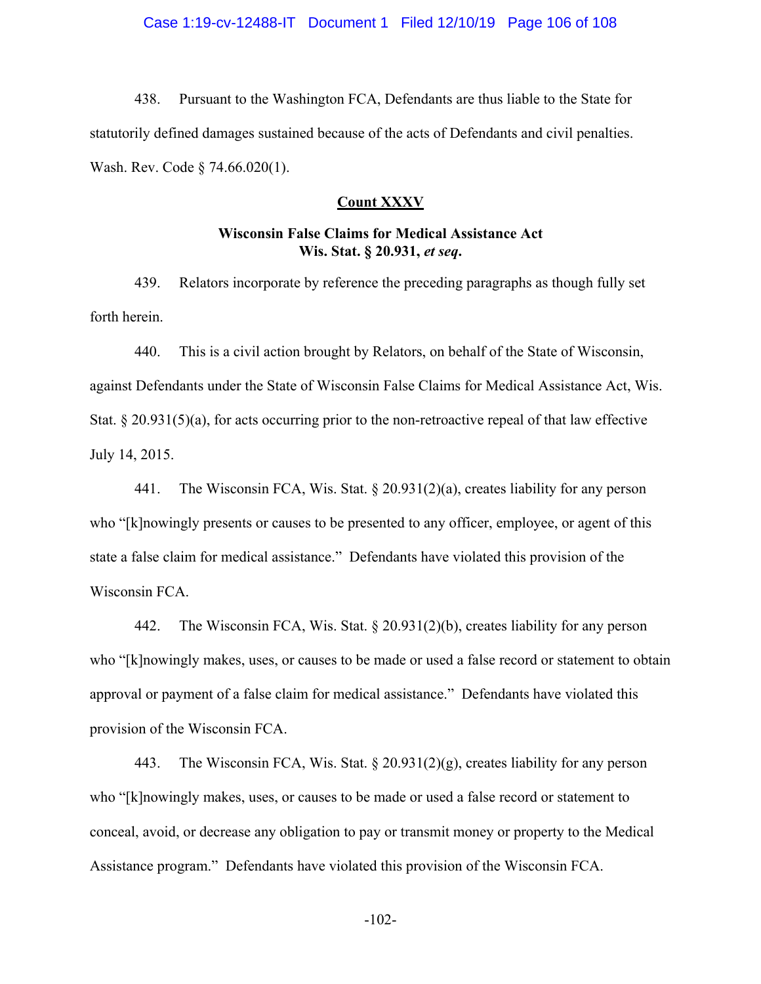438. Pursuant to the Washington FCA, Defendants are thus liable to the State for statutorily defined damages sustained because of the acts of Defendants and civil penalties. Wash. Rev. Code § 74.66.020(1).

#### **Count XXXV**

## **Wisconsin False Claims for Medical Assistance Act Wis. Stat. § 20.931,** *et seq***.**

439. Relators incorporate by reference the preceding paragraphs as though fully set forth herein.

440. This is a civil action brought by Relators, on behalf of the State of Wisconsin, against Defendants under the State of Wisconsin False Claims for Medical Assistance Act, Wis. Stat.  $\S 20.931(5)(a)$ , for acts occurring prior to the non-retroactive repeal of that law effective July 14, 2015.

441. The Wisconsin FCA, Wis. Stat.  $\S 20.931(2)(a)$ , creates liability for any person who "[k]nowingly presents or causes to be presented to any officer, employee, or agent of this state a false claim for medical assistance." Defendants have violated this provision of the Wisconsin FCA.

442. The Wisconsin FCA, Wis. Stat. § 20.931(2)(b), creates liability for any person who "[k]nowingly makes, uses, or causes to be made or used a false record or statement to obtain approval or payment of a false claim for medical assistance." Defendants have violated this provision of the Wisconsin FCA.

443. The Wisconsin FCA, Wis. Stat. § 20.931(2)(g), creates liability for any person who "[k]nowingly makes, uses, or causes to be made or used a false record or statement to conceal, avoid, or decrease any obligation to pay or transmit money or property to the Medical Assistance program." Defendants have violated this provision of the Wisconsin FCA.

-102-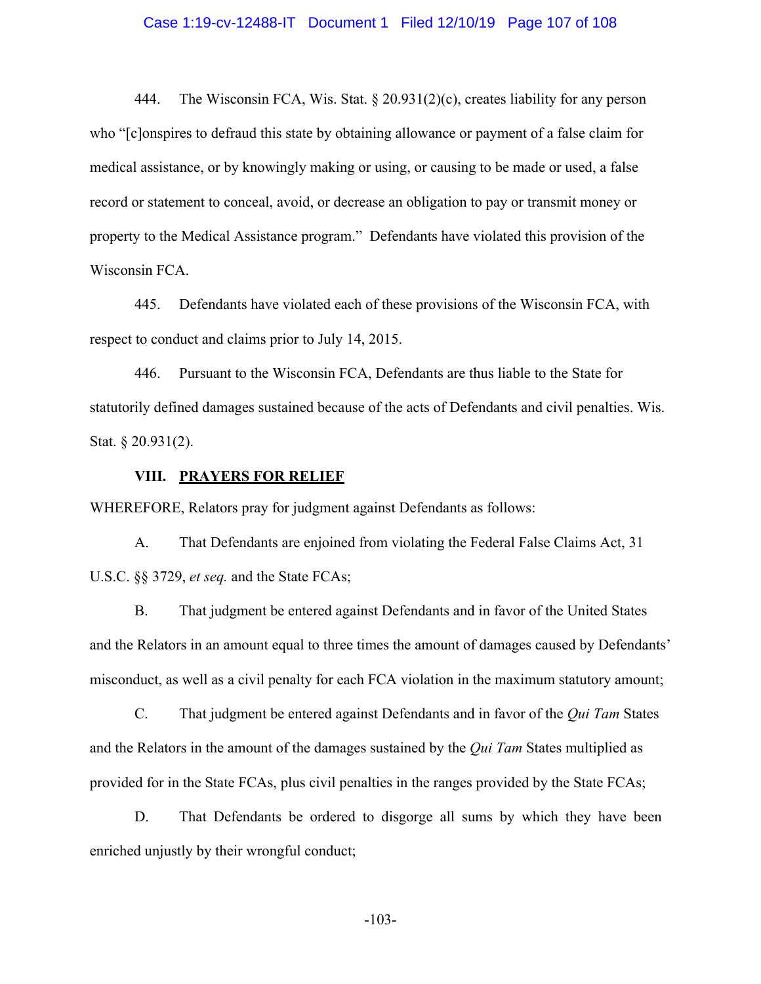### Case 1:19-cv-12488-IT Document 1 Filed 12/10/19 Page 107 of 108

444. The Wisconsin FCA, Wis. Stat. § 20.931(2)(c), creates liability for any person who "[c]onspires to defraud this state by obtaining allowance or payment of a false claim for medical assistance, or by knowingly making or using, or causing to be made or used, a false record or statement to conceal, avoid, or decrease an obligation to pay or transmit money or property to the Medical Assistance program." Defendants have violated this provision of the Wisconsin FCA.

445. Defendants have violated each of these provisions of the Wisconsin FCA, with respect to conduct and claims prior to July 14, 2015.

446. Pursuant to the Wisconsin FCA, Defendants are thus liable to the State for statutorily defined damages sustained because of the acts of Defendants and civil penalties. Wis. Stat. § 20.931(2).

### **VIII. PRAYERS FOR RELIEF**

WHEREFORE, Relators pray for judgment against Defendants as follows:

A. That Defendants are enjoined from violating the Federal False Claims Act, 31 U.S.C. §§ 3729, *et seq.* and the State FCAs;

B. That judgment be entered against Defendants and in favor of the United States and the Relators in an amount equal to three times the amount of damages caused by Defendants' misconduct, as well as a civil penalty for each FCA violation in the maximum statutory amount;

C. That judgment be entered against Defendants and in favor of the *Qui Tam* States and the Relators in the amount of the damages sustained by the *Qui Tam* States multiplied as provided for in the State FCAs, plus civil penalties in the ranges provided by the State FCAs;

D. That Defendants be ordered to disgorge all sums by which they have been enriched unjustly by their wrongful conduct;

-103-